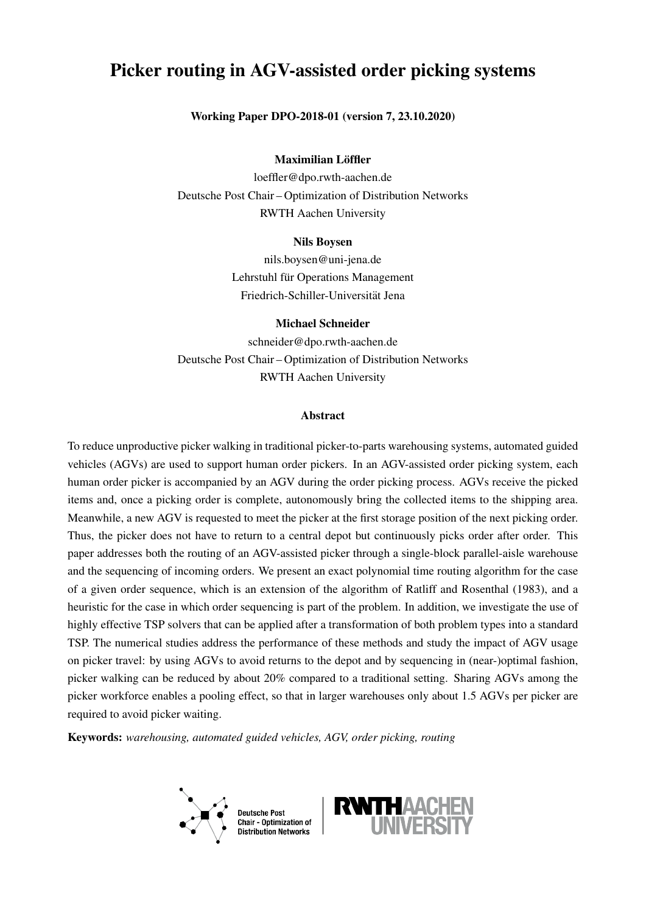# Picker routing in AGV-assisted order picking systems

### Working Paper DPO-2018-01 (version 7, 23.10.2020)

### Maximilian Löffler

loeffler@dpo.rwth-aachen.de Deutsche Post Chair – Optimization of Distribution Networks RWTH Aachen University

### Nils Boysen

nils.boysen@uni-jena.de Lehrstuhl für Operations Management Friedrich-Schiller-Universitat Jena ¨

## Michael Schneider

schneider@dpo.rwth-aachen.de Deutsche Post Chair – Optimization of Distribution Networks RWTH Aachen University

#### Abstract

To reduce unproductive picker walking in traditional picker-to-parts warehousing systems, automated guided vehicles (AGVs) are used to support human order pickers. In an AGV-assisted order picking system, each human order picker is accompanied by an AGV during the order picking process. AGVs receive the picked items and, once a picking order is complete, autonomously bring the collected items to the shipping area. Meanwhile, a new AGV is requested to meet the picker at the first storage position of the next picking order. Thus, the picker does not have to return to a central depot but continuously picks order after order. This paper addresses both the routing of an AGV-assisted picker through a single-block parallel-aisle warehouse and the sequencing of incoming orders. We present an exact polynomial time routing algorithm for the case of a given order sequence, which is an extension of the algorithm of Ratliff and Rosenthal (1983), and a heuristic for the case in which order sequencing is part of the problem. In addition, we investigate the use of highly effective TSP solvers that can be applied after a transformation of both problem types into a standard TSP. The numerical studies address the performance of these methods and study the impact of AGV usage on picker travel: by using AGVs to avoid returns to the depot and by sequencing in (near-)optimal fashion, picker walking can be reduced by about 20% compared to a traditional setting. Sharing AGVs among the picker workforce enables a pooling effect, so that in larger warehouses only about 1.5 AGVs per picker are required to avoid picker waiting.

Keywords: *warehousing, automated guided vehicles, AGV, order picking, routing*



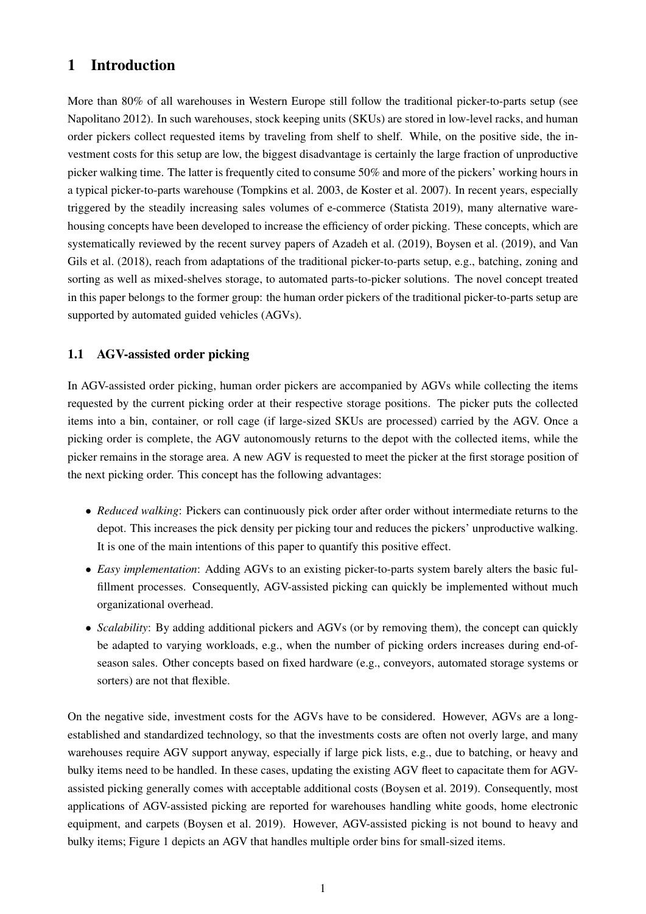# 1 Introduction

More than 80% of all warehouses in Western Europe still follow the traditional picker-to-parts setup (see [Napolitano](#page-30-0) [2012\)](#page-30-0). In such warehouses, stock keeping units (SKUs) are stored in low-level racks, and human order pickers collect requested items by traveling from shelf to shelf. While, on the positive side, the investment costs for this setup are low, the biggest disadvantage is certainly the large fraction of unproductive picker walking time. The latter is frequently cited to consume 50% and more of the pickers' working hours in a typical picker-to-parts warehouse [\(Tompkins et al.](#page-31-0) [2003,](#page-31-0) [de Koster et al.](#page-30-1) [2007\)](#page-30-1). In recent years, especially triggered by the steadily increasing sales volumes of e-commerce [\(Statista](#page-31-1) [2019\)](#page-31-1), many alternative warehousing concepts have been developed to increase the efficiency of order picking. These concepts, which are systematically reviewed by the recent survey papers of [Azadeh et al.](#page-30-2) [\(2019\)](#page-30-2), [Boysen et al.](#page-30-3) [\(2019\)](#page-30-3), and [Van](#page-31-2) [Gils et al.](#page-31-2) [\(2018\)](#page-31-2), reach from adaptations of the traditional picker-to-parts setup, e.g., batching, zoning and sorting as well as mixed-shelves storage, to automated parts-to-picker solutions. The novel concept treated in this paper belongs to the former group: the human order pickers of the traditional picker-to-parts setup are supported by automated guided vehicles (AGVs).

### 1.1 AGV-assisted order picking

In AGV-assisted order picking, human order pickers are accompanied by AGVs while collecting the items requested by the current picking order at their respective storage positions. The picker puts the collected items into a bin, container, or roll cage (if large-sized SKUs are processed) carried by the AGV. Once a picking order is complete, the AGV autonomously returns to the depot with the collected items, while the picker remains in the storage area. A new AGV is requested to meet the picker at the first storage position of the next picking order. This concept has the following advantages:

- *Reduced walking*: Pickers can continuously pick order after order without intermediate returns to the depot. This increases the pick density per picking tour and reduces the pickers' unproductive walking. It is one of the main intentions of this paper to quantify this positive effect.
- *Easy implementation*: Adding AGVs to an existing picker-to-parts system barely alters the basic fulfillment processes. Consequently, AGV-assisted picking can quickly be implemented without much organizational overhead.
- *Scalability*: By adding additional pickers and AGVs (or by removing them), the concept can quickly be adapted to varying workloads, e.g., when the number of picking orders increases during end-ofseason sales. Other concepts based on fixed hardware (e.g., conveyors, automated storage systems or sorters) are not that flexible.

<span id="page-1-0"></span>On the negative side, investment costs for the AGVs have to be considered. However, AGVs are a longestablished and standardized technology, so that the investments costs are often not overly large, and many warehouses require AGV support anyway, especially if large pick lists, e.g., due to batching, or heavy and bulky items need to be handled. In these cases, updating the existing AGV fleet to capacitate them for AGVassisted picking generally comes with acceptable additional costs [\(Boysen et al.](#page-30-3) [2019\)](#page-30-3). Consequently, most applications of AGV-assisted picking are reported for warehouses handling white goods, home electronic equipment, and carpets [\(Boysen et al.](#page-30-3) [2019\)](#page-30-3). However, AGV-assisted picking is not bound to heavy and bulky items; Figure [1](#page-2-0) depicts an AGV that handles multiple order bins for small-sized items.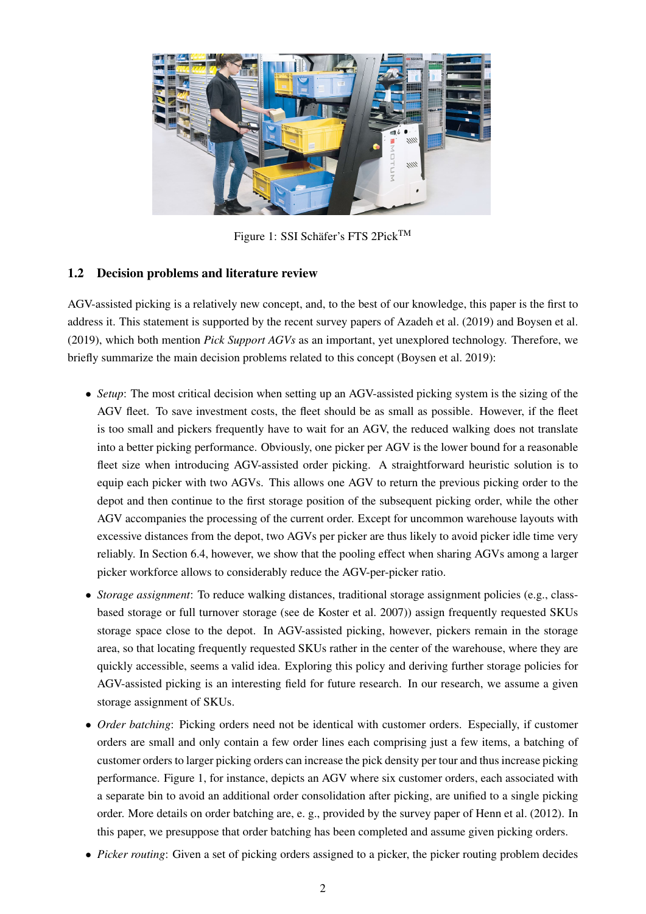<span id="page-2-0"></span>

Figure 1: SSI Schäfer's FTS 2Pick<sup>TM</sup>

## 1.2 Decision problems and literature review

AGV-assisted picking is a relatively new concept, and, to the best of our knowledge, this paper is the first to address it. This statement is supported by the recent survey papers of [Azadeh et al.](#page-30-2) [\(2019\)](#page-30-2) and [Boysen et al.](#page-30-3) [\(2019\)](#page-30-3), which both mention *Pick Support AGVs* as an important, yet unexplored technology. Therefore, we briefly summarize the main decision problems related to this concept [\(Boysen et al.](#page-30-3) [2019\)](#page-30-3):

- *Setup*: The most critical decision when setting up an AGV-assisted picking system is the sizing of the AGV fleet. To save investment costs, the fleet should be as small as possible. However, if the fleet is too small and pickers frequently have to wait for an AGV, the reduced walking does not translate into a better picking performance. Obviously, one picker per AGV is the lower bound for a reasonable fleet size when introducing AGV-assisted order picking. A straightforward heuristic solution is to equip each picker with two AGVs. This allows one AGV to return the previous picking order to the depot and then continue to the first storage position of the subsequent picking order, while the other AGV accompanies the processing of the current order. Except for uncommon warehouse layouts with excessive distances from the depot, two AGVs per picker are thus likely to avoid picker idle time very reliably. In Section [6.4,](#page-27-0) however, we show that the pooling effect when sharing AGVs among a larger picker workforce allows to considerably reduce the AGV-per-picker ratio.
- *Storage assignment*: To reduce walking distances, traditional storage assignment policies (e.g., classbased storage or full turnover storage (see [de Koster et al.](#page-30-1) [2007\)](#page-30-1)) assign frequently requested SKUs storage space close to the depot. In AGV-assisted picking, however, pickers remain in the storage area, so that locating frequently requested SKUs rather in the center of the warehouse, where they are quickly accessible, seems a valid idea. Exploring this policy and deriving further storage policies for AGV-assisted picking is an interesting field for future research. In our research, we assume a given storage assignment of SKUs.
- *Order batching*: Picking orders need not be identical with customer orders. Especially, if customer orders are small and only contain a few order lines each comprising just a few items, a batching of customer orders to larger picking orders can increase the pick density per tour and thus increase picking performance. Figure [1,](#page-2-0) for instance, depicts an AGV where six customer orders, each associated with a separate bin to avoid an additional order consolidation after picking, are unified to a single picking order. More details on order batching are, e. g., provided by the survey paper of [Henn et al.](#page-30-4) [\(2012\)](#page-30-4). In this paper, we presuppose that order batching has been completed and assume given picking orders.
- *Picker routing*: Given a set of picking orders assigned to a picker, the picker routing problem decides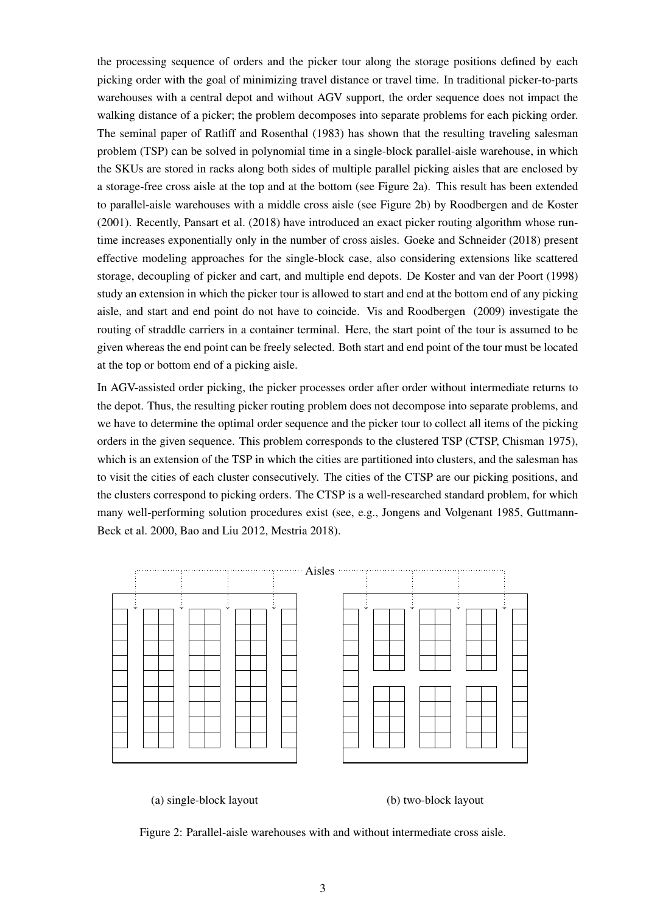the processing sequence of orders and the picker tour along the storage positions defined by each picking order with the goal of minimizing travel distance or travel time. In traditional picker-to-parts warehouses with a central depot and without AGV support, the order sequence does not impact the walking distance of a picker; the problem decomposes into separate problems for each picking order. The seminal paper of [Ratliff and Rosenthal](#page-31-3) [\(1983\)](#page-31-3) has shown that the resulting traveling salesman problem (TSP) can be solved in polynomial time in a single-block parallel-aisle warehouse, in which the SKUs are stored in racks along both sides of multiple parallel picking aisles that are enclosed by a storage-free cross aisle at the top and at the bottom (see Figure [2a](#page-3-0)). This result has been extended to parallel-aisle warehouses with a middle cross aisle (see Figure [2b](#page-3-0)) by [Roodbergen and de Koster](#page-31-4) [\(2001\)](#page-31-4). Recently, [Pansart et al.](#page-30-5) [\(2018\)](#page-30-5) have introduced an exact picker routing algorithm whose runtime increases exponentially only in the number of cross aisles. [Goeke and Schneider](#page-30-6) [\(2018\)](#page-30-6) present effective modeling approaches for the single-block case, also considering extensions like scattered storage, decoupling of picker and cart, and multiple end depots. [De Koster and van der Poort](#page-30-7) [\(1998\)](#page-30-7) study an extension in which the picker tour is allowed to start and end at the bottom end of any picking aisle, and start and end point do not have to coincide. [Vis and Roodbergen](#page-31-5) [\(2009\)](#page-31-5) investigate the routing of straddle carriers in a container terminal. Here, the start point of the tour is assumed to be given whereas the end point can be freely selected. Both start and end point of the tour must be located at the top or bottom end of a picking aisle.

In AGV-assisted order picking, the picker processes order after order without intermediate returns to the depot. Thus, the resulting picker routing problem does not decompose into separate problems, and we have to determine the optimal order sequence and the picker tour to collect all items of the picking orders in the given sequence. This problem corresponds to the clustered TSP (CTSP, [Chisman](#page-30-8) [1975\)](#page-30-8), which is an extension of the TSP in which the cities are partitioned into clusters, and the salesman has to visit the cities of each cluster consecutively. The cities of the CTSP are our picking positions, and the clusters correspond to picking orders. The CTSP is a well-researched standard problem, for which many well-performing solution procedures exist (see, e.g., [Jongens and Volgenant](#page-30-9) [1985,](#page-30-9) [Guttmann-](#page-30-10)[Beck et al.](#page-30-10) [2000,](#page-30-10) [Bao and Liu](#page-30-11) [2012,](#page-30-11) [Mestria](#page-30-12) [2018\)](#page-30-12).



(a) single-block layout (b) two-block layout

<span id="page-3-0"></span>

Figure 2: Parallel-aisle warehouses with and without intermediate cross aisle.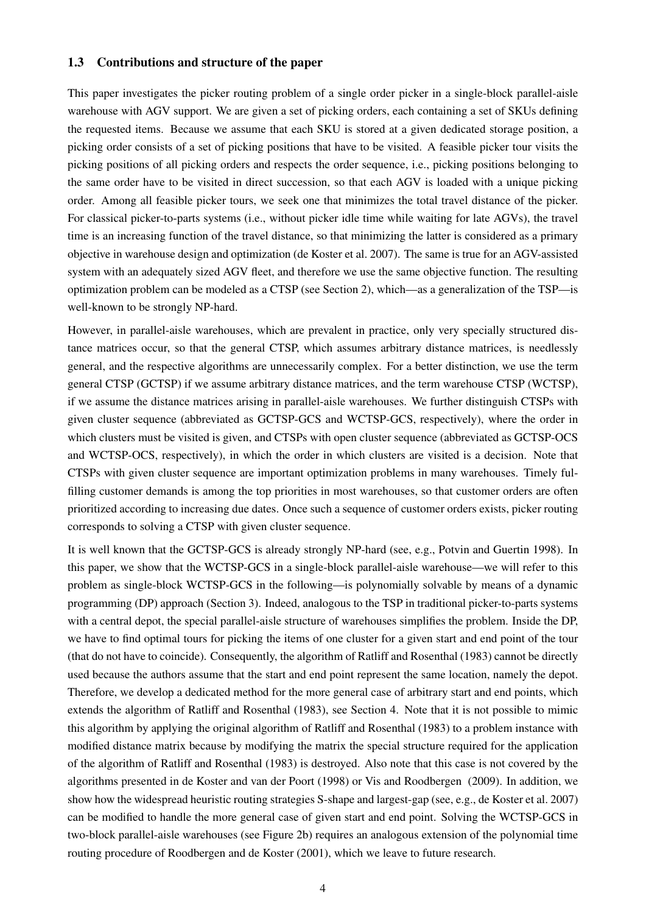### 1.3 Contributions and structure of the paper

This paper investigates the picker routing problem of a single order picker in a single-block parallel-aisle warehouse with AGV support. We are given a set of picking orders, each containing a set of SKUs defining the requested items. Because we assume that each SKU is stored at a given dedicated storage position, a picking order consists of a set of picking positions that have to be visited. A feasible picker tour visits the picking positions of all picking orders and respects the order sequence, i.e., picking positions belonging to the same order have to be visited in direct succession, so that each AGV is loaded with a unique picking order. Among all feasible picker tours, we seek one that minimizes the total travel distance of the picker. For classical picker-to-parts systems (i.e., without picker idle time while waiting for late AGVs), the travel time is an increasing function of the travel distance, so that minimizing the latter is considered as a primary objective in warehouse design and optimization [\(de Koster et al.](#page-30-1) [2007\)](#page-30-1). The same is true for an AGV-assisted system with an adequately sized AGV fleet, and therefore we use the same objective function. The resulting optimization problem can be modeled as a CTSP (see Section [2\)](#page-5-0), which—as a generalization of the TSP—is well-known to be strongly NP-hard.

However, in parallel-aisle warehouses, which are prevalent in practice, only very specially structured distance matrices occur, so that the general CTSP, which assumes arbitrary distance matrices, is needlessly general, and the respective algorithms are unnecessarily complex. For a better distinction, we use the term general CTSP (GCTSP) if we assume arbitrary distance matrices, and the term warehouse CTSP (WCTSP), if we assume the distance matrices arising in parallel-aisle warehouses. We further distinguish CTSPs with given cluster sequence (abbreviated as GCTSP-GCS and WCTSP-GCS, respectively), where the order in which clusters must be visited is given, and CTSPs with open cluster sequence (abbreviated as GCTSP-OCS and WCTSP-OCS, respectively), in which the order in which clusters are visited is a decision. Note that CTSPs with given cluster sequence are important optimization problems in many warehouses. Timely fulfilling customer demands is among the top priorities in most warehouses, so that customer orders are often prioritized according to increasing due dates. Once such a sequence of customer orders exists, picker routing corresponds to solving a CTSP with given cluster sequence.

It is well known that the GCTSP-GCS is already strongly NP-hard (see, e.g., [Potvin and Guertin](#page-30-13) [1998\)](#page-30-13). In this paper, we show that the WCTSP-GCS in a single-block parallel-aisle warehouse—we will refer to this problem as single-block WCTSP-GCS in the following—is polynomially solvable by means of a dynamic programming (DP) approach (Section [3\)](#page-7-0). Indeed, analogous to the TSP in traditional picker-to-parts systems with a central depot, the special parallel-aisle structure of warehouses simplifies the problem. Inside the DP, we have to find optimal tours for picking the items of one cluster for a given start and end point of the tour (that do not have to coincide). Consequently, the algorithm of [Ratliff and Rosenthal](#page-31-3) [\(1983\)](#page-31-3) cannot be directly used because the authors assume that the start and end point represent the same location, namely the depot. Therefore, we develop a dedicated method for the more general case of arbitrary start and end points, which extends the algorithm of [Ratliff and Rosenthal](#page-31-3) [\(1983\)](#page-31-3), see Section [4.](#page-8-0) Note that it is not possible to mimic this algorithm by applying the original algorithm of [Ratliff and Rosenthal](#page-31-3) [\(1983\)](#page-31-3) to a problem instance with modified distance matrix because by modifying the matrix the special structure required for the application of the algorithm of [Ratliff and Rosenthal](#page-31-3) [\(1983\)](#page-31-3) is destroyed. Also note that this case is not covered by the algorithms presented in [de Koster and van der Poort](#page-30-7) [\(1998\)](#page-30-7) or [Vis and Roodbergen](#page-31-5) [\(2009\)](#page-31-5). In addition, we show how the widespread heuristic routing strategies S-shape and largest-gap (see, e.g., [de Koster et al.](#page-30-1) [2007\)](#page-30-1) can be modified to handle the more general case of given start and end point. Solving the WCTSP-GCS in two-block parallel-aisle warehouses (see Figure [2b](#page-3-0)) requires an analogous extension of the polynomial time routing procedure of [Roodbergen and de Koster](#page-31-4) [\(2001\)](#page-31-4), which we leave to future research.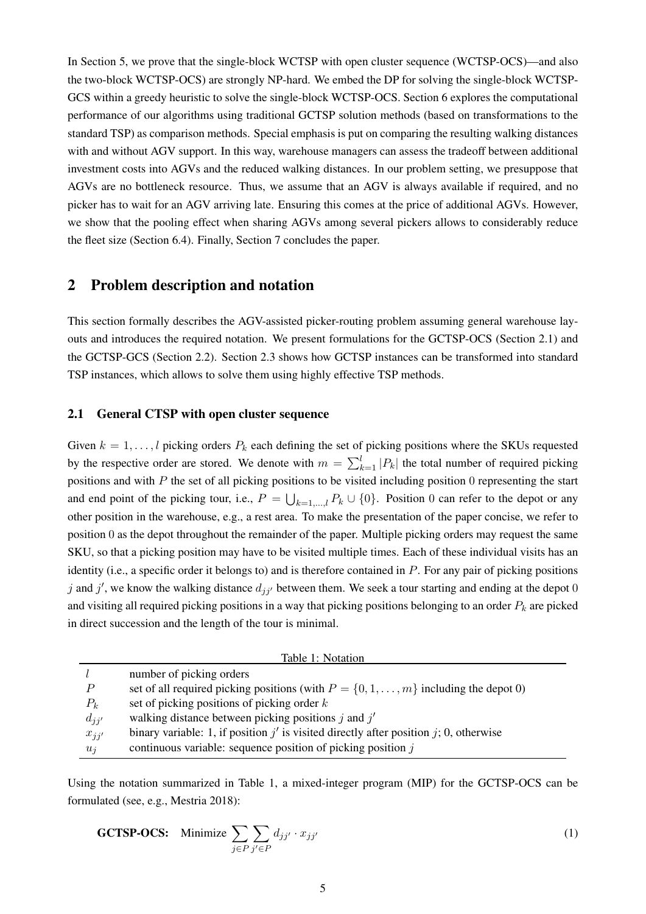In Section [5,](#page-18-0) we prove that the single-block WCTSP with open cluster sequence (WCTSP-OCS)—and also the two-block WCTSP-OCS) are strongly NP-hard. We embed the DP for solving the single-block WCTSP-GCS within a greedy heuristic to solve the single-block WCTSP-OCS. Section [6](#page-20-0) explores the computational performance of our algorithms using traditional GCTSP solution methods (based on transformations to the standard TSP) as comparison methods. Special emphasis is put on comparing the resulting walking distances with and without AGV support. In this way, warehouse managers can assess the tradeoff between additional investment costs into AGVs and the reduced walking distances. In our problem setting, we presuppose that AGVs are no bottleneck resource. Thus, we assume that an AGV is always available if required, and no picker has to wait for an AGV arriving late. Ensuring this comes at the price of additional AGVs. However, we show that the pooling effect when sharing AGVs among several pickers allows to considerably reduce the fleet size (Section [6.4\)](#page-27-0). Finally, Section [7](#page-28-0) concludes the paper.

## <span id="page-5-0"></span>2 Problem description and notation

This section formally describes the AGV-assisted picker-routing problem assuming general warehouse layouts and introduces the required notation. We present formulations for the GCTSP-OCS (Section [2.1\)](#page-5-1) and the GCTSP-GCS (Section [2.2\)](#page-6-0). Section [2.3](#page-6-1) shows how GCTSP instances can be transformed into standard TSP instances, which allows to solve them using highly effective TSP methods.

### <span id="page-5-1"></span>2.1 General CTSP with open cluster sequence

Given  $k = 1, \ldots, l$  picking orders  $P_k$  each defining the set of picking positions where the SKUs requested by the respective order are stored. We denote with  $m = \sum_{k=1}^{l} |P_k|$  the total number of required picking positions and with P the set of all picking positions to be visited including position 0 representing the start and end point of the picking tour, i.e.,  $P = \bigcup_{k=1,\dots,l} P_k \cup \{0\}$ . Position 0 can refer to the depot or any other position in the warehouse, e.g., a rest area. To make the presentation of the paper concise, we refer to position 0 as the depot throughout the remainder of the paper. Multiple picking orders may request the same SKU, so that a picking position may have to be visited multiple times. Each of these individual visits has an identity (i.e., a specific order it belongs to) and is therefore contained in  $P$ . For any pair of picking positions j and j', we know the walking distance  $d_{jj'}$  between them. We seek a tour starting and ending at the depot 0 and visiting all required picking positions in a way that picking positions belonging to an order  $P_k$  are picked in direct succession and the length of the tour is minimal.

<span id="page-5-2"></span>

|                  | Table 1: Notation                                                                           |
|------------------|---------------------------------------------------------------------------------------------|
|                  | number of picking orders                                                                    |
| $\boldsymbol{P}$ | set of all required picking positions (with $P = \{0, 1, \dots, m\}$ including the depot 0) |
| $P_k$            | set of picking positions of picking order $k$                                               |
| $d_{jj'}$        | walking distance between picking positions $j$ and $j'$                                     |
| $x_{jj'}$        | binary variable: 1, if position $j'$ is visited directly after position j; 0, otherwise     |
| $u_i$            | continuous variable: sequence position of picking position $j$                              |

Using the notation summarized in Table [1,](#page-5-2) a mixed-integer program (MIP) for the GCTSP-OCS can be formulated (see, e.g., [Mestria](#page-30-12) [2018\)](#page-30-12):

<span id="page-5-3"></span>**GCTSP-OCS:** Minimize 
$$
\sum_{j \in P} \sum_{j' \in P} d_{jj'} \cdot x_{jj'}
$$
 (1)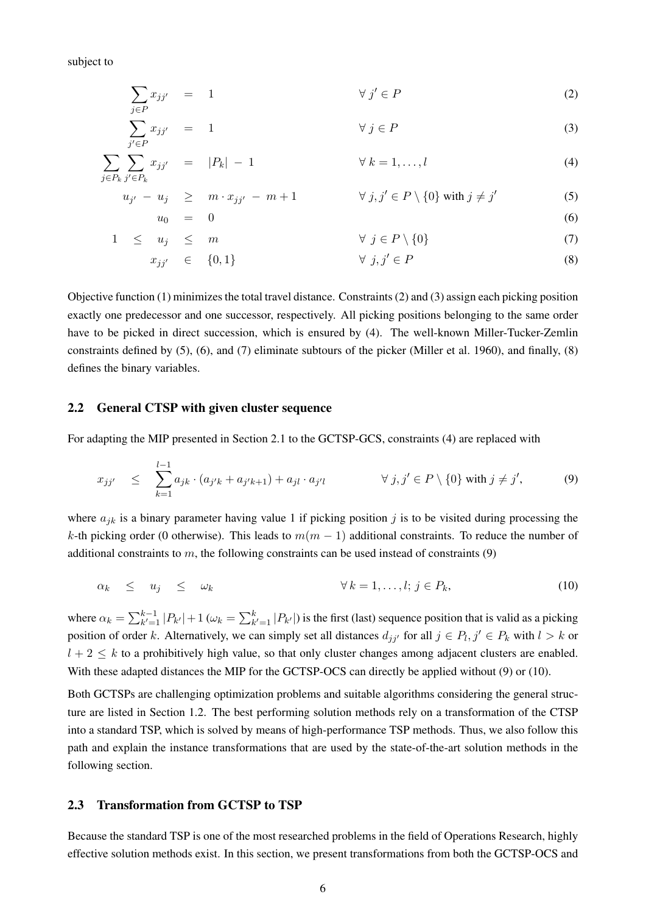subject to

<span id="page-6-4"></span><span id="page-6-3"></span><span id="page-6-2"></span>
$$
\sum_{j \in P} x_{jj'} = 1 \qquad \qquad \forall j' \in P \tag{2}
$$

$$
\sum_{j' \in P} x_{jj'} = 1 \qquad \forall j \in P \tag{3}
$$

$$
\sum_{j \in P_k} \sum_{j' \in P_k} x_{jj'} = |P_k| - 1 \qquad \forall k = 1, \dots, l \qquad (4)
$$

$$
u_{j'} - u_j \geq m \cdot x_{jj'} - m + 1 \qquad \forall j, j' \in P \setminus \{0\} \text{ with } j \neq j' \tag{5}
$$

$$
u_0 = 0
$$
\n
$$
1 \le u_j \le m
$$
\n
$$
\forall j \in P \setminus \{0\}
$$
\n(6)

<span id="page-6-8"></span><span id="page-6-7"></span><span id="page-6-6"></span><span id="page-6-5"></span>
$$
x_{jj'} \in \{0, 1\} \qquad \forall j, j' \in P \tag{8}
$$

Objective function [\(1\)](#page-5-3) minimizes the total travel distance. Constraints [\(2\)](#page-6-2) and [\(3\)](#page-6-3) assign each picking position exactly one predecessor and one successor, respectively. All picking positions belonging to the same order have to be picked in direct succession, which is ensured by [\(4\)](#page-6-4). The well-known Miller-Tucker-Zemlin constraints defined by [\(5\)](#page-6-5), [\(6\)](#page-6-6), and [\(7\)](#page-6-7) eliminate subtours of the picker [\(Miller et al.](#page-30-14) [1960\)](#page-30-14), and finally, [\(8\)](#page-6-8) defines the binary variables.

#### <span id="page-6-0"></span>2.2 General CTSP with given cluster sequence

For adapting the MIP presented in Section [2.1](#page-5-1) to the GCTSP-GCS, constraints [\(4\)](#page-6-4) are replaced with

<span id="page-6-9"></span>
$$
x_{jj'} \leq \sum_{k=1}^{l-1} a_{jk} \cdot (a_{j'k} + a_{j'k+1}) + a_{jl} \cdot a_{j'l} \qquad \forall j, j' \in P \setminus \{0\} \text{ with } j \neq j', \tag{9}
$$

where  $a_{jk}$  is a binary parameter having value 1 if picking position j is to be visited during processing the k-th picking order (0 otherwise). This leads to  $m(m - 1)$  additional constraints. To reduce the number of additional constraints to m, the following constraints can be used instead of constraints  $(9)$ 

<span id="page-6-10"></span>
$$
\alpha_k \leq u_j \leq \omega_k \qquad \forall k = 1, \dots, l; j \in P_k,\tag{10}
$$

where  $\alpha_k = \sum_{k'=1}^{k-1} |P_{k'}| + 1$  ( $\omega_k = \sum_{k'=1}^{k} |P_{k'}|$ ) is the first (last) sequence position that is valid as a picking position of order k. Alternatively, we can simply set all distances  $d_{jj'}$  for all  $j \in P_1, j' \in P_k$  with  $l > k$  or  $l + 2 \leq k$  to a prohibitively high value, so that only cluster changes among adjacent clusters are enabled. With these adapted distances the MIP for the GCTSP-OCS can directly be applied without [\(9\)](#page-6-9) or [\(10\)](#page-6-10).

Both GCTSPs are challenging optimization problems and suitable algorithms considering the general structure are listed in Section [1.2.](#page-1-0) The best performing solution methods rely on a transformation of the CTSP into a standard TSP, which is solved by means of high-performance TSP methods. Thus, we also follow this path and explain the instance transformations that are used by the state-of-the-art solution methods in the following section.

### <span id="page-6-1"></span>2.3 Transformation from GCTSP to TSP

Because the standard TSP is one of the most researched problems in the field of Operations Research, highly effective solution methods exist. In this section, we present transformations from both the GCTSP-OCS and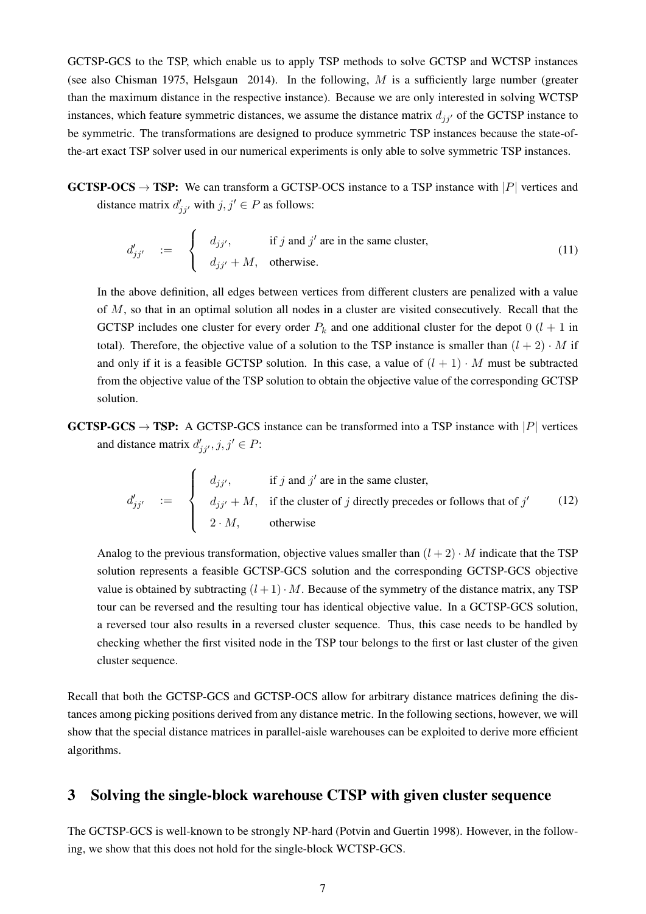GCTSP-GCS to the TSP, which enable us to apply TSP methods to solve GCTSP and WCTSP instances (see also [Chisman](#page-30-8) [1975,](#page-30-8) [Helsgaun](#page-30-15) [2014\)](#page-30-15). In the following,  $M$  is a sufficiently large number (greater than the maximum distance in the respective instance). Because we are only interested in solving WCTSP instances, which feature symmetric distances, we assume the distance matrix  $d_{ij}$  of the GCTSP instance to be symmetric. The transformations are designed to produce symmetric TSP instances because the state-ofthe-art exact TSP solver used in our numerical experiments is only able to solve symmetric TSP instances.

**GCTSP-OCS**  $\rightarrow$  TSP: We can transform a GCTSP-OCS instance to a TSP instance with |P| vertices and distance matrix  $d'_{jj'}$  with  $j, j' \in P$  as follows:

$$
d'_{jj'} = \begin{cases} d_{jj'}, & \text{if } j \text{ and } j' \text{ are in the same cluster,} \\ d_{jj'} + M, & \text{otherwise.} \end{cases}
$$
 (11)

In the above definition, all edges between vertices from different clusters are penalized with a value of M, so that in an optimal solution all nodes in a cluster are visited consecutively. Recall that the GCTSP includes one cluster for every order  $P_k$  and one additional cluster for the depot 0 ( $l + 1$  in total). Therefore, the objective value of a solution to the TSP instance is smaller than  $(l + 2) \cdot M$  if and only if it is a feasible GCTSP solution. In this case, a value of  $(l + 1) \cdot M$  must be subtracted from the objective value of the TSP solution to obtain the objective value of the corresponding GCTSP solution.

**GCTSP-GCS**  $\rightarrow$  **TSP:** A GCTSP-GCS instance can be transformed into a TSP instance with |P| vertices and distance matrix  $d'_{jj'}$ ,  $j, j' \in P$ :

$$
d'_{jj'} = \begin{cases} d_{jj'}, & \text{if } j \text{ and } j' \text{ are in the same cluster,} \\ d_{jj'} + M, & \text{if the cluster of } j \text{ directly precedes or follows that of } j' \\ 2 \cdot M, & \text{otherwise} \end{cases}
$$
(12)

Analog to the previous transformation, objective values smaller than  $(l + 2) \cdot M$  indicate that the TSP solution represents a feasible GCTSP-GCS solution and the corresponding GCTSP-GCS objective value is obtained by subtracting  $(l + 1) \cdot M$ . Because of the symmetry of the distance matrix, any TSP tour can be reversed and the resulting tour has identical objective value. In a GCTSP-GCS solution, a reversed tour also results in a reversed cluster sequence. Thus, this case needs to be handled by checking whether the first visited node in the TSP tour belongs to the first or last cluster of the given cluster sequence.

Recall that both the GCTSP-GCS and GCTSP-OCS allow for arbitrary distance matrices defining the distances among picking positions derived from any distance metric. In the following sections, however, we will show that the special distance matrices in parallel-aisle warehouses can be exploited to derive more efficient algorithms.

# <span id="page-7-0"></span>3 Solving the single-block warehouse CTSP with given cluster sequence

The GCTSP-GCS is well-known to be strongly NP-hard [\(Potvin and Guertin](#page-30-13) [1998\)](#page-30-13). However, in the following, we show that this does not hold for the single-block WCTSP-GCS.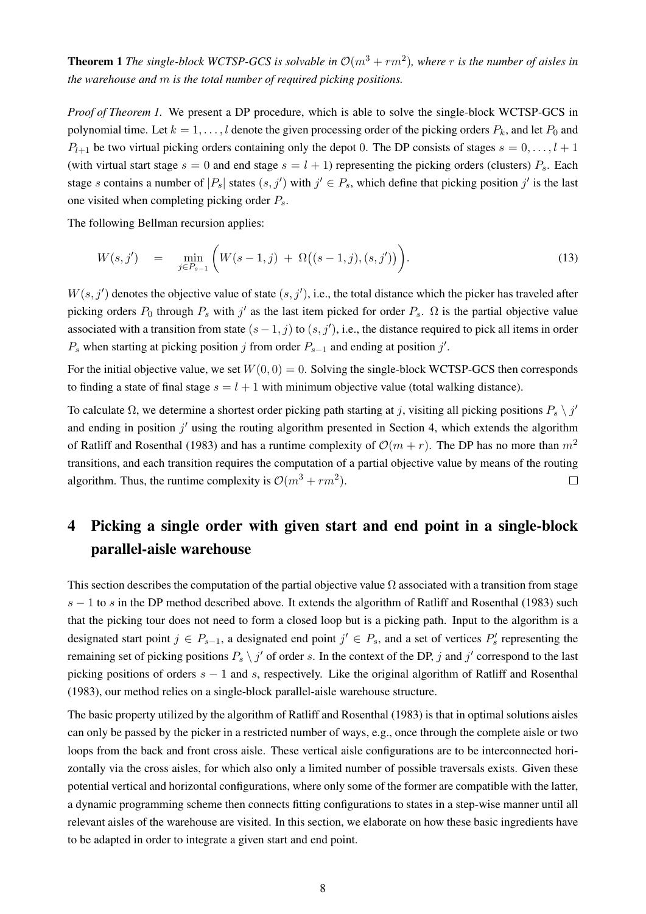<span id="page-8-1"></span>**Theorem 1** The single-block WCTSP-GCS is solvable in  $\mathcal{O}(m^3 + rm^2)$ , where r is the number of aisles in *the warehouse and* m *is the total number of required picking positions.*

*Proof of Theorem [1.](#page-8-1)* We present a DP procedure, which is able to solve the single-block WCTSP-GCS in polynomial time. Let  $k = 1, ..., l$  denote the given processing order of the picking orders  $P_k$ , and let  $P_0$  and  $P_{l+1}$  be two virtual picking orders containing only the depot 0. The DP consists of stages  $s = 0, \ldots, l+1$ (with virtual start stage  $s = 0$  and end stage  $s = l + 1$ ) representing the picking orders (clusters)  $P_s$ . Each stage s contains a number of  $|P_s|$  states  $(s, j')$  with  $j' \in P_s$ , which define that picking position j' is the last one visited when completing picking order  $P_s$ .

The following Bellman recursion applies:

$$
W(s, j') = \min_{j \in P_{s-1}} \left( W(s-1, j) + \Omega((s-1, j), (s, j')) \right). \tag{13}
$$

 $W(s, j')$  denotes the objective value of state  $(s, j')$ , i.e., the total distance which the picker has traveled after picking orders  $P_0$  through  $P_s$  with  $j'$  as the last item picked for order  $P_s$ .  $\Omega$  is the partial objective value associated with a transition from state  $(s-1, j)$  to  $(s, j')$ , i.e., the distance required to pick all items in order  $P_s$  when starting at picking position j from order  $P_{s-1}$  and ending at position j'.

For the initial objective value, we set  $W(0, 0) = 0$ . Solving the single-block WCTSP-GCS then corresponds to finding a state of final stage  $s = l + 1$  with minimum objective value (total walking distance).

To calculate  $\Omega$ , we determine a shortest order picking path starting at j, visiting all picking positions  $P_s \setminus j'$ and ending in position  $j'$  using the routing algorithm presented in Section [4,](#page-8-0) which extends the algorithm of [Ratliff and Rosenthal](#page-31-3) [\(1983\)](#page-31-3) and has a runtime complexity of  $\mathcal{O}(m + r)$ . The DP has no more than  $m^2$ transitions, and each transition requires the computation of a partial objective value by means of the routing algorithm. Thus, the runtime complexity is  $\mathcal{O}(m^3 + rm^2)$ .  $\Box$ 

# <span id="page-8-0"></span>4 Picking a single order with given start and end point in a single-block parallel-aisle warehouse

This section describes the computation of the partial objective value  $\Omega$  associated with a transition from stage s − 1 to s in the DP method described above. It extends the algorithm of [Ratliff and Rosenthal](#page-31-3) [\(1983\)](#page-31-3) such that the picking tour does not need to form a closed loop but is a picking path. Input to the algorithm is a designated start point  $j \in P_{s-1}$ , a designated end point  $j' \in P_s$ , and a set of vertices  $P'_s$  representing the remaining set of picking positions  $P_s \setminus j'$  of order s. In the context of the DP, j and j' correspond to the last picking positions of orders  $s - 1$  and s, respectively. Like the original algorithm of [Ratliff and Rosenthal](#page-31-3) [\(1983\)](#page-31-3), our method relies on a single-block parallel-aisle warehouse structure.

The basic property utilized by the algorithm of [Ratliff and Rosenthal](#page-31-3) [\(1983\)](#page-31-3) is that in optimal solutions aisles can only be passed by the picker in a restricted number of ways, e.g., once through the complete aisle or two loops from the back and front cross aisle. These vertical aisle configurations are to be interconnected horizontally via the cross aisles, for which also only a limited number of possible traversals exists. Given these potential vertical and horizontal configurations, where only some of the former are compatible with the latter, a dynamic programming scheme then connects fitting configurations to states in a step-wise manner until all relevant aisles of the warehouse are visited. In this section, we elaborate on how these basic ingredients have to be adapted in order to integrate a given start and end point.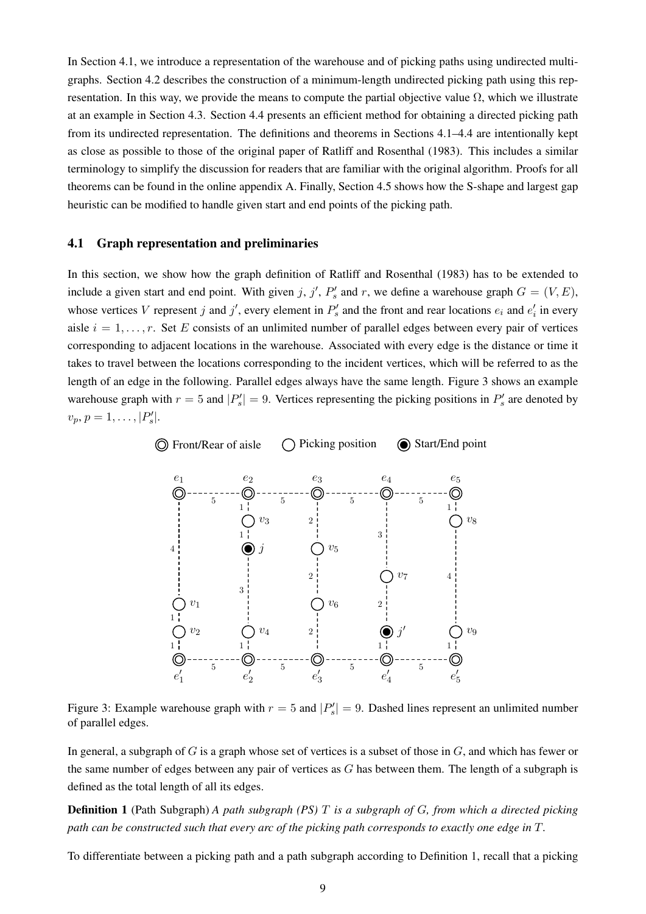In Section [4.1,](#page-9-0) we introduce a representation of the warehouse and of picking paths using undirected multigraphs. Section [4.2](#page-11-0) describes the construction of a minimum-length undirected picking path using this representation. In this way, we provide the means to compute the partial objective value  $\Omega$ , which we illustrate at an example in Section [4.3.](#page-12-0) Section [4.4](#page-15-0) presents an efficient method for obtaining a directed picking path from its undirected representation. The definitions and theorems in Sections [4.1](#page-9-0)[–4.4](#page-15-0) are intentionally kept as close as possible to those of the original paper of [Ratliff and Rosenthal](#page-31-3) [\(1983\)](#page-31-3). This includes a similar terminology to simplify the discussion for readers that are familiar with the original algorithm. Proofs for all theorems can be found in the online appendix [A.](#page-32-0) Finally, Section [4.5](#page-17-0) shows how the S-shape and largest gap heuristic can be modified to handle given start and end points of the picking path.

### <span id="page-9-0"></span>4.1 Graph representation and preliminaries

In this section, we show how the graph definition of [Ratliff and Rosenthal](#page-31-3) [\(1983\)](#page-31-3) has to be extended to include a given start and end point. With given j, j',  $P'_s$  and r, we define a warehouse graph  $G = (V, E)$ , whose vertices V represent j and j', every element in  $P'_s$  and the front and rear locations  $e_i$  and  $e'_i$  in every aisle  $i = 1, \ldots, r$ . Set E consists of an unlimited number of parallel edges between every pair of vertices corresponding to adjacent locations in the warehouse. Associated with every edge is the distance or time it takes to travel between the locations corresponding to the incident vertices, which will be referred to as the length of an edge in the following. Parallel edges always have the same length. Figure [3](#page-9-1) shows an example warehouse graph with  $r = 5$  and  $|P'_s| = 9$ . Vertices representing the picking positions in  $P'_s$  are denoted by  $v_p, p = 1, \ldots, |P'_s|.$ 



<span id="page-9-1"></span>Figure 3: Example warehouse graph with  $r = 5$  and  $|P'_s| = 9$ . Dashed lines represent an unlimited number of parallel edges.

In general, a subgraph of  $G$  is a graph whose set of vertices is a subset of those in  $G$ , and which has fewer or the same number of edges between any pair of vertices as G has between them. The length of a subgraph is defined as the total length of all its edges.

<span id="page-9-2"></span>Definition 1 (Path Subgraph) *A path subgraph (PS)* T *is a subgraph of* G*, from which a directed picking path can be constructed such that every arc of the picking path corresponds to exactly one edge in* T*.*

To differentiate between a picking path and a path subgraph according to Definition [1,](#page-9-2) recall that a picking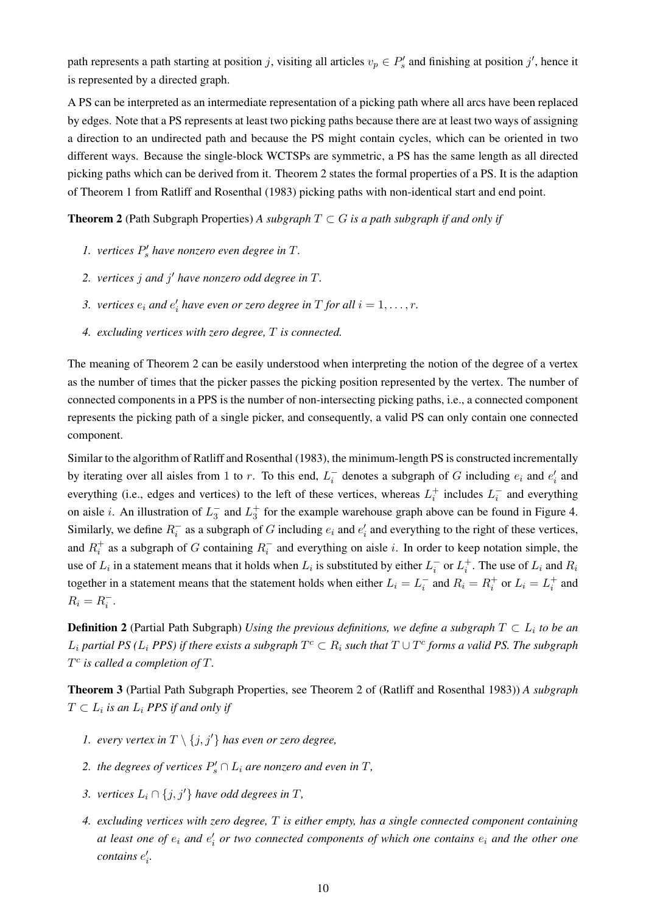path represents a path starting at position j, visiting all articles  $v_p \in P'_s$  and finishing at position j', hence it is represented by a directed graph.

A PS can be interpreted as an intermediate representation of a picking path where all arcs have been replaced by edges. Note that a PS represents at least two picking paths because there are at least two ways of assigning a direction to an undirected path and because the PS might contain cycles, which can be oriented in two different ways. Because the single-block WCTSPs are symmetric, a PS has the same length as all directed picking paths which can be derived from it. Theorem [2](#page-10-0) states the formal properties of a PS. It is the adaption of Theorem 1 from [Ratliff and Rosenthal](#page-31-3) [\(1983\)](#page-31-3) picking paths with non-identical start and end point.

<span id="page-10-0"></span>**Theorem 2** (Path Subgraph Properties) A subgraph  $T \subset G$  is a path subgraph if and only if

- *1. vertices*  $P'_s$  *have nonzero even degree in*  $T$ *.*
- *2. vertices* j *and* j <sup>0</sup> *have nonzero odd degree in* T*.*
- 3. *vertices*  $e_i$  and  $e'_i$  have even or zero degree in T for all  $i = 1, \ldots, r$ .
- *4. excluding vertices with zero degree,* T *is connected.*

The meaning of Theorem [2](#page-10-0) can be easily understood when interpreting the notion of the degree of a vertex as the number of times that the picker passes the picking position represented by the vertex. The number of connected components in a PPS is the number of non-intersecting picking paths, i.e., a connected component represents the picking path of a single picker, and consequently, a valid PS can only contain one connected component.

Similar to the algorithm of [Ratliff and Rosenthal](#page-31-3) [\(1983\)](#page-31-3), the minimum-length PS is constructed incrementally by iterating over all aisles from 1 to r. To this end,  $L_i^-$  denotes a subgraph of G including  $e_i$  and  $e'_i$  and everything (i.e., edges and vertices) to the left of these vertices, whereas  $L_i^+$  includes  $L_i^-$  and everything on aisle *i*. An illustration of  $L_3^-$  and  $L_3^+$  for the example warehouse graph above can be found in Figure [4.](#page-11-1) Similarly, we define  $R_i^-$  as a subgraph of G including  $e_i$  and  $e'_i$  and everything to the right of these vertices, and  $R_i^+$  as a subgraph of G containing  $R_i^-$  and everything on aisle i. In order to keep notation simple, the use of  $L_i$  in a statement means that it holds when  $L_i$  is substituted by either  $L_i^-$  or  $L_i^+$ . The use of  $L_i$  and  $R_i$ together in a statement means that the statement holds when either  $L_i = L_i^-$  and  $R_i = R_i^+$  or  $L_i = L_i^+$  and  $R_i = R_i^-$ .

**Definition 2** (Partial Path Subgraph) *Using the previous definitions, we define a subgraph*  $T \subset L_i$  to be an  $L_i$  partial PS ( $L_i$  PPS) if there exists a subgraph  $T^c \subset R_i$  such that  $T \cup T^c$  forms a valid PS. The subgraph T c *is called a completion of* T*.*

<span id="page-10-1"></span>Theorem 3 (Partial Path Subgraph Properties, see Theorem 2 of [\(Ratliff and Rosenthal](#page-31-3) [1983\)](#page-31-3)) *A subgraph*  $T \subset L_i$  is an  $L_i$  PPS if and only if

- *1. every vertex in*  $T \setminus \{j, j'\}$  *has even or zero degree,*
- 2. *the degrees of vertices*  $P'_s \cap L_i$  are nonzero and even in T,
- *3. vertices*  $L_i \cap \{j, j'\}$  *have odd degrees in*  $T$ *,*
- <span id="page-10-2"></span>*4. excluding vertices with zero degree,* T *is either empty, has a single connected component containing at least one of*  $e_i$  *and*  $e'_i$  *or two connected components of which one contains*  $e_i$  *and the other one*  $\mathit{contains}\ e'_i$ .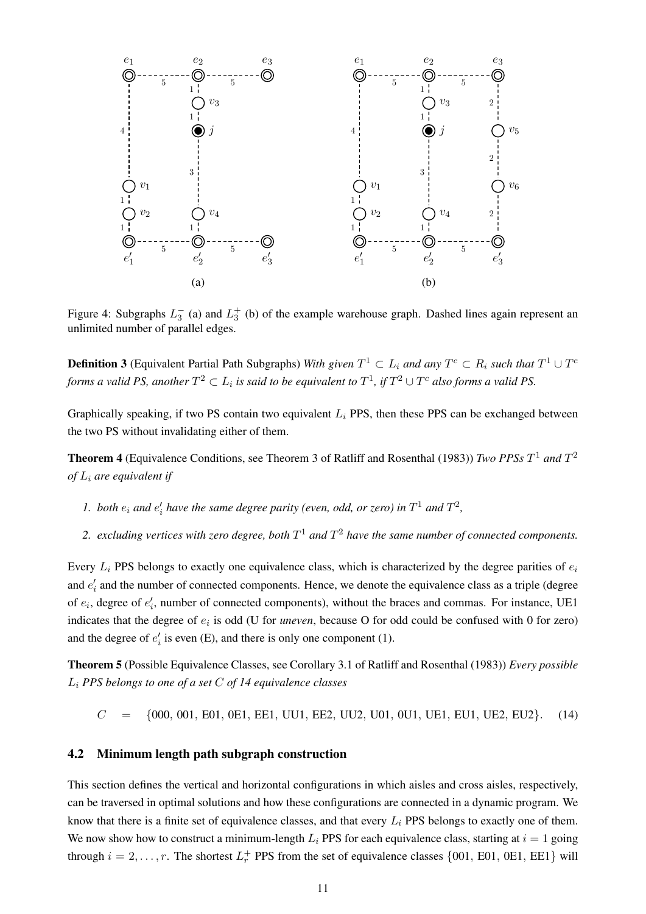

<span id="page-11-1"></span>Figure 4: Subgraphs  $L_3^-$  (a) and  $L_3^+$  (b) of the example warehouse graph. Dashed lines again represent an unlimited number of parallel edges.

**Definition 3** (Equivalent Partial Path Subgraphs) *With given*  $T^1 \subset L_i$  and any  $T^c \subset R_i$  such that  $T^1 \cup T^c$ forms a valid PS, another  $T^2\subset L_i$  is said to be equivalent to  $T^1$ , if  $T^2\cup T^c$  also forms a valid PS.

Graphically speaking, if two PS contain two equivalent  $L<sub>i</sub>$  PPS, then these PPS can be exchanged between the two PS without invalidating either of them.

<span id="page-11-2"></span>Theorem 4 (Equivalence Conditions, see Theorem 3 of [Ratliff and Rosenthal](#page-31-3) [\(1983\)](#page-31-3)) *Two PPSs* T <sup>1</sup> *and* T 2 *of* L<sup>i</sup> *are equivalent if*

- *l*. both  $e_i$  and  $e'_i$  have the same degree parity (even, odd, or zero) in  $T^1$  and  $T^2$ ,
- 2. excluding vertices with zero degree, both  $T^1$  and  $T^2$  have the same number of connected components.

Every  $L_i$  PPS belongs to exactly one equivalence class, which is characterized by the degree parities of  $e_i$ and  $e'_{i}$  and the number of connected components. Hence, we denote the equivalence class as a triple (degree of  $e_i$ , degree of  $e'_i$ , number of connected components), without the braces and commas. For instance, UE1 indicates that the degree of  $e_i$  is odd (U for *uneven*, because O for odd could be confused with 0 for zero) and the degree of  $e'_i$  is even (E), and there is only one component (1).

<span id="page-11-3"></span>Theorem 5 (Possible Equivalence Classes, see Corollary 3.1 of [Ratliff and Rosenthal](#page-31-3) [\(1983\)](#page-31-3)) *Every possible* L<sup>i</sup> *PPS belongs to one of a set* C *of 14 equivalence classes*

 $C = \{000, 001, E01, 0E1, E1, UU1, EE2, UU2, U01, 0U1, UE1, EU1, UE2, EU2\}.$  (14)

### <span id="page-11-0"></span>4.2 Minimum length path subgraph construction

This section defines the vertical and horizontal configurations in which aisles and cross aisles, respectively, can be traversed in optimal solutions and how these configurations are connected in a dynamic program. We know that there is a finite set of equivalence classes, and that every  $L_i$  PPS belongs to exactly one of them. We now show how to construct a minimum-length  $L<sub>i</sub>$  PPS for each equivalence class, starting at  $i = 1$  going through  $i = 2, \ldots, r$ . The shortest  $L_r^+$  PPS from the set of equivalence classes  $\{001, E01, 0E1, EE1\}$  will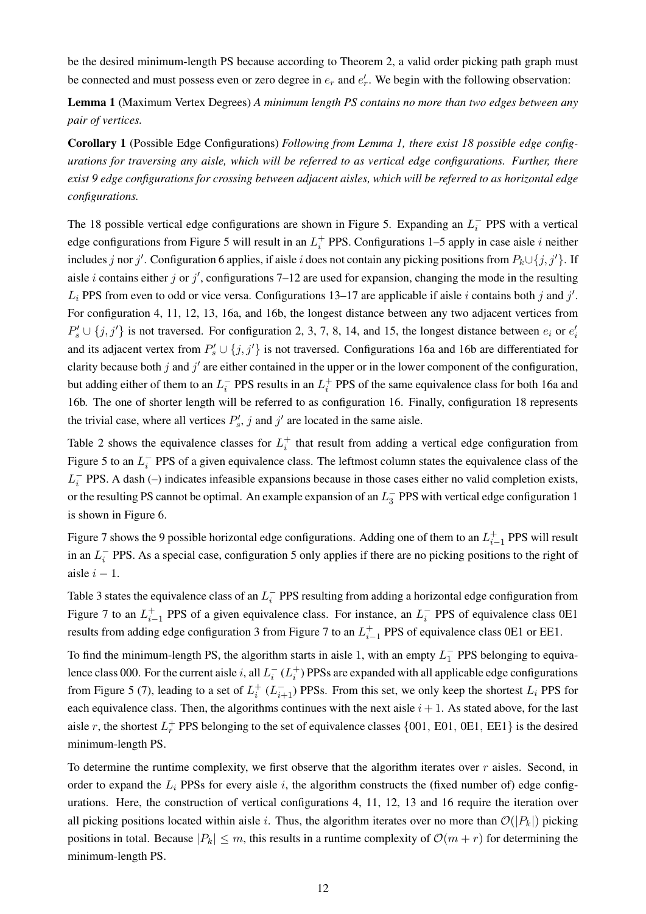be the desired minimum-length PS because according to Theorem [2,](#page-10-0) a valid order picking path graph must be connected and must possess even or zero degree in  $e_r$  and  $e'_r$ . We begin with the following observation:

<span id="page-12-1"></span>Lemma 1 (Maximum Vertex Degrees) *A minimum length PS contains no more than two edges between any pair of vertices.*

Corollary 1 (Possible Edge Configurations) *Following from Lemma [1,](#page-12-1) there exist 18 possible edge configurations for traversing any aisle, which will be referred to as vertical edge configurations. Further, there exist 9 edge configurations for crossing between adjacent aisles, which will be referred to as horizontal edge configurations.*

The 18 possible vertical edge configurations are shown in Figure [5.](#page-13-0) Expanding an  $L_i^-$  PPS with a vertical edge configurations from Figure [5](#page-13-0) will result in an  $L_i^+$  PPS. Configurations 1–5 apply in case aisle i neither includes j nor j'. Configuration 6 applies, if aisle i does not contain any picking positions from  $P_k \cup \{j, j'\}$ . If aisle *i* contains either *j* or *j'*, configurations 7–12 are used for expansion, changing the mode in the resulting  $L_i$  PPS from even to odd or vice versa. Configurations 13–17 are applicable if aisle i contains both j and j'. For configuration 4, 11, 12, 13, 16a, and 16b, the longest distance between any two adjacent vertices from  $P'_s \cup \{j, j'\}$  is not traversed. For configuration 2, 3, 7, 8, 14, and 15, the longest distance between  $e_i$  or  $e'_i$ and its adjacent vertex from  $P'_s \cup \{j, j'\}$  is not traversed. Configurations 16a and 16b are differentiated for clarity because both j and  $j'$  are either contained in the upper or in the lower component of the configuration, but adding either of them to an  $L_i^-$  PPS results in an  $L_i^+$  PPS of the same equivalence class for both 16a and 16b. The one of shorter length will be referred to as configuration 16. Finally, configuration 18 represents the trivial case, where all vertices  $P'_s$ , j and j' are located in the same aisle.

Table [2](#page-13-1) shows the equivalence classes for  $L_i^+$  that result from adding a vertical edge configuration from Figure [5](#page-13-0) to an  $L_i^-$  PPS of a given equivalence class. The leftmost column states the equivalence class of the  $L_i^-$  PPS. A dash (–) indicates infeasible expansions because in those cases either no valid completion exists, or the resulting PS cannot be optimal. An example expansion of an  $L_3^-$  PPS with vertical edge configuration 1 is shown in Figure [6.](#page-14-0)

Figure [7](#page-14-1) shows the 9 possible horizontal edge configurations. Adding one of them to an  $L_{i-1}^+$  PPS will result in an  $L_i^-$  PPS. As a special case, configuration 5 only applies if there are no picking positions to the right of aisle  $i - 1$ .

Table [3](#page-15-1) states the equivalence class of an  $L_i^-$  PPS resulting from adding a horizontal edge configuration from Figure [7](#page-14-1) to an  $L_{i-1}^+$  PPS of a given equivalence class. For instance, an  $L_i^-$  PPS of equivalence class 0E1 results from adding edge configuration 3 from Figure [7](#page-14-1) to an  $L_{i-1}^+$  PPS of equivalence class 0E1 or EE1.

To find the minimum-length PS, the algorithm starts in aisle 1, with an empty  $L_1^-$  PPS belonging to equivalence class 000. For the current aisle i, all  $L_i^-(L_i^+)$  PPSs are expanded with all applicable edge configurations from Figure [5](#page-13-0) [\(7\)](#page-14-1), leading to a set of  $L_i^+$  ( $L_{i+1}^-$ ) PPSs. From this set, we only keep the shortest  $L_i$  PPS for each equivalence class. Then, the algorithms continues with the next aisle  $i + 1$ . As stated above, for the last aisle r, the shortest  $L_r^+$  PPS belonging to the set of equivalence classes  $\{001, E01, 0E1, EE1\}$  is the desired minimum-length PS.

<span id="page-12-0"></span>To determine the runtime complexity, we first observe that the algorithm iterates over  $r$  aisles. Second, in order to expand the  $L_i$  PPSs for every aisle i, the algorithm constructs the (fixed number of) edge configurations. Here, the construction of vertical configurations 4, 11, 12, 13 and 16 require the iteration over all picking positions located within aisle i. Thus, the algorithm iterates over no more than  $\mathcal{O}(|P_k|)$  picking positions in total. Because  $|P_k| \leq m$ , this results in a runtime complexity of  $\mathcal{O}(m+r)$  for determining the minimum-length PS.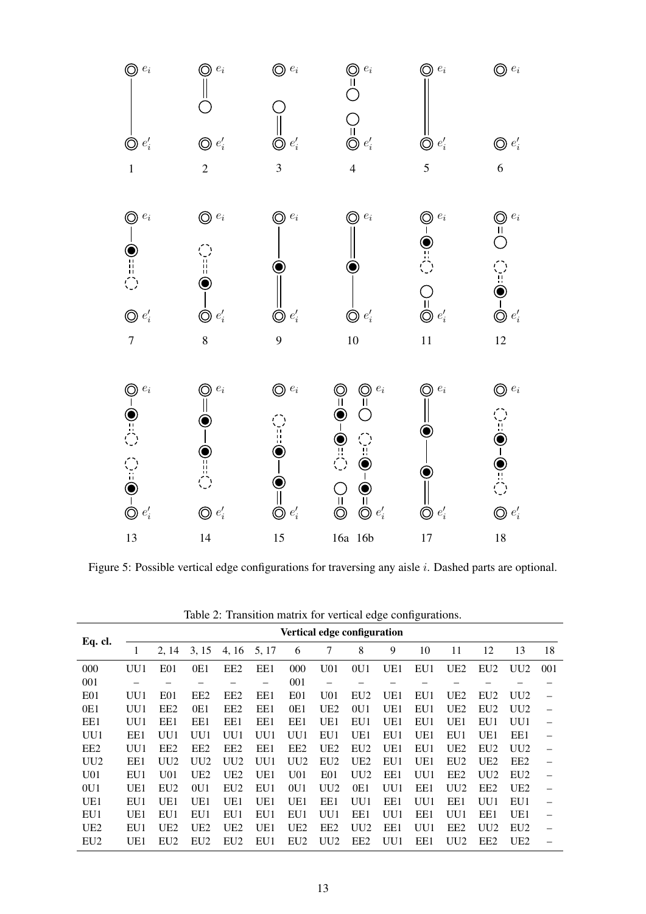

<span id="page-13-0"></span>Figure 5: Possible vertical edge configurations for traversing any aisle i. Dashed parts are optional.

| Table 2: Transition matrix for vertical edge configurations. |  |  |  |  |  |  |  |  |
|--------------------------------------------------------------|--|--|--|--|--|--|--|--|
|--------------------------------------------------------------|--|--|--|--|--|--|--|--|

<span id="page-13-1"></span>

|                 |     |                 |                 |                 |       |                             |                          |                 | ັ   | ັ   |                 |                 |                 |     |
|-----------------|-----|-----------------|-----------------|-----------------|-------|-----------------------------|--------------------------|-----------------|-----|-----|-----------------|-----------------|-----------------|-----|
|                 |     |                 |                 |                 |       | Vertical edge configuration |                          |                 |     |     |                 |                 |                 |     |
| Eq. cl.         | 1   | 2, 14           | 3, 15           | 4, 16           | 5, 17 | 6                           | 7                        | 8               | 9   | 10  | 11              | 12              | 13              | 18  |
| 000             | UU1 | E <sub>01</sub> | 0E1             | EE <sub>2</sub> | EE1   | 000                         | U <sub>01</sub>          | 0U1             | UE1 | EU1 | UE <sub>2</sub> | EU <sub>2</sub> | UU <sub>2</sub> | 001 |
| 001             |     |                 |                 |                 | -     | 001                         | $\overline{\phantom{0}}$ | -               |     |     |                 |                 |                 |     |
| E <sub>01</sub> | UU1 | E01             | EE <sub>2</sub> | EE <sub>2</sub> | EE1   | E <sub>01</sub>             | U <sub>01</sub>          | EU <sub>2</sub> | UE1 | EU1 | UE <sub>2</sub> | EU <sub>2</sub> | UU2             |     |
| 0E1             | UU1 | EE <sub>2</sub> | 0E1             | EE <sub>2</sub> | EE1   | 0E1                         | UE <sub>2</sub>          | 0U1             | UE1 | EU1 | UE <sub>2</sub> | EU <sub>2</sub> | UU <sub>2</sub> |     |
| EE1             | UU1 | EE1             | EE1             | EE1             | EE1   | EE1                         | UE1                      | EU1             | UE1 | EU1 | UE1             | EU1             | UU1             |     |
| UU1             | EE1 | UU1             | UU1             | UU1             | UU1   | UU1                         | EU1                      | UE1             | EU1 | UE1 | EU1             | UE1             | EE1             |     |
| EE <sub>2</sub> | UU1 | EE <sub>2</sub> | EE2             | EE <sub>2</sub> | EE1   | EE <sub>2</sub>             | UE <sub>2</sub>          | EU <sub>2</sub> | UE1 | EU1 | UE <sub>2</sub> | EU <sub>2</sub> | UU <sub>2</sub> |     |
| UU2             | EE1 | UU <sub>2</sub> | UU <sub>2</sub> | UU2             | UU1   | UU2                         | EU <sub>2</sub>          | UE <sub>2</sub> | EU1 | UE1 | EU <sub>2</sub> | UE <sub>2</sub> | EE <sub>2</sub> |     |
| U <sub>01</sub> | EU1 | U01             | UE <sub>2</sub> | UE <sub>2</sub> | UE1   | U <sub>01</sub>             | E <sub>01</sub>          | UU <sub>2</sub> | EE1 | UU1 | EE <sub>2</sub> | UU2             | EU <sub>2</sub> |     |
| 0U1             | UE1 | EU <sub>2</sub> | 0U1             | EU <sub>2</sub> | EU1   | 0U1                         | UU2                      | 0E1             | UU1 | EE1 | UU2             | EE <sub>2</sub> | UE <sub>2</sub> |     |
| UE1             | EU1 | UE1             | UE1             | UE1             | UE1   | UE1                         | EE1                      | UU1             | EE1 | UU1 | EE1             | UU1             | EU1             |     |
| EU1             | UE1 | EU1             | EU1             | EU1             | EU1   | EU1                         | UU1                      | EE1             | UU1 | EE1 | UU1             | EE1             | UE1             |     |
| UE <sub>2</sub> | EU1 | UE <sub>2</sub> | UE <sub>2</sub> | UE <sub>2</sub> | UE1   | UE <sub>2</sub>             | EE <sub>2</sub>          | UU <sub>2</sub> | EE1 | UU1 | EE <sub>2</sub> | UU2             | EU <sub>2</sub> |     |
| EU2             | UE1 | EU <sub>2</sub> | EU <sub>2</sub> | EU <sub>2</sub> | EU1   | EU <sub>2</sub>             | UU2                      | EE <sub>2</sub> | UU1 | EE1 | UU2             | EE <sub>2</sub> | UE <sub>2</sub> |     |
|                 |     |                 |                 |                 |       |                             |                          |                 |     |     |                 |                 |                 |     |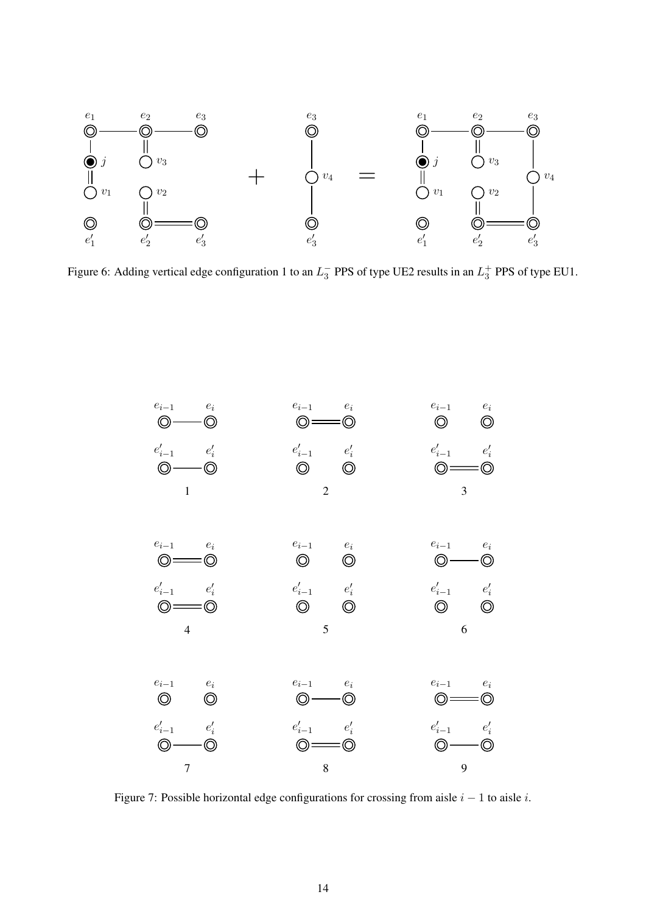

Figure 6: Adding vertical edge configuration 1 to an  $L_3^-$  PPS of type UE2 results in an  $L_3^+$  PPS of type EU1.

<span id="page-14-0"></span>

<span id="page-14-1"></span>Figure 7: Possible horizontal edge configurations for crossing from aisle  $i - 1$  to aisle i.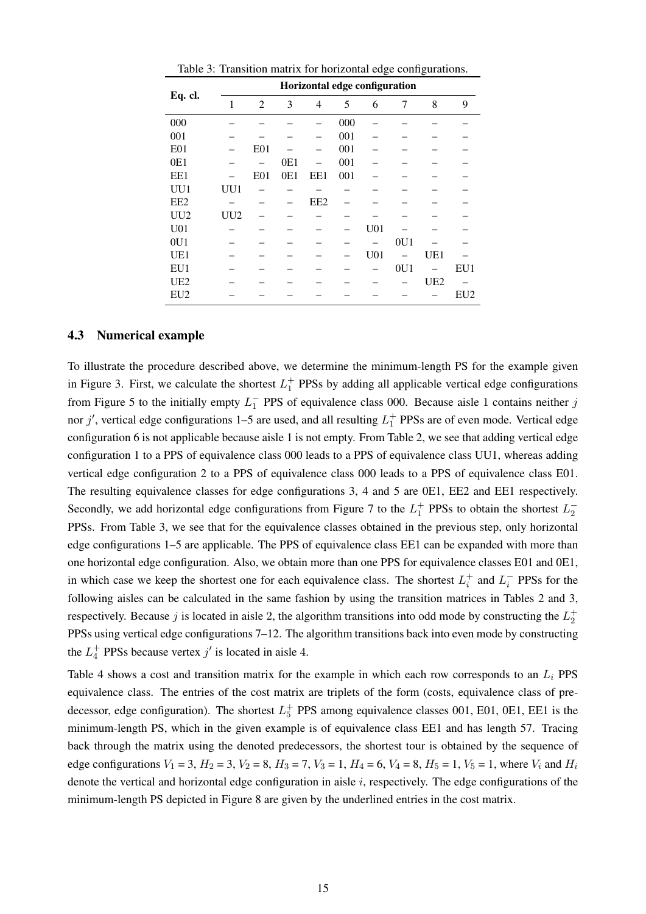<span id="page-15-1"></span>

|                 |     |                 |     | Horizontal edge configuration |     |                 |                |                 |                 |
|-----------------|-----|-----------------|-----|-------------------------------|-----|-----------------|----------------|-----------------|-----------------|
| Eq. cl.         | 1   | $\mathfrak{2}$  | 3   | 4                             | 5   | 6               | $\overline{7}$ | 8               | 9               |
| 000             |     |                 |     |                               | 000 |                 |                |                 |                 |
| 001             |     |                 |     |                               | 001 |                 |                |                 |                 |
| E01             |     | E <sub>01</sub> |     |                               | 001 |                 |                |                 |                 |
| 0E1             |     |                 | 0E1 |                               | 001 |                 |                |                 |                 |
| EE1             |     | E <sub>01</sub> | 0E1 | EE1                           | 001 |                 |                |                 |                 |
| UU1             | UU1 |                 |     |                               |     |                 |                |                 |                 |
| EE <sub>2</sub> |     |                 |     | EE <sub>2</sub>               |     |                 |                |                 |                 |
| UU2             | UU2 |                 |     |                               |     |                 |                |                 |                 |
| U <sub>01</sub> |     |                 |     |                               |     | U <sub>01</sub> |                |                 |                 |
| 0U1             |     |                 |     |                               |     |                 | 0U1            |                 |                 |
| UE1             |     |                 |     |                               |     | U <sub>01</sub> |                | UE1             |                 |
| EU1             |     |                 |     |                               |     |                 | 0U1            |                 | EU1             |
| UE <sub>2</sub> |     |                 |     |                               |     |                 |                | UE <sub>2</sub> |                 |
| EU <sub>2</sub> |     |                 |     |                               |     |                 |                |                 | EU <sub>2</sub> |

Table 3: Transition matrix for horizontal edge configurations.

#### 4.3 Numerical example

To illustrate the procedure described above, we determine the minimum-length PS for the example given in Figure [3.](#page-9-1) First, we calculate the shortest  $L_1^+$  PPSs by adding all applicable vertical edge configurations from Figure [5](#page-13-0) to the initially empty  $L_1^-$  PPS of equivalence class 000. Because aisle 1 contains neither j nor j', vertical edge configurations 1–5 are used, and all resulting  $L_1^+$  PPSs are of even mode. Vertical edge configuration 6 is not applicable because aisle 1 is not empty. From Table [2,](#page-13-1) we see that adding vertical edge configuration 1 to a PPS of equivalence class 000 leads to a PPS of equivalence class UU1, whereas adding vertical edge configuration 2 to a PPS of equivalence class 000 leads to a PPS of equivalence class E01. The resulting equivalence classes for edge configurations 3, 4 and 5 are 0E1, EE2 and EE1 respectively. Secondly, we add horizontal edge configurations from Figure [7](#page-14-1) to the  $L_1^+$  PPSs to obtain the shortest  $L_2^-$ PPSs. From Table [3,](#page-15-1) we see that for the equivalence classes obtained in the previous step, only horizontal edge configurations 1–5 are applicable. The PPS of equivalence class EE1 can be expanded with more than one horizontal edge configuration. Also, we obtain more than one PPS for equivalence classes E01 and 0E1, in which case we keep the shortest one for each equivalence class. The shortest  $L_i^+$  and  $L_i^-$  PPSs for the following aisles can be calculated in the same fashion by using the transition matrices in Tables [2](#page-13-1) and [3,](#page-15-1) respectively. Because j is located in aisle 2, the algorithm transitions into odd mode by constructing the  $L_2^+$ PPSs using vertical edge configurations 7–12. The algorithm transitions back into even mode by constructing the  $L_4^+$  PPSs because vertex  $j'$  is located in aisle 4.

<span id="page-15-0"></span>Table [4](#page-16-0) shows a cost and transition matrix for the example in which each row corresponds to an  $L<sub>i</sub>$  PPS equivalence class. The entries of the cost matrix are triplets of the form (costs, equivalence class of predecessor, edge configuration). The shortest  $L_5^+$  PPS among equivalence classes 001, E01, 0E1, EE1 is the minimum-length PS, which in the given example is of equivalence class EE1 and has length 57. Tracing back through the matrix using the denoted predecessors, the shortest tour is obtained by the sequence of edge configurations  $V_1 = 3$ ,  $H_2 = 3$ ,  $V_2 = 8$ ,  $H_3 = 7$ ,  $V_3 = 1$ ,  $H_4 = 6$ ,  $V_4 = 8$ ,  $H_5 = 1$ ,  $V_5 = 1$ , where  $V_i$  and  $H_i$ denote the vertical and horizontal edge configuration in aisle  $i$ , respectively. The edge configurations of the minimum-length PS depicted in Figure [8](#page-17-1) are given by the underlined entries in the cost matrix.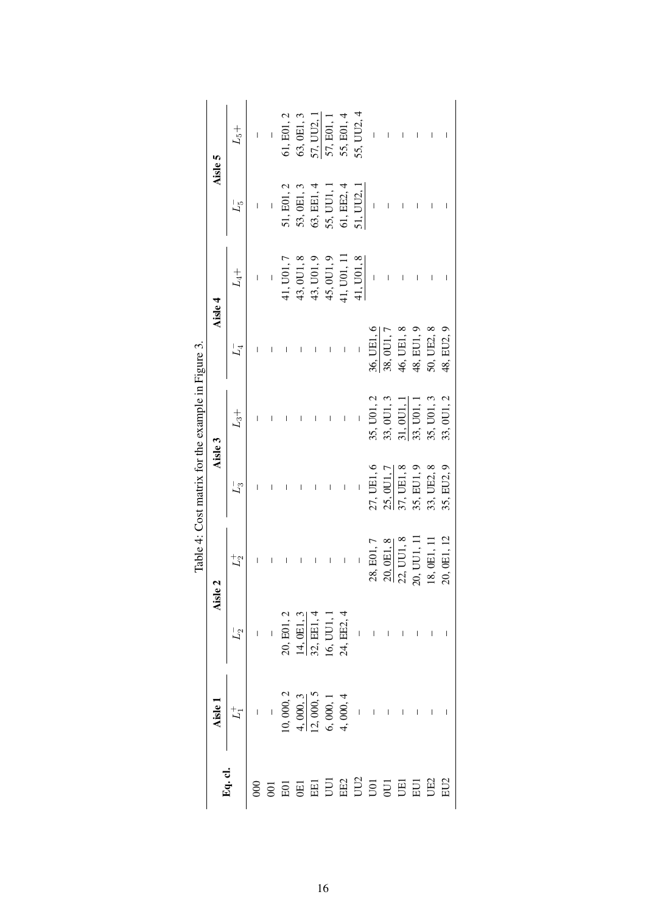|                                                   |         | $L_5+$                                                                                                             | Ī              | $\overline{1}$ | 61, E01, 2 | 63, OE1, 3 |                          | $\frac{57, UU2, 1}{57, E01, 1}$ | 55, E01, 4               | 55, UU2, 4               |                | $\overline{1}$                                                                                    |            |            | $\begin{array}{c} \hline \end{array}$ |            |
|---------------------------------------------------|---------|--------------------------------------------------------------------------------------------------------------------|----------------|----------------|------------|------------|--------------------------|---------------------------------|--------------------------|--------------------------|----------------|---------------------------------------------------------------------------------------------------|------------|------------|---------------------------------------|------------|
|                                                   | Aisle 5 | $L_5^-$                                                                                                            | Ī              | $\overline{1}$ | 51, E01, 2 | 53, OE1, 3 | 63, EE1, 4               | 55, UU1, 1                      | 61, EE2, 4               | 51, UU2, 1               |                |                                                                                                   |            |            |                                       |            |
|                                                   |         | ${\cal L}_4+$                                                                                                      | $\overline{1}$ | $\overline{1}$ | 41, U01, 7 | 43, 0U1, 8 | 43, U01, 9               | 45,0U1,9                        | 41, U01, 11              | 41, U <sub>01</sub> , 8  | $\overline{1}$ |                                                                                                   |            |            | $\begin{array}{c} \hline \end{array}$ |            |
|                                                   | Aisle 4 | $L_4^-$                                                                                                            | I              |                |            |            |                          |                                 | $\overline{1}$           | $\overline{\phantom{a}}$ | 36, UE1, 6     | 38, OU1, 7                                                                                        | 46, UE1, 8 | 48, EU1, 9 | 50, UE2, 8                            | 48, EU2, 9 |
| Table 4: Cost matrix for the example in Figure 3. |         | $\mathcal{L}_3+$                                                                                                   |                |                |            |            |                          |                                 |                          | $\overline{\phantom{a}}$ | 35, U01, 2     | 33, OU1, 3                                                                                        | 31, 0U1,   | 33, U01,   | 35, U01, 3                            | 33, OU1, 2 |
|                                                   | Aisle 3 | $L_3^-$                                                                                                            |                | I              |            |            |                          |                                 | $\overline{\phantom{a}}$ | $\overline{\phantom{a}}$ | 27, UE1, 6     | 25, 0U1, 7                                                                                        | 37, UE1, 8 | 35, EU1, 9 | 33, UE2, 8                            | 35, EU2, 9 |
|                                                   |         | $L_2^+$                                                                                                            | I              |                | $\bigg $   |            | $\overline{\phantom{a}}$ | $\overline{\phantom{a}}$        | $\overline{\phantom{a}}$ | $\overline{\phantom{a}}$ |                | 28, E01, 7<br>20, 0E1, 8<br>22, UU1, 8<br>22, UU1, 8<br>20, UU1, 11<br>18, 0E1, 11<br>20, 0E1, 12 |            |            |                                       |            |
|                                                   |         | Aisle 2<br>$L_2$<br>$-$<br>$-$<br>20, E01, 2<br>$\frac{14, 0E1, 3}{32, EEI, 4}$<br>16, UU1, 1<br>$-$<br>24, EE2, 4 |                |                |            |            |                          |                                 |                          |                          |                |                                                                                                   |            |            |                                       |            |
|                                                   |         |                                                                                                                    |                |                |            |            |                          |                                 |                          |                          |                |                                                                                                   |            |            |                                       |            |
|                                                   |         |                                                                                                                    |                |                |            |            |                          |                                 |                          |                          |                |                                                                                                   |            |            |                                       |            |

<span id="page-16-0"></span>Ë l,  $\ddot{\cdot}$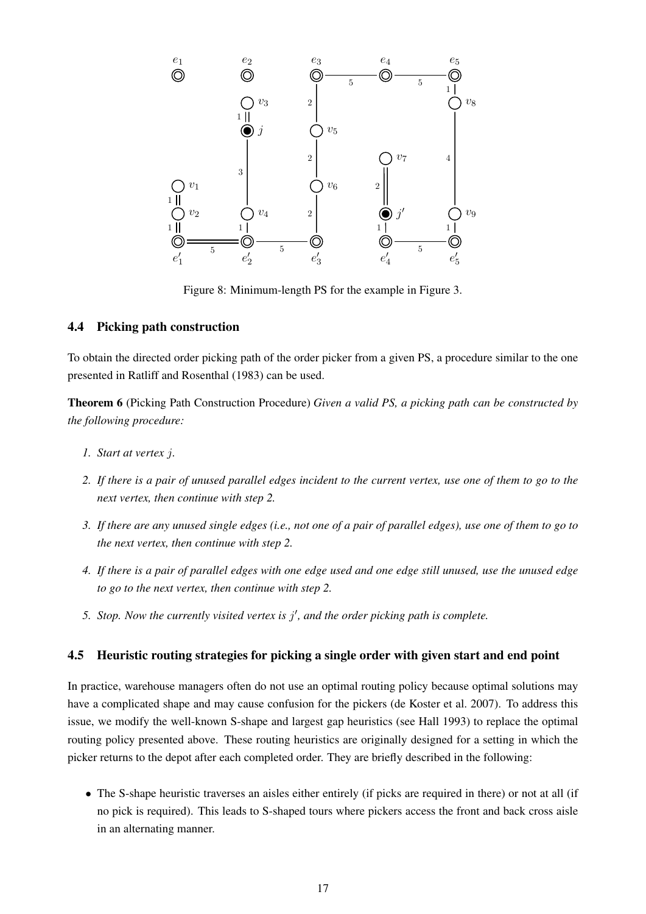

Figure 8: Minimum-length PS for the example in Figure [3.](#page-9-1)

### <span id="page-17-1"></span>4.4 Picking path construction

To obtain the directed order picking path of the order picker from a given PS, a procedure similar to the one presented in [Ratliff and Rosenthal](#page-31-3) [\(1983\)](#page-31-3) can be used.

<span id="page-17-3"></span>Theorem 6 (Picking Path Construction Procedure) *Given a valid PS, a picking path can be constructed by the following procedure:*

- *1. Start at vertex* j*.*
- <span id="page-17-2"></span>*2. If there is a pair of unused parallel edges incident to the current vertex, use one of them to go to the next vertex, then continue with step [2.](#page-17-2)*
- *3. If there are any unused single edges (i.e., not one of a pair of parallel edges), use one of them to go to the next vertex, then continue with step [2.](#page-17-2)*
- <span id="page-17-4"></span>*4. If there is a pair of parallel edges with one edge used and one edge still unused, use the unused edge to go to the next vertex, then continue with step [2.](#page-17-2)*
- 5. Stop. Now the currently visited vertex is  $j'$ , and the order picking path is complete.

### <span id="page-17-0"></span>4.5 Heuristic routing strategies for picking a single order with given start and end point

In practice, warehouse managers often do not use an optimal routing policy because optimal solutions may have a complicated shape and may cause confusion for the pickers [\(de Koster et al.](#page-30-1) [2007\)](#page-30-1). To address this issue, we modify the well-known S-shape and largest gap heuristics (see [Hall](#page-30-16) [1993\)](#page-30-16) to replace the optimal routing policy presented above. These routing heuristics are originally designed for a setting in which the picker returns to the depot after each completed order. They are briefly described in the following:

• The S-shape heuristic traverses an aisles either entirely (if picks are required in there) or not at all (if no pick is required). This leads to S-shaped tours where pickers access the front and back cross aisle in an alternating manner.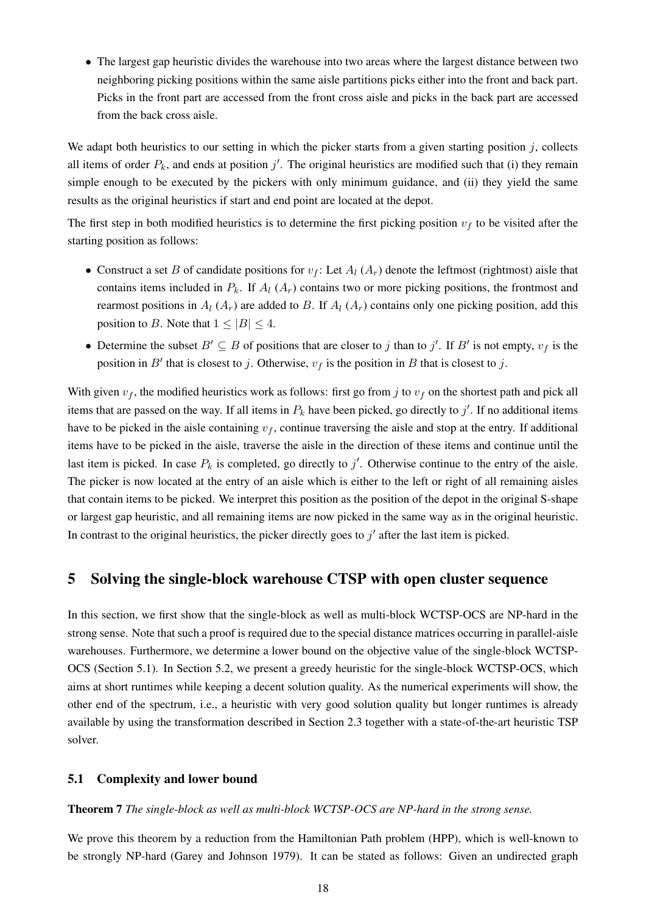• The largest gap heuristic divides the warehouse into two areas where the largest distance between two neighboring picking positions within the same aisle partitions picks either into the front and back part. Picks in the front part are accessed from the front cross aisle and picks in the back part are accessed from the back cross aisle.

We adapt both heuristics to our setting in which the picker starts from a given starting position  $j$ , collects all items of order  $P_k$ , and ends at position  $j'$ . The original heuristics are modified such that (i) they remain simple enough to be executed by the pickers with only minimum guidance, and (ii) they yield the same results as the original heuristics if start and end point are located at the depot.

The first step in both modified heuristics is to determine the first picking position  $v_f$  to be visited after the starting position as follows:

- Construct a set B of candidate positions for  $v_f$ : Let  $A_l$  ( $A_r$ ) denote the leftmost (rightmost) aisle that contains items included in  $P_k$ . If  $A_l$  ( $A_r$ ) contains two or more picking positions, the frontmost and rearmost positions in  $A_l$  ( $A_r$ ) are added to B. If  $A_l$  ( $A_r$ ) contains only one picking position, add this position to B. Note that  $1 \leq |B| \leq 4$ .
- Determine the subset  $B' \subseteq B$  of positions that are closer to j than to j'. If B' is not empty,  $v_f$  is the position in B' that is closest to j. Otherwise,  $v_f$  is the position in B that is closest to j.

With given  $v_f$ , the modified heuristics work as follows: first go from j to  $v_f$  on the shortest path and pick all items that are passed on the way. If all items in  $P_k$  have been picked, go directly to  $j'$ . If no additional items have to be picked in the aisle containing  $v_f$ , continue traversing the aisle and stop at the entry. If additional items have to be picked in the aisle, traverse the aisle in the direction of these items and continue until the last item is picked. In case  $P_k$  is completed, go directly to  $j'$ . Otherwise continue to the entry of the aisle. The picker is now located at the entry of an aisle which is either to the left or right of all remaining aisles that contain items to be picked. We interpret this position as the position of the depot in the original S-shape or largest gap heuristic, and all remaining items are now picked in the same way as in the original heuristic. In contrast to the original heuristics, the picker directly goes to  $j'$  after the last item is picked.

# <span id="page-18-0"></span>5 Solving the single-block warehouse CTSP with open cluster sequence

In this section, we first show that the single-block as well as multi-block WCTSP-OCS are NP-hard in the strong sense. Note that such a proof is required due to the special distance matrices occurring in parallel-aisle warehouses. Furthermore, we determine a lower bound on the objective value of the single-block WCTSP-OCS (Section [5.1\)](#page-18-1). In Section [5.2,](#page-20-1) we present a greedy heuristic for the single-block WCTSP-OCS, which aims at short runtimes while keeping a decent solution quality. As the numerical experiments will show, the other end of the spectrum, i.e., a heuristic with very good solution quality but longer runtimes is already available by using the transformation described in Section [2.3](#page-6-1) together with a state-of-the-art heuristic TSP solver.

### <span id="page-18-1"></span>5.1 Complexity and lower bound

#### <span id="page-18-2"></span>Theorem 7 *The single-block as well as multi-block WCTSP-OCS are NP-hard in the strong sense.*

We prove this theorem by a reduction from the Hamiltonian Path problem (HPP), which is well-known to be strongly NP-hard [\(Garey and Johnson](#page-30-17) [1979\)](#page-30-17). It can be stated as follows: Given an undirected graph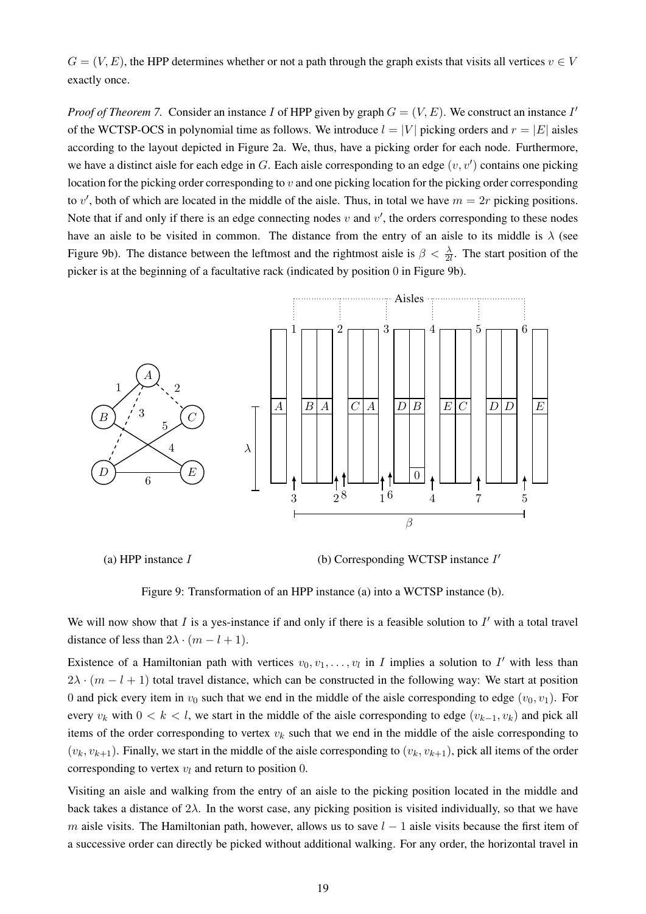$G = (V, E)$ , the HPP determines whether or not a path through the graph exists that visits all vertices  $v \in V$ exactly once.

*Proof of Theorem* [7.](#page-18-2) Consider an instance I of HPP given by graph  $G = (V, E)$ . We construct an instance I<sup>*I*</sup> of the WCTSP-OCS in polynomial time as follows. We introduce  $l = |V|$  picking orders and  $r = |E|$  aisles according to the layout depicted in Figure [2a](#page-3-0). We, thus, have a picking order for each node. Furthermore, we have a distinct aisle for each edge in  $G$ . Each aisle corresponding to an edge  $(v, v')$  contains one picking location for the picking order corresponding to v and one picking location for the picking order corresponding to v', both of which are located in the middle of the aisle. Thus, in total we have  $m = 2r$  picking positions. Note that if and only if there is an edge connecting nodes  $v$  and  $v'$ , the orders corresponding to these nodes have an aisle to be visited in common. The distance from the entry of an aisle to its middle is  $\lambda$  (see Figure [9b](#page-19-0)). The distance between the leftmost and the rightmost aisle is  $\beta < \frac{\lambda}{2l}$ . The start position of the picker is at the beginning of a facultative rack (indicated by position 0 in Figure [9b](#page-19-0)).



(a) HPP instance  $I$  (b) Corresponding WCTSP instance  $I'$ 

<span id="page-19-0"></span>Figure 9: Transformation of an HPP instance (a) into a WCTSP instance (b).

We will now show that  $I$  is a yes-instance if and only if there is a feasible solution to  $I'$  with a total travel distance of less than  $2\lambda \cdot (m - l + 1)$ .

Existence of a Hamiltonian path with vertices  $v_0, v_1, \ldots, v_l$  in I implies a solution to I' with less than  $2\lambda \cdot (m - l + 1)$  total travel distance, which can be constructed in the following way: We start at position 0 and pick every item in  $v_0$  such that we end in the middle of the aisle corresponding to edge  $(v_0, v_1)$ . For every  $v_k$  with  $0 < k < l$ , we start in the middle of the aisle corresponding to edge  $(v_{k-1}, v_k)$  and pick all items of the order corresponding to vertex  $v_k$  such that we end in the middle of the aisle corresponding to  $(v_k, v_{k+1})$ . Finally, we start in the middle of the aisle corresponding to  $(v_k, v_{k+1})$ , pick all items of the order corresponding to vertex  $v_l$  and return to position 0.

Visiting an aisle and walking from the entry of an aisle to the picking position located in the middle and back takes a distance of  $2\lambda$ . In the worst case, any picking position is visited individually, so that we have m aisle visits. The Hamiltonian path, however, allows us to save  $l - 1$  aisle visits because the first item of a successive order can directly be picked without additional walking. For any order, the horizontal travel in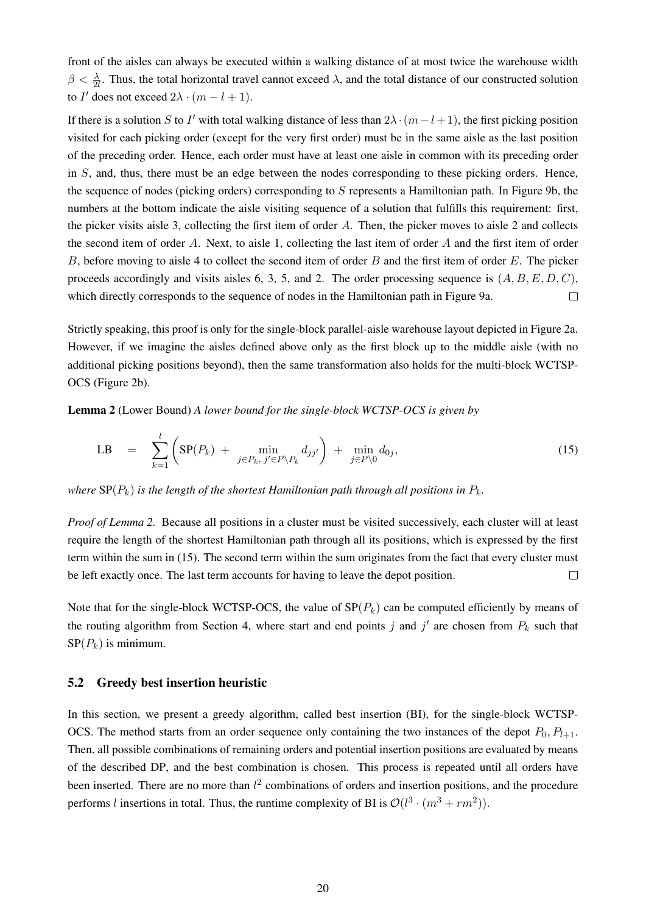front of the aisles can always be executed within a walking distance of at most twice the warehouse width  $\beta < \frac{\lambda}{2l}$ . Thus, the total horizontal travel cannot exceed  $\lambda$ , and the total distance of our constructed solution to *I'* does not exceed  $2\lambda \cdot (m - l + 1)$ .

If there is a solution S to I' with total walking distance of less than  $2\lambda \cdot (m-l+1)$ , the first picking position visited for each picking order (except for the very first order) must be in the same aisle as the last position of the preceding order. Hence, each order must have at least one aisle in common with its preceding order in  $S$ , and, thus, there must be an edge between the nodes corresponding to these picking orders. Hence, the sequence of nodes (picking orders) corresponding to S represents a Hamiltonian path. In Figure [9b](#page-19-0), the numbers at the bottom indicate the aisle visiting sequence of a solution that fulfills this requirement: first, the picker visits aisle 3, collecting the first item of order A. Then, the picker moves to aisle 2 and collects the second item of order  $A$ . Next, to aisle 1, collecting the last item of order  $A$  and the first item of order B, before moving to aisle 4 to collect the second item of order B and the first item of order E. The picker proceeds accordingly and visits aisles 6, 3, 5, and 2. The order processing sequence is  $(A, B, E, D, C)$ , which directly corresponds to the sequence of nodes in the Hamiltonian path in Figure [9a](#page-19-0).  $\Box$ 

Strictly speaking, this proof is only for the single-block parallel-aisle warehouse layout depicted in Figure [2a](#page-3-0). However, if we imagine the aisles defined above only as the first block up to the middle aisle (with no additional picking positions beyond), then the same transformation also holds for the multi-block WCTSP-OCS (Figure [2b](#page-3-0)).

<span id="page-20-2"></span>Lemma 2 (Lower Bound) *A lower bound for the single-block WCTSP-OCS is given by*

<span id="page-20-3"></span>
$$
LB = \sum_{k=1}^{l} \left( SP(P_k) + \min_{j \in P_k, j' \in P \setminus P_k} d_{jj'} \right) + \min_{j \in P \setminus 0} d_{0j}, \qquad (15)
$$

*where*  $\text{SP}(P_k)$  *is the length of the shortest Hamiltonian path through all positions in*  $P_k$ .

*Proof of Lemma* [2.](#page-20-2) Because all positions in a cluster must be visited successively, each cluster will at least require the length of the shortest Hamiltonian path through all its positions, which is expressed by the first term within the sum in [\(15\)](#page-20-3). The second term within the sum originates from the fact that every cluster must be left exactly once. The last term accounts for having to leave the depot position.  $\Box$ 

Note that for the single-block WCTSP-OCS, the value of  $SP(P_k)$  can be computed efficiently by means of the routing algorithm from Section [4,](#page-8-0) where start and end points j and j' are chosen from  $P_k$  such that  $SP(P_k)$  is minimum.

#### <span id="page-20-1"></span>5.2 Greedy best insertion heuristic

<span id="page-20-0"></span>In this section, we present a greedy algorithm, called best insertion (BI), for the single-block WCTSP-OCS. The method starts from an order sequence only containing the two instances of the depot  $P_0$ ,  $P_{l+1}$ . Then, all possible combinations of remaining orders and potential insertion positions are evaluated by means of the described DP, and the best combination is chosen. This process is repeated until all orders have been inserted. There are no more than  $l^2$  combinations of orders and insertion positions, and the procedure performs *l* insertions in total. Thus, the runtime complexity of BI is  $\mathcal{O}(l^3 \cdot (m^3 + rm^2))$ .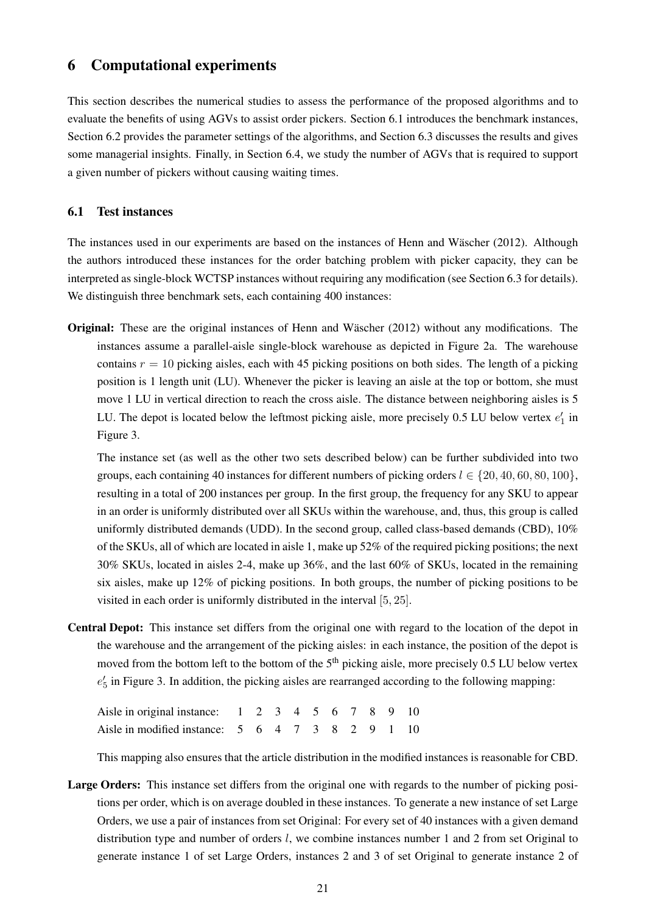# 6 Computational experiments

This section describes the numerical studies to assess the performance of the proposed algorithms and to evaluate the benefits of using AGVs to assist order pickers. Section [6.1](#page-21-0) introduces the benchmark instances, Section [6.2](#page-22-0) provides the parameter settings of the algorithms, and Section [6.3](#page-22-1) discusses the results and gives some managerial insights. Finally, in Section [6.4,](#page-27-0) we study the number of AGVs that is required to support a given number of pickers without causing waiting times.

### <span id="page-21-0"></span>6.1 Test instances

The instances used in our experiments are based on the instances of Henn and Wäscher [\(2012\)](#page-30-18). Although the authors introduced these instances for the order batching problem with picker capacity, they can be interpreted as single-block WCTSP instances without requiring any modification (see Section [6.3](#page-22-1) for details). We distinguish three benchmark sets, each containing 400 instances:

**Original:** These are the original instances of Henn and Wäscher [\(2012\)](#page-30-18) without any modifications. The instances assume a parallel-aisle single-block warehouse as depicted in Figure [2a](#page-3-0). The warehouse contains  $r = 10$  picking aisles, each with 45 picking positions on both sides. The length of a picking position is 1 length unit (LU). Whenever the picker is leaving an aisle at the top or bottom, she must move 1 LU in vertical direction to reach the cross aisle. The distance between neighboring aisles is 5 LU. The depot is located below the leftmost picking aisle, more precisely  $0.5$  LU below vertex  $e'_1$  in Figure [3.](#page-9-1)

The instance set (as well as the other two sets described below) can be further subdivided into two groups, each containing 40 instances for different numbers of picking orders  $l \in \{20, 40, 60, 80, 100\}$ , resulting in a total of 200 instances per group. In the first group, the frequency for any SKU to appear in an order is uniformly distributed over all SKUs within the warehouse, and, thus, this group is called uniformly distributed demands (UDD). In the second group, called class-based demands (CBD), 10% of the SKUs, all of which are located in aisle 1, make up 52% of the required picking positions; the next 30% SKUs, located in aisles 2-4, make up 36%, and the last 60% of SKUs, located in the remaining six aisles, make up 12% of picking positions. In both groups, the number of picking positions to be visited in each order is uniformly distributed in the interval [5, 25].

Central Depot: This instance set differs from the original one with regard to the location of the depot in the warehouse and the arrangement of the picking aisles: in each instance, the position of the depot is moved from the bottom left to the bottom of the 5<sup>th</sup> picking aisle, more precisely 0.5 LU below vertex  $e'_{5}$  in Figure [3.](#page-9-1) In addition, the picking aisles are rearranged according to the following mapping:

| Aisle in original instance: 1 2 3 4 5 6 7 8 9 10 |  |  |  |  |  |
|--------------------------------------------------|--|--|--|--|--|
| Aisle in modified instance: 5 6 4 7 3 8 2 9 1 10 |  |  |  |  |  |

This mapping also ensures that the article distribution in the modified instances is reasonable for CBD.

Large Orders: This instance set differs from the original one with regards to the number of picking positions per order, which is on average doubled in these instances. To generate a new instance of set Large Orders, we use a pair of instances from set Original: For every set of 40 instances with a given demand distribution type and number of orders *l*, we combine instances number 1 and 2 from set Original to generate instance 1 of set Large Orders, instances 2 and 3 of set Original to generate instance 2 of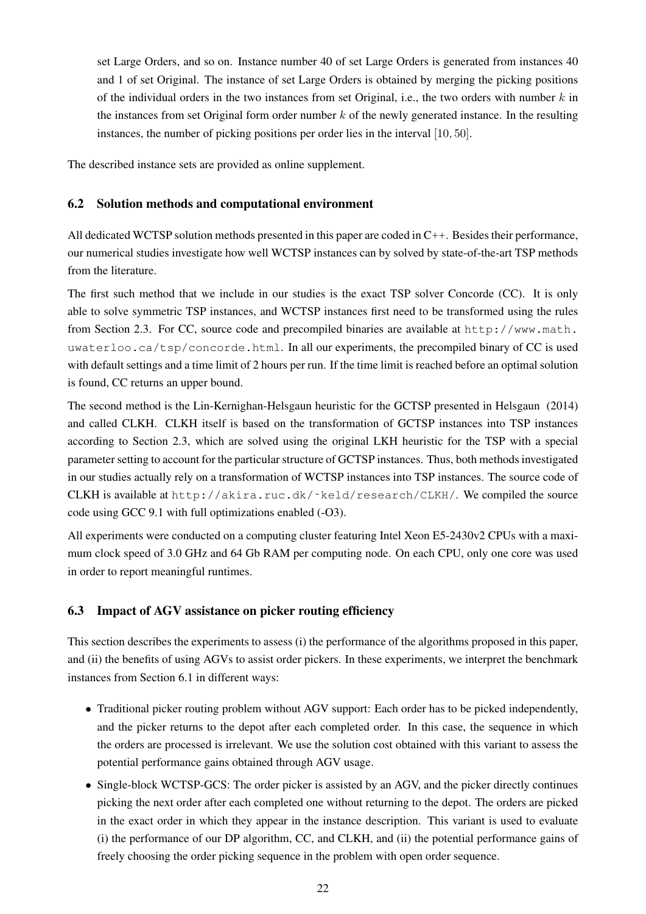set Large Orders, and so on. Instance number 40 of set Large Orders is generated from instances 40 and 1 of set Original. The instance of set Large Orders is obtained by merging the picking positions of the individual orders in the two instances from set Original, i.e., the two orders with number  $k$  in the instances from set Original form order number  $k$  of the newly generated instance. In the resulting instances, the number of picking positions per order lies in the interval [10, 50].

<span id="page-22-0"></span>The described instance sets are provided as online supplement.

### 6.2 Solution methods and computational environment

All dedicated WCTSP solution methods presented in this paper are coded in C++. Besides their performance, our numerical studies investigate how well WCTSP instances can by solved by state-of-the-art TSP methods from the literature.

The first such method that we include in our studies is the exact TSP solver Concorde (CC). It is only able to solve symmetric TSP instances, and WCTSP instances first need to be transformed using the rules from Section [2.3.](#page-6-1) For CC, source code and precompiled binaries are available at [http://www.math.](http://www.math.uwaterloo.ca/tsp/concorde.html) [uwaterloo.ca/tsp/concorde.html](http://www.math.uwaterloo.ca/tsp/concorde.html). In all our experiments, the precompiled binary of CC is used with default settings and a time limit of 2 hours per run. If the time limit is reached before an optimal solution is found, CC returns an upper bound.

The second method is the Lin-Kernighan-Helsgaun heuristic for the GCTSP presented in [Helsgaun](#page-30-15) [\(2014\)](#page-30-15) and called CLKH. CLKH itself is based on the transformation of GCTSP instances into TSP instances according to Section [2.3,](#page-6-1) which are solved using the original LKH heuristic for the TSP with a special parameter setting to account for the particular structure of GCTSP instances. Thus, both methods investigated in our studies actually rely on a transformation of WCTSP instances into TSP instances. The source code of CLKH is available at [http://akira.ruc.dk/˜keld/research/CLKH/](http://akira.ruc.dk/~keld/research/CLKH/). We compiled the source code using GCC 9.1 with full optimizations enabled (-O3).

All experiments were conducted on a computing cluster featuring Intel Xeon E5-2430v2 CPUs with a maximum clock speed of 3.0 GHz and 64 Gb RAM per computing node. On each CPU, only one core was used in order to report meaningful runtimes.

### <span id="page-22-1"></span>6.3 Impact of AGV assistance on picker routing efficiency

This section describes the experiments to assess (i) the performance of the algorithms proposed in this paper, and (ii) the benefits of using AGVs to assist order pickers. In these experiments, we interpret the benchmark instances from Section [6.1](#page-21-0) in different ways:

- Traditional picker routing problem without AGV support: Each order has to be picked independently, and the picker returns to the depot after each completed order. In this case, the sequence in which the orders are processed is irrelevant. We use the solution cost obtained with this variant to assess the potential performance gains obtained through AGV usage.
- Single-block WCTSP-GCS: The order picker is assisted by an AGV, and the picker directly continues picking the next order after each completed one without returning to the depot. The orders are picked in the exact order in which they appear in the instance description. This variant is used to evaluate (i) the performance of our DP algorithm, CC, and CLKH, and (ii) the potential performance gains of freely choosing the order picking sequence in the problem with open order sequence.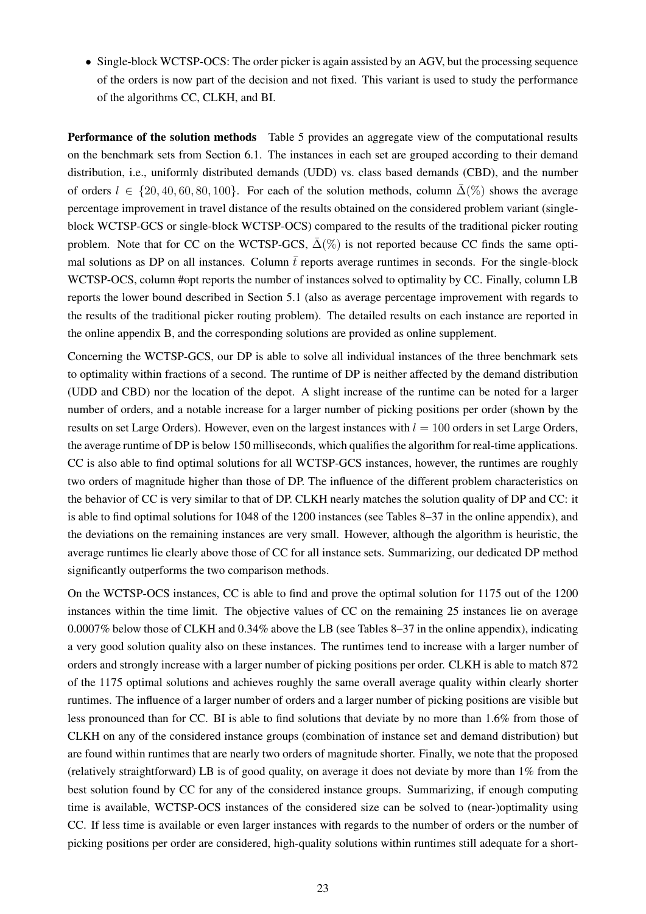• Single-block WCTSP-OCS: The order picker is again assisted by an AGV, but the processing sequence of the orders is now part of the decision and not fixed. This variant is used to study the performance of the algorithms CC, CLKH, and BI.

Performance of the solution methods Table [5](#page-24-0) provides an aggregate view of the computational results on the benchmark sets from Section [6.1.](#page-21-0) The instances in each set are grouped according to their demand distribution, i.e., uniformly distributed demands (UDD) vs. class based demands (CBD), and the number of orders  $l \in \{20, 40, 60, 80, 100\}$ . For each of the solution methods, column  $\bar{\Delta}(\%)$  shows the average percentage improvement in travel distance of the results obtained on the considered problem variant (singleblock WCTSP-GCS or single-block WCTSP-OCS) compared to the results of the traditional picker routing problem. Note that for CC on the WCTSP-GCS,  $\bar{\Delta}(\%)$  is not reported because CC finds the same optimal solutions as DP on all instances. Column  $\bar{t}$  reports average runtimes in seconds. For the single-block WCTSP-OCS, column #opt reports the number of instances solved to optimality by CC. Finally, column LB reports the lower bound described in Section [5.1](#page-18-1) (also as average percentage improvement with regards to the results of the traditional picker routing problem). The detailed results on each instance are reported in the online appendix [B,](#page-36-0) and the corresponding solutions are provided as online supplement.

Concerning the WCTSP-GCS, our DP is able to solve all individual instances of the three benchmark sets to optimality within fractions of a second. The runtime of DP is neither affected by the demand distribution (UDD and CBD) nor the location of the depot. A slight increase of the runtime can be noted for a larger number of orders, and a notable increase for a larger number of picking positions per order (shown by the results on set Large Orders). However, even on the largest instances with  $l = 100$  orders in set Large Orders, the average runtime of DP is below 150 milliseconds, which qualifies the algorithm for real-time applications. CC is also able to find optimal solutions for all WCTSP-GCS instances, however, the runtimes are roughly two orders of magnitude higher than those of DP. The influence of the different problem characteristics on the behavior of CC is very similar to that of DP. CLKH nearly matches the solution quality of DP and CC: it is able to find optimal solutions for 1048 of the 1200 instances (see Tables [8](#page-38-0)[–37](#page-67-0) in the online appendix), and the deviations on the remaining instances are very small. However, although the algorithm is heuristic, the average runtimes lie clearly above those of CC for all instance sets. Summarizing, our dedicated DP method significantly outperforms the two comparison methods.

On the WCTSP-OCS instances, CC is able to find and prove the optimal solution for 1175 out of the 1200 instances within the time limit. The objective values of CC on the remaining 25 instances lie on average 0.0007% below those of CLKH and 0.34% above the LB (see Tables [8–](#page-38-0)[37](#page-67-0) in the online appendix), indicating a very good solution quality also on these instances. The runtimes tend to increase with a larger number of orders and strongly increase with a larger number of picking positions per order. CLKH is able to match 872 of the 1175 optimal solutions and achieves roughly the same overall average quality within clearly shorter runtimes. The influence of a larger number of orders and a larger number of picking positions are visible but less pronounced than for CC. BI is able to find solutions that deviate by no more than 1.6% from those of CLKH on any of the considered instance groups (combination of instance set and demand distribution) but are found within runtimes that are nearly two orders of magnitude shorter. Finally, we note that the proposed (relatively straightforward) LB is of good quality, on average it does not deviate by more than 1% from the best solution found by CC for any of the considered instance groups. Summarizing, if enough computing time is available, WCTSP-OCS instances of the considered size can be solved to (near-)optimality using CC. If less time is available or even larger instances with regards to the number of orders or the number of picking positions per order are considered, high-quality solutions within runtimes still adequate for a short-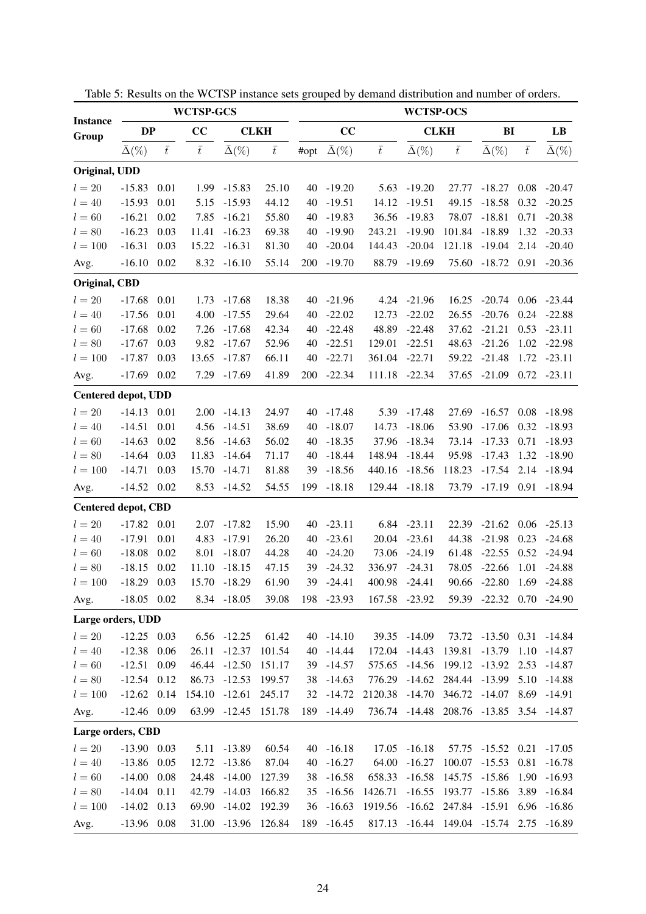|                            |                    |           | <b>WCTSP-GCS</b> |                    |             |      |                    |                | <b>WCTSP-OCS</b>   |                                  |                           |           |                    |
|----------------------------|--------------------|-----------|------------------|--------------------|-------------|------|--------------------|----------------|--------------------|----------------------------------|---------------------------|-----------|--------------------|
| <b>Instance</b><br>Group   | DP                 |           | CC               |                    | <b>CLKH</b> |      | CC                 |                |                    | <b>CLKH</b>                      | BI                        |           | LB                 |
|                            | $\bar{\Delta}(\%)$ | $\bar{t}$ | $\bar{t}$        | $\bar{\Delta}(\%)$ | $\bar{t}$   | #opt | $\bar{\Delta}(\%)$ | $\bar{t}$      | $\bar{\Delta}(\%)$ | $\bar{t}$                        | $\bar{\Delta}(\%)$        | $\bar{t}$ | $\bar{\Delta}(\%)$ |
| Original, UDD              |                    |           |                  |                    |             |      |                    |                |                    |                                  |                           |           |                    |
| $l=20$                     | $-15.83$           | 0.01      | 1.99             | $-15.83$           | 25.10       | 40   | $-19.20$           | 5.63           | $-19.20$           | 27.77                            | $-18.27$                  | 0.08      | $-20.47$           |
| $l = 40$                   | $-15.93$           | 0.01      | 5.15             | $-15.93$           | 44.12       | 40   | $-19.51$           | 14.12          | $-19.51$           | 49.15                            | $-18.58$                  | 0.32      | $-20.25$           |
| $l=60$                     | $-16.21$           | 0.02      | 7.85             | $-16.21$           | 55.80       | 40   | $-19.83$           | 36.56          | $-19.83$           | 78.07                            | $-18.81$                  | 0.71      | $-20.38$           |
| $l = 80$                   | $-16.23$           | 0.03      | 11.41            | $-16.23$           | 69.38       | 40   | $-19.90$           | 243.21         | $-19.90$           | 101.84                           | $-18.89$                  | 1.32      | $-20.33$           |
| $l = 100$                  | $-16.31$           | 0.03      | 15.22            | $-16.31$           | 81.30       | 40   | $-20.04$           | 144.43         | $-20.04$           | 121.18                           | $-19.04$                  | 2.14      | $-20.40$           |
| Avg.                       | $-16.10$           | 0.02      | 8.32             | $-16.10$           | 55.14       | 200  | $-19.70$           | 88.79          | $-19.69$           | 75.60                            | $-18.72$                  | 0.91      | $-20.36$           |
| Original, CBD              |                    |           |                  |                    |             |      |                    |                |                    |                                  |                           |           |                    |
| $l=20$                     | $-17.68$           | 0.01      | 1.73             | $-17.68$           | 18.38       | 40   | $-21.96$           | 4.24           | $-21.96$           | 16.25                            | $-20.74$                  | 0.06      | $-23.44$           |
| $l = 40$                   | $-17.56$           | 0.01      | 4.00             | $-17.55$           | 29.64       | 40   | $-22.02$           | 12.73          | $-22.02$           | 26.55                            | $-20.76$                  | 0.24      | $-22.88$           |
| $l = 60$                   | $-17.68$           | 0.02      | 7.26             | $-17.68$           | 42.34       | 40   | $-22.48$           | 48.89          | $-22.48$           | 37.62                            | $-21.21$                  | 0.53      | $-23.11$           |
| $l = 80$                   | $-17.67$           | 0.03      | 9.82             | $-17.67$           | 52.96       | 40   | $-22.51$           | 129.01         | $-22.51$           | 48.63                            | $-21.26$                  | 1.02      | $-22.98$           |
| $l = 100$                  | $-17.87$           | 0.03      | 13.65            | $-17.87$           | 66.11       | 40   | $-22.71$           | 361.04         | $-22.71$           | 59.22                            | $-21.48$                  | 1.72      | $-23.11$           |
| Avg.                       | $-17.69$           | 0.02      | 7.29             | $-17.69$           | 41.89       | 200  | $-22.34$           | 111.18         | $-22.34$           | 37.65                            | $-21.09$                  | 0.72      | $-23.11$           |
| <b>Centered depot, UDD</b> |                    |           |                  |                    |             |      |                    |                |                    |                                  |                           |           |                    |
| $l=20$                     | $-14.13$           | 0.01      | 2.00             | $-14.13$           | 24.97       | 40   | -17.48             | 5.39           | $-17.48$           | 27.69                            | $-16.57$                  | 0.08      | $-18.98$           |
| $l = 40$                   | $-14.51$           | 0.01      | 4.56             | $-14.51$           | 38.69       | 40   | $-18.07$           | 14.73          | $-18.06$           | 53.90                            | $-17.06$                  | 0.32      | $-18.93$           |
| $l = 60$                   | $-14.63$           | 0.02      | 8.56             | $-14.63$           | 56.02       | 40   | $-18.35$           | 37.96          | $-18.34$           | 73.14                            | $-17.33$                  | 0.71      | $-18.93$           |
| $l = 80$                   | $-14.64$           | 0.03      | 11.83            | $-14.64$           | 71.17       | 40   | $-18.44$           | 148.94         | $-18.44$           | 95.98                            | $-17.43$                  | 1.32      | $-18.90$           |
| $l = 100$                  | $-14.71$           | 0.03      | 15.70            | $-14.71$           | 81.88       | 39   | $-18.56$           | 440.16         | $-18.56$           | 118.23                           | $-17.54$                  | 2.14      | $-18.94$           |
| Avg.                       | $-14.52$ 0.02      |           |                  | 8.53 -14.52        | 54.55       | 199  | $-18.18$           | 129.44 -18.18  |                    | 73.79                            | $-17.19$ 0.91             |           | $-18.94$           |
| <b>Centered depot, CBD</b> |                    |           |                  |                    |             |      |                    |                |                    |                                  |                           |           |                    |
| $l=20$                     | $-17.82$           | 0.01      | 2.07             | $-17.82$           | 15.90       | 40   | $-23.11$           | 6.84           | $-23.11$           | 22.39                            | $-21.62$                  | 0.06      | $-25.13$           |
| $l = 40$                   | $-17.91$           | 0.01      | 4.83             | $-17.91$           | 26.20       | 40   | $-23.61$           | 20.04          | $-23.61$           | 44.38                            | $-21.98$                  | 0.23      | $-24.68$           |
| $l = 60$                   | $-18.08$           | 0.02      | 8.01             | $-18.07$           | 44.28       | 40   | $-24.20$           | 73.06          | $-24.19$           | 61.48                            | $-22.55$                  | 0.52      | $-24.94$           |
| $l = 80$                   | $-18.15$           | 0.02      | 11.10            | $-18.15$           | 47.15       | 39   | $-24.32$           | 336.97         | $-24.31$           | 78.05                            | $-22.66$                  | 1.01      | $-24.88$           |
| $l = 100$                  | $-18.29$           | 0.03      | 15.70            | $-18.29$           | 61.90       | 39   | $-24.41$           | 400.98         | -24.41             | 90.66                            | $-22.80$                  | 1.69      | $-24.88$           |
| Avg.                       | $-18.05$ 0.02      |           |                  | 8.34 -18.05        | 39.08       |      | 198 -23.93         | 167.58 -23.92  |                    |                                  | 59.39 -22.32 0.70 -24.90  |           |                    |
| Large orders, UDD          |                    |           |                  |                    |             |      |                    |                |                    |                                  |                           |           |                    |
| $l=20$                     | $-12.25$ 0.03      |           |                  | $6.56 - 12.25$     | 61.42       |      | $40 - 14.10$       |                | 39.35 -14.09       |                                  | 73.72 -13.50 0.31         |           | -14.84             |
| $l = 40$                   | $-12.38$           | 0.06      | 26.11            | $-12.37$           | 101.54      |      | 40 -14.44          | 172.04 -14.43  |                    | 139.81                           | $-13.79$                  | 1.10      | -14.87             |
| $l = 60$                   | $-12.51$           | 0.09      | 46.44            | $-12.50$           | 151.17      |      | 39 -14.57          | 575.65         | $-14.56$           | 199.12                           | $-13.92$                  | 2.53      | -14.87             |
| $l = 80$                   | $-12.54$           | 0.12      |                  | 86.73 -12.53       | 199.57      | 38   | $-14.63$           |                | 776.29 -14.62      |                                  | 284.44 -13.99             | 5.10      | -14.88             |
| $l = 100$                  | $-12.62$ 0.14      |           | 154.10 -12.61    |                    | 245.17      | 32   | $-14.72$           | 2120.38 -14.70 |                    | 346.72 -14.07                    |                           | 8.69      | -14.91             |
| Avg.                       | $-12.46$ 0.09      |           |                  | 63.99 -12.45       | 151.78      |      | 189 - 14.49        |                | 736.74 -14.48      |                                  | 208.76 -13.85 3.54 -14.87 |           |                    |
| Large orders, CBD          |                    |           |                  |                    |             |      |                    |                |                    |                                  |                           |           |                    |
| $l=20$                     | $-13.90$ 0.03      |           |                  | 5.11 -13.89        | 60.54       |      | $40 - 16.18$       |                | 17.05 -16.18       |                                  | 57.75 -15.52 0.21         |           | $-17.05$           |
| $l = 40$                   | $-13.86$           | 0.05      | 12.72            | $-13.86$           | 87.04       | 40   | $-16.27$           | 64.00          | $-16.27$           | 100.07                           | $-15.53$                  | 0.81      | $-16.78$           |
| $l = 60$                   | $-14.00$           | 0.08      | 24.48            | $-14.00$           | 127.39      | 38   | $-16.58$           | 658.33         | $-16.58$           |                                  | 145.75 -15.86             | 1.90      | $-16.93$           |
| $l = 80$                   | $-14.04$           | 0.11      |                  | 42.79 -14.03       | 166.82      | 35   | $-16.56$           | 1426.71        | $-16.55$           | 193.77 -15.86                    |                           | 3.89      | $-16.84$           |
| $l = 100$                  | $-14.02$ 0.13      |           | 69.90            | $-14.02$           | 192.39      | 36   | $-16.63$           | 1919.56        |                    | $-16.62$ 247.84 $-15.91$         |                           | 6.96      | $-16.86$           |
| Avg.                       | $-13.96$ 0.08      |           | 31.00            | $-13.96$           | 126.84      | 189  | $-16.45$           |                |                    | 817.13 -16.44 149.04 -15.74 2.75 |                           |           | $-16.89$           |

<span id="page-24-0"></span>Table 5: Results on the WCTSP instance sets grouped by demand distribution and number of orders.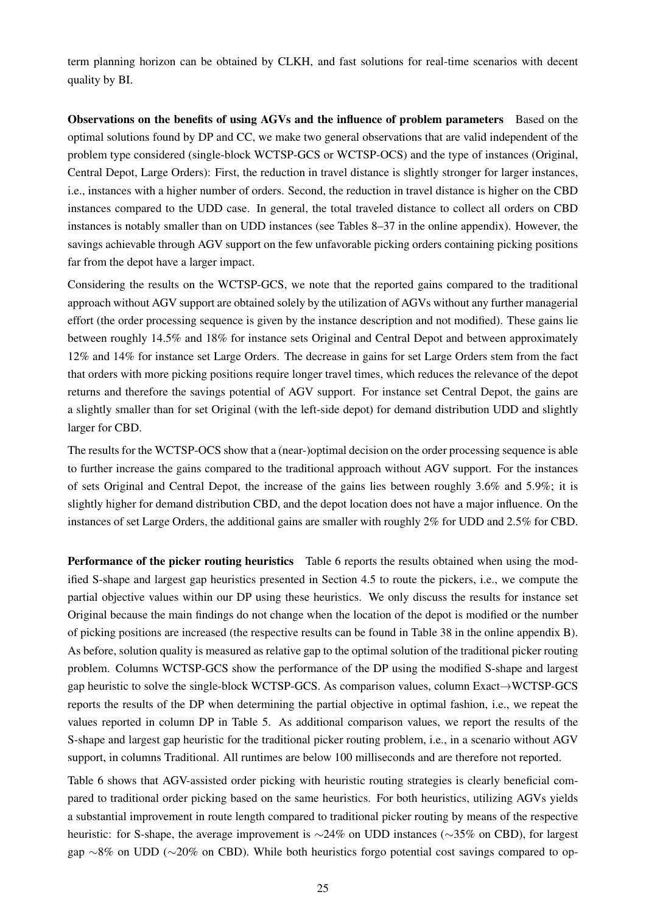term planning horizon can be obtained by CLKH, and fast solutions for real-time scenarios with decent quality by BI.

Observations on the benefits of using AGVs and the influence of problem parameters Based on the optimal solutions found by DP and CC, we make two general observations that are valid independent of the problem type considered (single-block WCTSP-GCS or WCTSP-OCS) and the type of instances (Original, Central Depot, Large Orders): First, the reduction in travel distance is slightly stronger for larger instances, i.e., instances with a higher number of orders. Second, the reduction in travel distance is higher on the CBD instances compared to the UDD case. In general, the total traveled distance to collect all orders on CBD instances is notably smaller than on UDD instances (see Tables [8](#page-38-0)[–37](#page-67-0) in the online appendix). However, the savings achievable through AGV support on the few unfavorable picking orders containing picking positions far from the depot have a larger impact.

Considering the results on the WCTSP-GCS, we note that the reported gains compared to the traditional approach without AGV support are obtained solely by the utilization of AGVs without any further managerial effort (the order processing sequence is given by the instance description and not modified). These gains lie between roughly 14.5% and 18% for instance sets Original and Central Depot and between approximately 12% and 14% for instance set Large Orders. The decrease in gains for set Large Orders stem from the fact that orders with more picking positions require longer travel times, which reduces the relevance of the depot returns and therefore the savings potential of AGV support. For instance set Central Depot, the gains are a slightly smaller than for set Original (with the left-side depot) for demand distribution UDD and slightly larger for CBD.

The results for the WCTSP-OCS show that a (near-)optimal decision on the order processing sequence is able to further increase the gains compared to the traditional approach without AGV support. For the instances of sets Original and Central Depot, the increase of the gains lies between roughly 3.6% and 5.9%; it is slightly higher for demand distribution CBD, and the depot location does not have a major influence. On the instances of set Large Orders, the additional gains are smaller with roughly 2% for UDD and 2.5% for CBD.

Performance of the picker routing heuristics Table [6](#page-26-0) reports the results obtained when using the modified S-shape and largest gap heuristics presented in Section [4.5](#page-17-0) to route the pickers, i.e., we compute the partial objective values within our DP using these heuristics. We only discuss the results for instance set Original because the main findings do not change when the location of the depot is modified or the number of picking positions are increased (the respective results can be found in Table [38](#page-68-0) in the online appendix [B\)](#page-36-0). As before, solution quality is measured as relative gap to the optimal solution of the traditional picker routing problem. Columns WCTSP-GCS show the performance of the DP using the modified S-shape and largest gap heuristic to solve the single-block WCTSP-GCS. As comparison values, column Exact→WCTSP-GCS reports the results of the DP when determining the partial objective in optimal fashion, i.e., we repeat the values reported in column DP in Table [5.](#page-24-0) As additional comparison values, we report the results of the S-shape and largest gap heuristic for the traditional picker routing problem, i.e., in a scenario without AGV support, in columns Traditional. All runtimes are below 100 milliseconds and are therefore not reported.

Table [6](#page-26-0) shows that AGV-assisted order picking with heuristic routing strategies is clearly beneficial compared to traditional order picking based on the same heuristics. For both heuristics, utilizing AGVs yields a substantial improvement in route length compared to traditional picker routing by means of the respective heuristic: for S-shape, the average improvement is ∼24% on UDD instances (∼35% on CBD), for largest gap ∼8% on UDD (∼20% on CBD). While both heuristics forgo potential cost savings compared to op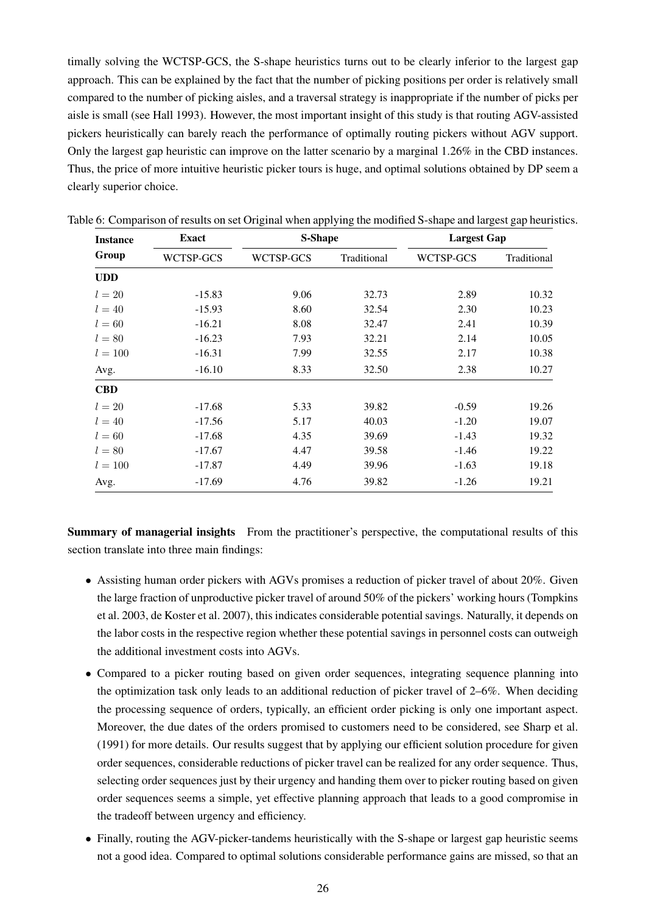timally solving the WCTSP-GCS, the S-shape heuristics turns out to be clearly inferior to the largest gap approach. This can be explained by the fact that the number of picking positions per order is relatively small compared to the number of picking aisles, and a traversal strategy is inappropriate if the number of picks per aisle is small (see [Hall](#page-30-16) [1993\)](#page-30-16). However, the most important insight of this study is that routing AGV-assisted pickers heuristically can barely reach the performance of optimally routing pickers without AGV support. Only the largest gap heuristic can improve on the latter scenario by a marginal 1.26% in the CBD instances. Thus, the price of more intuitive heuristic picker tours is huge, and optimal solutions obtained by DP seem a clearly superior choice.

| <b>Instance</b> | <b>Exact</b> | S-Shape   |             | <b>Largest Gap</b> |             |
|-----------------|--------------|-----------|-------------|--------------------|-------------|
| Group           | WCTSP-GCS    | WCTSP-GCS | Traditional | WCTSP-GCS          | Traditional |
| <b>UDD</b>      |              |           |             |                    |             |
| $l=20$          | $-15.83$     | 9.06      | 32.73       | 2.89               | 10.32       |
| $l = 40$        | $-15.93$     | 8.60      | 32.54       | 2.30               | 10.23       |
| $l=60$          | $-16.21$     | 8.08      | 32.47       | 2.41               | 10.39       |
| $l = 80$        | $-16.23$     | 7.93      | 32.21       | 2.14               | 10.05       |
| $l = 100$       | $-16.31$     | 7.99      | 32.55       | 2.17               | 10.38       |
| Avg.            | $-16.10$     | 8.33      | 32.50       | 2.38               | 10.27       |
| <b>CBD</b>      |              |           |             |                    |             |
| $l=20$          | $-17.68$     | 5.33      | 39.82       | $-0.59$            | 19.26       |
| $l = 40$        | $-17.56$     | 5.17      | 40.03       | $-1.20$            | 19.07       |
| $l = 60$        | $-17.68$     | 4.35      | 39.69       | $-1.43$            | 19.32       |
| $l = 80$        | $-17.67$     | 4.47      | 39.58       | $-1.46$            | 19.22       |
| $l = 100$       | $-17.87$     | 4.49      | 39.96       | $-1.63$            | 19.18       |
| Avg.            | $-17.69$     | 4.76      | 39.82       | $-1.26$            | 19.21       |

<span id="page-26-0"></span>Table 6: Comparison of results on set Original when applying the modified S-shape and largest gap heuristics.

Summary of managerial insights From the practitioner's perspective, the computational results of this section translate into three main findings:

- Assisting human order pickers with AGVs promises a reduction of picker travel of about 20%. Given the large fraction of unproductive picker travel of around 50% of the pickers' working hours [\(Tompkins](#page-31-0) [et al.](#page-31-0) [2003,](#page-31-0) [de Koster et al.](#page-30-1) [2007\)](#page-30-1), this indicates considerable potential savings. Naturally, it depends on the labor costs in the respective region whether these potential savings in personnel costs can outweigh the additional investment costs into AGVs.
- Compared to a picker routing based on given order sequences, integrating sequence planning into the optimization task only leads to an additional reduction of picker travel of 2–6%. When deciding the processing sequence of orders, typically, an efficient order picking is only one important aspect. Moreover, the due dates of the orders promised to customers need to be considered, see [Sharp et al.](#page-31-6) [\(1991\)](#page-31-6) for more details. Our results suggest that by applying our efficient solution procedure for given order sequences, considerable reductions of picker travel can be realized for any order sequence. Thus, selecting order sequences just by their urgency and handing them over to picker routing based on given order sequences seems a simple, yet effective planning approach that leads to a good compromise in the tradeoff between urgency and efficiency.
- Finally, routing the AGV-picker-tandems heuristically with the S-shape or largest gap heuristic seems not a good idea. Compared to optimal solutions considerable performance gains are missed, so that an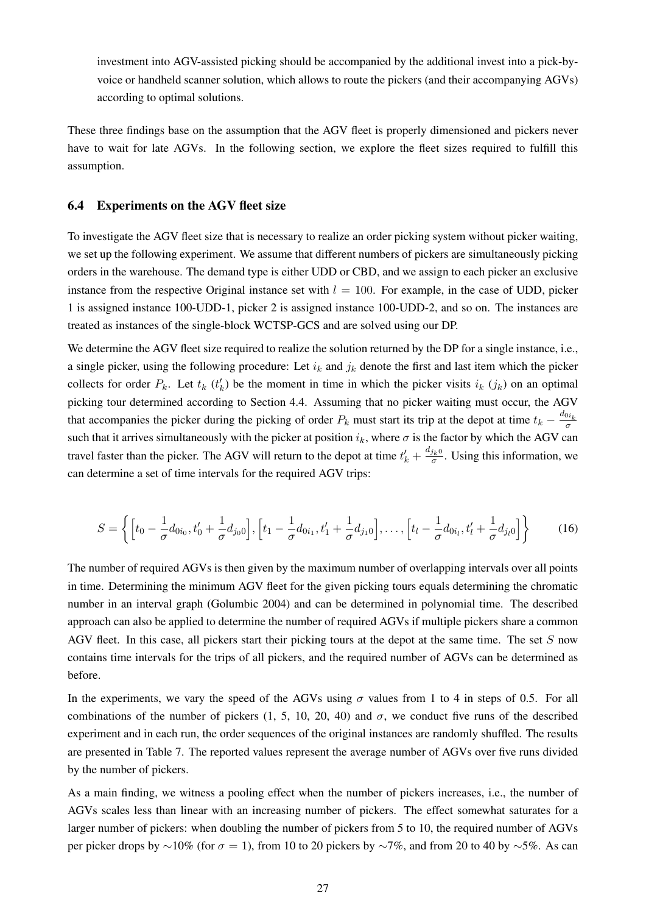investment into AGV-assisted picking should be accompanied by the additional invest into a pick-byvoice or handheld scanner solution, which allows to route the pickers (and their accompanying AGVs) according to optimal solutions.

These three findings base on the assumption that the AGV fleet is properly dimensioned and pickers never have to wait for late AGVs. In the following section, we explore the fleet sizes required to fulfill this assumption.

#### <span id="page-27-0"></span>6.4 Experiments on the AGV fleet size

To investigate the AGV fleet size that is necessary to realize an order picking system without picker waiting, we set up the following experiment. We assume that different numbers of pickers are simultaneously picking orders in the warehouse. The demand type is either UDD or CBD, and we assign to each picker an exclusive instance from the respective Original instance set with  $l = 100$ . For example, in the case of UDD, picker 1 is assigned instance 100-UDD-1, picker 2 is assigned instance 100-UDD-2, and so on. The instances are treated as instances of the single-block WCTSP-GCS and are solved using our DP.

We determine the AGV fleet size required to realize the solution returned by the DP for a single instance, i.e., a single picker, using the following procedure: Let  $i_k$  and  $j_k$  denote the first and last item which the picker collects for order  $P_k$ . Let  $t_k$  ( $t'_k$ ) be the moment in time in which the picker visits  $i_k$  ( $j_k$ ) on an optimal picking tour determined according to Section [4.4.](#page-15-0) Assuming that no picker waiting must occur, the AGV that accompanies the picker during the picking of order  $P_k$  must start its trip at the depot at time  $t_k - \frac{d_{0i_k}}{\sigma}$ such that it arrives simultaneously with the picker at position  $i_k$ , where  $\sigma$  is the factor by which the AGV can travel faster than the picker. The AGV will return to the depot at time  $t'_k + \frac{d_{j_k0}}{\sigma}$ . Using this information, we can determine a set of time intervals for the required AGV trips:

$$
S = \left\{ \left[ t_0 - \frac{1}{\sigma} d_{0i_0}, t'_0 + \frac{1}{\sigma} d_{j_0 0} \right], \left[ t_1 - \frac{1}{\sigma} d_{0i_1}, t'_1 + \frac{1}{\sigma} d_{j_1 0} \right], \dots, \left[ t_l - \frac{1}{\sigma} d_{0i_l}, t'_l + \frac{1}{\sigma} d_{j_l 0} \right] \right\}
$$
(16)

The number of required AGVs is then given by the maximum number of overlapping intervals over all points in time. Determining the minimum AGV fleet for the given picking tours equals determining the chromatic number in an interval graph [\(Golumbic](#page-30-19) [2004\)](#page-30-19) and can be determined in polynomial time. The described approach can also be applied to determine the number of required AGVs if multiple pickers share a common AGV fleet. In this case, all pickers start their picking tours at the depot at the same time. The set  $S$  now contains time intervals for the trips of all pickers, and the required number of AGVs can be determined as before.

In the experiments, we vary the speed of the AGVs using  $\sigma$  values from 1 to 4 in steps of 0.5. For all combinations of the number of pickers (1, 5, 10, 20, 40) and  $\sigma$ , we conduct five runs of the described experiment and in each run, the order sequences of the original instances are randomly shuffled. The results are presented in Table [7.](#page-28-1) The reported values represent the average number of AGVs over five runs divided by the number of pickers.

As a main finding, we witness a pooling effect when the number of pickers increases, i.e., the number of AGVs scales less than linear with an increasing number of pickers. The effect somewhat saturates for a larger number of pickers: when doubling the number of pickers from 5 to 10, the required number of AGVs per picker drops by ∼10% (for  $\sigma = 1$ ), from 10 to 20 pickers by ∼7%, and from 20 to 40 by ∼5%. As can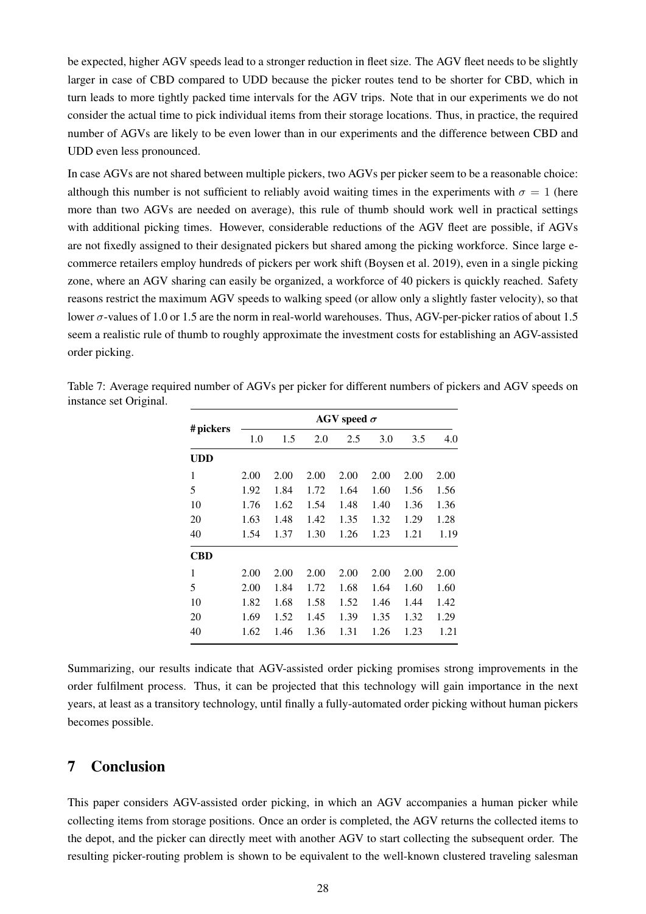be expected, higher AGV speeds lead to a stronger reduction in fleet size. The AGV fleet needs to be slightly larger in case of CBD compared to UDD because the picker routes tend to be shorter for CBD, which in turn leads to more tightly packed time intervals for the AGV trips. Note that in our experiments we do not consider the actual time to pick individual items from their storage locations. Thus, in practice, the required number of AGVs are likely to be even lower than in our experiments and the difference between CBD and UDD even less pronounced.

In case AGVs are not shared between multiple pickers, two AGVs per picker seem to be a reasonable choice: although this number is not sufficient to reliably avoid waiting times in the experiments with  $\sigma = 1$  (here more than two AGVs are needed on average), this rule of thumb should work well in practical settings with additional picking times. However, considerable reductions of the AGV fleet are possible, if AGVs are not fixedly assigned to their designated pickers but shared among the picking workforce. Since large ecommerce retailers employ hundreds of pickers per work shift [\(Boysen et al.](#page-30-3) [2019\)](#page-30-3), even in a single picking zone, where an AGV sharing can easily be organized, a workforce of 40 pickers is quickly reached. Safety reasons restrict the maximum AGV speeds to walking speed (or allow only a slightly faster velocity), so that lower σ-values of 1.0 or 1.5 are the norm in real-world warehouses. Thus, AGV-per-picker ratios of about 1.5 seem a realistic rule of thumb to roughly approximate the investment costs for establishing an AGV-assisted order picking.

|            |      |      |      | AGV speed $\sigma$ |      |      |      |
|------------|------|------|------|--------------------|------|------|------|
| # pickers  | 1.0  | 1.5  | 2.0  | 2.5                | 3.0  | 3.5  | 4.0  |
| <b>UDD</b> |      |      |      |                    |      |      |      |
| 1          | 2.00 | 2.00 | 2.00 | 2.00               | 2.00 | 2.00 | 2.00 |
| 5          | 1.92 | 1.84 | 1.72 | 1.64               | 1.60 | 1.56 | 1.56 |
| 10         | 1.76 | 1.62 | 1.54 | 1.48               | 1.40 | 1.36 | 1.36 |
| 20         | 1.63 | 1.48 | 1.42 | 1.35               | 1.32 | 1.29 | 1.28 |
| 40         | 1.54 | 1.37 | 1.30 | 1.26               | 1.23 | 1.21 | 1.19 |
| <b>CBD</b> |      |      |      |                    |      |      |      |
| 1          | 2.00 | 2.00 | 2.00 | 2.00               | 2.00 | 2.00 | 2.00 |
| 5          | 2.00 | 1.84 | 1.72 | 1.68               | 1.64 | 1.60 | 1.60 |
| 10         | 1.82 | 1.68 | 1.58 | 1.52               | 1.46 | 1.44 | 1.42 |
| 20         | 1.69 | 1.52 | 1.45 | 1.39               | 1.35 | 1.32 | 1.29 |
| 40         | 1.62 | 1.46 | 1.36 | 1.31               | 1.26 | 1.23 | 1.21 |

<span id="page-28-1"></span>Table 7: Average required number of AGVs per picker for different numbers of pickers and AGV speeds on instance set Original.

Summarizing, our results indicate that AGV-assisted order picking promises strong improvements in the order fulfilment process. Thus, it can be projected that this technology will gain importance in the next years, at least as a transitory technology, until finally a fully-automated order picking without human pickers becomes possible.

# <span id="page-28-0"></span>7 Conclusion

This paper considers AGV-assisted order picking, in which an AGV accompanies a human picker while collecting items from storage positions. Once an order is completed, the AGV returns the collected items to the depot, and the picker can directly meet with another AGV to start collecting the subsequent order. The resulting picker-routing problem is shown to be equivalent to the well-known clustered traveling salesman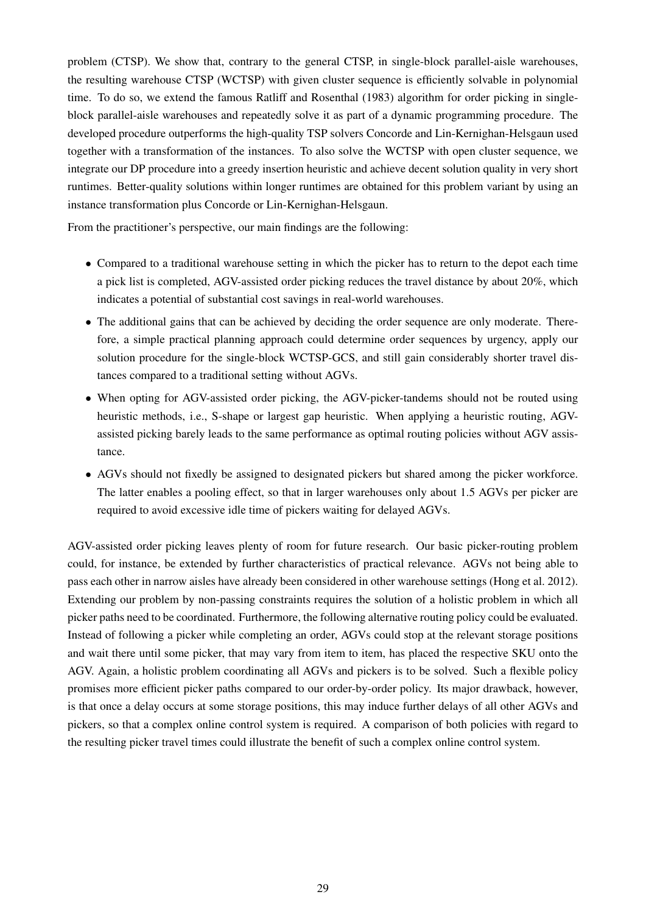problem (CTSP). We show that, contrary to the general CTSP, in single-block parallel-aisle warehouses, the resulting warehouse CTSP (WCTSP) with given cluster sequence is efficiently solvable in polynomial time. To do so, we extend the famous [Ratliff and Rosenthal](#page-31-3) [\(1983\)](#page-31-3) algorithm for order picking in singleblock parallel-aisle warehouses and repeatedly solve it as part of a dynamic programming procedure. The developed procedure outperforms the high-quality TSP solvers Concorde and Lin-Kernighan-Helsgaun used together with a transformation of the instances. To also solve the WCTSP with open cluster sequence, we integrate our DP procedure into a greedy insertion heuristic and achieve decent solution quality in very short runtimes. Better-quality solutions within longer runtimes are obtained for this problem variant by using an instance transformation plus Concorde or Lin-Kernighan-Helsgaun.

From the practitioner's perspective, our main findings are the following:

- Compared to a traditional warehouse setting in which the picker has to return to the depot each time a pick list is completed, AGV-assisted order picking reduces the travel distance by about 20%, which indicates a potential of substantial cost savings in real-world warehouses.
- The additional gains that can be achieved by deciding the order sequence are only moderate. Therefore, a simple practical planning approach could determine order sequences by urgency, apply our solution procedure for the single-block WCTSP-GCS, and still gain considerably shorter travel distances compared to a traditional setting without AGVs.
- When opting for AGV-assisted order picking, the AGV-picker-tandems should not be routed using heuristic methods, i.e., S-shape or largest gap heuristic. When applying a heuristic routing, AGVassisted picking barely leads to the same performance as optimal routing policies without AGV assistance.
- AGVs should not fixedly be assigned to designated pickers but shared among the picker workforce. The latter enables a pooling effect, so that in larger warehouses only about 1.5 AGVs per picker are required to avoid excessive idle time of pickers waiting for delayed AGVs.

AGV-assisted order picking leaves plenty of room for future research. Our basic picker-routing problem could, for instance, be extended by further characteristics of practical relevance. AGVs not being able to pass each other in narrow aisles have already been considered in other warehouse settings [\(Hong et al.](#page-30-20) [2012\)](#page-30-20). Extending our problem by non-passing constraints requires the solution of a holistic problem in which all picker paths need to be coordinated. Furthermore, the following alternative routing policy could be evaluated. Instead of following a picker while completing an order, AGVs could stop at the relevant storage positions and wait there until some picker, that may vary from item to item, has placed the respective SKU onto the AGV. Again, a holistic problem coordinating all AGVs and pickers is to be solved. Such a flexible policy promises more efficient picker paths compared to our order-by-order policy. Its major drawback, however, is that once a delay occurs at some storage positions, this may induce further delays of all other AGVs and pickers, so that a complex online control system is required. A comparison of both policies with regard to the resulting picker travel times could illustrate the benefit of such a complex online control system.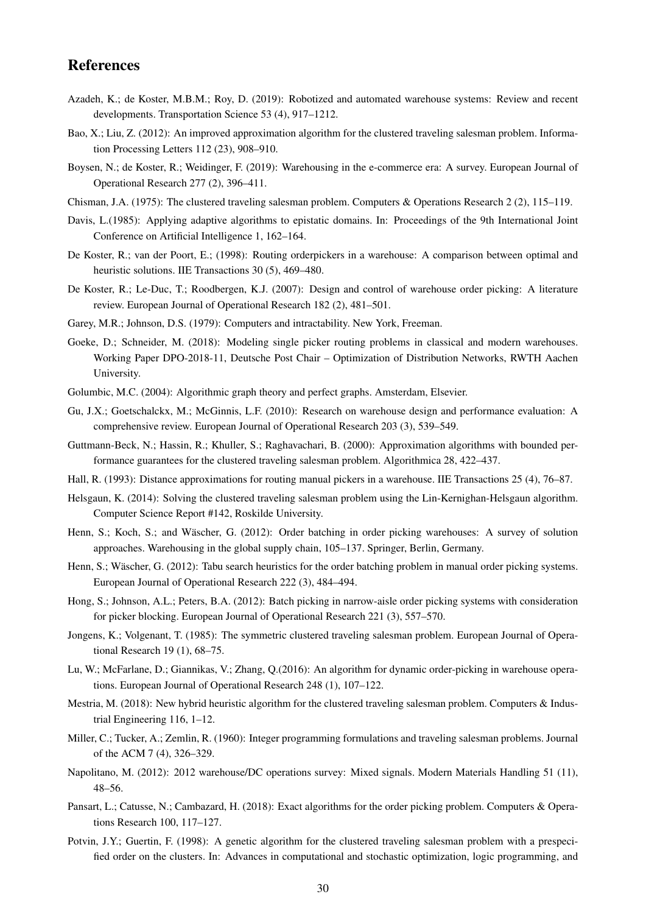# References

- <span id="page-30-2"></span>Azadeh, K.; de Koster, M.B.M.; Roy, D. (2019): Robotized and automated warehouse systems: Review and recent developments. Transportation Science 53 (4), 917–1212.
- <span id="page-30-11"></span>Bao, X.; Liu, Z. (2012): An improved approximation algorithm for the clustered traveling salesman problem. Information Processing Letters 112 (23), 908–910.
- <span id="page-30-3"></span>Boysen, N.; de Koster, R.; Weidinger, F. (2019): Warehousing in the e-commerce era: A survey. European Journal of Operational Research 277 (2), 396–411.
- <span id="page-30-8"></span>Chisman, J.A. (1975): The clustered traveling salesman problem. Computers & Operations Research 2 (2), 115–119.
- Davis, L.(1985): Applying adaptive algorithms to epistatic domains. In: Proceedings of the 9th International Joint Conference on Artificial Intelligence 1, 162–164.
- <span id="page-30-7"></span>De Koster, R.; van der Poort, E.; (1998): Routing orderpickers in a warehouse: A comparison between optimal and heuristic solutions. IIE Transactions 30 (5), 469-480.
- <span id="page-30-1"></span>De Koster, R.; Le-Duc, T.; Roodbergen, K.J. (2007): Design and control of warehouse order picking: A literature review. European Journal of Operational Research 182 (2), 481–501.
- <span id="page-30-17"></span>Garey, M.R.; Johnson, D.S. (1979): Computers and intractability. New York, Freeman.
- <span id="page-30-19"></span>Goeke, D.; Schneider, M. (2018): Modeling single picker routing problems in classical and modern warehouses. Working Paper DPO-2018-11, Deutsche Post Chair – Optimization of Distribution Networks, RWTH Aachen University.
- <span id="page-30-6"></span>Golumbic, M.C. (2004): Algorithmic graph theory and perfect graphs. Amsterdam, Elsevier.
- Gu, J.X.; Goetschalckx, M.; McGinnis, L.F. (2010): Research on warehouse design and performance evaluation: A comprehensive review. European Journal of Operational Research 203 (3), 539–549.
- <span id="page-30-10"></span>Guttmann-Beck, N.; Hassin, R.; Khuller, S.; Raghavachari, B. (2000): Approximation algorithms with bounded performance guarantees for the clustered traveling salesman problem. Algorithmica 28, 422–437.
- <span id="page-30-16"></span>Hall, R. (1993): Distance approximations for routing manual pickers in a warehouse. IIE Transactions 25 (4), 76–87.
- <span id="page-30-15"></span>Helsgaun, K. (2014): Solving the clustered traveling salesman problem using the Lin-Kernighan-Helsgaun algorithm. Computer Science Report #142, Roskilde University.
- <span id="page-30-4"></span>Henn, S.; Koch, S.; and Wäscher, G. (2012): Order batching in order picking warehouses: A survey of solution approaches. Warehousing in the global supply chain, 105–137. Springer, Berlin, Germany.
- <span id="page-30-18"></span>Henn, S.; Wäscher, G. (2012): Tabu search heuristics for the order batching problem in manual order picking systems. European Journal of Operational Research 222 (3), 484–494.
- <span id="page-30-20"></span>Hong, S.; Johnson, A.L.; Peters, B.A. (2012): Batch picking in narrow-aisle order picking systems with consideration for picker blocking. European Journal of Operational Research 221 (3), 557–570.
- <span id="page-30-9"></span>Jongens, K.; Volgenant, T. (1985): The symmetric clustered traveling salesman problem. European Journal of Operational Research 19 (1), 68–75.
- Lu, W.; McFarlane, D.; Giannikas, V.; Zhang, Q.(2016): An algorithm for dynamic order-picking in warehouse operations. European Journal of Operational Research 248 (1), 107–122.
- <span id="page-30-12"></span>Mestria, M. (2018): New hybrid heuristic algorithm for the clustered traveling salesman problem. Computers & Industrial Engineering 116, 1–12.
- <span id="page-30-14"></span>Miller, C.; Tucker, A.; Zemlin, R. (1960): Integer programming formulations and traveling salesman problems. Journal of the ACM 7 (4), 326–329.
- <span id="page-30-0"></span>Napolitano, M. (2012): 2012 warehouse/DC operations survey: Mixed signals. Modern Materials Handling 51 (11), 48–56.
- <span id="page-30-5"></span>Pansart, L.; Catusse, N.; Cambazard, H. (2018): Exact algorithms for the order picking problem. Computers & Operations Research 100, 117–127.
- <span id="page-30-13"></span>Potvin, J.Y.; Guertin, F. (1998): A genetic algorithm for the clustered traveling salesman problem with a prespecified order on the clusters. In: Advances in computational and stochastic optimization, logic programming, and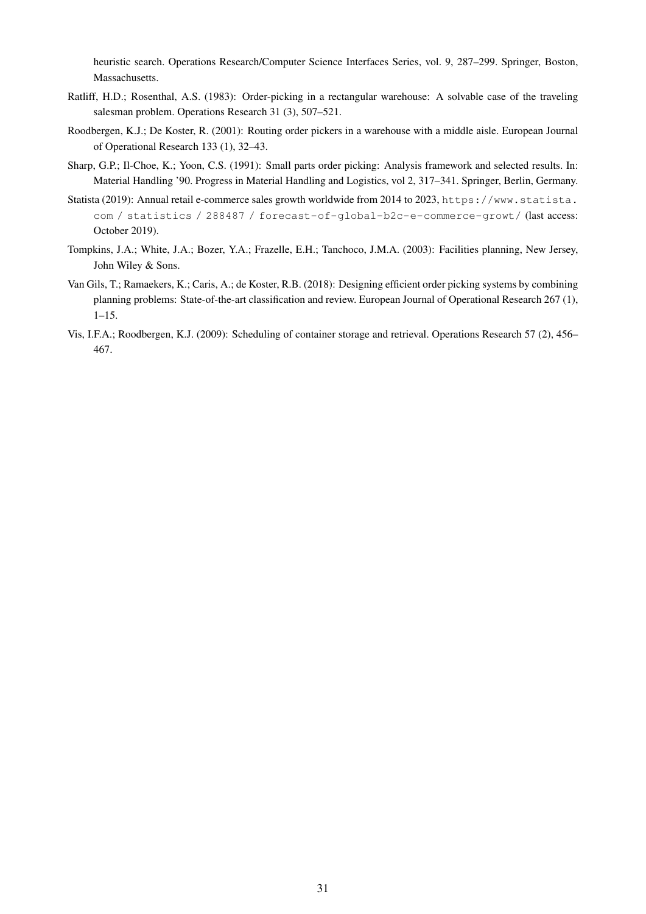heuristic search. Operations Research/Computer Science Interfaces Series, vol. 9, 287–299. Springer, Boston, Massachusetts.

- <span id="page-31-3"></span>Ratliff, H.D.; Rosenthal, A.S. (1983): Order-picking in a rectangular warehouse: A solvable case of the traveling salesman problem. Operations Research 31 (3), 507–521.
- <span id="page-31-4"></span>Roodbergen, K.J.; De Koster, R. (2001): Routing order pickers in a warehouse with a middle aisle. European Journal of Operational Research 133 (1), 32–43.
- <span id="page-31-6"></span>Sharp, G.P.; Il-Choe, K.; Yoon, C.S. (1991): Small parts order picking: Analysis framework and selected results. In: Material Handling '90. Progress in Material Handling and Logistics, vol 2, 317–341. Springer, Berlin, Germany.
- <span id="page-31-1"></span>Statista (2019): Annual retail e-commerce sales growth worldwide from 2014 to 2023, [https://www.statista.](https://www.statista.com/statistics/288487/forecast-of-global-b2c-e-commerce-growt/) [com / statistics / 288487 / forecast-of-global-b2c-e-commerce-growt/](https://www.statista.com/statistics/288487/forecast-of-global-b2c-e-commerce-growt/) (last access: October 2019).
- <span id="page-31-0"></span>Tompkins, J.A.; White, J.A.; Bozer, Y.A.; Frazelle, E.H.; Tanchoco, J.M.A. (2003): Facilities planning, New Jersey, John Wiley & Sons.
- <span id="page-31-2"></span>Van Gils, T.; Ramaekers, K.; Caris, A.; de Koster, R.B. (2018): Designing efficient order picking systems by combining planning problems: State-of-the-art classification and review. European Journal of Operational Research 267 (1), 1–15.
- <span id="page-31-5"></span>Vis, I.F.A.; Roodbergen, K.J. (2009): Scheduling of container storage and retrieval. Operations Research 57 (2), 456– 467.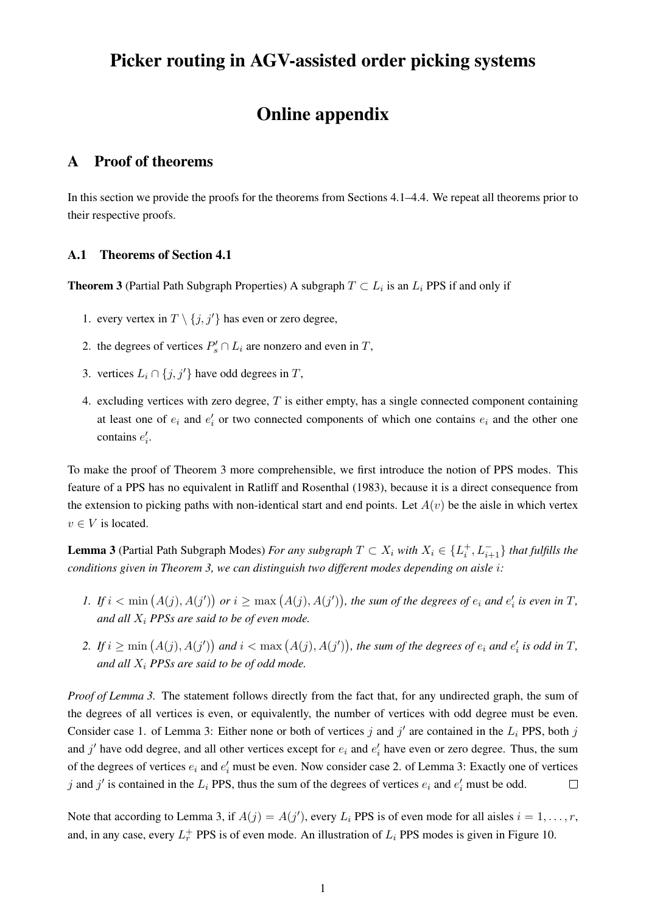# Picker routing in AGV-assisted order picking systems

# Online appendix

# <span id="page-32-0"></span>A Proof of theorems

In this section we provide the proofs for the theorems from Sections [4.1–](#page-9-0)[4.4.](#page-15-0) We repeat all theorems prior to their respective proofs.

### A.1 Theorems of Section [4.1](#page-9-0)

**Theorem [3](#page-10-1)** (Partial Path Subgraph Properties) A subgraph  $T \subset L_i$  is an  $L_i$  PPS if and only if

- 1. every vertex in  $T \setminus \{j, j'\}$  has even or zero degree,
- 2. the degrees of vertices  $P'_s \cap L_i$  are nonzero and even in T,
- 3. vertices  $L_i \cap \{j, j'\}$  have odd degrees in T,
- 4. excluding vertices with zero degree,  $T$  is either empty, has a single connected component containing at least one of  $e_i$  and  $e'_i$  or two connected components of which one contains  $e_i$  and the other one contains  $e'_i$ .

To make the proof of Theorem [3](#page-10-1) more comprehensible, we first introduce the notion of PPS modes. This feature of a PPS has no equivalent in [Ratliff and Rosenthal](#page-31-3) [\(1983\)](#page-31-3), because it is a direct consequence from the extension to picking paths with non-identical start and end points. Let  $A(v)$  be the aisle in which vertex  $v \in V$  is located.

<span id="page-32-1"></span>**Lemma 3** (Partial Path Subgraph Modes) *For any subgraph*  $T \subset X_i$  *with*  $X_i \in \{L_i^+, L_{i+1}^-\}$  *that fulfills the conditions given in Theorem [3,](#page-10-1) we can distinguish two different modes depending on aisle* i*:*

- <span id="page-32-2"></span>*I.* If  $i < \min(A(j), A(j'))$  or  $i \ge \max(A(j), A(j'))$ , the sum of the degrees of  $e_i$  and  $e'_i$  is even in T, *and all* X<sup>i</sup> *PPSs are said to be of even mode.*
- <span id="page-32-3"></span>2. If  $i \ge \min(A(j), A(j'))$  and  $i < \max(A(j), A(j'))$ , the sum of the degrees of  $e_i$  and  $e'_i$  is odd in T, *and all* X<sup>i</sup> *PPSs are said to be of odd mode.*

*Proof of Lemma [3.](#page-32-1)* The statement follows directly from the fact that, for any undirected graph, the sum of the degrees of all vertices is even, or equivalently, the number of vertices with odd degree must be even. Consider case [1.](#page-32-2) of Lemma [3:](#page-32-1) Either none or both of vertices j and j' are contained in the  $L_i$  PPS, both j and  $j'$  have odd degree, and all other vertices except for  $e_i$  and  $e'_i$  have even or zero degree. Thus, the sum of the degrees of vertices  $e_i$  and  $e'_i$  must be even. Now consider case [2.](#page-32-3) of Lemma [3:](#page-32-1) Exactly one of vertices j and j' is contained in the  $L_i$  PPS, thus the sum of the degrees of vertices  $e_i$  and  $e'_i$  must be odd.  $\Box$ 

Note that according to Lemma [3,](#page-32-1) if  $A(j) = A(j')$ , every  $L_i$  PPS is of even mode for all aisles  $i = 1, ..., r$ , and, in any case, every  $L_r^+$  PPS is of even mode. An illustration of  $L_i$  PPS modes is given in Figure [10.](#page-33-0)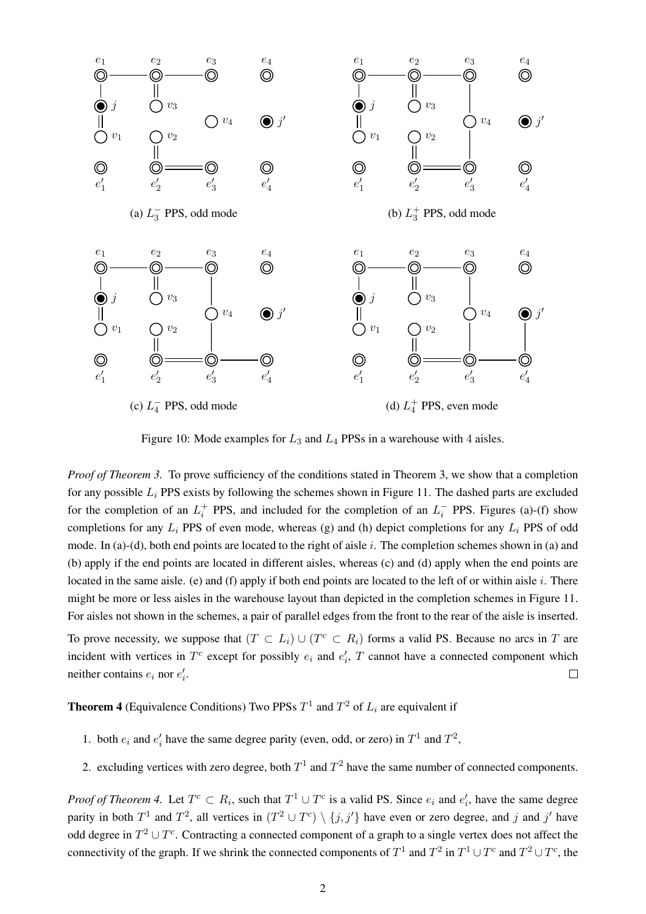

<span id="page-33-0"></span>Figure 10: Mode examples for  $L_3$  and  $L_4$  PPSs in a warehouse with 4 aisles.

*Proof of Theorem [3.](#page-10-1)* To prove sufficiency of the conditions stated in Theorem [3,](#page-10-1) we show that a completion for any possible  $L_i$  PPS exists by following the schemes shown in Figure [11.](#page-34-0) The dashed parts are excluded for the completion of an  $L_i^+$  PPS, and included for the completion of an  $L_i^-$  PPS. Figures (a)-(f) show completions for any  $L_i$  PPS of even mode, whereas (g) and (h) depict completions for any  $L_i$  PPS of odd mode. In (a)-(d), both end points are located to the right of aisle i. The completion schemes shown in (a) and (b) apply if the end points are located in different aisles, whereas (c) and (d) apply when the end points are located in the same aisle. (e) and (f) apply if both end points are located to the left of or within aisle  $i$ . There might be more or less aisles in the warehouse layout than depicted in the completion schemes in Figure [11.](#page-34-0) For aisles not shown in the schemes, a pair of parallel edges from the front to the rear of the aisle is inserted.

To prove necessity, we suppose that  $(T \subset L_i) \cup (T^c \subset R_i)$  forms a valid PS. Because no arcs in T are incident with vertices in  $T^c$  except for possibly  $e_i$  and  $e'_i$ , T cannot have a connected component which neither contains  $e_i$  nor  $e'_i$ .  $\Box$ 

**Theorem [4](#page-11-2)** (Equivalence Conditions) Two PPSs  $T^1$  and  $T^2$  of  $L_i$  are equivalent if

- 1. both  $e_i$  and  $e'_i$  have the same degree parity (even, odd, or zero) in  $T^1$  and  $T^2$ ,
- 2. excluding vertices with zero degree, both  $T^1$  and  $T^2$  have the same number of connected components.

*Proof of Theorem [4.](#page-11-2)* Let  $T^c \subset R_i$ , such that  $T^1 \cup T^c$  is a valid PS. Since  $e_i$  and  $e'_i$ , have the same degree parity in both  $T^1$  and  $T^2$ , all vertices in  $(T^2 \cup T^c) \setminus \{j, j'\}$  have even or zero degree, and j and j' have odd degree in  $T^2 \cup T^c$ . Contracting a connected component of a graph to a single vertex does not affect the connectivity of the graph. If we shrink the connected components of  $T^1$  and  $T^2$  in  $T^1 \cup T^c$  and  $T^2 \cup T^c$ , the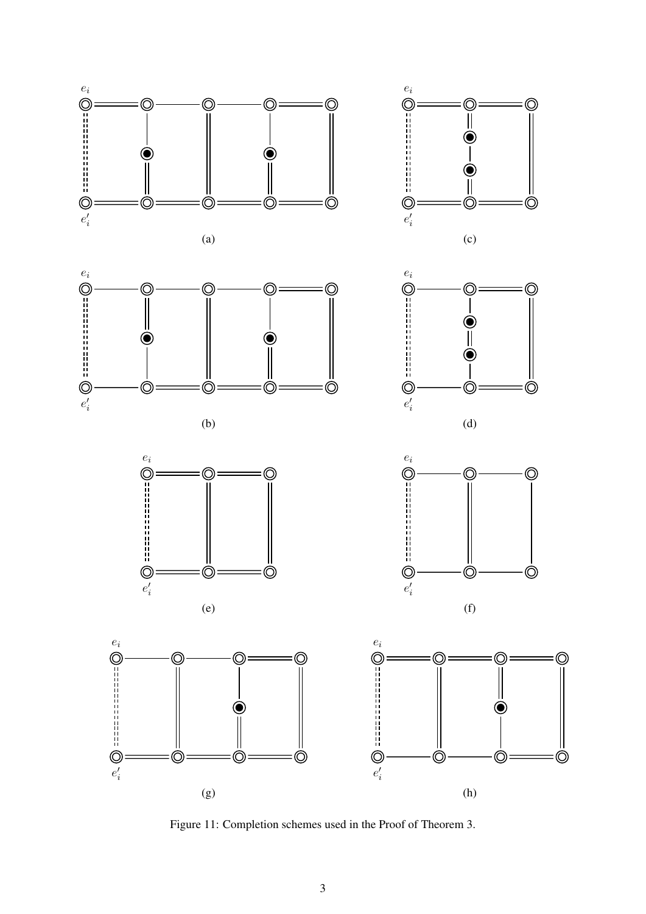

<span id="page-34-0"></span>Figure 11: Completion schemes used in the Proof of Theorem [3.](#page-10-1)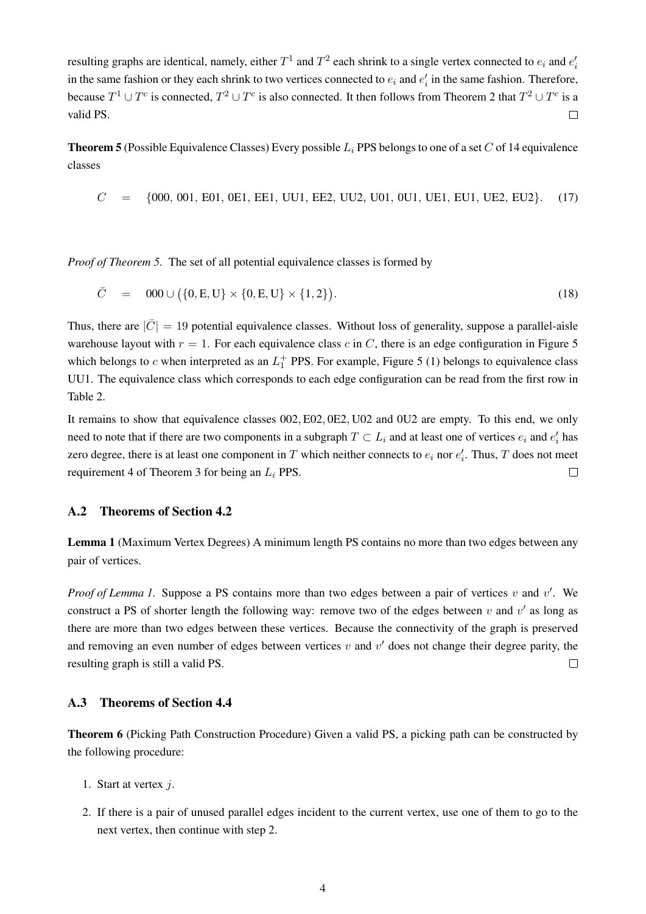resulting graphs are identical, namely, either  $T^1$  and  $T^2$  each shrink to a single vertex connected to  $e_i$  and  $e_i'$ in the same fashion or they each shrink to two vertices connected to  $e_i$  and  $e'_i$  in the same fashion. Therefore, because  $T^1 \cup T^c$  is connected,  $T^2 \cup T^c$  $T^2 \cup T^c$  $T^2 \cup T^c$  is also connected. It then follows from Theorem 2 that  $T^2 \cup T^c$  is a valid PS.  $\Box$ 

**Theorem [5](#page-11-3)** (Possible Equivalence Classes) Every possible  $L_i$  PPS belongs to one of a set C of 14 equivalence classes

 $C = \{000, 001, E01, 0E1, EE1, UU1, EE2, UU2, U01, 0U1, UE1, EU1, UE2, EU2\}.$  (17)

*Proof of Theorem [5.](#page-11-3)* The set of all potential equivalence classes is formed by

$$
\bar{C} = 000 \cup (\{0, E, U\} \times \{0, E, U\} \times \{1, 2\}).
$$
\n(18)

Thus, there are  $|\bar{C}| = 19$  potential equivalence classes. Without loss of generality, suppose a parallel-aisle warehouse layout with  $r = 1$ . For each equivalence class c in C, there is an edge configuration in Figure [5](#page-13-0) which belongs to c when interpreted as an  $L_1^+$  PPS. For example, Figure [5](#page-13-0) (1) belongs to equivalence class UU1. The equivalence class which corresponds to each edge configuration can be read from the first row in Table [2.](#page-13-1)

It remains to show that equivalence classes 002, E02, 0E2, U02 and 0U2 are empty. To this end, we only need to note that if there are two components in a subgraph  $T \subset L_i$  and at least one of vertices  $e_i$  and  $e'_i$  has zero degree, there is at least one component in T which neither connects to  $e_i$  nor  $e'_i$ . Thus, T does not meet requirement [4](#page-10-2) of Theorem [3](#page-10-1) for being an  $L_i$  PPS.  $\Box$ 

#### A.2 Theorems of Section [4.2](#page-11-0)

Lemma [1](#page-12-1) (Maximum Vertex Degrees) A minimum length PS contains no more than two edges between any pair of vertices.

*Proof of Lemma [1.](#page-12-1)* Suppose a PS contains more than two edges between a pair of vertices  $v$  and  $v'$ . We construct a PS of shorter length the following way: remove two of the edges between v and  $v'$  as long as there are more than two edges between these vertices. Because the connectivity of the graph is preserved and removing an even number of edges between vertices  $v$  and  $v'$  does not change their degree parity, the resulting graph is still a valid PS.  $\Box$ 

#### A.3 Theorems of Section [4.4](#page-15-0)

Theorem [6](#page-17-3) (Picking Path Construction Procedure) Given a valid PS, a picking path can be constructed by the following procedure:

- 1. Start at vertex j.
- 2. If there is a pair of unused parallel edges incident to the current vertex, use one of them to go to the next vertex, then continue with step [2.](#page-17-2)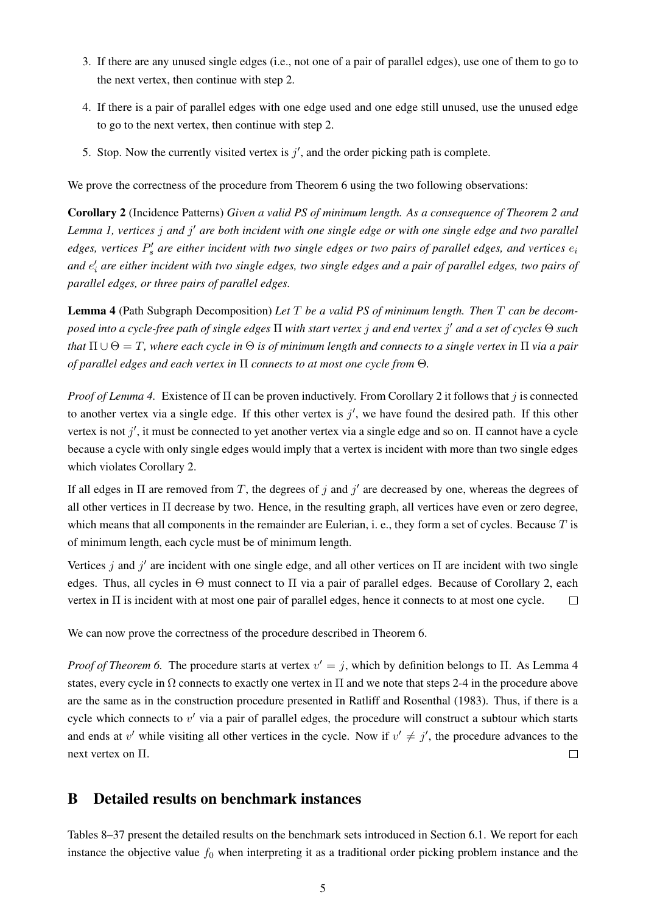- 3. If there are any unused single edges (i.e., not one of a pair of parallel edges), use one of them to go to the next vertex, then continue with step [2.](#page-17-2)
- 4. If there is a pair of parallel edges with one edge used and one edge still unused, use the unused edge to go to the next vertex, then continue with step [2.](#page-17-2)
- 5. Stop. Now the currently visited vertex is  $j'$ , and the order picking path is complete.

We prove the correctness of the procedure from Theorem [6](#page-17-3) using the two following observations:

<span id="page-36-2"></span>Corollary 2 (Incidence Patterns) *Given a valid PS of minimum length. As a consequence of Theorem [2](#page-10-0) and* Lemma [1,](#page-12-1) vertices j and j' are both incident with one single edge or with one single edge and two parallel  $edges,$  vertices  $P'_s$  are either incident with two single edges or two pairs of parallel edges, and vertices  $e_i$ and  $e'_i$  are either incident with two single edges, two single edges and a pair of parallel edges, two pairs of *parallel edges, or three pairs of parallel edges.*

<span id="page-36-1"></span>Lemma 4 (Path Subgraph Decomposition) *Let* T *be a valid PS of minimum length. Then* T *can be decomposed into a cycle-free path of single edges* Π *with start vertex* j *and end vertex* j <sup>0</sup> *and a set of cycles* Θ *such that*  $\Pi \cup \Theta = T$ *, where each cycle in*  $\Theta$  *is of minimum length and connects to a single vertex in*  $\Pi$  *via a pair of parallel edges and each vertex in* Π *connects to at most one cycle from* Θ*.*

*Proof of Lemma [4.](#page-36-1)* Existence of Π can be proven inductively. From Corollary [2](#page-36-2) it follows that *j* is connected to another vertex via a single edge. If this other vertex is  $j'$ , we have found the desired path. If this other vertex is not  $j'$ , it must be connected to yet another vertex via a single edge and so on. II cannot have a cycle because a cycle with only single edges would imply that a vertex is incident with more than two single edges which violates Corollary [2.](#page-36-2)

If all edges in  $\Pi$  are removed from T, the degrees of j and j' are decreased by one, whereas the degrees of all other vertices in Π decrease by two. Hence, in the resulting graph, all vertices have even or zero degree, which means that all components in the remainder are Eulerian, i. e., they form a set of cycles. Because  $T$  is of minimum length, each cycle must be of minimum length.

Vertices j and j' are incident with one single edge, and all other vertices on  $\Pi$  are incident with two single edges. Thus, all cycles in  $\Theta$  must connect to  $\Pi$  via a pair of parallel edges. Because of Corollary [2,](#page-36-2) each vertex in Π is incident with at most one pair of parallel edges, hence it connects to at most one cycle.  $\Box$ 

We can now prove the correctness of the procedure described in Theorem [6.](#page-17-3)

*Proof of Theorem* [6.](#page-17-3) The procedure starts at vertex  $v' = j$ , which by definition belongs to  $\Pi$ . As Lemma [4](#page-36-1) states, every cycle in  $\Omega$  connects to exactly one vertex in  $\Pi$  and we note that steps [2](#page-17-2)[-4](#page-17-4) in the procedure above are the same as in the construction procedure presented in [Ratliff and Rosenthal](#page-31-3) [\(1983\)](#page-31-3). Thus, if there is a cycle which connects to  $v'$  via a pair of parallel edges, the procedure will construct a subtour which starts and ends at  $v'$  while visiting all other vertices in the cycle. Now if  $v' \neq j'$ , the procedure advances to the next vertex on Π.  $\Box$ 

## <span id="page-36-0"></span>B Detailed results on benchmark instances

Tables [8–](#page-38-0)[37](#page-67-0) present the detailed results on the benchmark sets introduced in Section [6.1.](#page-21-0) We report for each instance the objective value  $f_0$  when interpreting it as a traditional order picking problem instance and the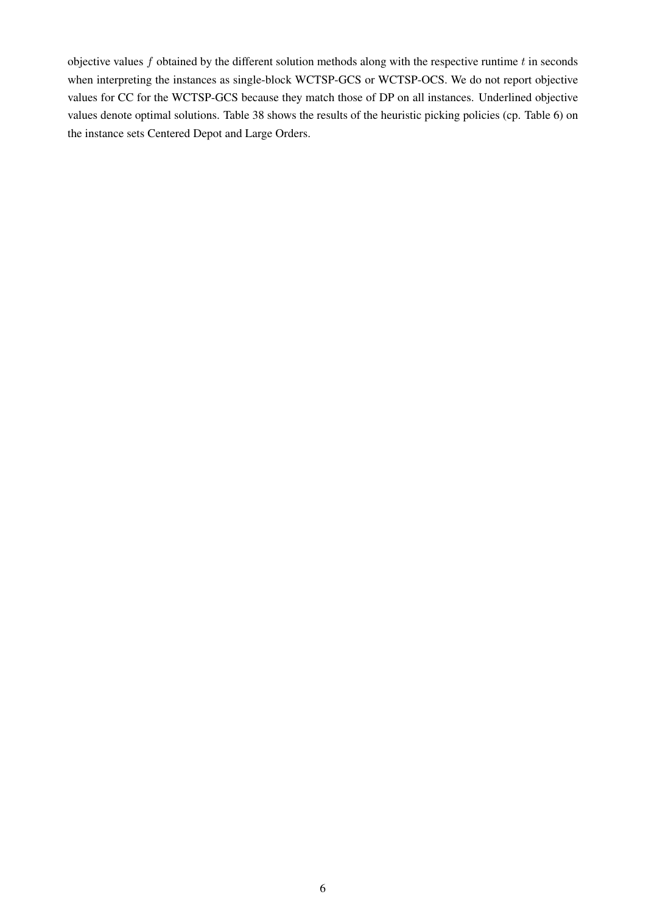objective values  $f$  obtained by the different solution methods along with the respective runtime  $t$  in seconds when interpreting the instances as single-block WCTSP-GCS or WCTSP-OCS. We do not report objective values for CC for the WCTSP-GCS because they match those of DP on all instances. Underlined objective values denote optimal solutions. Table [38](#page-68-0) shows the results of the heuristic picking policies (cp. Table [6\)](#page-26-0) on the instance sets Centered Depot and Large Orders.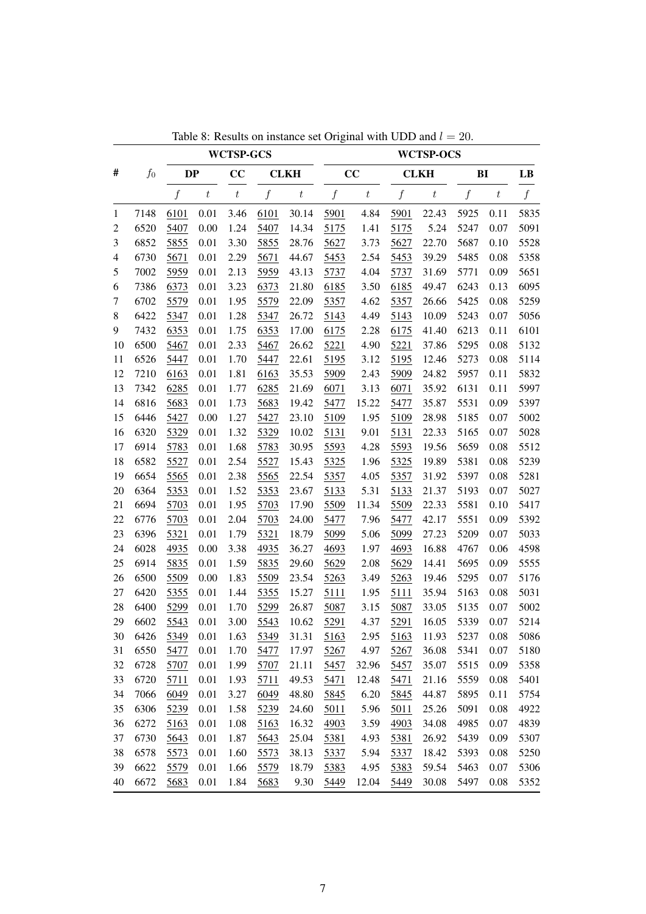<span id="page-38-0"></span>

|                |       |                  |                  | <b>WCTSP-GCS</b> |                  |                  |                  |                  |                  | <b>WCTSP-OCS</b> |                  |                  |                  |
|----------------|-------|------------------|------------------|------------------|------------------|------------------|------------------|------------------|------------------|------------------|------------------|------------------|------------------|
| #              | $f_0$ | <b>DP</b>        |                  | CC               |                  | <b>CLKH</b>      |                  | cc               |                  | <b>CLKH</b>      | BI               |                  | LB               |
|                |       | $\boldsymbol{f}$ | $\boldsymbol{t}$ | $\boldsymbol{t}$ | $\boldsymbol{f}$ | $\boldsymbol{t}$ | $\boldsymbol{f}$ | $\boldsymbol{t}$ | $\boldsymbol{f}$ | $\boldsymbol{t}$ | $\boldsymbol{f}$ | $\boldsymbol{t}$ | $\boldsymbol{f}$ |
| 1              | 7148  | 6101             | 0.01             | 3.46             | 6101             | 30.14            | 5901             | 4.84             | 5901             | 22.43            | 5925             | 0.11             | 5835             |
| $\overline{c}$ | 6520  | 5407             | 0.00             | 1.24             | 5407             | 14.34            | 5175             | 1.41             | 5175             | 5.24             | 5247             | 0.07             | 5091             |
| 3              | 6852  | 5855             | 0.01             | 3.30             | 5855             | 28.76            | 5627             | 3.73             | 5627             | 22.70            | 5687             | 0.10             | 5528             |
| $\overline{4}$ | 6730  | 5671             | 0.01             | 2.29             | 5671             | 44.67            | 5453             | 2.54             | 5453             | 39.29            | 5485             | 0.08             | 5358             |
| 5              | 7002  | 5959             | 0.01             | 2.13             | 5959             | 43.13            | 5737             | 4.04             | 5737             | 31.69            | 5771             | 0.09             | 5651             |
| 6              | 7386  | 6373             | 0.01             | 3.23             | 6373             | 21.80            | 6185             | 3.50             | 6185             | 49.47            | 6243             | 0.13             | 6095             |
| 7              | 6702  | 5579             | $0.01\,$         | 1.95             | 5579             | 22.09            | 5357             | 4.62             | 5357             | 26.66            | 5425             | 0.08             | 5259             |
| 8              | 6422  | 5347             | 0.01             | 1.28             | 5347             | 26.72            | 5143             | 4.49             | 5143             | 10.09            | 5243             | 0.07             | 5056             |
| 9              | 7432  | 6353             | 0.01             | 1.75             | 6353             | 17.00            | 6175             | 2.28             | 6175             | 41.40            | 6213             | 0.11             | 6101             |
| 10             | 6500  | 5467             | 0.01             | 2.33             | 5467             | 26.62            | 5221             | 4.90             | 5221             | 37.86            | 5295             | 0.08             | 5132             |
| 11             | 6526  | 5447             | $0.01\,$         | 1.70             | 5447             | 22.61            | 5195             | 3.12             | 5195             | 12.46            | 5273             | 0.08             | 5114             |
| 12             | 7210  | 6163             | 0.01             | 1.81             | 6163             | 35.53            | 5909             | 2.43             | 5909             | 24.82            | 5957             | 0.11             | 5832             |
| 13             | 7342  | 6285             | 0.01             | 1.77             | 6285             | 21.69            | 6071             | 3.13             | 6071             | 35.92            | 6131             | 0.11             | 5997             |
| 14             | 6816  | 5683             | 0.01             | 1.73             | 5683             | 19.42            | 5477             | 15.22            | 5477             | 35.87            | 5531             | 0.09             | 5397             |
| 15             | 6446  | 5427             | $0.00\,$         | 1.27             | 5427             | 23.10            | 5109             | 1.95             | 5109             | 28.98            | 5185             | 0.07             | 5002             |
| 16             | 6320  | 5329             | 0.01             | 1.32             | 5329             | 10.02            | 5131             | 9.01             | 5131             | 22.33            | 5165             | 0.07             | 5028             |
| 17             | 6914  | 5783             | 0.01             | 1.68             | 5783             | 30.95            | 5593             | 4.28             | 5593             | 19.56            | 5659             | 0.08             | 5512             |
| 18             | 6582  | 5527             | 0.01             | 2.54             | 5527             | 15.43            | 5325             | 1.96             | 5325             | 19.89            | 5381             | 0.08             | 5239             |
| 19             | 6654  | 5565             | 0.01             | 2.38             | 5565             | 22.54            | 5357             | 4.05             | 5357             | 31.92            | 5397             | 0.08             | 5281             |
| 20             | 6364  | 5353             | 0.01             | 1.52             | 5353             | 23.67            | 5133             | 5.31             | 5133             | 21.37            | 5193             | 0.07             | 5027             |
| 21             | 6694  | 5703             | 0.01             | 1.95             | 5703             | 17.90            | 5509             | 11.34            | 5509             | 22.33            | 5581             | 0.10             | 5417             |
| 22             | 6776  | 5703             | 0.01             | 2.04             | 5703             | 24.00            | 5477             | 7.96             | 5477             | 42.17            | 5551             | 0.09             | 5392             |
| 23             | 6396  | 5321             | 0.01             | 1.79             | 5321             | 18.79            | 5099             | 5.06             | 5099             | 27.23            | 5209             | 0.07             | 5033             |
| 24             | 6028  | 4935             | $0.00\,$         | 3.38             | 4935             | 36.27            | 4693             | 1.97             | 4693             | 16.88            | 4767             | 0.06             | 4598             |
| 25             | 6914  | 5835             | 0.01             | 1.59             | 5835             | 29.60            | 5629             | 2.08             | 5629             | 14.41            | 5695             | 0.09             | 5555             |
| 26             | 6500  | 5509             | 0.00             | 1.83             | 5509             | 23.54            | 5263             | 3.49             | 5263             | 19.46            | 5295             | 0.07             | 5176             |
| $27\,$         | 6420  | 5355             | 0.01             | 1.44             | 5355             | 15.27            | 5111             | 1.95             | 5111             | 35.94            | 5163             | 0.08             | 5031             |
| 28             | 6400  | 5299             | 0.01             | 1.70             | 5299             | 26.87            | 5087             | 3.15             | 5087             | 33.05            | 5135             | 0.07             | 5002             |
| 29             | 6602  | 5543             | 0.01             | 3.00             | 5543             | 10.62            | 5291             | 4.37             | 5291             | 16.05            | 5339             | 0.07             | 5214             |
| 30             | 6426  | 5349             | 0.01             | 1.63             | 5349             | 31.31            | 5163             | 2.95             | 5163             | 11.93            | 5237             | $0.08\,$         | 5086             |
| 31             | 6550  | 5477             | 0.01             | 1.70             | 5477             | 17.97            | 5267             | 4.97             | 5267             | 36.08            | 5341             | 0.07             | 5180             |
| 32             | 6728  | 5707             | 0.01             | 1.99             | 5707             | 21.11            | 5457             | 32.96            | 5457             | 35.07            | 5515             | 0.09             | 5358             |
| 33             | 6720  | 5711             | 0.01             | 1.93             | 5711             | 49.53            | 5471             | 12.48            | 5471             | 21.16            | 5559             | 0.08             | 5401             |
| 34             | 7066  | 6049             | 0.01             | 3.27             | 6049             | 48.80            | 5845             | 6.20             | 5845             | 44.87            | 5895             | 0.11             | 5754             |
| 35             | 6306  | 5239             | 0.01             | 1.58             | 5239             | 24.60            | 5011             | 5.96             | 5011             | 25.26            | 5091             | 0.08             | 4922             |
| 36             | 6272  | 5163             | 0.01             | 1.08             | 5163             | 16.32            | 4903             | 3.59             | 4903             | 34.08            | 4985             | 0.07             | 4839             |
| 37             | 6730  | 5643             | 0.01             | 1.87             | 5643             | 25.04            | 5381             | 4.93             | 5381             | 26.92            | 5439             | 0.09             | 5307             |
| 38             | 6578  | 5573             | 0.01             | 1.60             | 5573             | 38.13            | 5337             | 5.94             | 5337             | 18.42            | 5393             | 0.08             | 5250             |
| 39             | 6622  | 5579             | 0.01             | 1.66             | 5579             | 18.79            | 5383             | 4.95             | 5383             | 59.54            | 5463             | 0.07             | 5306             |
| 40             | 6672  | 5683             | 0.01             | 1.84             | 5683             | 9.30             | 5449             | 12.04            | 5449             | 30.08            | 5497             | 0.08             | 5352             |

Table 8: Results on instance set Original with UDD and  $l = 20$ .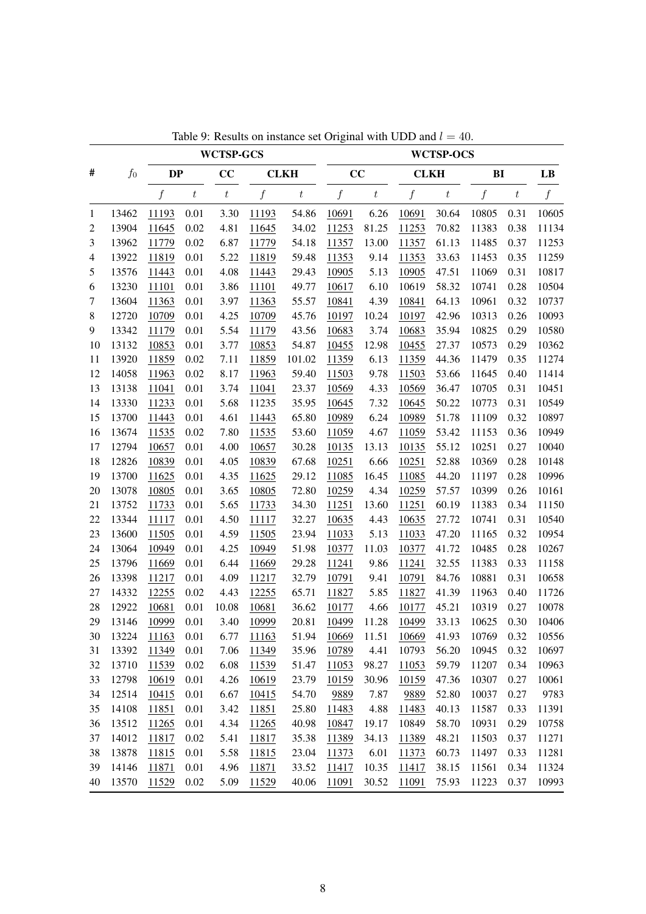|                |       |           |                  | <b>WCTSP-GCS</b> |                  |                  |       |                  |             | <b>WCTSP-OCS</b> |                  |                  |       |
|----------------|-------|-----------|------------------|------------------|------------------|------------------|-------|------------------|-------------|------------------|------------------|------------------|-------|
| #              | $f_0$ | <b>DP</b> |                  | CC               |                  | <b>CLKH</b>      | CC    |                  | <b>CLKH</b> |                  | BI               |                  | LB    |
|                |       | f         | $\boldsymbol{t}$ | $\boldsymbol{t}$ | $\boldsymbol{f}$ | $\boldsymbol{t}$ | f     | $\boldsymbol{t}$ | f           | $\boldsymbol{t}$ | $\boldsymbol{f}$ | $\boldsymbol{t}$ | f     |
| 1              | 13462 | 11193     | 0.01             | 3.30             | 11193            | 54.86            | 10691 | 6.26             | 10691       | 30.64            | 10805            | 0.31             | 10605 |
| $\overline{c}$ | 13904 | 11645     | 0.02             | 4.81             | 11645            | 34.02            | 11253 | 81.25            | 11253       | 70.82            | 11383            | 0.38             | 11134 |
| 3              | 13962 | 11779     | 0.02             | 6.87             | 11779            | 54.18            | 11357 | 13.00            | 11357       | 61.13            | 11485            | 0.37             | 11253 |
| $\overline{4}$ | 13922 | 11819     | 0.01             | 5.22             | 11819            | 59.48            | 11353 | 9.14             | 11353       | 33.63            | 11453            | 0.35             | 11259 |
| 5              | 13576 | 11443     | 0.01             | 4.08             | 11443            | 29.43            | 10905 | 5.13             | 10905       | 47.51            | 11069            | 0.31             | 10817 |
| 6              | 13230 | 11101     | 0.01             | 3.86             | 11101            | 49.77            | 10617 | 6.10             | 10619       | 58.32            | 10741            | 0.28             | 10504 |
| $\tau$         | 13604 | 11363     | 0.01             | 3.97             | 11363            | 55.57            | 10841 | 4.39             | 10841       | 64.13            | 10961            | 0.32             | 10737 |
| 8              | 12720 | 10709     | 0.01             | 4.25             | 10709            | 45.76            | 10197 | 10.24            | 10197       | 42.96            | 10313            | 0.26             | 10093 |
| 9              | 13342 | 11179     | 0.01             | 5.54             | 11179            | 43.56            | 10683 | 3.74             | 10683       | 35.94            | 10825            | 0.29             | 10580 |
| 10             | 13132 | 10853     | 0.01             | 3.77             | 10853            | 54.87            | 10455 | 12.98            | 10455       | 27.37            | 10573            | 0.29             | 10362 |
| 11             | 13920 | 11859     | 0.02             | 7.11             | 11859            | 101.02           | 11359 | 6.13             | 11359       | 44.36            | 11479            | 0.35             | 11274 |
| 12             | 14058 | 11963     | 0.02             | 8.17             | 11963            | 59.40            | 11503 | 9.78             | 11503       | 53.66            | 11645            | 0.40             | 11414 |
| 13             | 13138 | 11041     | 0.01             | 3.74             | 11041            | 23.37            | 10569 | 4.33             | 10569       | 36.47            | 10705            | 0.31             | 10451 |
| 14             | 13330 | 11233     | 0.01             | 5.68             | 11235            | 35.95            | 10645 | 7.32             | 10645       | 50.22            | 10773            | 0.31             | 10549 |
| 15             | 13700 | 11443     | 0.01             | 4.61             | 11443            | 65.80            | 10989 | 6.24             | 10989       | 51.78            | 11109            | 0.32             | 10897 |
| 16             | 13674 | 11535     | 0.02             | 7.80             | 11535            | 53.60            | 11059 | 4.67             | 11059       | 53.42            | 11153            | 0.36             | 10949 |
| 17             | 12794 | 10657     | 0.01             | 4.00             | 10657            | 30.28            | 10135 | 13.13            | 10135       | 55.12            | 10251            | 0.27             | 10040 |
| 18             | 12826 | 10839     | 0.01             | 4.05             | 10839            | 67.68            | 10251 | 6.66             | 10251       | 52.88            | 10369            | 0.28             | 10148 |
| 19             | 13700 | 11625     | 0.01             | 4.35             | 11625            | 29.12            | 11085 | 16.45            | 11085       | 44.20            | 11197            | 0.28             | 10996 |
| 20             | 13078 | 10805     | 0.01             | 3.65             | 10805            | 72.80            | 10259 | 4.34             | 10259       | 57.57            | 10399            | 0.26             | 10161 |
| 21             | 13752 | 11733     | 0.01             | 5.65             | 11733            | 34.30            | 11251 | 13.60            | 11251       | 60.19            | 11383            | 0.34             | 11150 |
| 22             | 13344 | 11117     | 0.01             | 4.50             | 11117            | 32.27            | 10635 | 4.43             | 10635       | 27.72            | 10741            | 0.31             | 10540 |
| 23             | 13600 | 11505     | 0.01             | 4.59             | 11505            | 23.94            | 11033 | 5.13             | 11033       | 47.20            | 11165            | 0.32             | 10954 |
| 24             | 13064 | 10949     | 0.01             | 4.25             | 10949            | 51.98            | 10377 | 11.03            | 10377       | 41.72            | 10485            | 0.28             | 10267 |
| 25             | 13796 | 11669     | 0.01             | 6.44             | 11669            | 29.28            | 11241 | 9.86             | 11241       | 32.55            | 11383            | 0.33             | 11158 |
| 26             | 13398 | 11217     | 0.01             | 4.09             | 11217            | 32.79            | 10791 | 9.41             | 10791       | 84.76            | 10881            | 0.31             | 10658 |
| 27             | 14332 | 12255     | 0.02             | 4.43             | 12255            | 65.71            | 11827 | 5.85             | 11827       | 41.39            | 11963            | 0.40             | 11726 |
| 28             | 12922 | 10681     | 0.01             | 10.08            | 10681            | 36.62            | 10177 | 4.66             | 10177       | 45.21            | 10319            | 0.27             | 10078 |
| 29             | 13146 | 10999     | 0.01             | 3.40             | 10999            | 20.81            | 10499 | 11.28            | 10499       | 33.13            | 10625            | 0.30             | 10406 |
| 30             | 13224 | 11163     | 0.01             | 6.77             | 11163            | 51.94            | 10669 | 11.51            | 10669       | 41.93            | 10769            | 0.32             | 10556 |
| 31             | 13392 | 11349     | 0.01             | 7.06             | 11349            | 35.96            | 10789 | 4.41             | 10793       | 56.20            | 10945            | 0.32             | 10697 |
| 32             | 13710 | 11539     | 0.02             | 6.08             | 11539            | 51.47            | 11053 | 98.27            | 11053       | 59.79            | 11207            | 0.34             | 10963 |
| 33             | 12798 | 10619     | 0.01             | 4.26             | 10619            | 23.79            | 10159 | 30.96            | 10159       | 47.36            | 10307            | 0.27             | 10061 |
| 34             | 12514 | 10415     | 0.01             | 6.67             | 10415            | 54.70            | 9889  | 7.87             | 9889        | 52.80            | 10037            | 0.27             | 9783  |
| 35             | 14108 | 11851     | 0.01             | 3.42             | 11851            | 25.80            | 11483 | 4.88             | 11483       | 40.13            | 11587            | 0.33             | 11391 |
| 36             | 13512 | 11265     | 0.01             | 4.34             | 11265            | 40.98            | 10847 | 19.17            | 10849       | 58.70            | 10931            | 0.29             | 10758 |
| 37             | 14012 | 11817     | 0.02             | 5.41             | 11817            | 35.38            | 11389 | 34.13            | 11389       | 48.21            | 11503            | 0.37             | 11271 |
| 38             | 13878 | 11815     | 0.01             | 5.58             | 11815            | 23.04            | 11373 | 6.01             | 11373       | 60.73            | 11497            | 0.33             | 11281 |
| 39             | 14146 | 11871     | 0.01             | 4.96             | 11871            | 33.52            | 11417 | 10.35            | 11417       | 38.15            | 11561            | 0.34             | 11324 |
| 40             | 13570 | 11529     | 0.02             | 5.09             | 11529            | 40.06            | 11091 | 30.52            | 11091       | 75.93            | 11223            | 0.37             | 10993 |

Table 9: Results on instance set Original with UDD and  $l = 40$ .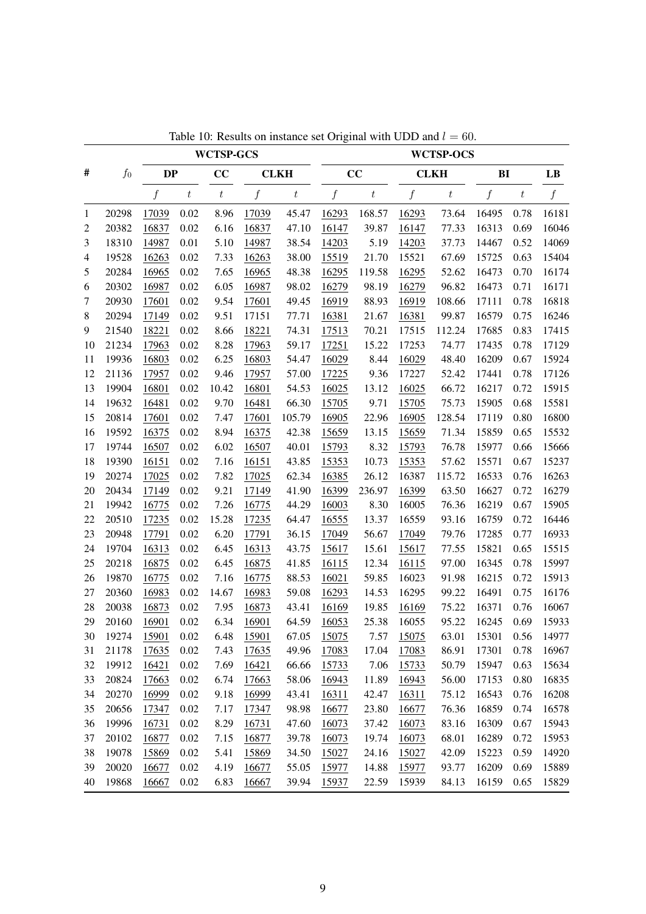|    |       |           |                  | <b>WCTSP-GCS</b> |                  |                  |                  |         |                  | <b>WCTSP-OCS</b> |                  |         |                  |
|----|-------|-----------|------------------|------------------|------------------|------------------|------------------|---------|------------------|------------------|------------------|---------|------------------|
| #  | $f_0$ | <b>DP</b> |                  | CC               |                  | <b>CLKH</b>      |                  | CC      |                  | <b>CLKH</b>      | B <sub>I</sub>   |         | LB               |
|    |       | f         | $\boldsymbol{t}$ | $\boldsymbol{t}$ | $\boldsymbol{f}$ | $\boldsymbol{t}$ | $\boldsymbol{f}$ | $\,t\,$ | $\boldsymbol{f}$ | $\it t$          | $\boldsymbol{f}$ | $\,t\,$ | $\boldsymbol{f}$ |
| 1  | 20298 | 17039     | 0.02             | 8.96             | 17039            | 45.47            | 16293            | 168.57  | 16293            | 73.64            | 16495            | 0.78    | 16181            |
| 2  | 20382 | 16837     | 0.02             | 6.16             | 16837            | 47.10            | 16147            | 39.87   | 16147            | 77.33            | 16313            | 0.69    | 16046            |
| 3  | 18310 | 14987     | 0.01             | 5.10             | 14987            | 38.54            | 14203            | 5.19    | 14203            | 37.73            | 14467            | 0.52    | 14069            |
| 4  | 19528 | 16263     | 0.02             | 7.33             | 16263            | 38.00            | 15519            | 21.70   | 15521            | 67.69            | 15725            | 0.63    | 15404            |
| 5  | 20284 | 16965     | 0.02             | 7.65             | 16965            | 48.38            | 16295            | 119.58  | 16295            | 52.62            | 16473            | 0.70    | 16174            |
| 6  | 20302 | 16987     | 0.02             | 6.05             | 16987            | 98.02            | 16279            | 98.19   | 16279            | 96.82            | 16473            | 0.71    | 16171            |
| 7  | 20930 | 17601     | 0.02             | 9.54             | 17601            | 49.45            | 16919            | 88.93   | 16919            | 108.66           | 17111            | 0.78    | 16818            |
| 8  | 20294 | 17149     | 0.02             | 9.51             | 17151            | 77.71            | 16381            | 21.67   | 16381            | 99.87            | 16579            | 0.75    | 16246            |
| 9  | 21540 | 18221     | 0.02             | 8.66             | 18221            | 74.31            | 17513            | 70.21   | 17515            | 112.24           | 17685            | 0.83    | 17415            |
| 10 | 21234 | 17963     | 0.02             | 8.28             | 17963            | 59.17            | 17251            | 15.22   | 17253            | 74.77            | 17435            | 0.78    | 17129            |
| 11 | 19936 | 16803     | 0.02             | 6.25             | 16803            | 54.47            | 16029            | 8.44    | 16029            | 48.40            | 16209            | 0.67    | 15924            |
| 12 | 21136 | 17957     | 0.02             | 9.46             | 17957            | 57.00            | 17225            | 9.36    | 17227            | 52.42            | 17441            | 0.78    | 17126            |
| 13 | 19904 | 16801     | 0.02             | 10.42            | 16801            | 54.53            | 16025            | 13.12   | 16025            | 66.72            | 16217            | 0.72    | 15915            |
| 14 | 19632 | 16481     | 0.02             | 9.70             | 16481            | 66.30            | 15705            | 9.71    | 15705            | 75.73            | 15905            | 0.68    | 15581            |
| 15 | 20814 | 17601     | 0.02             | 7.47             | 17601            | 105.79           | 16905            | 22.96   | 16905            | 128.54           | 17119            | 0.80    | 16800            |
| 16 | 19592 | 16375     | 0.02             | 8.94             | 16375            | 42.38            | 15659            | 13.15   | 15659            | 71.34            | 15859            | 0.65    | 15532            |
| 17 | 19744 | 16507     | 0.02             | 6.02             | 16507            | 40.01            | 15793            | 8.32    | 15793            | 76.78            | 15977            | 0.66    | 15666            |
| 18 | 19390 | 16151     | 0.02             | 7.16             | 16151            | 43.85            | 15353            | 10.73   | 15353            | 57.62            | 15571            | 0.67    | 15237            |
| 19 | 20274 | 17025     | 0.02             | 7.82             | 17025            | 62.34            | 16385            | 26.12   | 16387            | 115.72           | 16533            | 0.76    | 16263            |
| 20 | 20434 | 17149     | 0.02             | 9.21             | 17149            | 41.90            | 16399            | 236.97  | 16399            | 63.50            | 16627            | 0.72    | 16279            |
| 21 | 19942 | 16775     | 0.02             | 7.26             | 16775            | 44.29            | 16003            | 8.30    | 16005            | 76.36            | 16219            | 0.67    | 15905            |
| 22 | 20510 | 17235     | 0.02             | 15.28            | 17235            | 64.47            | 16555            | 13.37   | 16559            | 93.16            | 16759            | 0.72    | 16446            |
| 23 | 20948 | 17791     | 0.02             | 6.20             | 17791            | 36.15            | 17049            | 56.67   | 17049            | 79.76            | 17285            | 0.77    | 16933            |
| 24 | 19704 | 16313     | 0.02             | 6.45             | 16313            | 43.75            | 15617            | 15.61   | 15617            | 77.55            | 15821            | 0.65    | 15515            |
| 25 | 20218 | 16875     | 0.02             | 6.45             | 16875            | 41.85            | 16115            | 12.34   | 16115            | 97.00            | 16345            | 0.78    | 15997            |
| 26 | 19870 | 16775     | 0.02             | 7.16             | 16775            | 88.53            | 16021            | 59.85   | 16023            | 91.98            | 16215            | 0.72    | 15913            |
| 27 | 20360 | 16983     | 0.02             | 14.67            | 16983            | 59.08            | 16293            | 14.53   | 16295            | 99.22            | 16491            | 0.75    | 16176            |
| 28 | 20038 | 16873     | 0.02             | 7.95             | 16873            | 43.41            | 16169            | 19.85   | 16169            | 75.22            | 16371            | 0.76    | 16067            |
| 29 | 20160 | 16901     | 0.02             | 6.34             | 16901            | 64.59            | 16053            | 25.38   | 16055            | 95.22            | 16245            | 0.69    | 15933            |
| 30 | 19274 | 15901     | 0.02             | 6.48             | 15901            | 67.05            | 15075            | 7.57    | 15075            | 63.01            | 15301            | 0.56    | 14977            |
| 31 | 21178 | 17635     | 0.02             | 7.43             | 17635            | 49.96            | 17083            | 17.04   | 17083            | 86.91            | 17301            | 0.78    | 16967            |
| 32 | 19912 | 16421     | 0.02             | 7.69             | 16421            | 66.66            | 15733            | 7.06    | 15733            | 50.79            | 15947            | 0.63    | 15634            |
| 33 | 20824 | 17663     | 0.02             | 6.74             | 17663            | 58.06            | 16943            | 11.89   | 16943            | 56.00            | 17153            | 0.80    | 16835            |
| 34 | 20270 | 16999     | 0.02             | 9.18             | 16999            | 43.41            | 16311            | 42.47   | 16311            | 75.12            | 16543            | 0.76    | 16208            |
| 35 | 20656 | 17347     | 0.02             | 7.17             | 17347            | 98.98            | 16677            | 23.80   | 16677            | 76.36            | 16859            | 0.74    | 16578            |
| 36 | 19996 | 16731     | 0.02             | 8.29             | 16731            | 47.60            | 16073            | 37.42   | 16073            | 83.16            | 16309            | 0.67    | 15943            |
| 37 | 20102 | 16877     | 0.02             | 7.15             | 16877            | 39.78            | 16073            | 19.74   | 16073            | 68.01            | 16289            | 0.72    | 15953            |
| 38 | 19078 | 15869     | 0.02             | 5.41             | 15869            | 34.50            | 15027            | 24.16   | 15027            | 42.09            | 15223            | 0.59    | 14920            |
| 39 | 20020 | 16677     | 0.02             | 4.19             | 16677            | 55.05            | 15977            | 14.88   | 15977            | 93.77            | 16209            | 0.69    | 15889            |
| 40 | 19868 | 16667     | 0.02             | 6.83             | 16667            | 39.94            | 15937            | 22.59   | 15939            | 84.13            | 16159            | 0.65    | 15829            |

Table 10: Results on instance set Original with UDD and  $l = 60$ .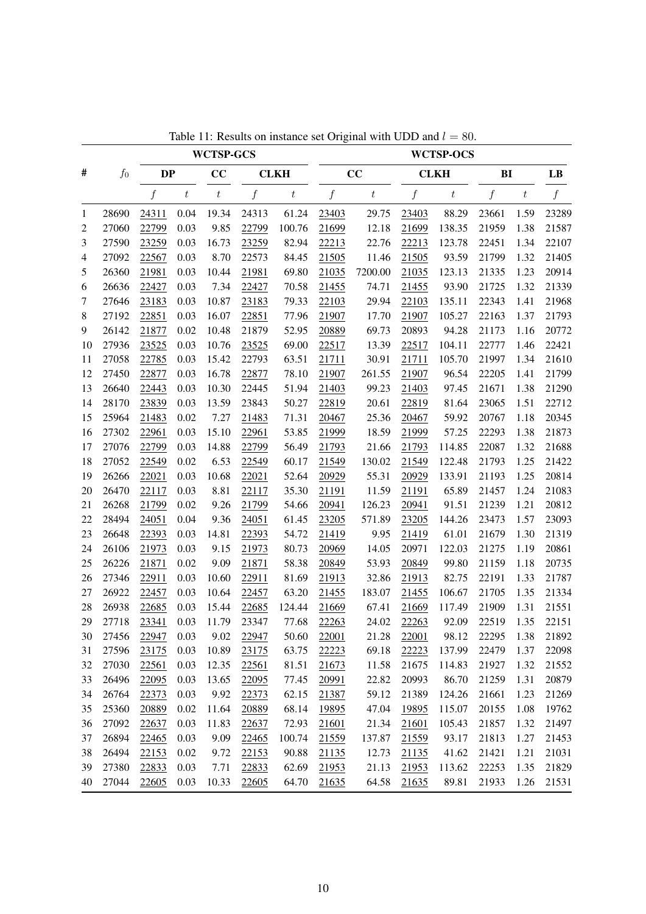|              |       |                  |                  | <b>WCTSP-GCS</b> |                  |                  |                  |                  |                  | <b>WCTSP-OCS</b> |                |                  |       |
|--------------|-------|------------------|------------------|------------------|------------------|------------------|------------------|------------------|------------------|------------------|----------------|------------------|-------|
| #            | $f_0$ | <b>DP</b>        |                  | CC               |                  | <b>CLKH</b>      |                  | CC               |                  | <b>CLKH</b>      | B <sub>I</sub> |                  | LB    |
|              |       | $\boldsymbol{f}$ | $\boldsymbol{t}$ | $\boldsymbol{t}$ | $\boldsymbol{f}$ | $\boldsymbol{t}$ | $\boldsymbol{f}$ | $\boldsymbol{t}$ | $\boldsymbol{f}$ | $\boldsymbol{t}$ | f              | $\boldsymbol{t}$ | f     |
| $\mathbf{1}$ | 28690 | 24311            | 0.04             | 19.34            | 24313            | 61.24            | 23403            | 29.75            | 23403            | 88.29            | 23661          | 1.59             | 23289 |
| 2            | 27060 | 22799            | 0.03             | 9.85             | 22799            | 100.76           | 21699            | 12.18            | 21699            | 138.35           | 21959          | 1.38             | 21587 |
| 3            | 27590 | 23259            | 0.03             | 16.73            | 23259            | 82.94            | 22213            | 22.76            | 22213            | 123.78           | 22451          | 1.34             | 22107 |
| 4            | 27092 | 22567            | 0.03             | 8.70             | 22573            | 84.45            | 21505            | 11.46            | 21505            | 93.59            | 21799          | 1.32             | 21405 |
| 5            | 26360 | 21981            | 0.03             | 10.44            | 21981            | 69.80            | 21035            | 7200.00          | 21035            | 123.13           | 21335          | 1.23             | 20914 |
| 6            | 26636 | 22427            | 0.03             | 7.34             | 22427            | 70.58            | 21455            | 74.71            | 21455            | 93.90            | 21725          | 1.32             | 21339 |
| 7            | 27646 | 23183            | 0.03             | 10.87            | 23183            | 79.33            | 22103            | 29.94            | 22103            | 135.11           | 22343          | 1.41             | 21968 |
| $\,8\,$      | 27192 | 22851            | 0.03             | 16.07            | 22851            | 77.96            | 21907            | 17.70            | 21907            | 105.27           | 22163          | 1.37             | 21793 |
| 9            | 26142 | 21877            | 0.02             | 10.48            | 21879            | 52.95            | 20889            | 69.73            | 20893            | 94.28            | 21173          | 1.16             | 20772 |
| 10           | 27936 | 23525            | 0.03             | 10.76            | 23525            | 69.00            | 22517            | 13.39            | 22517            | 104.11           | 22777          | 1.46             | 22421 |
| 11           | 27058 | 22785            | 0.03             | 15.42            | 22793            | 63.51            | 21711            | 30.91            | 21711            | 105.70           | 21997          | 1.34             | 21610 |
| 12           | 27450 | 22877            | 0.03             | 16.78            | 22877            | 78.10            | 21907            | 261.55           | 21907            | 96.54            | 22205          | 1.41             | 21799 |
| 13           | 26640 | 22443            | 0.03             | 10.30            | 22445            | 51.94            | 21403            | 99.23            | 21403            | 97.45            | 21671          | 1.38             | 21290 |
| 14           | 28170 | 23839            | 0.03             | 13.59            | 23843            | 50.27            | 22819            | 20.61            | 22819            | 81.64            | 23065          | 1.51             | 22712 |
| 15           | 25964 | 21483            | 0.02             | 7.27             | 21483            | 71.31            | 20467            | 25.36            | 20467            | 59.92            | 20767          | 1.18             | 20345 |
| 16           | 27302 | 22961            | 0.03             | 15.10            | 22961            | 53.85            | 21999            | 18.59            | 21999            | 57.25            | 22293          | 1.38             | 21873 |
| 17           | 27076 | 22799            | 0.03             | 14.88            | 22799            | 56.49            | 21793            | 21.66            | 21793            | 114.85           | 22087          | 1.32             | 21688 |
| 18           | 27052 | 22549            | 0.02             | 6.53             | 22549            | 60.17            | 21549            | 130.02           | 21549            | 122.48           | 21793          | 1.25             | 21422 |
| 19           | 26266 | 22021            | 0.03             | 10.68            | 22021            | 52.64            | 20929            | 55.31            | 20929            | 133.91           | 21193          | 1.25             | 20814 |
| 20           | 26470 | 22117            | 0.03             | 8.81             | 22117            | 35.30            | 21191            | 11.59            | 21191            | 65.89            | 21457          | 1.24             | 21083 |
| 21           | 26268 | 21799            | 0.02             | 9.26             | 21799            | 54.66            | 20941            | 126.23           | 20941            | 91.51            | 21239          | 1.21             | 20812 |
| 22           | 28494 | 24051            | 0.04             | 9.36             | 24051            | 61.45            | 23205            | 571.89           | 23205            | 144.26           | 23473          | 1.57             | 23093 |
| 23           | 26648 | 22393            | 0.03             | 14.81            | 22393            | 54.72            | 21419            | 9.95             | 21419            | 61.01            | 21679          | 1.30             | 21319 |
| 24           | 26106 | 21973            | 0.03             | 9.15             | 21973            | 80.73            | 20969            | 14.05            | 20971            | 122.03           | 21275          | 1.19             | 20861 |
| 25           | 26226 | 21871            | 0.02             | 9.09             | 21871            | 58.38            | 20849            | 53.93            | 20849            | 99.80            | 21159          | 1.18             | 20735 |
| 26           | 27346 | 22911            | 0.03             | 10.60            | 22911            | 81.69            | 21913            | 32.86            | 21913            | 82.75            | 22191          | 1.33             | 21787 |
| 27           | 26922 | 22457            | 0.03             | 10.64            | 22457            | 63.20            | 21455            | 183.07           | 21455            | 106.67           | 21705          | 1.35             | 21334 |
| 28           | 26938 | 22685            | 0.03             | 15.44            | 22685            | 124.44           | 21669            | 67.41            | 21669            | 117.49           | 21909          | 1.31             | 21551 |
| 29           | 27718 | 23341            | 0.03             | 11.79            | 23347            | 77.68            | 22263            | 24.02            | 22263            | 92.09            | 22519          | 1.35             | 22151 |
| 30           | 27456 | 22947            | 0.03             | 9.02             | 22947            | 50.60            | 22001            | 21.28            | 22001            | 98.12            | 22295          | 1.38             | 21892 |
| 31           | 27596 | 23175            | 0.03             | 10.89            | 23175            | 63.75            | 22223            | 69.18            | 22223            | 137.99           | 22479          | 1.37             | 22098 |
| 32           | 27030 | 22561            | 0.03             | 12.35            | 22561            | 81.51            | 21673            | 11.58            | 21675            | 114.83           | 21927          | 1.32             | 21552 |
| 33           | 26496 | 22095            | 0.03             | 13.65            | 22095            | 77.45            | 20991            | 22.82            | 20993            | 86.70            | 21259          | 1.31             | 20879 |
| 34           | 26764 | 22373            | 0.03             | 9.92             | 22373            | 62.15            | 21387            | 59.12            | 21389            | 124.26           | 21661          | 1.23             | 21269 |
| 35           | 25360 | 20889            | 0.02             | 11.64            | 20889            | 68.14            | 19895            | 47.04            | 19895            | 115.07           | 20155          | 1.08             | 19762 |
| 36           | 27092 | 22637            | 0.03             | 11.83            | 22637            | 72.93            | 21601            | 21.34            | 21601            | 105.43           | 21857          | 1.32             | 21497 |
| 37           | 26894 | 22465            | 0.03             | 9.09             | 22465            | 100.74           | 21559            | 137.87           | 21559            | 93.17            | 21813          | 1.27             | 21453 |
| 38           | 26494 | 22153            | 0.02             | 9.72             | 22153            | 90.88            | 21135            | 12.73            | 21135            | 41.62            | 21421          | 1.21             | 21031 |
| 39           | 27380 | 22833            | 0.03             | 7.71             | 22833            | 62.69            | 21953            | 21.13            | 21953            | 113.62           | 22253          | 1.35             | 21829 |
| 40           | 27044 | 22605            | 0.03             | 10.33            | 22605            | 64.70            | 21635            | 64.58            | 21635            | 89.81            | 21933          | 1.26             | 21531 |
|              |       |                  |                  |                  |                  |                  |                  |                  |                  |                  |                |                  |       |

Table 11: Results on instance set Original with UDD and  $l = 80$ .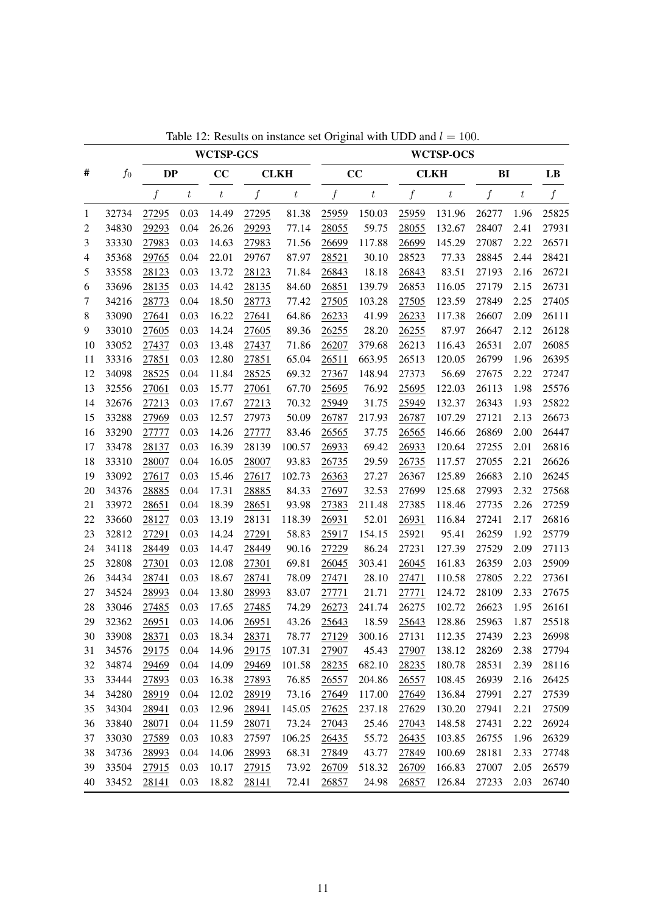|                |       |                  |                  | <b>WCTSP-GCS</b> |                  |                  |                  |                  |                  | <b>WCTSP-OCS</b> |       |                  |                  |
|----------------|-------|------------------|------------------|------------------|------------------|------------------|------------------|------------------|------------------|------------------|-------|------------------|------------------|
| #              | $f_0$ | <b>DP</b>        |                  | CC               |                  | <b>CLKH</b>      |                  | CC               |                  | <b>CLKH</b>      | BI    |                  | LB               |
|                |       | $\boldsymbol{f}$ | $\boldsymbol{t}$ | $\boldsymbol{t}$ | $\boldsymbol{f}$ | $\boldsymbol{t}$ | $\boldsymbol{f}$ | $\boldsymbol{t}$ | $\boldsymbol{f}$ | $\boldsymbol{t}$ | f     | $\boldsymbol{t}$ | $\boldsymbol{f}$ |
| 1              | 32734 | 27295            | 0.03             | 14.49            | 27295            | 81.38            | 25959            | 150.03           | 25959            | 131.96           | 26277 | 1.96             | 25825            |
| $\overline{c}$ | 34830 | 29293            | 0.04             | 26.26            | 29293            | 77.14            | 28055            | 59.75            | 28055            | 132.67           | 28407 | 2.41             | 27931            |
| 3              | 33330 | 27983            | 0.03             | 14.63            | 27983            | 71.56            | 26699            | 117.88           | 26699            | 145.29           | 27087 | 2.22             | 26571            |
| 4              | 35368 | 29765            | 0.04             | 22.01            | 29767            | 87.97            | 28521            | 30.10            | 28523            | 77.33            | 28845 | 2.44             | 28421            |
| 5              | 33558 | 28123            | 0.03             | 13.72            | 28123            | 71.84            | 26843            | 18.18            | 26843            | 83.51            | 27193 | 2.16             | 26721            |
| 6              | 33696 | 28135            | 0.03             | 14.42            | 28135            | 84.60            | 26851            | 139.79           | 26853            | 116.05           | 27179 | 2.15             | 26731            |
| 7              | 34216 | 28773            | 0.04             | 18.50            | 28773            | 77.42            | 27505            | 103.28           | 27505            | 123.59           | 27849 | 2.25             | 27405            |
| 8              | 33090 | 27641            | 0.03             | 16.22            | 27641            | 64.86            | 26233            | 41.99            | 26233            | 117.38           | 26607 | 2.09             | 26111            |
| 9              | 33010 | 27605            | 0.03             | 14.24            | 27605            | 89.36            | 26255            | 28.20            | 26255            | 87.97            | 26647 | 2.12             | 26128            |
| 10             | 33052 | 27437            | 0.03             | 13.48            | 27437            | 71.86            | 26207            | 379.68           | 26213            | 116.43           | 26531 | 2.07             | 26085            |
| 11             | 33316 | 27851            | 0.03             | 12.80            | 27851            | 65.04            | 26511            | 663.95           | 26513            | 120.05           | 26799 | 1.96             | 26395            |
| 12             | 34098 | 28525            | 0.04             | 11.84            | 28525            | 69.32            | 27367            | 148.94           | 27373            | 56.69            | 27675 | 2.22             | 27247            |
| 13             | 32556 | 27061            | 0.03             | 15.77            | 27061            | 67.70            | 25695            | 76.92            | 25695            | 122.03           | 26113 | 1.98             | 25576            |
| 14             | 32676 | 27213            | 0.03             | 17.67            | 27213            | 70.32            | 25949            | 31.75            | 25949            | 132.37           | 26343 | 1.93             | 25822            |
| 15             | 33288 | 27969            | 0.03             | 12.57            | 27973            | 50.09            | 26787            | 217.93           | 26787            | 107.29           | 27121 | 2.13             | 26673            |
| 16             | 33290 | 27777            | 0.03             | 14.26            | 27777            | 83.46            | 26565            | 37.75            | 26565            | 146.66           | 26869 | 2.00             | 26447            |
| 17             | 33478 | 28137            | 0.03             | 16.39            | 28139            | 100.57           | 26933            | 69.42            | 26933            | 120.64           | 27255 | 2.01             | 26816            |
| 18             | 33310 | 28007            | 0.04             | 16.05            | 28007            | 93.83            | 26735            | 29.59            | 26735            | 117.57           | 27055 | 2.21             | 26626            |
| 19             | 33092 | 27617            | 0.03             | 15.46            | 27617            | 102.73           | 26363            | 27.27            | 26367            | 125.89           | 26683 | 2.10             | 26245            |
| 20             | 34376 | 28885            | 0.04             | 17.31            | 28885            | 84.33            | 27697            | 32.53            | 27699            | 125.68           | 27993 | 2.32             | 27568            |
| 21             | 33972 | 28651            | 0.04             | 18.39            | 28651            | 93.98            | 27383            | 211.48           | 27385            | 118.46           | 27735 | 2.26             | 27259            |
| 22             | 33660 | 28127            | 0.03             | 13.19            | 28131            | 118.39           | 26931            | 52.01            | 26931            | 116.84           | 27241 | 2.17             | 26816            |
| 23             | 32812 | 27291            | 0.03             | 14.24            | 27291            | 58.83            | 25917            | 154.15           | 25921            | 95.41            | 26259 | 1.92             | 25779            |
| 24             | 34118 | 28449            | 0.03             | 14.47            | 28449            | 90.16            | 27229            | 86.24            | 27231            | 127.39           | 27529 | 2.09             | 27113            |
| 25             | 32808 | 27301            | 0.03             | 12.08            | 27301            | 69.81            | 26045            | 303.41           | 26045            | 161.83           | 26359 | 2.03             | 25909            |
| 26             | 34434 | 28741            | 0.03             | 18.67            | 28741            | 78.09            | 27471            | 28.10            | 27471            | 110.58           | 27805 | 2.22             | 27361            |
| 27             | 34524 | 28993            | 0.04             | 13.80            | 28993            | 83.07            | 27771            | 21.71            | 27771            | 124.72           | 28109 | 2.33             | 27675            |
| 28             | 33046 | 27485            | 0.03             | 17.65            | 27485            | 74.29            | 26273            | 241.74           | 26275            | 102.72           | 26623 | 1.95             | 26161            |
| 29             | 32362 | 26951            | 0.03             | 14.06            | 26951            | 43.26            | 25643            | 18.59            | 25643            | 128.86           | 25963 | 1.87             | 25518            |
| 30             | 33908 | 28371            | 0.03             | 18.34            | 28371            | 78.77            | <u>27129</u>     | 300.16           | 27131            | 112.35           | 27439 | 2.23             | 26998            |
| 31             | 34576 | 29175            | 0.04             | 14.96            | 29175            | 107.31           | 27907            | 45.43            | 27907            | 138.12           | 28269 | 2.38             | 27794            |
| 32             | 34874 | 29469            | 0.04             | 14.09            | 29469            | 101.58           | 28235            | 682.10           | 28235            | 180.78           | 28531 | 2.39             | 28116            |
| 33             | 33444 | 27893            | 0.03             | 16.38            | 27893            | 76.85            | 26557            | 204.86           | 26557            | 108.45           | 26939 | 2.16             | 26425            |
| 34             | 34280 | 28919            | 0.04             | 12.02            | 28919            | 73.16            | 27649            | 117.00           | 27649            | 136.84           | 27991 | 2.27             | 27539            |
| 35             | 34304 | 28941            | 0.03             | 12.96            | 28941            | 145.05           | 27625            | 237.18           | 27629            | 130.20           | 27941 | 2.21             | 27509            |
| 36             | 33840 | 28071            | 0.04             | 11.59            | 28071            | 73.24            | 27043            | 25.46            | 27043            | 148.58           | 27431 | 2.22             | 26924            |
| 37             | 33030 | 27589            | 0.03             | 10.83            | 27597            | 106.25           | 26435            | 55.72            | 26435            | 103.85           | 26755 | 1.96             | 26329            |
| 38             | 34736 | 28993            | 0.04             | 14.06            | 28993            | 68.31            | 27849            | 43.77            | 27849            | 100.69           | 28181 | 2.33             | 27748            |
| 39             | 33504 | 27915            | 0.03             | 10.17            | 27915            | 73.92            | 26709            | 518.32           | 26709            | 166.83           | 27007 | 2.05             | 26579            |
| 40             | 33452 | 28141            | 0.03             | 18.82            | 28141            | 72.41            | 26857            | 24.98            | 26857            | 126.84           | 27233 | 2.03             | 26740            |

Table 12: Results on instance set Original with UDD and  $l = 100$ .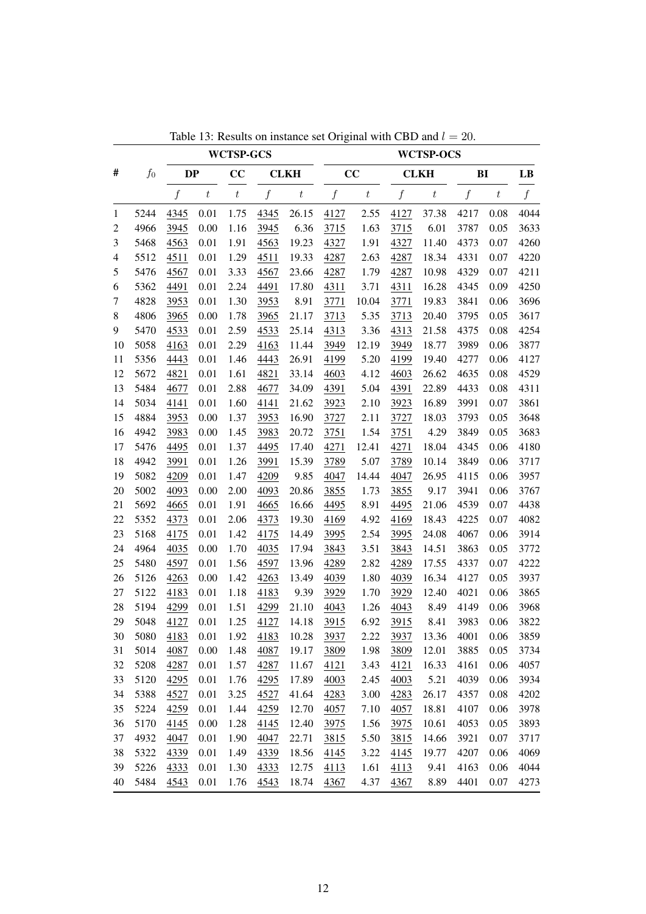|                |       |                  |                  | <b>WCTSP-GCS</b> |                  |                  |                  |                  |                  | <b>WCTSP-OCS</b> |                  |         |                  |
|----------------|-------|------------------|------------------|------------------|------------------|------------------|------------------|------------------|------------------|------------------|------------------|---------|------------------|
| #              | $f_0$ | <b>DP</b>        |                  | CC               |                  | <b>CLKH</b>      |                  | CC               |                  | <b>CLKH</b>      | BI               |         | LB               |
|                |       | $\boldsymbol{f}$ | $\boldsymbol{t}$ | $\boldsymbol{t}$ | $\boldsymbol{f}$ | $\boldsymbol{t}$ | $\boldsymbol{f}$ | $\boldsymbol{t}$ | $\boldsymbol{f}$ | $\boldsymbol{t}$ | $\boldsymbol{f}$ | $\it t$ | $\boldsymbol{f}$ |
| $\mathbf{1}$   | 5244  | 4345             | 0.01             | 1.75             | 4345             | 26.15            | 4127             | 2.55             | 4127             | 37.38            | 4217             | 0.08    | 4044             |
| $\overline{c}$ | 4966  | 3945             | 0.00             | 1.16             | 3945             | 6.36             | 3715             | 1.63             | 3715             | 6.01             | 3787             | 0.05    | 3633             |
| 3              | 5468  | 4563             | 0.01             | 1.91             | 4563             | 19.23            | 4327             | 1.91             | 4327             | 11.40            | 4373             | 0.07    | 4260             |
| $\overline{4}$ | 5512  | 4511             | 0.01             | 1.29             | 4511             | 19.33            | 4287             | 2.63             | 4287             | 18.34            | 4331             | 0.07    | 4220             |
| 5              | 5476  | 4567             | 0.01             | 3.33             | 4567             | 23.66            | 4287             | 1.79             | 4287             | 10.98            | 4329             | 0.07    | 4211             |
| 6              | 5362  | 4491             | 0.01             | 2.24             | 4491             | 17.80            | 4311             | 3.71             | 4311             | 16.28            | 4345             | 0.09    | 4250             |
| 7              | 4828  | 3953             | 0.01             | 1.30             | 3953             | 8.91             | 3771             | 10.04            | 3771             | 19.83            | 3841             | 0.06    | 3696             |
| 8              | 4806  | 3965             | 0.00             | 1.78             | 3965             | 21.17            | 3713             | 5.35             | 3713             | 20.40            | 3795             | 0.05    | 3617             |
| 9              | 5470  | 4533             | 0.01             | 2.59             | 4533             | 25.14            | 4313             | 3.36             | 4313             | 21.58            | 4375             | 0.08    | 4254             |
| 10             | 5058  | 4163             | 0.01             | 2.29             | 4163             | 11.44            | 3949             | 12.19            | 3949             | 18.77            | 3989             | 0.06    | 3877             |
| 11             | 5356  | 4443             | 0.01             | 1.46             | 4443             | 26.91            | 4199             | 5.20             | 4199             | 19.40            | 4277             | 0.06    | 4127             |
| 12             | 5672  | 4821             | 0.01             | 1.61             | 4821             | 33.14            | 4603             | 4.12             | 4603             | 26.62            | 4635             | 0.08    | 4529             |
| 13             | 5484  | 4677             | 0.01             | 2.88             | 4677             | 34.09            | 4391             | 5.04             | 4391             | 22.89            | 4433             | 0.08    | 4311             |
| 14             | 5034  | 4141             | 0.01             | 1.60             | 4141             | 21.62            | 3923             | 2.10             | 3923             | 16.89            | 3991             | 0.07    | 3861             |
| 15             | 4884  | 3953             | 0.00             | 1.37             | 3953             | 16.90            | 3727             | 2.11             | 3727             | 18.03            | 3793             | 0.05    | 3648             |
| 16             | 4942  | 3983             | 0.00             | 1.45             | 3983             | 20.72            | 3751             | 1.54             | 3751             | 4.29             | 3849             | 0.05    | 3683             |
| 17             | 5476  | 4495             | 0.01             | 1.37             | 4495             | 17.40            | 4271             | 12.41            | 4271             | 18.04            | 4345             | 0.06    | 4180             |
| 18             | 4942  | 3991             | 0.01             | 1.26             | 3991             | 15.39            | 3789             | 5.07             | 3789             | 10.14            | 3849             | 0.06    | 3717             |
| 19             | 5082  | 4209             | 0.01             | 1.47             | 4209             | 9.85             | 4047             | 14.44            | 4047             | 26.95            | 4115             | 0.06    | 3957             |
| 20             | 5002  | 4093             | 0.00             | 2.00             | 4093             | 20.86            | 3855             | 1.73             | 3855             | 9.17             | 3941             | 0.06    | 3767             |
| 21             | 5692  | 4665             | 0.01             | 1.91             | 4665             | 16.66            | 4495             | 8.91             | 4495             | 21.06            | 4539             | 0.07    | 4438             |
| 22             | 5352  | 4373             | 0.01             | 2.06             | 4373             | 19.30            | 4169             | 4.92             | 4169             | 18.43            | 4225             | 0.07    | 4082             |
| 23             | 5168  | 4175             | 0.01             | 1.42             | 4175             | 14.49            | 3995             | 2.54             | 3995             | 24.08            | 4067             | 0.06    | 3914             |
| 24             | 4964  | 4035             | 0.00             | 1.70             | 4035             | 17.94            | 3843             | 3.51             | 3843             | 14.51            | 3863             | 0.05    | 3772             |
| 25             | 5480  | 4597             | 0.01             | 1.56             | 4597             | 13.96            | 4289             | 2.82             | 4289             | 17.55            | 4337             | 0.07    | 4222             |
| 26             | 5126  | 4263             | 0.00             | 1.42             | 4263             | 13.49            | 4039             | 1.80             | 4039             | 16.34            | 4127             | 0.05    | 3937             |
| $27\,$         | 5122  | 4183             | 0.01             | 1.18             | 4183             | 9.39             | 3929             | 1.70             | 3929             | 12.40            | 4021             | 0.06    | 3865             |
| 28             | 5194  | 4299             | 0.01             | 1.51             | 4299             | 21.10            | 4043             | 1.26             | 4043             | 8.49             | 4149             | 0.06    | 3968             |
| 29             | 5048  | 4127             | 0.01             | 1.25             | 4127             | 14.18            | 3915             | 6.92             | 3915             | 8.41             | 3983             | 0.06    | 3822             |
| 30             | 5080  | 4183             | 0.01             | 1.92             | 4183             | 10.28            | 3937             | 2.22             | 3937             | 13.36            | 4001             | 0.06    | 3859             |
| 31             | 5014  | 4087             | 0.00             | 1.48             | 4087             | 19.17            | 3809             | 1.98             | 3809             | 12.01            | 3885             | 0.05    | 3734             |
| 32             | 5208  | 4287             | 0.01             | 1.57             | 4287             | 11.67            | 4121             | 3.43             | 4121             | 16.33            | 4161             | 0.06    | 4057             |
| 33             | 5120  | 4295             | 0.01             | 1.76             | 4295             | 17.89            | 4003             | 2.45             | 4003             | 5.21             | 4039             | 0.06    | 3934             |
| 34             | 5388  | 4527             | 0.01             | 3.25             | 4527             | 41.64            | 4283             | 3.00             | 4283             | 26.17            | 4357             | 0.08    | 4202             |
| 35             | 5224  | 4259             | 0.01             | 1.44             | 4259             | 12.70            | 4057             | 7.10             | 4057             | 18.81            | 4107             | 0.06    | 3978             |
| 36             | 5170  | 4145             | 0.00             | 1.28             | 4145             | 12.40            | 3975             | 1.56             | 3975             | 10.61            | 4053             | 0.05    | 3893             |
| 37             | 4932  | 4047             | 0.01             | 1.90             | 4047             | 22.71            | 3815             | 5.50             | 3815             | 14.66            | 3921             | 0.07    | 3717             |
| 38             | 5322  | 4339             | 0.01             | 1.49             | 4339             | 18.56            | 4145             | 3.22             | 4145             | 19.77            | 4207             | 0.06    | 4069             |
| 39             | 5226  | 4333             | 0.01             | 1.30             | 4333             | 12.75            | 4113             | 1.61             | 4113             | 9.41             | 4163             | 0.06    | 4044             |
| 40             | 5484  | 4543             | 0.01             | 1.76             | 4543             | 18.74            | 4367             | 4.37             | 4367             | 8.89             | 4401             | 0.07    | 4273             |

Table 13: Results on instance set Original with CBD and  $l = 20$ .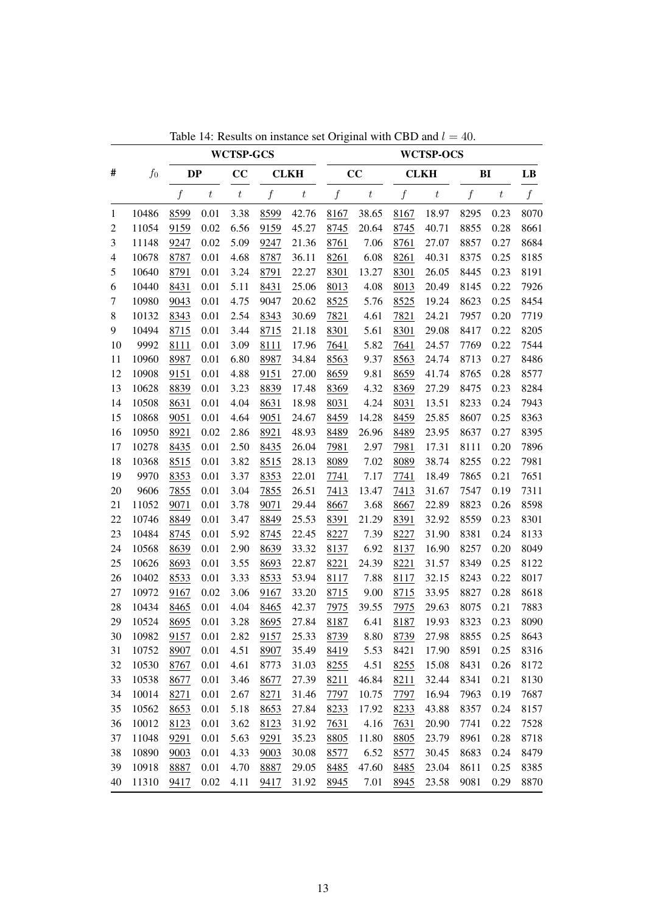|                |       |                  |                  | <b>WCTSP-GCS</b> |                  |                  |                  |                  |                  | <b>WCTSP-OCS</b> |                  |                  |                  |
|----------------|-------|------------------|------------------|------------------|------------------|------------------|------------------|------------------|------------------|------------------|------------------|------------------|------------------|
| #              | $f_0$ | <b>DP</b>        |                  | CC               |                  | <b>CLKH</b>      |                  | CC               |                  | <b>CLKH</b>      | BI               |                  | LB               |
|                |       | $\boldsymbol{f}$ | $\boldsymbol{t}$ | $\,t$            | $\boldsymbol{f}$ | $\boldsymbol{t}$ | $\boldsymbol{f}$ | $\boldsymbol{t}$ | $\boldsymbol{f}$ | $\boldsymbol{t}$ | $\boldsymbol{f}$ | $\boldsymbol{t}$ | $\boldsymbol{f}$ |
| 1              | 10486 | 8599             | 0.01             | 3.38             | 8599             | 42.76            | 8167             | 38.65            | 8167             | 18.97            | 8295             | 0.23             | 8070             |
| $\overline{c}$ | 11054 | 9159             | 0.02             | 6.56             | 9159             | 45.27            | 8745             | 20.64            | 8745             | 40.71            | 8855             | 0.28             | 8661             |
| 3              | 11148 | 9247             | 0.02             | 5.09             | 9247             | 21.36            | 8761             | 7.06             | 8761             | 27.07            | 8857             | 0.27             | 8684             |
| 4              | 10678 | 8787             | 0.01             | 4.68             | 8787             | 36.11            | 8261             | 6.08             | 8261             | 40.31            | 8375             | 0.25             | 8185             |
| 5              | 10640 | 8791             | 0.01             | 3.24             | 8791             | 22.27            | 8301             | 13.27            | 8301             | 26.05            | 8445             | 0.23             | 8191             |
| 6              | 10440 | 8431             | $0.01\,$         | 5.11             | 8431             | 25.06            | 8013             | 4.08             | 8013             | 20.49            | 8145             | 0.22             | 7926             |
| 7              | 10980 | 9043             | 0.01             | 4.75             | 9047             | 20.62            | 8525             | 5.76             | 8525             | 19.24            | 8623             | 0.25             | 8454             |
| $8\,$          | 10132 | 8343             | 0.01             | 2.54             | 8343             | 30.69            | 7821             | 4.61             | 7821             | 24.21            | 7957             | 0.20             | 7719             |
| 9              | 10494 | 8715             | 0.01             | 3.44             | 8715             | 21.18            | 8301             | 5.61             | 8301             | 29.08            | 8417             | 0.22             | 8205             |
| 10             | 9992  | 8111             | 0.01             | 3.09             | 8111             | 17.96            | 7641             | 5.82             | 7641             | 24.57            | 7769             | 0.22             | 7544             |
| 11             | 10960 | 8987             | 0.01             | 6.80             | 8987             | 34.84            | 8563             | 9.37             | 8563             | 24.74            | 8713             | 0.27             | 8486             |
| 12             | 10908 | 9151             | 0.01             | 4.88             | 9151             | 27.00            | 8659             | 9.81             | 8659             | 41.74            | 8765             | 0.28             | 8577             |
| 13             | 10628 | 8839             | 0.01             | 3.23             | 8839             | 17.48            | 8369             | 4.32             | 8369             | 27.29            | 8475             | 0.23             | 8284             |
| 14             | 10508 | 8631             | 0.01             | 4.04             | 8631             | 18.98            | 8031             | 4.24             | 8031             | 13.51            | 8233             | 0.24             | 7943             |
| 15             | 10868 | 9051             | 0.01             | 4.64             | 9051             | 24.67            | 8459             | 14.28            | 8459             | 25.85            | 8607             | 0.25             | 8363             |
| 16             | 10950 | 8921             | 0.02             | 2.86             | 8921             | 48.93            | 8489             | 26.96            | 8489             | 23.95            | 8637             | 0.27             | 8395             |
| 17             | 10278 | 8435             | 0.01             | 2.50             | 8435             | 26.04            | 7981             | 2.97             | 7981             | 17.31            | 8111             | 0.20             | 7896             |
| 18             | 10368 | 8515             | 0.01             | 3.82             | 8515             | 28.13            | 8089             | 7.02             | 8089             | 38.74            | 8255             | 0.22             | 7981             |
| 19             | 9970  | 8353             | 0.01             | 3.37             | 8353             | 22.01            | 7741             | 7.17             | 7741             | 18.49            | 7865             | 0.21             | 7651             |
| 20             | 9606  | 7855             | 0.01             | 3.04             | 7855             | 26.51            | 7413             | 13.47            | 7413             | 31.67            | 7547             | 0.19             | 7311             |
| 21             | 11052 | 9071             | 0.01             | 3.78             | 9071             | 29.44            | 8667             | 3.68             | 8667             | 22.89            | 8823             | 0.26             | 8598             |
| 22             | 10746 | 8849             | 0.01             | 3.47             | 8849             | 25.53            | 8391             | 21.29            | 8391             | 32.92            | 8559             | 0.23             | 8301             |
| 23             | 10484 | 8745             | 0.01             | 5.92             | 8745             | 22.45            | 8227             | 7.39             | 8227             | 31.90            | 8381             | 0.24             | 8133             |
| 24             | 10568 | 8639             | 0.01             | 2.90             | 8639             | 33.32            | 8137             | 6.92             | 8137             | 16.90            | 8257             | 0.20             | 8049             |
| 25             | 10626 | 8693             | 0.01             | 3.55             | 8693             | 22.87            | 8221             | 24.39            | 8221             | 31.57            | 8349             | 0.25             | 8122             |
| 26             | 10402 | 8533             | 0.01             | 3.33             | 8533             | 53.94            | 8117             | 7.88             | 8117             | 32.15            | 8243             | 0.22             | 8017             |
| 27             | 10972 | 9167             | 0.02             | 3.06             | 9167             | 33.20            | 8715             | 9.00             | 8715             | 33.95            | 8827             | 0.28             | 8618             |
| 28             | 10434 | 8465             | 0.01             | 4.04             | 8465             | 42.37            | 7975             | 39.55            | 7975             | 29.63            | 8075             | 0.21             | 7883             |
| 29             | 10524 | 8695             | 0.01             | 3.28             | 8695             | 27.84            | 8187             | 6.41             | 8187             | 19.93            | 8323             | 0.23             | 8090             |
| 30             | 10982 | 9157             | 0.01             | 2.82             | 9157             | 25.33            | 8739             | 8.80             | 8739             | 27.98            | 8855             | 0.25             | 8643             |
| 31             | 10752 | 8907             | 0.01             | 4.51             | 8907             | 35.49            | 8419             | 5.53             | 8421             | 17.90            | 8591             | 0.25             | 8316             |
| 32             | 10530 | 8767             | 0.01             | 4.61             | 8773             | 31.03            | 8255             | 4.51             | 8255             | 15.08            | 8431             | 0.26             | 8172             |
| 33             | 10538 | 8677             | 0.01             | 3.46             | 8677             | 27.39            | 8211             | 46.84            | 8211             | 32.44            | 8341             | 0.21             | 8130             |
| 34             | 10014 | 8271             | 0.01             | 2.67             | 8271             | 31.46            | 7797             | 10.75            | 7797             | 16.94            | 7963             | 0.19             | 7687             |
| 35             | 10562 | 8653             | 0.01             | 5.18             | 8653             | 27.84            | 8233             | 17.92            | 8233             | 43.88            | 8357             | 0.24             | 8157             |
| 36             | 10012 | 8123             | 0.01             | 3.62             | 8123             | 31.92            | 7631             | 4.16             | 7631             | 20.90            | 7741             | 0.22             | 7528             |
| 37             | 11048 | 9291             | 0.01             | 5.63             | 9291             | 35.23            | 8805             | 11.80            | 8805             | 23.79            | 8961             | 0.28             | 8718             |
| 38             | 10890 | 9003             | 0.01             | 4.33             | 9003             | 30.08            | 8577             | 6.52             | 8577             | 30.45            | 8683             | 0.24             | 8479             |
| 39             | 10918 | 8887             | 0.01             | 4.70             | 8887             | 29.05            | 8485             | 47.60            | 8485             | 23.04            | 8611             | 0.25             | 8385             |
| 40             | 11310 | 9417             | 0.02             | 4.11             | 9417             | 31.92            | 8945             | 7.01             | 8945             | 23.58            | 9081             | 0.29             | 8870             |

Table 14: Results on instance set Original with CBD and  $l = 40$ .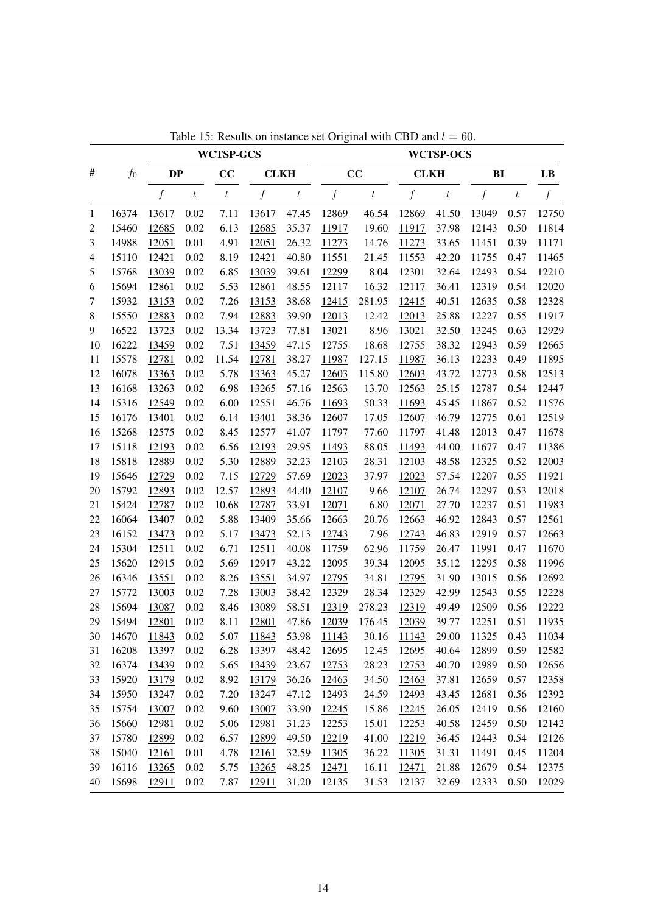| #<br>$f_0$<br>CC<br>CC<br><b>DP</b><br><b>CLKH</b><br><b>CLKH</b>                                                                                                 |                  |                  |                  |
|-------------------------------------------------------------------------------------------------------------------------------------------------------------------|------------------|------------------|------------------|
|                                                                                                                                                                   |                  | BI               | LB               |
| $\boldsymbol{f}$<br>$\boldsymbol{f}$<br>f<br>$\boldsymbol{f}$<br>$\boldsymbol{t}$<br>$\boldsymbol{t}$<br>$\boldsymbol{t}$<br>$\boldsymbol{t}$<br>$\boldsymbol{t}$ | $\boldsymbol{f}$ | $\boldsymbol{t}$ | $\boldsymbol{f}$ |
| 16374<br>0.02<br>7.11<br>47.45<br>12869<br>46.54<br>12869<br>41.50<br>13617<br>13617<br>1                                                                         | 13049            | 0.57             | 12750            |
| 0.02<br>6.13<br>35.37<br>37.98<br>$\overline{c}$<br>15460<br>12685<br>12685<br>11917<br>19.60<br>11917                                                            | 12143            | 0.50             | 11814            |
| 26.32<br>3<br>14988<br>12051<br>0.01<br>4.91<br>12051<br>11273<br>14.76<br>11273<br>33.65                                                                         | 11451            | 0.39             | 11171            |
| 40.80<br>42.20<br>15110<br>12421<br>0.02<br>8.19<br>12421<br>11551<br>21.45<br>11553<br>$\overline{4}$                                                            | 11755            | 0.47             | 11465            |
| 8.04<br>5<br>15768<br>13039<br>0.02<br>6.85<br>13039<br>39.61<br>12299<br>12301<br>32.64                                                                          | 12493            | 0.54             | 12210            |
| 15694<br>48.55<br>16.32<br>12861<br>0.02<br>5.53<br>12861<br>12117<br>36.41<br>6<br>12117                                                                         | 12319            | 0.54             | 12020            |
| 0.02<br>7.26<br>38.68<br>281.95<br>40.51<br>$\tau$<br>15932<br>13153<br>13153<br>12415<br>12415                                                                   | 12635            | 0.58             | 12328            |
| 15550<br>39.90<br>25.88<br>$8\phantom{1}$<br>12883<br>0.02<br>7.94<br>12883<br>12013<br>12.42<br>12013                                                            | 12227            | 0.55             | 11917            |
| 16522<br>13.34<br>8.96<br>32.50<br>13723<br>0.02<br>13723<br>77.81<br>13021<br>13021<br>9                                                                         | 13245            | 0.63             | 12929            |
| 16222<br>0.02<br>7.51<br>47.15<br>18.68<br>38.32<br>13459<br>13459<br>12755<br>12755<br>10                                                                        | 12943            | 0.59             | 12665            |
| 0.02<br>11.54<br>38.27<br>127.15<br>11<br>15578<br>12781<br>12781<br>11987<br>11987<br>36.13                                                                      | 12233            | 0.49             | 11895            |
| $0.02\,$<br>5.78<br>45.27<br>115.80<br>12<br>16078<br>13363<br>13363<br>12603<br>12603<br>43.72                                                                   | 12773            | 0.58             | 12513            |
| 6.98<br>13<br>16168<br>13263<br>0.02<br>13265<br>57.16<br>12563<br>13.70<br>12563<br>25.15                                                                        | 12787            | 0.54             | 12447            |
| 15316<br>0.02<br>6.00<br>12551<br>45.45<br>14<br>12549<br>46.76<br>50.33<br>11693<br>11693                                                                        | 11867            | 0.52             | 11576            |
| 15<br>0.02<br>38.36<br>46.79<br>16176<br>13401<br>6.14<br>13401<br>12607<br>17.05<br>12607                                                                        | 12775            | 0.61             | 12519            |
| 16<br>15268<br>12575<br>0.02<br>8.45<br>12577<br>41.07<br>11797<br>77.60<br>11797<br>41.48                                                                        | 12013            | 0.47             | 11678            |
| 0.02<br>29.95<br>88.05<br>17<br>15118<br>12193<br>6.56<br>12193<br>11493<br>11493<br>44.00                                                                        | 11677            | 0.47             | 11386            |
| 15818<br>18<br>12889<br>0.02<br>5.30<br>12889<br>32.23<br>12103<br>28.31<br>12103<br>48.58                                                                        | 12325            | 0.52             | 12003            |
| 19<br>15646<br>0.02<br>7.15<br>57.69<br>57.54<br>12729<br>12729<br>12023<br>37.97<br>12023                                                                        | 12207            | 0.55             | 11921            |
| 20<br>15792<br>12893<br>0.02<br>12.57<br>12893<br>44.40<br>12107<br>9.66<br>12107<br>26.74                                                                        | 12297            | 0.53             | 12018            |
| 0.02<br>21<br>15424<br>12787<br>10.68<br>12787<br>33.91<br>6.80<br>12071<br>27.70<br>12071                                                                        | 12237            | 0.51             | 11983            |
| 5.88<br>22<br>16064<br>0.02<br>13409<br>35.66<br>20.76<br>12663<br>46.92<br>13407<br>12663                                                                        | 12843            | 0.57             | 12561            |
| 0.02<br>52.13<br>23<br>16152<br>13473<br>5.17<br>13473<br>12743<br>7.96<br>12743<br>46.83                                                                         | 12919            | 0.57             | 12663            |
| 15304<br>0.02<br>40.08<br>24<br>12511<br>6.71<br>12511<br>11759<br>62.96<br>11759<br>26.47                                                                        | 11991            | 0.47             | 11670            |
| 15620<br>$0.02\,$<br>43.22<br>39.34<br>25<br>12915<br>5.69<br>12917<br>12095<br>12095<br>35.12                                                                    | 12295            | 0.58             | 11996            |
| 16346<br>26<br>13551<br>0.02<br>8.26<br>13551<br>34.97<br>34.81<br>12795<br>31.90<br>12795                                                                        | 13015            | 0.56             | 12692            |
| 15772<br>0.02<br>7.28<br>38.42<br>28.34<br>27<br>13003<br>13003<br>12329<br>12329<br>42.99                                                                        | 12543            | 0.55             | 12228            |
| 58.51<br>28<br>15694<br>0.02<br>13089<br>278.23<br>12319<br>49.49<br>13087<br>8.46<br>12319                                                                       | 12509            | 0.56             | 12222            |
| 15494<br>0.02<br>12801<br>47.86<br>176.45<br>39.77<br>29<br>12801<br>8.11<br>12039<br>12039                                                                       | 12251            | 0.51             | 11935            |
| 5.07<br>11843<br>53.98<br>11843<br>0.02<br>11143<br>30.16<br>11143<br>29.00<br>30<br>14670                                                                        | 11325            | 0.43             | 11034            |
| 16208<br>6.28<br>48.42<br>31<br>13397<br>0.02<br>13397<br>12695<br>12.45<br>12695<br>40.64                                                                        | 12899            | 0.59             | 12582            |
| 16374<br>13439<br>0.02<br>5.65<br>13439<br>23.67<br>28.23<br>12753<br>40.70<br>32<br>12753                                                                        | 12989            | 0.50             | 12656            |
| 15920<br>13179<br>0.02<br>8.92<br>13179<br>36.26<br>12463<br>34.50<br>12463<br>37.81<br>33                                                                        | 12659            | 0.57             | 12358            |
| 15950<br>13247<br>0.02<br>7.20<br>47.12<br>24.59<br>12493<br>43.45<br>34<br>13247<br>12493                                                                        | 12681            | 0.56             | 12392            |
| 15754<br>0.02<br>9.60<br>26.05<br>35<br>13007<br>13007<br>33.90<br>12245<br>15.86<br>12245                                                                        | 12419            | 0.56             | 12160            |
| 15660<br>12981<br>0.02<br>5.06<br>12981<br>31.23<br>15.01<br>12253<br>40.58<br>36<br>12253                                                                        | 12459            | 0.50             | 12142            |
| 15780<br>12899<br>0.02<br>6.57<br>12899<br>49.50<br>12219<br>41.00<br>12219<br>36.45<br>37                                                                        | 12443            | 0.54             | 12126            |
| 15040<br>12161<br>0.01<br>4.78<br>32.59<br>11305<br>36.22<br>11305<br>31.31<br>38<br>12161                                                                        | 11491            | 0.45             | 11204            |
| 16116<br>5.75<br>39<br>13265<br>0.02<br>13265<br>48.25<br>12471<br>16.11<br>12471<br>21.88                                                                        | 12679            | 0.54             | 12375            |
| 40<br>15698<br>0.02<br>7.87<br>31.20<br>31.53<br>12137<br>32.69<br>12911<br>12911<br>12135                                                                        | 12333            | 0.50             | 12029            |

Table 15: Results on instance set Original with CBD and  $l = 60$ .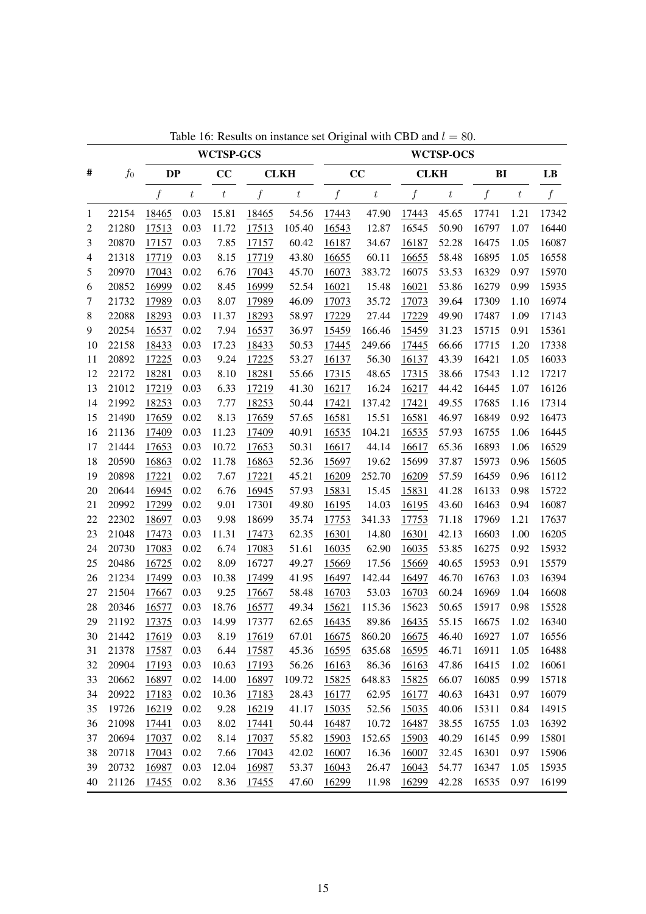|              |       |           |         | <b>WCTSP-GCS</b> |       |                  |                  |         |             | <b>WCTSP-OCS</b> |       |                  |               |
|--------------|-------|-----------|---------|------------------|-------|------------------|------------------|---------|-------------|------------------|-------|------------------|---------------|
| #            | $f_0$ | <b>DP</b> |         | cc               |       | <b>CLKH</b>      |                  | cc      | <b>CLKH</b> |                  | BI    |                  | $\mathbf{LB}$ |
|              |       | f         | $\,t\,$ | $\boldsymbol{t}$ | f     | $\boldsymbol{t}$ | $\boldsymbol{f}$ | $\,t\,$ | f           | $\boldsymbol{t}$ | f     | $\boldsymbol{t}$ | f             |
| $\mathbf{1}$ | 22154 | 18465     | 0.03    | 15.81            | 18465 | 54.56            | 17443            | 47.90   | 17443       | 45.65            | 17741 | 1.21             | 17342         |
| 2            | 21280 | 17513     | 0.03    | 11.72            | 17513 | 105.40           | 16543            | 12.87   | 16545       | 50.90            | 16797 | 1.07             | 16440         |
| 3            | 20870 | 17157     | 0.03    | 7.85             | 17157 | 60.42            | 16187            | 34.67   | 16187       | 52.28            | 16475 | 1.05             | 16087         |
| 4            | 21318 | 17719     | 0.03    | 8.15             | 17719 | 43.80            | 16655            | 60.11   | 16655       | 58.48            | 16895 | 1.05             | 16558         |
| 5            | 20970 | 17043     | 0.02    | 6.76             | 17043 | 45.70            | 16073            | 383.72  | 16075       | 53.53            | 16329 | 0.97             | 15970         |
| 6            | 20852 | 16999     | 0.02    | 8.45             | 16999 | 52.54            | 16021            | 15.48   | 16021       | 53.86            | 16279 | 0.99             | 15935         |
| 7            | 21732 | 17989     | 0.03    | 8.07             | 17989 | 46.09            | 17073            | 35.72   | 17073       | 39.64            | 17309 | 1.10             | 16974         |
| $\,8\,$      | 22088 | 18293     | 0.03    | 11.37            | 18293 | 58.97            | 17229            | 27.44   | 17229       | 49.90            | 17487 | 1.09             | 17143         |
| 9            | 20254 | 16537     | 0.02    | 7.94             | 16537 | 36.97            | 15459            | 166.46  | 15459       | 31.23            | 15715 | 0.91             | 15361         |
| 10           | 22158 | 18433     | 0.03    | 17.23            | 18433 | 50.53            | 17445            | 249.66  | 17445       | 66.66            | 17715 | 1.20             | 17338         |
| 11           | 20892 | 17225     | 0.03    | 9.24             | 17225 | 53.27            | 16137            | 56.30   | 16137       | 43.39            | 16421 | 1.05             | 16033         |
| 12           | 22172 | 18281     | 0.03    | 8.10             | 18281 | 55.66            | 17315            | 48.65   | 17315       | 38.66            | 17543 | 1.12             | 17217         |
| 13           | 21012 | 17219     | 0.03    | 6.33             | 17219 | 41.30            | 16217            | 16.24   | 16217       | 44.42            | 16445 | 1.07             | 16126         |
| 14           | 21992 | 18253     | 0.03    | 7.77             | 18253 | 50.44            | 17421            | 137.42  | 17421       | 49.55            | 17685 | 1.16             | 17314         |
| 15           | 21490 | 17659     | 0.02    | 8.13             | 17659 | 57.65            | 16581            | 15.51   | 16581       | 46.97            | 16849 | 0.92             | 16473         |
| 16           | 21136 | 17409     | 0.03    | 11.23            | 17409 | 40.91            | 16535            | 104.21  | 16535       | 57.93            | 16755 | 1.06             | 16445         |
| 17           | 21444 | 17653     | 0.03    | 10.72            | 17653 | 50.31            | 16617            | 44.14   | 16617       | 65.36            | 16893 | 1.06             | 16529         |
| 18           | 20590 | 16863     | 0.02    | 11.78            | 16863 | 52.36            | 15697            | 19.62   | 15699       | 37.87            | 15973 | 0.96             | 15605         |
| 19           | 20898 | 17221     | 0.02    | 7.67             | 17221 | 45.21            | 16209            | 252.70  | 16209       | 57.59            | 16459 | 0.96             | 16112         |
| 20           | 20644 | 16945     | 0.02    | 6.76             | 16945 | 57.93            | 15831            | 15.45   | 15831       | 41.28            | 16133 | 0.98             | 15722         |
| 21           | 20992 | 17299     | 0.02    | 9.01             | 17301 | 49.80            | 16195            | 14.03   | 16195       | 43.60            | 16463 | 0.94             | 16087         |
| 22           | 22302 | 18697     | 0.03    | 9.98             | 18699 | 35.74            | 17753            | 341.33  | 17753       | 71.18            | 17969 | 1.21             | 17637         |
| 23           | 21048 | 17473     | 0.03    | 11.31            | 17473 | 62.35            | 16301            | 14.80   | 16301       | 42.13            | 16603 | 1.00             | 16205         |
| 24           | 20730 | 17083     | 0.02    | 6.74             | 17083 | 51.61            | 16035            | 62.90   | 16035       | 53.85            | 16275 | 0.92             | 15932         |
| 25           | 20486 | 16725     | 0.02    | 8.09             | 16727 | 49.27            | 15669            | 17.56   | 15669       | 40.65            | 15953 | 0.91             | 15579         |
| 26           | 21234 | 17499     | 0.03    | 10.38            | 17499 | 41.95            | 16497            | 142.44  | 16497       | 46.70            | 16763 | 1.03             | 16394         |
| 27           | 21504 | 17667     | 0.03    | 9.25             | 17667 | 58.48            | 16703            | 53.03   | 16703       | 60.24            | 16969 | 1.04             | 16608         |
| 28           | 20346 | 16577     | 0.03    | 18.76            | 16577 | 49.34            | 15621            | 115.36  | 15623       | 50.65            | 15917 | 0.98             | 15528         |
| 29           | 21192 | 17375     | 0.03    | 14.99            | 17377 | 62.65            | 16435            | 89.86   | 16435       | 55.15            | 16675 | 1.02             | 16340         |
| 30           | 21442 | 17619     | 0.03    | 8.19             | 17619 | 67.01            | <u>16675</u>     | 860.20  | 16675       | 46.40            | 16927 | 1.07             | 16556         |
| 31           | 21378 | 17587     | 0.03    | 6.44             | 17587 | 45.36            | 16595            | 635.68  | 16595       | 46.71            | 16911 | 1.05             | 16488         |
| 32           | 20904 | 17193     | 0.03    | 10.63            | 17193 | 56.26            | 16163            | 86.36   | 16163       | 47.86            | 16415 | 1.02             | 16061         |
| 33           | 20662 | 16897     | 0.02    | 14.00            | 16897 | 109.72           | 15825            | 648.83  | 15825       | 66.07            | 16085 | 0.99             | 15718         |
| 34           | 20922 | 17183     | 0.02    | 10.36            | 17183 | 28.43            | 16177            | 62.95   | 16177       | 40.63            | 16431 | 0.97             | 16079         |
| 35           | 19726 | 16219     | 0.02    | 9.28             | 16219 | 41.17            | 15035            | 52.56   | 15035       | 40.06            | 15311 | 0.84             | 14915         |
| 36           | 21098 | 17441     | 0.03    | 8.02             | 17441 | 50.44            | 16487            | 10.72   | 16487       | 38.55            | 16755 | 1.03             | 16392         |
| 37           | 20694 | 17037     | 0.02    | 8.14             | 17037 | 55.82            | 15903            | 152.65  | 15903       | 40.29            | 16145 | 0.99             | 15801         |
| 38           | 20718 | 17043     | 0.02    | 7.66             | 17043 | 42.02            | 16007            | 16.36   | 16007       | 32.45            | 16301 | 0.97             | 15906         |
| 39           | 20732 | 16987     | 0.03    | 12.04            | 16987 | 53.37            | 16043            | 26.47   | 16043       | 54.77            | 16347 | 1.05             | 15935         |
| 40           | 21126 | 17455     | 0.02    | 8.36             | 17455 | 47.60            | 16299            | 11.98   | 16299       | 42.28            | 16535 | 0.97             | 16199         |
|              |       |           |         |                  |       |                  |                  |         |             |                  |       |                  |               |

Table 16: Results on instance set Original with CBD and  $l = 80$ .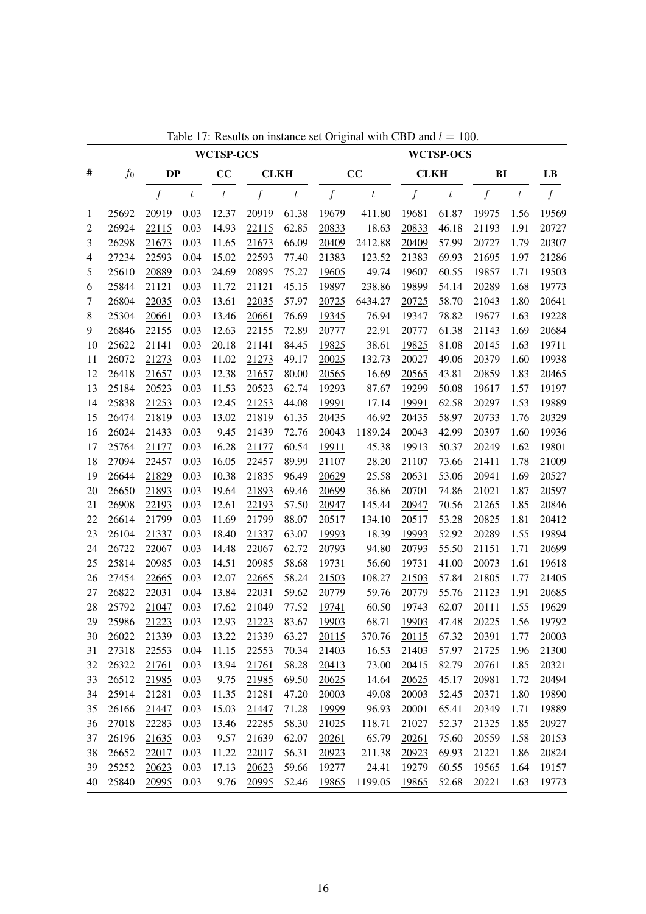|    |       |           |                  | <b>WCTSP-GCS</b> |                  |                  |                  |                  |                  | <b>WCTSP-OCS</b> |                  |                  |                  |
|----|-------|-----------|------------------|------------------|------------------|------------------|------------------|------------------|------------------|------------------|------------------|------------------|------------------|
| #  | $f_0$ | <b>DP</b> |                  | CC               | <b>CLKH</b>      |                  |                  | CC               | <b>CLKH</b>      |                  | BI               |                  | LB               |
|    |       | f         | $\boldsymbol{t}$ | $\boldsymbol{t}$ | $\boldsymbol{f}$ | $\boldsymbol{t}$ | $\boldsymbol{f}$ | $\boldsymbol{t}$ | $\boldsymbol{f}$ | $\boldsymbol{t}$ | $\boldsymbol{f}$ | $\boldsymbol{t}$ | $\boldsymbol{f}$ |
| 1  | 25692 | 20919     | 0.03             | 12.37            | 20919            | 61.38            | 19679            | 411.80           | 19681            | 61.87            | 19975            | 1.56             | 19569            |
| 2  | 26924 | 22115     | 0.03             | 14.93            | 22115            | 62.85            | 20833            | 18.63            | 20833            | 46.18            | 21193            | 1.91             | 20727            |
| 3  | 26298 | 21673     | 0.03             | 11.65            | 21673            | 66.09            | 20409            | 2412.88          | 20409            | 57.99            | 20727            | 1.79             | 20307            |
| 4  | 27234 | 22593     | 0.04             | 15.02            | 22593            | 77.40            | 21383            | 123.52           | 21383            | 69.93            | 21695            | 1.97             | 21286            |
| 5  | 25610 | 20889     | 0.03             | 24.69            | 20895            | 75.27            | 19605            | 49.74            | 19607            | 60.55            | 19857            | 1.71             | 19503            |
| 6  | 25844 | 21121     | 0.03             | 11.72            | 21121            | 45.15            | 19897            | 238.86           | 19899            | 54.14            | 20289            | 1.68             | 19773            |
| 7  | 26804 | 22035     | 0.03             | 13.61            | 22035            | 57.97            | 20725            | 6434.27          | 20725            | 58.70            | 21043            | 1.80             | 20641            |
| 8  | 25304 | 20661     | 0.03             | 13.46            | 20661            | 76.69            | 19345            | 76.94            | 19347            | 78.82            | 19677            | 1.63             | 19228            |
| 9  | 26846 | 22155     | 0.03             | 12.63            | 22155            | 72.89            | 20777            | 22.91            | 20777            | 61.38            | 21143            | 1.69             | 20684            |
| 10 | 25622 | 21141     | 0.03             | 20.18            | 21141            | 84.45            | 19825            | 38.61            | 19825            | 81.08            | 20145            | 1.63             | 19711            |
| 11 | 26072 | 21273     | 0.03             | 11.02            | 21273            | 49.17            | 20025            | 132.73           | 20027            | 49.06            | 20379            | 1.60             | 19938            |
| 12 | 26418 | 21657     | 0.03             | 12.38            | 21657            | 80.00            | 20565            | 16.69            | 20565            | 43.81            | 20859            | 1.83             | 20465            |
| 13 | 25184 | 20523     | 0.03             | 11.53            | 20523            | 62.74            | 19293            | 87.67            | 19299            | 50.08            | 19617            | 1.57             | 19197            |
| 14 | 25838 | 21253     | 0.03             | 12.45            | 21253            | 44.08            | 19991            | 17.14            | 19991            | 62.58            | 20297            | 1.53             | 19889            |
| 15 | 26474 | 21819     | 0.03             | 13.02            | 21819            | 61.35            | 20435            | 46.92            | 20435            | 58.97            | 20733            | 1.76             | 20329            |
| 16 | 26024 | 21433     | 0.03             | 9.45             | 21439            | 72.76            | 20043            | 1189.24          | 20043            | 42.99            | 20397            | 1.60             | 19936            |
| 17 | 25764 | 21177     | 0.03             | 16.28            | 21177            | 60.54            | 19911            | 45.38            | 19913            | 50.37            | 20249            | 1.62             | 19801            |
| 18 | 27094 | 22457     | 0.03             | 16.05            | 22457            | 89.99            | 21107            | 28.20            | 21107            | 73.66            | 21411            | 1.78             | 21009            |
| 19 | 26644 | 21829     | 0.03             | 10.38            | 21835            | 96.49            | 20629            | 25.58            | 20631            | 53.06            | 20941            | 1.69             | 20527            |
| 20 | 26650 | 21893     | 0.03             | 19.64            | 21893            | 69.46            | 20699            | 36.86            | 20701            | 74.86            | 21021            | 1.87             | 20597            |
| 21 | 26908 | 22193     | 0.03             | 12.61            | 22193            | 57.50            | 20947            | 145.44           | 20947            | 70.56            | 21265            | 1.85             | 20846            |
| 22 | 26614 | 21799     | 0.03             | 11.69            | 21799            | 88.07            | 20517            | 134.10           | 20517            | 53.28            | 20825            | 1.81             | 20412            |
| 23 | 26104 | 21337     | 0.03             | 18.40            | 21337            | 63.07            | 19993            | 18.39            | 19993            | 52.92            | 20289            | 1.55             | 19894            |
| 24 | 26722 | 22067     | 0.03             | 14.48            | 22067            | 62.72            | 20793            | 94.80            | 20793            | 55.50            | 21151            | 1.71             | 20699            |
| 25 | 25814 | 20985     | 0.03             | 14.51            | 20985            | 58.68            | 19731            | 56.60            | 19731            | 41.00            | 20073            | 1.61             | 19618            |
| 26 | 27454 | 22665     | 0.03             | 12.07            | 22665            | 58.24            | 21503            | 108.27           | 21503            | 57.84            | 21805            | 1.77             | 21405            |
| 27 | 26822 | 22031     | 0.04             | 13.84            | 22031            | 59.62            | 20779            | 59.76            | 20779            | 55.76            | 21123            | 1.91             | 20685            |
| 28 | 25792 | 21047     | 0.03             | 17.62            | 21049            | 77.52            | 19741            | 60.50            | 19743            | 62.07            | 20111            | 1.55             | 19629            |
| 29 | 25986 | 21223     | 0.03             | 12.93            | 21223            | 83.67            | 19903            | 68.71            | 19903            | 47.48            | 20225            | 1.56             | 19792            |
| 30 | 26022 | 21339     | 0.03             | 13.22            | 21339            | 63.27            | 20115            | 370.76           | 20115            | 67.32            | 20391            | 1.77             | 20003            |
| 31 | 27318 | 22553     | 0.04             | 11.15            | 22553            | 70.34            | 21403            | 16.53            | 21403            | 57.97            | 21725            | 1.96             | 21300            |
| 32 | 26322 | 21761     | 0.03             | 13.94            | 21761            | 58.28            | 20413            | 73.00            | 20415            | 82.79            | 20761            | 1.85             | 20321            |
| 33 | 26512 | 21985     | 0.03             | 9.75             | 21985            | 69.50            | 20625            | 14.64            | 20625            | 45.17            | 20981            | 1.72             | 20494            |
| 34 | 25914 | 21281     | 0.03             | 11.35            | 21281            | 47.20            | 20003            | 49.08            | 20003            | 52.45            | 20371            | 1.80             | 19890            |
| 35 | 26166 | 21447     | 0.03             | 15.03            | 21447            | 71.28            | 19999            | 96.93            | 20001            | 65.41            | 20349            | 1.71             | 19889            |
| 36 | 27018 | 22283     | 0.03             | 13.46            | 22285            | 58.30            | 21025            | 118.71           | 21027            | 52.37            | 21325            | 1.85             | 20927            |
| 37 | 26196 | 21635     | 0.03             | 9.57             | 21639            | 62.07            | 20261            | 65.79            | 20261            | 75.60            | 20559            | 1.58             | 20153            |
| 38 | 26652 | 22017     | 0.03             | 11.22            | 22017            | 56.31            | 20923            | 211.38           | 20923            | 69.93            | 21221            | 1.86             | 20824            |
| 39 | 25252 | 20623     | 0.03             | 17.13            | 20623            | 59.66            | 19277            | 24.41            | 19279            | 60.55            | 19565            | 1.64             | 19157            |
| 40 | 25840 | 20995     | 0.03             | 9.76             | 20995            | 52.46            | 19865            | 1199.05          | 19865            | 52.68            | 20221            | 1.63             | 19773            |

Table 17: Results on instance set Original with CBD and  $l = 100$ .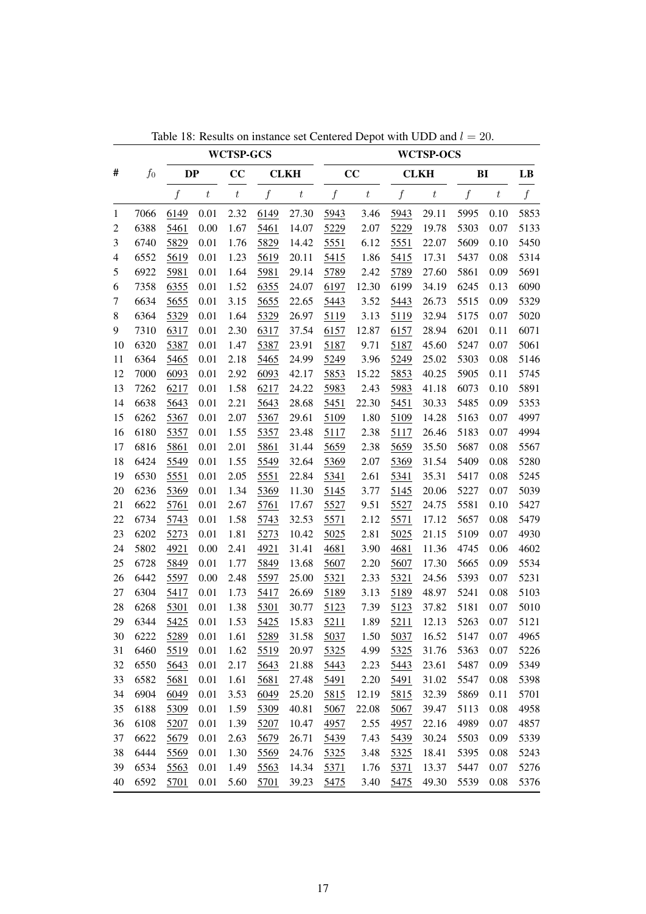|                |       |                  |                  | <b>WCTSP-GCS</b> |                  |                  |                  |                  |                  | <b>WCTSP-OCS</b> |                  |                  |                  |
|----------------|-------|------------------|------------------|------------------|------------------|------------------|------------------|------------------|------------------|------------------|------------------|------------------|------------------|
| #              | $f_0$ | DP               |                  | CC               |                  | <b>CLKH</b>      |                  | CC               |                  | <b>CLKH</b>      | BI               |                  | LB               |
|                |       | $\boldsymbol{f}$ | $\boldsymbol{t}$ | $\boldsymbol{t}$ | $\boldsymbol{f}$ | $\boldsymbol{t}$ | $\boldsymbol{f}$ | $\boldsymbol{t}$ | $\boldsymbol{f}$ | $\boldsymbol{t}$ | $\boldsymbol{f}$ | $\boldsymbol{t}$ | $\boldsymbol{f}$ |
| 1              | 7066  | 6149             | 0.01             | 2.32             | 6149             | 27.30            | 5943             | 3.46             | 5943             | 29.11            | 5995             | 0.10             | 5853             |
| $\overline{c}$ | 6388  | 5461             | 0.00             | 1.67             | 5461             | 14.07            | 5229             | 2.07             | 5229             | 19.78            | 5303             | 0.07             | 5133             |
| 3              | 6740  | 5829             | 0.01             | 1.76             | 5829             | 14.42            | 5551             | 6.12             | 5551             | 22.07            | 5609             | 0.10             | 5450             |
| $\overline{4}$ | 6552  | 5619             | 0.01             | 1.23             | 5619             | 20.11            | 5415             | 1.86             | 5415             | 17.31            | 5437             | 0.08             | 5314             |
| 5              | 6922  | 5981             | 0.01             | 1.64             | 5981             | 29.14            | 5789             | 2.42             | 5789             | 27.60            | 5861             | 0.09             | 5691             |
| 6              | 7358  | 6355             | 0.01             | 1.52             | 6355             | 24.07            | 6197             | 12.30            | 6199             | 34.19            | 6245             | 0.13             | 6090             |
| 7              | 6634  | 5655             | 0.01             | 3.15             | 5655             | 22.65            | 5443             | 3.52             | 5443             | 26.73            | 5515             | 0.09             | 5329             |
| $8\,$          | 6364  | 5329             | 0.01             | 1.64             | 5329             | 26.97            | 5119             | 3.13             | 5119             | 32.94            | 5175             | 0.07             | 5020             |
| 9              | 7310  | 6317             | 0.01             | 2.30             | 6317             | 37.54            | 6157             | 12.87            | 6157             | 28.94            | 6201             | 0.11             | 6071             |
| 10             | 6320  | 5387             | 0.01             | 1.47             | 5387             | 23.91            | 5187             | 9.71             | 5187             | 45.60            | 5247             | 0.07             | 5061             |
| 11             | 6364  | 5465             | 0.01             | 2.18             | 5465             | 24.99            | 5249             | 3.96             | 5249             | 25.02            | 5303             | 0.08             | 5146             |
| 12             | 7000  | 6093             | 0.01             | 2.92             | 6093             | 42.17            | 5853             | 15.22            | 5853             | 40.25            | 5905             | 0.11             | 5745             |
| 13             | 7262  | 6217             | 0.01             | 1.58             | 6217             | 24.22            | 5983             | 2.43             | 5983             | 41.18            | 6073             | 0.10             | 5891             |
| 14             | 6638  | 5643             | 0.01             | 2.21             | 5643             | 28.68            | 5451             | 22.30            | 5451             | 30.33            | 5485             | 0.09             | 5353             |
| 15             | 6262  | 5367             | 0.01             | 2.07             | 5367             | 29.61            | 5109             | 1.80             | 5109             | 14.28            | 5163             | 0.07             | 4997             |
| 16             | 6180  | 5357             | 0.01             | 1.55             | 5357             | 23.48            | 5117             | 2.38             | 5117             | 26.46            | 5183             | 0.07             | 4994             |
| 17             | 6816  | 5861             | 0.01             | 2.01             | 5861             | 31.44            | 5659             | 2.38             | 5659             | 35.50            | 5687             | 0.08             | 5567             |
| 18             | 6424  | 5549             | 0.01             | 1.55             | 5549             | 32.64            | 5369             | 2.07             | 5369             | 31.54            | 5409             | 0.08             | 5280             |
| 19             | 6530  | 5551             | 0.01             | 2.05             | 5551             | 22.84            | 5341             | 2.61             | 5341             | 35.31            | 5417             | 0.08             | 5245             |
| 20             | 6236  | 5369             | 0.01             | 1.34             | 5369             | 11.30            | 5145             | 3.77             | 5145             | 20.06            | 5227             | 0.07             | 5039             |
| 21             | 6622  | 5761             | 0.01             | 2.67             | 5761             | 17.67            | 5527             | 9.51             | 5527             | 24.75            | 5581             | 0.10             | 5427             |
| 22             | 6734  | 5743             | 0.01             | 1.58             | 5743             | 32.53            | 5571             | 2.12             | 5571             | 17.12            | 5657             | 0.08             | 5479             |
| 23             | 6202  | 5273             | 0.01             | 1.81             | 5273             | 10.42            | 5025             | 2.81             | 5025             | 21.15            | 5109             | 0.07             | 4930             |
| 24             | 5802  | 4921             | 0.00             | 2.41             | 4921             | 31.41            | 4681             | 3.90             | 4681             | 11.36            | 4745             | 0.06             | 4602             |
| 25             | 6728  | 5849             | 0.01             | 1.77             | 5849             | 13.68            | 5607             | 2.20             | 5607             | 17.30            | 5665             | 0.09             | 5534             |
| 26             | 6442  | 5597             | 0.00             | 2.48             | 5597             | 25.00            | 5321             | 2.33             | 5321             | 24.56            | 5393             | 0.07             | 5231             |
| 27             | 6304  | 5417             | 0.01             | 1.73             | 5417             | 26.69            | 5189             | 3.13             | 5189             | 48.97            | 5241             | 0.08             | 5103             |
| 28             | 6268  | 5301             | 0.01             | 1.38             | 5301             | 30.77            | 5123             | 7.39             | 5123             | 37.82            | 5181             | 0.07             | 5010             |
| 29             | 6344  | 5425             | 0.01             | 1.53             | 5425             | 15.83            | 5211             | 1.89             | 5211             | 12.13            | 5263             | 0.07             | 5121             |
| 30             | 6222  | 5289             | $0.01\,$         | 1.61             | 5289             | 31.58            | 5037             | 1.50             | 5037             | 16.52            | 5147             | $0.07\,$         | 4965             |
| 31             | 6460  | 5519             | 0.01             | 1.62             | 5519             | 20.97            | 5325             | 4.99             | 5325             | 31.76            | 5363             | 0.07             | 5226             |
| 32             | 6550  | 5643             | 0.01             | 2.17             | 5643             | 21.88            | 5443             | 2.23             | 5443             | 23.61            | 5487             | 0.09             | 5349             |
| 33             | 6582  | 5681             | 0.01             | 1.61             | 5681             | 27.48            | 5491             | 2.20             | 5491             | 31.02            | 5547             | 0.08             | 5398             |
| 34             | 6904  | 6049             | 0.01             | 3.53             | 6049             | 25.20            | 5815             | 12.19            | 5815             | 32.39            | 5869             | 0.11             | 5701             |
| 35             | 6188  | 5309             | 0.01             | 1.59             | 5309             | 40.81            | 5067             | 22.08            | 5067             | 39.47            | 5113             | 0.08             | 4958             |
| 36             | 6108  | 5207             | 0.01             | 1.39             | 5207             | 10.47            | 4957             | 2.55             | 4957             | 22.16            | 4989             | 0.07             | 4857             |
| 37             | 6622  | 5679             | 0.01             | 2.63             | 5679             | 26.71            | 5439             | 7.43             | 5439             | 30.24            | 5503             | 0.09             | 5339             |
| 38             | 6444  | 5569             | 0.01             | 1.30             | 5569             | 24.76            | 5325             | 3.48             | 5325             | 18.41            | 5395             | 0.08             | 5243             |
| 39             | 6534  | 5563             | 0.01             | 1.49             | 5563             | 14.34            | 5371             | 1.76             | 5371             | 13.37            | 5447             | 0.07             | 5276             |
| 40             | 6592  | 5701             | 0.01             | 5.60             | 5701             | 39.23            | 5475             | 3.40             | 5475             | 49.30            | 5539             | 0.08             | 5376             |

Table 18: Results on instance set Centered Depot with UDD and  $l = 20$ .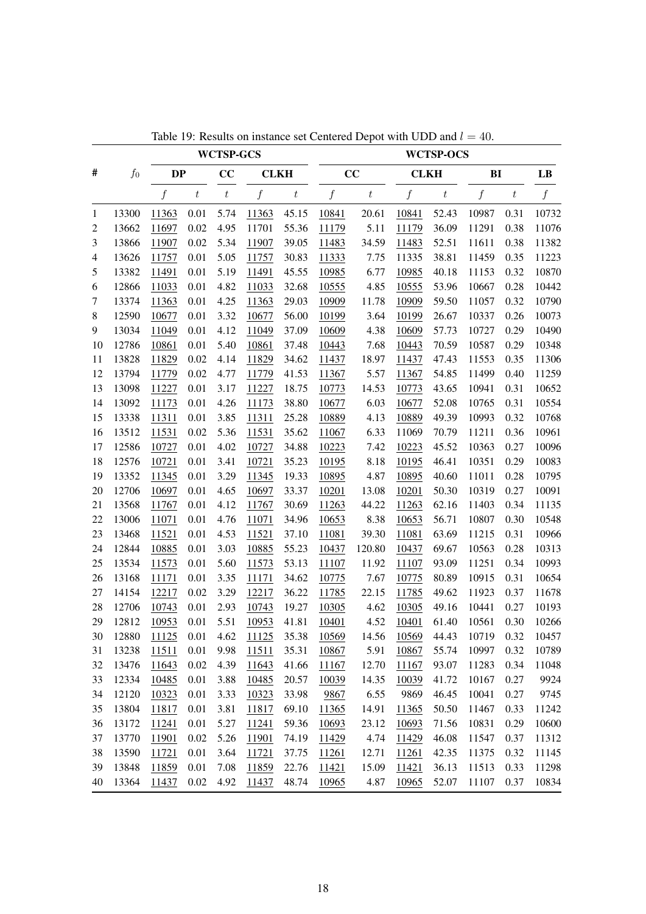|                |       |                  |                  | <b>WCTSP-GCS</b> |                  |                  |                  |                  |                  | <b>WCTSP-OCS</b> |                  |         |                  |
|----------------|-------|------------------|------------------|------------------|------------------|------------------|------------------|------------------|------------------|------------------|------------------|---------|------------------|
| #              | $f_0$ | <b>DP</b>        |                  | cc               | <b>CLKH</b>      |                  |                  | cc               | <b>CLKH</b>      |                  | BI               |         | LB               |
|                |       | $\boldsymbol{f}$ | $\boldsymbol{t}$ | $\boldsymbol{t}$ | $\boldsymbol{f}$ | $\boldsymbol{t}$ | $\boldsymbol{f}$ | $\boldsymbol{t}$ | $\boldsymbol{f}$ | $\boldsymbol{t}$ | $\boldsymbol{f}$ | $\,t\,$ | $\boldsymbol{f}$ |
| $\mathbf{1}$   | 13300 | 11363            | 0.01             | 5.74             | 11363            | 45.15            | 10841            | 20.61            | 10841            | 52.43            | 10987            | 0.31    | 10732            |
| $\overline{c}$ | 13662 | 11697            | 0.02             | 4.95             | 11701            | 55.36            | 11179            | 5.11             | 11179            | 36.09            | 11291            | 0.38    | 11076            |
| 3              | 13866 | 11907            | 0.02             | 5.34             | 11907            | 39.05            | 11483            | 34.59            | 11483            | 52.51            | 11611            | 0.38    | 11382            |
| 4              | 13626 | 11757            | 0.01             | 5.05             | 11757            | 30.83            | 11333            | 7.75             | 11335            | 38.81            | 11459            | 0.35    | 11223            |
| 5              | 13382 | 11491            | 0.01             | 5.19             | 11491            | 45.55            | 10985            | 6.77             | 10985            | 40.18            | 11153            | 0.32    | 10870            |
| 6              | 12866 | 11033            | 0.01             | 4.82             | 11033            | 32.68            | 10555            | 4.85             | 10555            | 53.96            | 10667            | 0.28    | 10442            |
| 7              | 13374 | 11363            | 0.01             | 4.25             | 11363            | 29.03            | 10909            | 11.78            | 10909            | 59.50            | 11057            | 0.32    | 10790            |
| $\,8\,$        | 12590 | 10677            | 0.01             | 3.32             | 10677            | 56.00            | 10199            | 3.64             | 10199            | 26.67            | 10337            | 0.26    | 10073            |
| 9              | 13034 | 11049            | 0.01             | 4.12             | 11049            | 37.09            | 10609            | 4.38             | 10609            | 57.73            | 10727            | 0.29    | 10490            |
| 10             | 12786 | 10861            | 0.01             | 5.40             | 10861            | 37.48            | 10443            | 7.68             | 10443            | 70.59            | 10587            | 0.29    | 10348            |
| 11             | 13828 | 11829            | 0.02             | 4.14             | 11829            | 34.62            | 11437            | 18.97            | 11437            | 47.43            | 11553            | 0.35    | 11306            |
| 12             | 13794 | 11779            | 0.02             | 4.77             | 11779            | 41.53            | 11367            | 5.57             | 11367            | 54.85            | 11499            | 0.40    | 11259            |
| 13             | 13098 | 11227            | 0.01             | 3.17             | 11227            | 18.75            | 10773            | 14.53            | 10773            | 43.65            | 10941            | 0.31    | 10652            |
| 14             | 13092 | 11173            | 0.01             | 4.26             | 11173            | 38.80            | 10677            | 6.03             | 10677            | 52.08            | 10765            | 0.31    | 10554            |
| 15             | 13338 | 11311            | 0.01             | 3.85             | 11311            | 25.28            | 10889            | 4.13             | 10889            | 49.39            | 10993            | 0.32    | 10768            |
| 16             | 13512 | 11531            | 0.02             | 5.36             | 11531            | 35.62            | 11067            | 6.33             | 11069            | 70.79            | 11211            | 0.36    | 10961            |
| 17             | 12586 | 10727            | 0.01             | 4.02             | 10727            | 34.88            | 10223            | 7.42             | 10223            | 45.52            | 10363            | 0.27    | 10096            |
| 18             | 12576 | 10721            | 0.01             | 3.41             | 10721            | 35.23            | 10195            | 8.18             | 10195            | 46.41            | 10351            | 0.29    | 10083            |
| 19             | 13352 | 11345            | 0.01             | 3.29             | 11345            | 19.33            | 10895            | 4.87             | 10895            | 40.60            | 11011            | 0.28    | 10795            |
| 20             | 12706 | 10697            | 0.01             | 4.65             | 10697            | 33.37            | 10201            | 13.08            | 10201            | 50.30            | 10319            | 0.27    | 10091            |
| 21             | 13568 | 11767            | 0.01             | 4.12             | 11767            | 30.69            | 11263            | 44.22            | 11263            | 62.16            | 11403            | 0.34    | 11135            |
| 22             | 13006 | 11071            | 0.01             | 4.76             | 11071            | 34.96            | 10653            | 8.38             | 10653            | 56.71            | 10807            | 0.30    | 10548            |
| 23             | 13468 | 11521            | 0.01             | 4.53             | 11521            | 37.10            | 11081            | 39.30            | 11081            | 63.69            | 11215            | 0.31    | 10966            |
| 24             | 12844 | 10885            | 0.01             | 3.03             | 10885            | 55.23            | 10437            | 120.80           | 10437            | 69.67            | 10563            | 0.28    | 10313            |
| 25             | 13534 | 11573            | 0.01             | 5.60             | 11573            | 53.13            | 11107            | 11.92            | 11107            | 93.09            | 11251            | 0.34    | 10993            |
| 26             | 13168 | 11171            | 0.01             | 3.35             | 11171            | 34.62            | 10775            | 7.67             | 10775            | 80.89            | 10915            | 0.31    | 10654            |
| 27             | 14154 | 12217            | 0.02             | 3.29             | 12217            | 36.22            | 11785            | 22.15            | 11785            | 49.62            | 11923            | 0.37    | 11678            |
| 28             | 12706 | 10743            | 0.01             | 2.93             | 10743            | 19.27            | 10305            | 4.62             | 10305            | 49.16            | 10441            | 0.27    | 10193            |
| 29             | 12812 | 10953            | 0.01             | 5.51             | 10953            | 41.81            | 10401            | 4.52             | 10401            | 61.40            | 10561            | 0.30    | 10266            |
| 30             | 12880 | 11125            | $0.01\,$         | 4.62             | 11125            | 35.38            | 10569            | 14.56            | 10569            | 44.43            | 10719            | 0.32    | 10457            |
| 31             | 13238 | 11511            | 0.01             | 9.98             | 11511            | 35.31            | 10867            | 5.91             | 10867            | 55.74            | 10997            | 0.32    | 10789            |
| 32             | 13476 | 11643            | 0.02             | 4.39             | 11643            | 41.66            | 11167            | 12.70            | 11167            | 93.07            | 11283            | 0.34    | 11048            |
| 33             | 12334 | 10485            | 0.01             | 3.88             | 10485            | 20.57            | 10039            | 14.35            | 10039            | 41.72            | 10167            | 0.27    | 9924             |
| 34             | 12120 | 10323            | 0.01             | 3.33             | 10323            | 33.98            | 9867             | 6.55             | 9869             | 46.45            | 10041            | 0.27    | 9745             |
| 35             | 13804 | 11817            | 0.01             | 3.81             | 11817            | 69.10            | 11365            | 14.91            | 11365            | 50.50            | 11467            | 0.33    | 11242            |
| 36             | 13172 | 11241            | 0.01             | 5.27             | 11241            | 59.36            | 10693            | 23.12            | 10693            | 71.56            | 10831            | 0.29    | 10600            |
| 37             | 13770 | 11901            | 0.02             | 5.26             | 11901            | 74.19            | 11429            | 4.74             | 11429            | 46.08            | 11547            | 0.37    | 11312            |
| 38             | 13590 | 11721            | 0.01             | 3.64             | 11721            | 37.75            | 11261            | 12.71            | 11261            | 42.35            | 11375            | 0.32    | 11145            |
| 39             | 13848 | 11859            | 0.01             | 7.08             | 11859            | 22.76            | 11421            | 15.09            | 11421            | 36.13            | 11513            | 0.33    | 11298            |
| 40             | 13364 | 11437            | 0.02             | 4.92             | 11437            | 48.74            | 10965            | 4.87             | 10965            | 52.07            | 11107            | 0.37    | 10834            |

Table 19: Results on instance set Centered Depot with UDD and  $l = 40$ .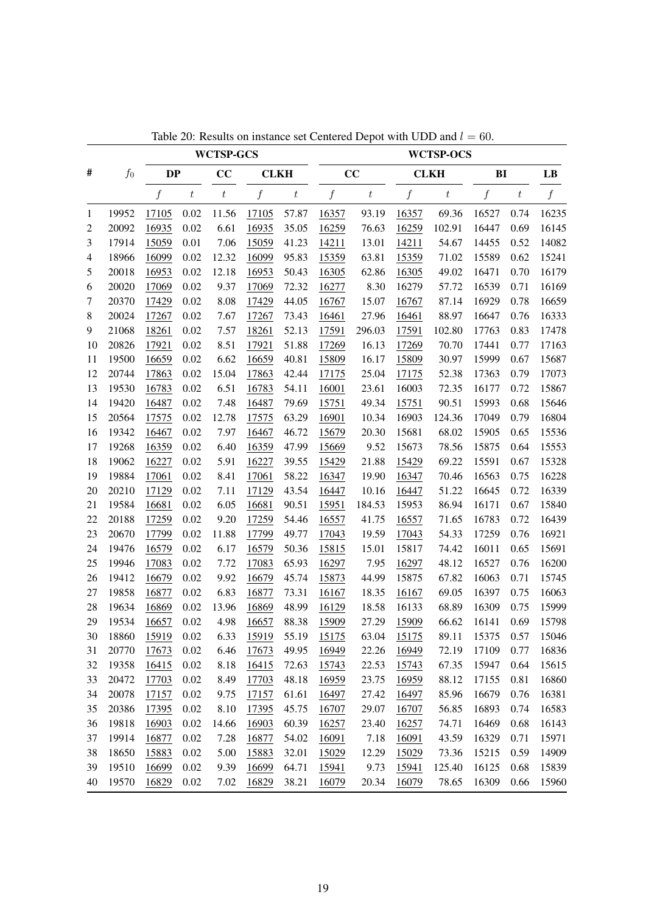|                |       |           |                  | <b>WCTSP-GCS</b> |              |                  |                  |                  |              | <b>WCTSP-OCS</b> |       |                  |       |
|----------------|-------|-----------|------------------|------------------|--------------|------------------|------------------|------------------|--------------|------------------|-------|------------------|-------|
| #              | $f_0$ | <b>DP</b> |                  | CC               | <b>CLKH</b>  |                  |                  | CC               |              | <b>CLKH</b>      | BI    |                  | LB    |
|                |       | f         | $\boldsymbol{t}$ | $\boldsymbol{t}$ | f            | $\boldsymbol{t}$ | $\boldsymbol{f}$ | $\boldsymbol{t}$ | f            | $\boldsymbol{t}$ | f     | $\boldsymbol{t}$ | f     |
| 1              | 19952 | 17105     | 0.02             | 11.56            | 17105        | 57.87            | 16357            | 93.19            | 16357        | 69.36            | 16527 | 0.74             | 16235 |
| $\overline{c}$ | 20092 | 16935     | 0.02             | 6.61             | 16935        | 35.05            | 16259            | 76.63            | 16259        | 102.91           | 16447 | 0.69             | 16145 |
| 3              | 17914 | 15059     | 0.01             | 7.06             | 15059        | 41.23            | 14211            | 13.01            | 14211        | 54.67            | 14455 | 0.52             | 14082 |
| 4              | 18966 | 16099     | 0.02             | 12.32            | 16099        | 95.83            | 15359            | 63.81            | 15359        | 71.02            | 15589 | 0.62             | 15241 |
| 5              | 20018 | 16953     | 0.02             | 12.18            | 16953        | 50.43            | 16305            | 62.86            | 16305        | 49.02            | 16471 | 0.70             | 16179 |
| 6              | 20020 | 17069     | 0.02             | 9.37             | 17069        | 72.32            | 16277            | 8.30             | 16279        | 57.72            | 16539 | 0.71             | 16169 |
| 7              | 20370 | 17429     | 0.02             | 8.08             | 17429        | 44.05            | 16767            | 15.07            | 16767        | 87.14            | 16929 | 0.78             | 16659 |
| 8              | 20024 | 17267     | 0.02             | 7.67             | 17267        | 73.43            | 16461            | 27.96            | 16461        | 88.97            | 16647 | 0.76             | 16333 |
| 9              | 21068 | 18261     | 0.02             | 7.57             | 18261        | 52.13            | 17591            | 296.03           | 17591        | 102.80           | 17763 | 0.83             | 17478 |
| 10             | 20826 | 17921     | 0.02             | 8.51             | 17921        | 51.88            | 17269            | 16.13            | 17269        | 70.70            | 17441 | 0.77             | 17163 |
| 11             | 19500 | 16659     | 0.02             | 6.62             | 16659        | 40.81            | 15809            | 16.17            | 15809        | 30.97            | 15999 | 0.67             | 15687 |
| 12             | 20744 | 17863     | 0.02             | 15.04            | 17863        | 42.44            | 17175            | 25.04            | 17175        | 52.38            | 17363 | 0.79             | 17073 |
| 13             | 19530 | 16783     | 0.02             | 6.51             | 16783        | 54.11            | 16001            | 23.61            | 16003        | 72.35            | 16177 | 0.72             | 15867 |
| 14             | 19420 | 16487     | 0.02             | 7.48             | 16487        | 79.69            | 15751            | 49.34            | 15751        | 90.51            | 15993 | 0.68             | 15646 |
| 15             | 20564 | 17575     | 0.02             | 12.78            | 17575        | 63.29            | 16901            | 10.34            | 16903        | 124.36           | 17049 | 0.79             | 16804 |
| 16             | 19342 | 16467     | 0.02             | 7.97             | 16467        | 46.72            | 15679            | 20.30            | 15681        | 68.02            | 15905 | 0.65             | 15536 |
| 17             | 19268 | 16359     | 0.02             | 6.40             | 16359        | 47.99            | 15669            | 9.52             | 15673        | 78.56            | 15875 | 0.64             | 15553 |
| 18             | 19062 | 16227     | 0.02             | 5.91             | 16227        | 39.55            | 15429            | 21.88            | 15429        | 69.22            | 15591 | 0.67             | 15328 |
| 19             | 19884 | 17061     | 0.02             | 8.41             | 17061        | 58.22            | 16347            | 19.90            | 16347        | 70.46            | 16563 | 0.75             | 16228 |
| 20             | 20210 | 17129     | 0.02             | 7.11             | 17129        | 43.54            | 16447            | 10.16            | 16447        | 51.22            | 16645 | 0.72             | 16339 |
| 21             | 19584 | 16681     | 0.02             | 6.05             | 16681        | 90.51            | 15951            | 184.53           | 15953        | 86.94            | 16171 | 0.67             | 15840 |
| 22             | 20188 | 17259     | 0.02             | 9.20             | 17259        | 54.46            | 16557            | 41.75            | 16557        | 71.65            | 16783 | 0.72             | 16439 |
| 23             | 20670 | 17799     | 0.02             | 11.88            | 17799        | 49.77            | 17043            | 19.59            | 17043        | 54.33            | 17259 | 0.76             | 16921 |
| 24             | 19476 | 16579     | 0.02             | 6.17             | 16579        | 50.36            | 15815            | 15.01            | 15817        | 74.42            | 16011 | 0.65             | 15691 |
| 25             | 19946 | 17083     | 0.02             | 7.72             | 17083        | 65.93            | 16297            | 7.95             | 16297        | 48.12            | 16527 | 0.76             | 16200 |
| 26             | 19412 | 16679     | 0.02             | 9.92             | 16679        | 45.74            | 15873            | 44.99            | 15875        | 67.82            | 16063 | 0.71             | 15745 |
| 27             | 19858 | 16877     | 0.02             | 6.83             | 16877        | 73.31            | 16167            | 18.35            | 16167        | 69.05            | 16397 | 0.75             | 16063 |
| 28             | 19634 | 16869     | 0.02             | 13.96            | 16869        | 48.99            | 16129            | 18.58            | 16133        | 68.89            | 16309 | 0.75             | 15999 |
| 29             | 19534 | 16657     | 0.02             | 4.98             | 16657        | 88.38            | 15909            | 27.29            | 15909        | 66.62            | 16141 | 0.69             | 15798 |
| 30             | 18860 | 15919     | 0.02             | 6.33             | <u>15919</u> | 55.19            | <u>15175</u>     | 63.04            | <u>15175</u> | 89.11            | 15375 | 0.57             | 15046 |
| 31             | 20770 | 17673     | 0.02             | 6.46             | 17673        | 49.95            | 16949            | 22.26            | 16949        | 72.19            | 17109 | 0.77             | 16836 |
| 32             | 19358 | 16415     | 0.02             | 8.18             | 16415        | 72.63            | 15743            | 22.53            | 15743        | 67.35            | 15947 | 0.64             | 15615 |
| 33             | 20472 | 17703     | 0.02             | 8.49             | 17703        | 48.18            | 16959            | 23.75            | 16959        | 88.12            | 17155 | 0.81             | 16860 |
| 34             | 20078 | 17157     | 0.02             | 9.75             | 17157        | 61.61            | 16497            | 27.42            | 16497        | 85.96            | 16679 | 0.76             | 16381 |
| 35             | 20386 | 17395     | 0.02             | 8.10             | 17395        | 45.75            | 16707            | 29.07            | 16707        | 56.85            | 16893 | 0.74             | 16583 |
| 36             | 19818 | 16903     | 0.02             | 14.66            | 16903        | 60.39            | 16257            | 23.40            | 16257        | 74.71            | 16469 | 0.68             | 16143 |
| 37             | 19914 | 16877     | 0.02             | 7.28             | 16877        | 54.02            | 16091            | 7.18             | 16091        | 43.59            | 16329 | 0.71             | 15971 |
| 38             | 18650 | 15883     | 0.02             | 5.00             | 15883        | 32.01            | 15029            | 12.29            | 15029        | 73.36            | 15215 | 0.59             | 14909 |
| 39             | 19510 | 16699     | 0.02             | 9.39             | 16699        | 64.71            | 15941            | 9.73             | 15941        | 125.40           | 16125 | 0.68             | 15839 |
| 40             | 19570 | 16829     | 0.02             | 7.02             | 16829        | 38.21            | 16079            | 20.34            | 16079        | 78.65            | 16309 | 0.66             | 15960 |

Table 20: Results on instance set Centered Depot with UDD and  $l = 60$ .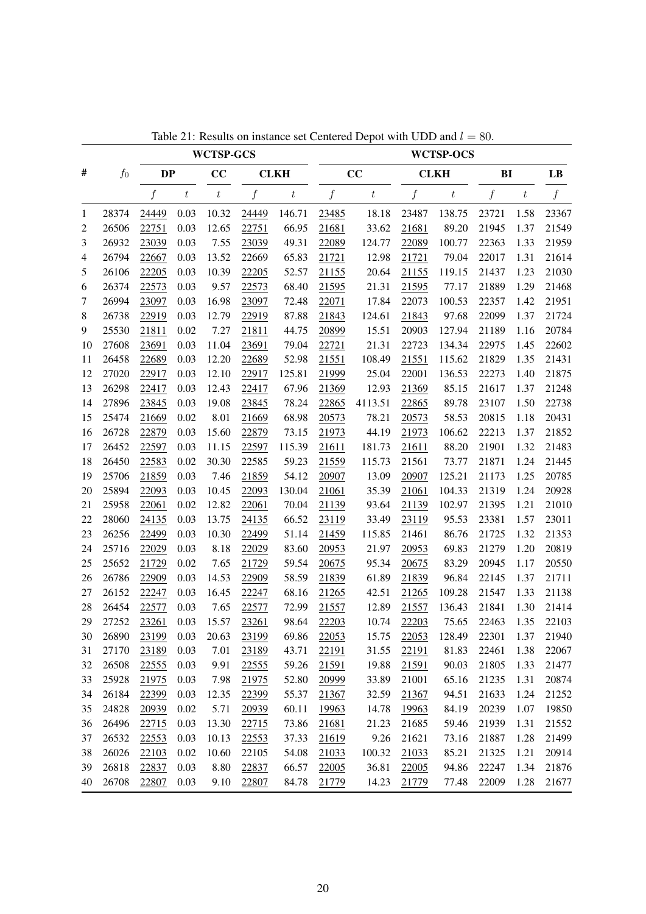|         |       |           |                  |                  | <b>WCTSP-GCS</b> |                  |                  |                  |                  | <b>WCTSP-OCS</b> |       |                  |                  |
|---------|-------|-----------|------------------|------------------|------------------|------------------|------------------|------------------|------------------|------------------|-------|------------------|------------------|
| #       | $f_0$ | <b>DP</b> |                  | CC               |                  | <b>CLKH</b>      |                  | CC               |                  | <b>CLKH</b>      | BI    |                  | LB               |
|         |       | $f\,$     | $\boldsymbol{t}$ | $\boldsymbol{t}$ | $\boldsymbol{f}$ | $\boldsymbol{t}$ | $\boldsymbol{f}$ | $\boldsymbol{t}$ | $\boldsymbol{f}$ | $\boldsymbol{t}$ | $f\$  | $\boldsymbol{t}$ | $\boldsymbol{f}$ |
| 1       | 28374 | 24449     | 0.03             | 10.32            | 24449            | 146.71           | 23485            | 18.18            | 23487            | 138.75           | 23721 | 1.58             | 23367            |
| 2       | 26506 | 22751     | 0.03             | 12.65            | 22751            | 66.95            | 21681            | 33.62            | 21681            | 89.20            | 21945 | 1.37             | 21549            |
| 3       | 26932 | 23039     | 0.03             | 7.55             | 23039            | 49.31            | 22089            | 124.77           | 22089            | 100.77           | 22363 | 1.33             | 21959            |
| 4       | 26794 | 22667     | 0.03             | 13.52            | 22669            | 65.83            | 21721            | 12.98            | 21721            | 79.04            | 22017 | 1.31             | 21614            |
| 5       | 26106 | 22205     | 0.03             | 10.39            | 22205            | 52.57            | 21155            | 20.64            | 21155            | 119.15           | 21437 | 1.23             | 21030            |
| 6       | 26374 | 22573     | 0.03             | 9.57             | 22573            | 68.40            | 21595            | 21.31            | 21595            | 77.17            | 21889 | 1.29             | 21468            |
| 7       | 26994 | 23097     | 0.03             | 16.98            | 23097            | 72.48            | 22071            | 17.84            | 22073            | 100.53           | 22357 | 1.42             | 21951            |
| $\,8\,$ | 26738 | 22919     | 0.03             | 12.79            | 22919            | 87.88            | 21843            | 124.61           | 21843            | 97.68            | 22099 | 1.37             | 21724            |
| 9       | 25530 | 21811     | 0.02             | 7.27             | 21811            | 44.75            | 20899            | 15.51            | 20903            | 127.94           | 21189 | 1.16             | 20784            |
| 10      | 27608 | 23691     | 0.03             | 11.04            | 23691            | 79.04            | 22721            | 21.31            | 22723            | 134.34           | 22975 | 1.45             | 22602            |
| 11      | 26458 | 22689     | 0.03             | 12.20            | 22689            | 52.98            | 21551            | 108.49           | 21551            | 115.62           | 21829 | 1.35             | 21431            |
| 12      | 27020 | 22917     | 0.03             | 12.10            | 22917            | 125.81           | 21999            | 25.04            | 22001            | 136.53           | 22273 | 1.40             | 21875            |
| 13      | 26298 | 22417     | 0.03             | 12.43            | 22417            | 67.96            | 21369            | 12.93            | 21369            | 85.15            | 21617 | 1.37             | 21248            |
| 14      | 27896 | 23845     | 0.03             | 19.08            | 23845            | 78.24            | 22865            | 4113.51          | 22865            | 89.78            | 23107 | 1.50             | 22738            |
| 15      | 25474 | 21669     | 0.02             | 8.01             | 21669            | 68.98            | 20573            | 78.21            | 20573            | 58.53            | 20815 | 1.18             | 20431            |
| 16      | 26728 | 22879     | 0.03             | 15.60            | 22879            | 73.15            | 21973            | 44.19            | 21973            | 106.62           | 22213 | 1.37             | 21852            |
| 17      | 26452 | 22597     | 0.03             | 11.15            | 22597            | 115.39           | 21611            | 181.73           | 21611            | 88.20            | 21901 | 1.32             | 21483            |
| 18      | 26450 | 22583     | 0.02             | 30.30            | 22585            | 59.23            | 21559            | 115.73           | 21561            | 73.77            | 21871 | 1.24             | 21445            |
| 19      | 25706 | 21859     | 0.03             | 7.46             | 21859            | 54.12            | 20907            | 13.09            | 20907            | 125.21           | 21173 | 1.25             | 20785            |
| 20      | 25894 | 22093     | 0.03             | 10.45            | 22093            | 130.04           | 21061            | 35.39            | 21061            | 104.33           | 21319 | 1.24             | 20928            |
| 21      | 25958 | 22061     | 0.02             | 12.82            | 22061            | 70.04            | 21139            | 93.64            | 21139            | 102.97           | 21395 | 1.21             | 21010            |
| 22      | 28060 | 24135     | 0.03             | 13.75            | 24135            | 66.52            | 23119            | 33.49            | 23119            | 95.53            | 23381 | 1.57             | 23011            |
| 23      | 26256 | 22499     | 0.03             | 10.30            | 22499            | 51.14            | 21459            | 115.85           | 21461            | 86.76            | 21725 | 1.32             | 21353            |
| 24      | 25716 | 22029     | 0.03             | 8.18             | 22029            | 83.60            | 20953            | 21.97            | 20953            | 69.83            | 21279 | 1.20             | 20819            |
| 25      | 25652 | 21729     | 0.02             | 7.65             | 21729            | 59.54            | 20675            | 95.34            | 20675            | 83.29            | 20945 | 1.17             | 20550            |
| 26      | 26786 | 22909     | 0.03             | 14.53            | 22909            | 58.59            | 21839            | 61.89            | 21839            | 96.84            | 22145 | 1.37             | 21711            |
| 27      | 26152 | 22247     | 0.03             | 16.45            | 22247            | 68.16            | 21265            | 42.51            | 21265            | 109.28           | 21547 | 1.33             | 21138            |
| 28      | 26454 | 22577     | 0.03             | 7.65             | 22577            | 72.99            | 21557            | 12.89            | 21557            | 136.43           | 21841 | 1.30             | 21414            |
| 29      | 27252 | 23261     | 0.03             | 15.57            | 23261            | 98.64            | 22203            | 10.74            | 22203            | 75.65            | 22463 | 1.35             | 22103            |
| 30      | 26890 | 23199     | 0.03             | 20.63            | 23199            | 69.86            | 22053            | 15.75            | 22053            | 128.49           | 22301 | 1.37             | 21940            |
| 31      | 27170 | 23189     | 0.03             | 7.01             | 23189            | 43.71            | 22191            | 31.55            | 22191            | 81.83            | 22461 | 1.38             | 22067            |
| 32      | 26508 | 22555     | 0.03             | 9.91             | 22555            | 59.26            | 21591            | 19.88            | 21591            | 90.03            | 21805 | 1.33             | 21477            |
| 33      | 25928 | 21975     | 0.03             | 7.98             | 21975            | 52.80            | 20999            | 33.89            | 21001            | 65.16            | 21235 | 1.31             | 20874            |
| 34      | 26184 | 22399     | 0.03             | 12.35            | 22399            | 55.37            | 21367            | 32.59            | 21367            | 94.51            | 21633 | 1.24             | 21252            |
| 35      | 24828 | 20939     | 0.02             | 5.71             | 20939            | 60.11            | 19963            | 14.78            | 19963            | 84.19            | 20239 | 1.07             | 19850            |
| 36      | 26496 | 22715     | 0.03             | 13.30            | 22715            | 73.86            | 21681            | 21.23            | 21685            | 59.46            | 21939 | 1.31             | 21552            |
| 37      | 26532 | 22553     | 0.03             | 10.13            | 22553            | 37.33            | 21619            | 9.26             | 21621            | 73.16            | 21887 | 1.28             | 21499            |
| 38      | 26026 | 22103     | 0.02             | 10.60            | 22105            | 54.08            | 21033            | 100.32           | 21033            | 85.21            | 21325 | 1.21             | 20914            |
| 39      | 26818 | 22837     | 0.03             | 8.80             | 22837            | 66.57            | 22005            | 36.81            | 22005            | 94.86            | 22247 | 1.34             | 21876            |
| 40      | 26708 | 22807     | 0.03             | 9.10             | 22807            | 84.78            | 21779            | 14.23            | 21779            | 77.48            | 22009 | 1.28             | 21677            |

Table 21: Results on instance set Centered Depot with UDD and  $l = 80$ .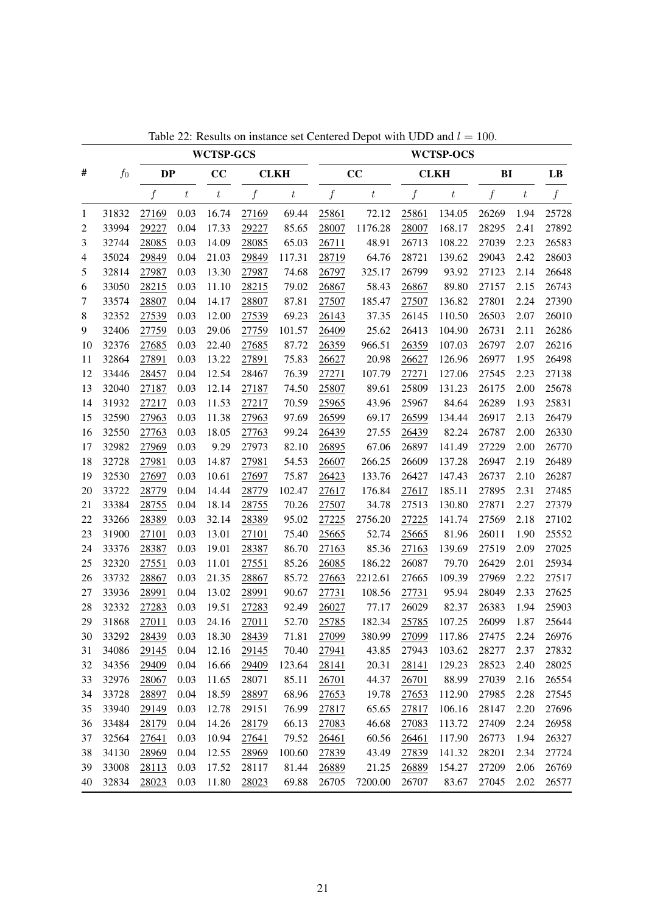|                |       |           |         | <b>WCTSP-GCS</b> |       |                  |       |         |       | <b>WCTSP-OCS</b> |                  |                  |       |
|----------------|-------|-----------|---------|------------------|-------|------------------|-------|---------|-------|------------------|------------------|------------------|-------|
| #              | $f_0$ | <b>DP</b> |         | CC               |       | <b>CLKH</b>      |       | CC      |       | <b>CLKH</b>      | BI               |                  | LB    |
|                |       | f         | $\it t$ | $t\,$            | f     | $\boldsymbol{t}$ | f     | $\it t$ | f     | $\boldsymbol{t}$ | $\boldsymbol{f}$ | $\boldsymbol{t}$ | f     |
| 1              | 31832 | 27169     | 0.03    | 16.74            | 27169 | 69.44            | 25861 | 72.12   | 25861 | 134.05           | 26269            | 1.94             | 25728 |
| 2              | 33994 | 29227     | 0.04    | 17.33            | 29227 | 85.65            | 28007 | 1176.28 | 28007 | 168.17           | 28295            | 2.41             | 27892 |
| 3              | 32744 | 28085     | 0.03    | 14.09            | 28085 | 65.03            | 26711 | 48.91   | 26713 | 108.22           | 27039            | 2.23             | 26583 |
| $\overline{4}$ | 35024 | 29849     | 0.04    | 21.03            | 29849 | 117.31           | 28719 | 64.76   | 28721 | 139.62           | 29043            | 2.42             | 28603 |
| 5              | 32814 | 27987     | 0.03    | 13.30            | 27987 | 74.68            | 26797 | 325.17  | 26799 | 93.92            | 27123            | 2.14             | 26648 |
| 6              | 33050 | 28215     | 0.03    | 11.10            | 28215 | 79.02            | 26867 | 58.43   | 26867 | 89.80            | 27157            | 2.15             | 26743 |
| 7              | 33574 | 28807     | 0.04    | 14.17            | 28807 | 87.81            | 27507 | 185.47  | 27507 | 136.82           | 27801            | 2.24             | 27390 |
| $\,8\,$        | 32352 | 27539     | 0.03    | 12.00            | 27539 | 69.23            | 26143 | 37.35   | 26145 | 110.50           | 26503            | 2.07             | 26010 |
| 9              | 32406 | 27759     | 0.03    | 29.06            | 27759 | 101.57           | 26409 | 25.62   | 26413 | 104.90           | 26731            | 2.11             | 26286 |
| 10             | 32376 | 27685     | 0.03    | 22.40            | 27685 | 87.72            | 26359 | 966.51  | 26359 | 107.03           | 26797            | 2.07             | 26216 |
| 11             | 32864 | 27891     | 0.03    | 13.22            | 27891 | 75.83            | 26627 | 20.98   | 26627 | 126.96           | 26977            | 1.95             | 26498 |
| 12             | 33446 | 28457     | 0.04    | 12.54            | 28467 | 76.39            | 27271 | 107.79  | 27271 | 127.06           | 27545            | 2.23             | 27138 |
| 13             | 32040 | 27187     | 0.03    | 12.14            | 27187 | 74.50            | 25807 | 89.61   | 25809 | 131.23           | 26175            | 2.00             | 25678 |
| 14             | 31932 | 27217     | 0.03    | 11.53            | 27217 | 70.59            | 25965 | 43.96   | 25967 | 84.64            | 26289            | 1.93             | 25831 |
| 15             | 32590 | 27963     | 0.03    | 11.38            | 27963 | 97.69            | 26599 | 69.17   | 26599 | 134.44           | 26917            | 2.13             | 26479 |
| 16             | 32550 | 27763     | 0.03    | 18.05            | 27763 | 99.24            | 26439 | 27.55   | 26439 | 82.24            | 26787            | 2.00             | 26330 |
| 17             | 32982 | 27969     | 0.03    | 9.29             | 27973 | 82.10            | 26895 | 67.06   | 26897 | 141.49           | 27229            | 2.00             | 26770 |
| 18             | 32728 | 27981     | 0.03    | 14.87            | 27981 | 54.53            | 26607 | 266.25  | 26609 | 137.28           | 26947            | 2.19             | 26489 |
| 19             | 32530 | 27697     | 0.03    | 10.61            | 27697 | 75.87            | 26423 | 133.76  | 26427 | 147.43           | 26737            | 2.10             | 26287 |
| 20             | 33722 | 28779     | 0.04    | 14.44            | 28779 | 102.47           | 27617 | 176.84  | 27617 | 185.11           | 27895            | 2.31             | 27485 |
| 21             | 33384 | 28755     | 0.04    | 18.14            | 28755 | 70.26            | 27507 | 34.78   | 27513 | 130.80           | 27871            | 2.27             | 27379 |
| 22             | 33266 | 28389     | 0.03    | 32.14            | 28389 | 95.02            | 27225 | 2756.20 | 27225 | 141.74           | 27569            | 2.18             | 27102 |
| 23             | 31900 | 27101     | 0.03    | 13.01            | 27101 | 75.40            | 25665 | 52.74   | 25665 | 81.96            | 26011            | 1.90             | 25552 |
| 24             | 33376 | 28387     | 0.03    | 19.01            | 28387 | 86.70            | 27163 | 85.36   | 27163 | 139.69           | 27519            | 2.09             | 27025 |
| 25             | 32320 | 27551     | 0.03    | 11.01            | 27551 | 85.26            | 26085 | 186.22  | 26087 | 79.70            | 26429            | 2.01             | 25934 |
| 26             | 33732 | 28867     | 0.03    | 21.35            | 28867 | 85.72            | 27663 | 2212.61 | 27665 | 109.39           | 27969            | 2.22             | 27517 |
| 27             | 33936 | 28991     | 0.04    | 13.02            | 28991 | 90.67            | 27731 | 108.56  | 27731 | 95.94            | 28049            | 2.33             | 27625 |
| 28             | 32332 | 27283     | 0.03    | 19.51            | 27283 | 92.49            | 26027 | 77.17   | 26029 | 82.37            | 26383            | 1.94             | 25903 |
| 29             | 31868 | 27011     | 0.03    | 24.16            | 27011 | 52.70            | 25785 | 182.34  | 25785 | 107.25           | 26099            | 1.87             | 25644 |
| 30             | 33292 | 28439     | 0.03    | 18.30            | 28439 | 71.81            | 27099 | 380.99  | 27099 | 117.86           | 27475            | 2.24             | 26976 |
| 31             | 34086 | 29145     | 0.04    | 12.16            | 29145 | 70.40            | 27941 | 43.85   | 27943 | 103.62           | 28277            | 2.37             | 27832 |
| 32             | 34356 | 29409     | 0.04    | 16.66            | 29409 | 123.64           | 28141 | 20.31   | 28141 | 129.23           | 28523            | 2.40             | 28025 |
| 33             | 32976 | 28067     | 0.03    | 11.65            | 28071 | 85.11            | 26701 | 44.37   | 26701 | 88.99            | 27039            | 2.16             | 26554 |
| 34             | 33728 | 28897     | 0.04    | 18.59            | 28897 | 68.96            | 27653 | 19.78   | 27653 | 112.90           | 27985            | 2.28             | 27545 |
| 35             | 33940 | 29149     | 0.03    | 12.78            | 29151 | 76.99            | 27817 | 65.65   | 27817 | 106.16           | 28147            | 2.20             | 27696 |
| 36             | 33484 | 28179     | 0.04    | 14.26            | 28179 | 66.13            | 27083 | 46.68   | 27083 | 113.72           | 27409            | 2.24             | 26958 |
| 37             | 32564 | 27641     | 0.03    | 10.94            | 27641 | 79.52            | 26461 | 60.56   | 26461 | 117.90           | 26773            | 1.94             | 26327 |
| 38             | 34130 | 28969     | 0.04    | 12.55            | 28969 | 100.60           | 27839 | 43.49   | 27839 | 141.32           | 28201            | 2.34             | 27724 |
| 39             | 33008 | 28113     | 0.03    | 17.52            | 28117 | 81.44            | 26889 | 21.25   | 26889 | 154.27           | 27209            | 2.06             | 26769 |
| 40             | 32834 | 28023     | 0.03    | 11.80            | 28023 | 69.88            | 26705 | 7200.00 | 26707 | 83.67            | 27045            | 2.02             | 26577 |

Table 22: Results on instance set Centered Depot with UDD and  $l = 100$ .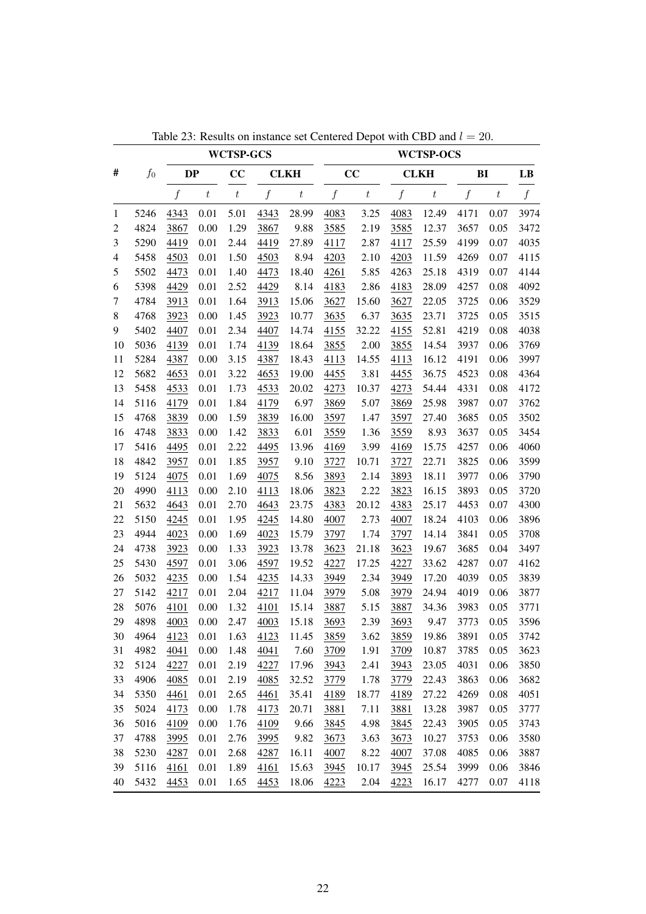|                |       |                  |                  | <b>WCTSP-GCS</b> |                  |                  |                  |                  |                  | <b>WCTSP-OCS</b> |                  |                  |                  |
|----------------|-------|------------------|------------------|------------------|------------------|------------------|------------------|------------------|------------------|------------------|------------------|------------------|------------------|
| #              | $f_0$ | DP               |                  | CC               |                  | <b>CLKH</b>      |                  | CC               |                  | <b>CLKH</b>      | BI               |                  | LB               |
|                |       | $\boldsymbol{f}$ | $\boldsymbol{t}$ | $\boldsymbol{t}$ | $\boldsymbol{f}$ | $\boldsymbol{t}$ | $\boldsymbol{f}$ | $\boldsymbol{t}$ | $\boldsymbol{f}$ | $\boldsymbol{t}$ | $\boldsymbol{f}$ | $\boldsymbol{t}$ | $\boldsymbol{f}$ |
| 1              | 5246  | 4343             | 0.01             | 5.01             | 4343             | 28.99            | 4083             | 3.25             | 4083             | 12.49            | 4171             | 0.07             | 3974             |
| 2              | 4824  | 3867             | 0.00             | 1.29             | 3867             | 9.88             | 3585             | 2.19             | 3585             | 12.37            | 3657             | 0.05             | 3472             |
| 3              | 5290  | 4419             | 0.01             | 2.44             | 4419             | 27.89            | 4117             | 2.87             | 4117             | 25.59            | 4199             | 0.07             | 4035             |
| $\overline{4}$ | 5458  | 4503             | 0.01             | 1.50             | 4503             | 8.94             | 4203             | 2.10             | 4203             | 11.59            | 4269             | 0.07             | 4115             |
| 5              | 5502  | 4473             | 0.01             | 1.40             | 4473             | 18.40            | 4261             | 5.85             | 4263             | 25.18            | 4319             | 0.07             | 4144             |
| 6              | 5398  | 4429             | 0.01             | 2.52             | 4429             | 8.14             | 4183             | 2.86             | 4183             | 28.09            | 4257             | 0.08             | 4092             |
| 7              | 4784  | 3913             | 0.01             | 1.64             | 3913             | 15.06            | 3627             | 15.60            | 3627             | 22.05            | 3725             | 0.06             | 3529             |
| 8              | 4768  | 3923             | 0.00             | 1.45             | 3923             | 10.77            | 3635             | 6.37             | 3635             | 23.71            | 3725             | 0.05             | 3515             |
| 9              | 5402  | 4407             | 0.01             | 2.34             | 4407             | 14.74            | 4155             | 32.22            | 4155             | 52.81            | 4219             | 0.08             | 4038             |
| 10             | 5036  | 4139             | 0.01             | 1.74             | 4139             | 18.64            | 3855             | 2.00             | 3855             | 14.54            | 3937             | 0.06             | 3769             |
| 11             | 5284  | 4387             | 0.00             | 3.15             | 4387             | 18.43            | 4113             | 14.55            | 4113             | 16.12            | 4191             | 0.06             | 3997             |
| 12             | 5682  | 4653             | 0.01             | 3.22             | 4653             | 19.00            | 4455             | 3.81             | 4455             | 36.75            | 4523             | 0.08             | 4364             |
| 13             | 5458  | 4533             | 0.01             | 1.73             | 4533             | 20.02            | 4273             | 10.37            | 4273             | 54.44            | 4331             | 0.08             | 4172             |
| 14             | 5116  | 4179             | 0.01             | 1.84             | 4179             | 6.97             | 3869             | 5.07             | 3869             | 25.98            | 3987             | 0.07             | 3762             |
| 15             | 4768  | 3839             | 0.00             | 1.59             | 3839             | 16.00            | 3597             | 1.47             | 3597             | 27.40            | 3685             | 0.05             | 3502             |
| 16             | 4748  | 3833             | 0.00             | 1.42             | 3833             | 6.01             | 3559             | 1.36             | 3559             | 8.93             | 3637             | 0.05             | 3454             |
| 17             | 5416  | 4495             | 0.01             | 2.22             | 4495             | 13.96            | 4169             | 3.99             | 4169             | 15.75            | 4257             | 0.06             | 4060             |
| 18             | 4842  | 3957             | 0.01             | 1.85             | 3957             | 9.10             | 3727             | 10.71            | 3727             | 22.71            | 3825             | 0.06             | 3599             |
| 19             | 5124  | 4075             | 0.01             | 1.69             | 4075             | 8.56             | 3893             | 2.14             | 3893             | 18.11            | 3977             | 0.06             | 3790             |
| 20             | 4990  | 4113             | 0.00             | 2.10             | 4113             | 18.06            | 3823             | 2.22             | 3823             | 16.15            | 3893             | 0.05             | 3720             |
| 21             | 5632  | 4643             | 0.01             | 2.70             | 4643             | 23.75            | 4383             | 20.12            | 4383             | 25.17            | 4453             | 0.07             | 4300             |
| 22             | 5150  | 4245             | 0.01             | 1.95             | 4245             | 14.80            | 4007             | 2.73             | 4007             | 18.24            | 4103             | 0.06             | 3896             |
| 23             | 4944  | 4023             | 0.00             | 1.69             | 4023             | 15.79            | 3797             | 1.74             | 3797             | 14.14            | 3841             | 0.05             | 3708             |
| 24             | 4738  | 3923             | 0.00             | 1.33             | 3923             | 13.78            | 3623             | 21.18            | 3623             | 19.67            | 3685             | 0.04             | 3497             |
| 25             | 5430  | 4597             | 0.01             | 3.06             | 4597             | 19.52            | 4227             | 17.25            | 4227             | 33.62            | 4287             | 0.07             | 4162             |
| 26             | 5032  | 4235             | 0.00             | 1.54             | 4235             | 14.33            | 3949             | 2.34             | 3949             | 17.20            | 4039             | 0.05             | 3839             |
| 27             | 5142  | 4217             | 0.01             | 2.04             | 4217             | 11.04            | 3979             | 5.08             | 3979             | 24.94            | 4019             | 0.06             | 3877             |
| 28             | 5076  | 4101             | 0.00             | 1.32             | 4101             | 15.14            | 3887             | 5.15             | 3887             | 34.36            | 3983             | 0.05             | 3771             |
| 29             | 4898  | 4003             | 0.00             | 2.47             | 4003             | 15.18            | 3693             | 2.39             | 3693             | 9.47             | 3773             | 0.05             | 3596             |
| 30             | 4964  | 4123             | 0.01             | 1.63             | 4123             | 11.45            | 3859             | 3.62             | 3859             | 19.86            | 3891             | 0.05             | 3742             |
| 31             | 4982  | 4041             | 0.00             | 1.48             | 4041             | 7.60             | 3709             | 1.91             | 3709             | 10.87            | 3785             | 0.05             | 3623             |
| 32             | 5124  | 4227             | 0.01             | 2.19             | 4227             | 17.96            | 3943             | 2.41             | 3943             | 23.05            | 4031             | 0.06             | 3850             |
| 33             | 4906  | 4085             | 0.01             | 2.19             | 4085             | 32.52            | 3779             | 1.78             | 3779             | 22.43            | 3863             | 0.06             | 3682             |
| 34             | 5350  | 4461             | 0.01             | 2.65             | 4461             | 35.41            | 4189             | 18.77            | 4189             | 27.22            | 4269             | 0.08             | 4051             |
| 35             | 5024  | 4173             | 0.00             | 1.78             | 4173             | 20.71            | 3881             | 7.11             | 3881             | 13.28            | 3987             | 0.05             | 3777             |
| 36             | 5016  | 4109             | 0.00             | 1.76             | 4109             | 9.66             | 3845             | 4.98             | 3845             | 22.43            | 3905             | 0.05             | 3743             |
| 37             | 4788  | 3995             | 0.01             | 2.76             | 3995             | 9.82             | 3673             | 3.63             | 3673             | 10.27            | 3753             | 0.06             | 3580             |
| 38             | 5230  | 4287             | 0.01             | 2.68             | 4287             | 16.11            | 4007             | 8.22             | 4007             | 37.08            | 4085             | 0.06             | 3887             |
| 39             | 5116  | 4161             | 0.01             | 1.89             | 4161             | 15.63            | 3945             | 10.17            | 3945             | 25.54            | 3999             | 0.06             | 3846             |
| 40             | 5432  | 4453             | 0.01             | 1.65             | 4453             | 18.06            | 4223             | 2.04             | 4223             | 16.17            | 4277             | 0.07             | 4118             |

Table 23: Results on instance set Centered Depot with CBD and  $l = 20$ .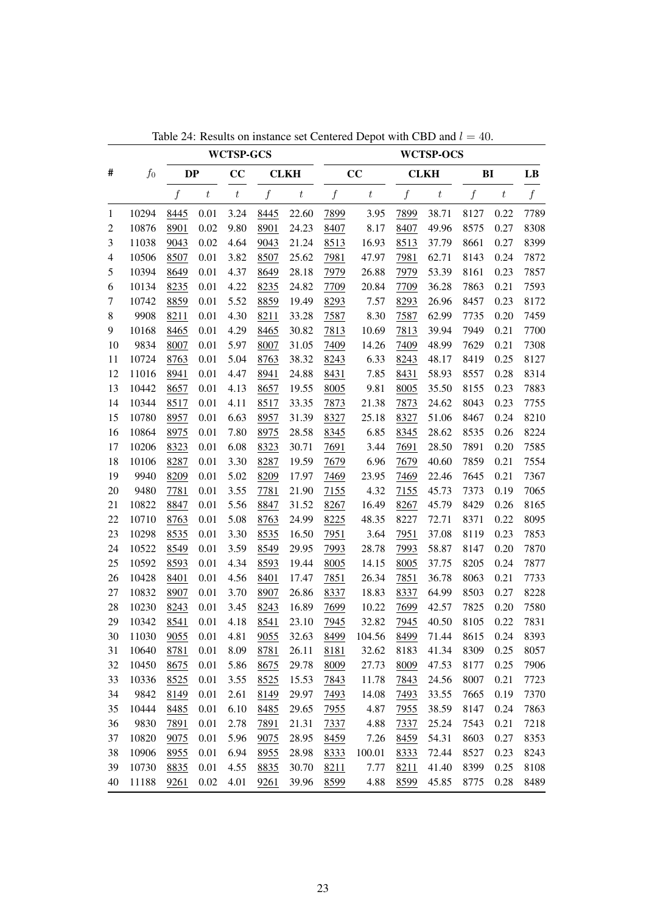|                          |       |                  |                  | <b>WCTSP-GCS</b> |                  |                  |                  |                  |                  | <b>WCTSP-OCS</b> |                  |                  |                  |
|--------------------------|-------|------------------|------------------|------------------|------------------|------------------|------------------|------------------|------------------|------------------|------------------|------------------|------------------|
| #                        | $f_0$ | <b>DP</b>        |                  | CC               |                  | <b>CLKH</b>      |                  | CC               |                  | <b>CLKH</b>      |                  | BI               | LB               |
|                          |       | $\boldsymbol{f}$ | $\boldsymbol{t}$ | $\boldsymbol{t}$ | $\boldsymbol{f}$ | $\boldsymbol{t}$ | $\boldsymbol{f}$ | $\boldsymbol{t}$ | $\boldsymbol{f}$ | $\boldsymbol{t}$ | $\boldsymbol{f}$ | $\boldsymbol{t}$ | $\boldsymbol{f}$ |
| $\mathbf{1}$             | 10294 | 8445             | 0.01             | 3.24             | 8445             | 22.60            | 7899             | 3.95             | 7899             | 38.71            | 8127             | 0.22             | 7789             |
| 2                        | 10876 | 8901             | 0.02             | 9.80             | 8901             | 24.23            | 8407             | 8.17             | 8407             | 49.96            | 8575             | 0.27             | 8308             |
| 3                        | 11038 | 9043             | 0.02             | 4.64             | 9043             | 21.24            | 8513             | 16.93            | 8513             | 37.79            | 8661             | 0.27             | 8399             |
| $\overline{\mathcal{A}}$ | 10506 | 8507             | 0.01             | 3.82             | 8507             | 25.62            | 7981             | 47.97            | 7981             | 62.71            | 8143             | 0.24             | 7872             |
| 5                        | 10394 | 8649             | 0.01             | 4.37             | 8649             | 28.18            | 7979             | 26.88            | 7979             | 53.39            | 8161             | 0.23             | 7857             |
| 6                        | 10134 | 8235             | 0.01             | 4.22             | 8235             | 24.82            | 7709             | 20.84            | 7709             | 36.28            | 7863             | 0.21             | 7593             |
| 7                        | 10742 | 8859             | 0.01             | 5.52             | 8859             | 19.49            | 8293             | 7.57             | 8293             | 26.96            | 8457             | 0.23             | 8172             |
| 8                        | 9908  | 8211             | 0.01             | 4.30             | 8211             | 33.28            | 7587             | 8.30             | 7587             | 62.99            | 7735             | 0.20             | 7459             |
| 9                        | 10168 | 8465             | 0.01             | 4.29             | 8465             | 30.82            | 7813             | 10.69            | 7813             | 39.94            | 7949             | 0.21             | 7700             |
| 10                       | 9834  | 8007             | 0.01             | 5.97             | 8007             | 31.05            | 7409             | 14.26            | 7409             | 48.99            | 7629             | 0.21             | 7308             |
| 11                       | 10724 | 8763             | 0.01             | 5.04             | 8763             | 38.32            | 8243             | 6.33             | 8243             | 48.17            | 8419             | 0.25             | 8127             |
| 12                       | 11016 | 8941             | 0.01             | 4.47             | 8941             | 24.88            | 8431             | 7.85             | 8431             | 58.93            | 8557             | 0.28             | 8314             |
| 13                       | 10442 | 8657             | 0.01             | 4.13             | 8657             | 19.55            | 8005             | 9.81             | 8005             | 35.50            | 8155             | 0.23             | 7883             |
| 14                       | 10344 | 8517             | 0.01             | 4.11             | 8517             | 33.35            | 7873             | 21.38            | 7873             | 24.62            | 8043             | 0.23             | 7755             |
| 15                       | 10780 | 8957             | 0.01             | 6.63             | 8957             | 31.39            | 8327             | 25.18            | 8327             | 51.06            | 8467             | 0.24             | 8210             |
| 16                       | 10864 | 8975             | 0.01             | 7.80             | 8975             | 28.58            | 8345             | 6.85             | 8345             | 28.62            | 8535             | 0.26             | 8224             |
| 17                       | 10206 | 8323             | 0.01             | 6.08             | 8323             | 30.71            | 7691             | 3.44             | 7691             | 28.50            | 7891             | 0.20             | 7585             |
| 18                       | 10106 | 8287             | 0.01             | 3.30             | 8287             | 19.59            | 7679             | 6.96             | 7679             | 40.60            | 7859             | 0.21             | 7554             |
| 19                       | 9940  | 8209             | 0.01             | 5.02             | 8209             | 17.97            | 7469             | 23.95            | 7469             | 22.46            | 7645             | 0.21             | 7367             |
| 20                       | 9480  | 7781             | 0.01             | 3.55             | 7781             | 21.90            | 7155             | 4.32             | 7155             | 45.73            | 7373             | 0.19             | 7065             |
| 21                       | 10822 | 8847             | 0.01             | 5.56             | 8847             | 31.52            | 8267             | 16.49            | 8267             | 45.79            | 8429             | 0.26             | 8165             |
| 22                       | 10710 | 8763             | 0.01             | 5.08             | 8763             | 24.99            | 8225             | 48.35            | 8227             | 72.71            | 8371             | 0.22             | 8095             |
| 23                       | 10298 | 8535             | 0.01             | 3.30             | 8535             | 16.50            | 7951             | 3.64             | 7951             | 37.08            | 8119             | 0.23             | 7853             |
| 24                       | 10522 | 8549             | 0.01             | 3.59             | 8549             | 29.95            | 7993             | 28.78            | 7993             | 58.87            | 8147             | 0.20             | 7870             |
| 25                       | 10592 | 8593             | 0.01             | 4.34             | 8593             | 19.44            | 8005             | 14.15            | 8005             | 37.75            | 8205             | 0.24             | 7877             |
| 26                       | 10428 | 8401             | 0.01             | 4.56             | 8401             | 17.47            | 7851             | 26.34            | 7851             | 36.78            | 8063             | 0.21             | 7733             |
| 27                       | 10832 | 8907             | 0.01             | 3.70             | 8907             | 26.86            | 8337             | 18.83            | 8337             | 64.99            | 8503             | 0.27             | 8228             |
| 28                       | 10230 | 8243             | 0.01             | 3.45             | 8243             | 16.89            | 7699             | 10.22            | 7699             | 42.57            | 7825             | 0.20             | 7580             |
| 29                       | 10342 | 8541             | 0.01             | 4.18             | 8541             | 23.10            | 7945             | 32.82            | 7945             | 40.50            | 8105             | 0.22             | 7831             |
| 30                       | 11030 | 9055             | 0.01             | 4.81             | 9055             | 32.63            | 8499             | 104.56           | 8499             | 71.44            | 8615             | 0.24             | 8393             |
| 31                       | 10640 | 8781             | 0.01             | 8.09             | 8781             | 26.11            | 8181             | 32.62            | 8183             | 41.34            | 8309             | 0.25             | 8057             |
| 32                       | 10450 | 8675             | 0.01             | 5.86             | 8675             | 29.78            | 8009             | 27.73            | 8009             | 47.53            | 8177             | 0.25             | 7906             |
| 33                       | 10336 | 8525             | $0.01\,$         | 3.55             | 8525             | 15.53            | 7843             | 11.78            | 7843             | 24.56            | 8007             | 0.21             | 7723             |
| 34                       | 9842  | 8149             | 0.01             | 2.61             | 8149             | 29.97            | 7493             | 14.08            | 7493             | 33.55            | 7665             | 0.19             | 7370             |
| 35                       | 10444 | 8485             | 0.01             | 6.10             | 8485             | 29.65            | 7955             | 4.87             | 7955             | 38.59            | 8147             | 0.24             | 7863             |
| 36                       | 9830  | 7891             | 0.01             | 2.78             | 7891             | 21.31            | 7337             | 4.88             | 7337             | 25.24            | 7543             | 0.21             | 7218             |
| 37                       | 10820 | 9075             | 0.01             | 5.96             | 9075             | 28.95            | 8459             | 7.26             | 8459             | 54.31            | 8603             | 0.27             | 8353             |
| 38                       | 10906 | 8955             | 0.01             | 6.94             | 8955             | 28.98            | 8333             | 100.01           | 8333             | 72.44            | 8527             | 0.23             | 8243             |
| 39                       | 10730 | 8835             | 0.01             | 4.55             | 8835             | 30.70            | 8211             | 7.77             | 8211             | 41.40            | 8399             | 0.25             | 8108             |
| 40                       | 11188 | 9261             | 0.02             | 4.01             | 9261             | 39.96            | 8599             | 4.88             | 8599             | 45.85            | 8775             | 0.28             | 8489             |

Table 24: Results on instance set Centered Depot with CBD and  $l = 40$ .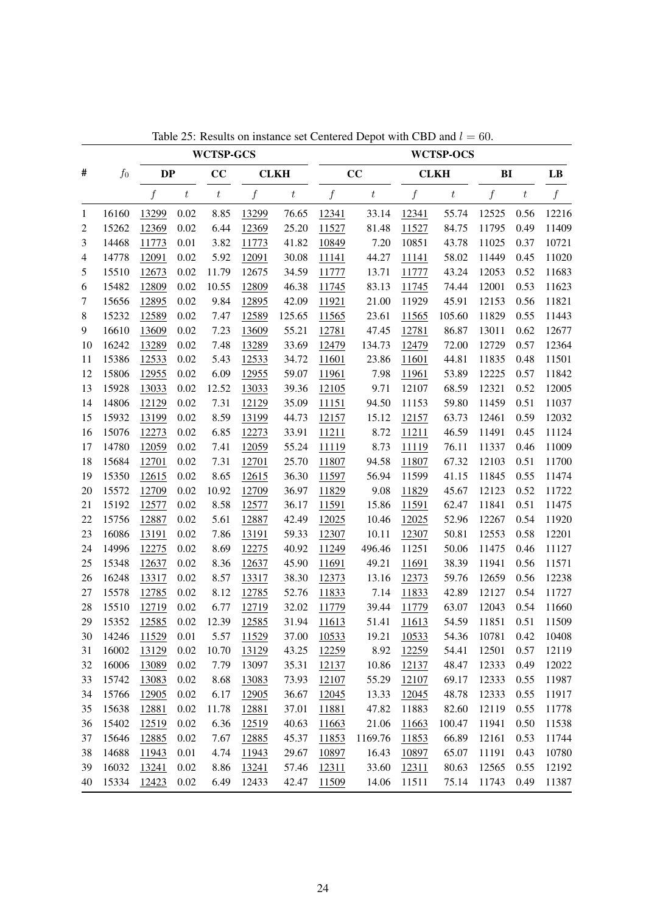|              |       |                  |          | <b>WCTSP-GCS</b> |                  |                  |                  |                  |                  | <b>WCTSP-OCS</b> |                  |                  |       |
|--------------|-------|------------------|----------|------------------|------------------|------------------|------------------|------------------|------------------|------------------|------------------|------------------|-------|
| #            | $f_0$ | <b>DP</b>        |          | CC               |                  | <b>CLKH</b>      |                  | CC               |                  | <b>CLKH</b>      | B <sub>I</sub>   |                  | LB    |
|              |       | $\boldsymbol{f}$ | $\,t\,$  | $\boldsymbol{t}$ | $\boldsymbol{f}$ | $\boldsymbol{t}$ | $\boldsymbol{f}$ | $\boldsymbol{t}$ | $\boldsymbol{f}$ | $\boldsymbol{t}$ | $\boldsymbol{f}$ | $\boldsymbol{t}$ | f     |
| $\mathbf{1}$ | 16160 | 13299            | 0.02     | 8.85             | 13299            | 76.65            | 12341            | 33.14            | 12341            | 55.74            | 12525            | 0.56             | 12216 |
| 2            | 15262 | 12369            | 0.02     | 6.44             | 12369            | 25.20            | 11527            | 81.48            | 11527            | 84.75            | 11795            | 0.49             | 11409 |
| 3            | 14468 | 11773            | 0.01     | 3.82             | 11773            | 41.82            | 10849            | 7.20             | 10851            | 43.78            | 11025            | 0.37             | 10721 |
| 4            | 14778 | 12091            | 0.02     | 5.92             | 12091            | 30.08            | 11141            | 44.27            | 11141            | 58.02            | 11449            | 0.45             | 11020 |
| 5            | 15510 | 12673            | 0.02     | 11.79            | 12675            | 34.59            | 11777            | 13.71            | 11777            | 43.24            | 12053            | 0.52             | 11683 |
| 6            | 15482 | 12809            | 0.02     | 10.55            | 12809            | 46.38            | 11745            | 83.13            | 11745            | 74.44            | 12001            | 0.53             | 11623 |
| 7            | 15656 | 12895            | 0.02     | 9.84             | 12895            | 42.09            | 11921            | 21.00            | 11929            | 45.91            | 12153            | 0.56             | 11821 |
| $\,8\,$      | 15232 | 12589            | 0.02     | 7.47             | 12589            | 125.65           | 11565            | 23.61            | 11565            | 105.60           | 11829            | 0.55             | 11443 |
| 9            | 16610 | 13609            | 0.02     | 7.23             | 13609            | 55.21            | 12781            | 47.45            | 12781            | 86.87            | 13011            | 0.62             | 12677 |
| 10           | 16242 | 13289            | 0.02     | 7.48             | 13289            | 33.69            | 12479            | 134.73           | 12479            | 72.00            | 12729            | 0.57             | 12364 |
| 11           | 15386 | 12533            | 0.02     | 5.43             | 12533            | 34.72            | 11601            | 23.86            | 11601            | 44.81            | 11835            | 0.48             | 11501 |
| 12           | 15806 | 12955            | 0.02     | 6.09             | 12955            | 59.07            | 11961            | 7.98             | 11961            | 53.89            | 12225            | 0.57             | 11842 |
| 13           | 15928 | 13033            | 0.02     | 12.52            | 13033            | 39.36            | 12105            | 9.71             | 12107            | 68.59            | 12321            | 0.52             | 12005 |
| 14           | 14806 | 12129            | 0.02     | 7.31             | 12129            | 35.09            | 11151            | 94.50            | 11153            | 59.80            | 11459            | 0.51             | 11037 |
| 15           | 15932 | 13199            | 0.02     | 8.59             | 13199            | 44.73            | 12157            | 15.12            | 12157            | 63.73            | 12461            | 0.59             | 12032 |
| 16           | 15076 | 12273            | 0.02     | 6.85             | 12273            | 33.91            | 11211            | 8.72             | 11211            | 46.59            | 11491            | 0.45             | 11124 |
| 17           | 14780 | 12059            | 0.02     | 7.41             | 12059            | 55.24            | 11119            | 8.73             | 11119            | 76.11            | 11337            | 0.46             | 11009 |
| 18           | 15684 | 12701            | 0.02     | 7.31             | 12701            | 25.70            | 11807            | 94.58            | 11807            | 67.32            | 12103            | 0.51             | 11700 |
| 19           | 15350 | 12615            | 0.02     | 8.65             | 12615            | 36.30            | 11597            | 56.94            | 11599            | 41.15            | 11845            | 0.55             | 11474 |
| 20           | 15572 | 12709            | 0.02     | 10.92            | 12709            | 36.97            | 11829            | 9.08             | 11829            | 45.67            | 12123            | 0.52             | 11722 |
| 21           | 15192 | 12577            | 0.02     | 8.58             | 12577            | 36.17            | 11591            | 15.86            | 11591            | 62.47            | 11841            | 0.51             | 11475 |
| 22           | 15756 | 12887            | 0.02     | 5.61             | 12887            | 42.49            | 12025            | 10.46            | 12025            | 52.96            | 12267            | 0.54             | 11920 |
| 23           | 16086 | 13191            | 0.02     | 7.86             | 13191            | 59.33            | 12307            | 10.11            | 12307            | 50.81            | 12553            | 0.58             | 12201 |
| 24           | 14996 | 12275            | 0.02     | 8.69             | 12275            | 40.92            | 11249            | 496.46           | 11251            | 50.06            | 11475            | 0.46             | 11127 |
| 25           | 15348 | 12637            | 0.02     | 8.36             | 12637            | 45.90            | 11691            | 49.21            | 11691            | 38.39            | 11941            | 0.56             | 11571 |
| 26           | 16248 | 13317            | 0.02     | 8.57             | 13317            | 38.30            | 12373            | 13.16            | 12373            | 59.76            | 12659            | 0.56             | 12238 |
| 27           | 15578 | 12785            | 0.02     | 8.12             | 12785            | 52.76            | 11833            | 7.14             | 11833            | 42.89            | 12127            | 0.54             | 11727 |
| 28           | 15510 | 12719            | 0.02     | 6.77             | 12719            | 32.02            | 11779            | 39.44            | 11779            | 63.07            | 12043            | 0.54             | 11660 |
| 29           | 15352 | 12585            | 0.02     | 12.39            | 12585            | 31.94            | 11613            | 51.41            | 11613            | 54.59            | 11851            | 0.51             | 11509 |
| 30           | 14246 | 11529            | 0.01     | 5.57             | 11529            | 37.00            | 10533            | 19.21            | 10533            | 54.36            | 10781            | 0.42             | 10408 |
| 31           | 16002 | 13129            | 0.02     | 10.70            | 13129            | 43.25            | 12259            | 8.92             | 12259            | 54.41            | 12501            | 0.57             | 12119 |
| 32           | 16006 | 13089            | $0.02\,$ | 7.79             | 13097            | 35.31            | 12137            | 10.86            | 12137            | 48.47            | 12333            | 0.49             | 12022 |
| 33           | 15742 | 13083            | 0.02     | 8.68             | 13083            | 73.93            | 12107            | 55.29            | 12107            | 69.17            | 12333            | 0.55             | 11987 |
| 34           | 15766 | 12905            | 0.02     | 6.17             | 12905            | 36.67            | 12045            | 13.33            | 12045            | 48.78            | 12333            | 0.55             | 11917 |
| 35           | 15638 | 12881            | 0.02     | 11.78            | 12881            | 37.01            | 11881            | 47.82            | 11883            | 82.60            | 12119            | 0.55             | 11778 |
| 36           | 15402 | 12519            | 0.02     | 6.36             | 12519            | 40.63            | 11663            | 21.06            | 11663            | 100.47           | 11941            | 0.50             | 11538 |
| 37           | 15646 | 12885            | 0.02     | 7.67             | 12885            | 45.37            | 11853            | 1169.76          | 11853            | 66.89            | 12161            | 0.53             | 11744 |
| 38           | 14688 | 11943            | 0.01     | 4.74             | 11943            | 29.67            | 10897            | 16.43            | 10897            | 65.07            | 11191            | 0.43             | 10780 |
| 39           | 16032 | 13241            | 0.02     | 8.86             | 13241            | 57.46            | 12311            | 33.60            | 12311            | 80.63            | 12565            | 0.55             | 12192 |
| 40           | 15334 | 12423            | 0.02     | 6.49             | 12433            | 42.47            | 11509            | 14.06            | 11511            | 75.14            | 11743            | 0.49             | 11387 |

Table 25: Results on instance set Centered Depot with CBD and  $l = 60$ .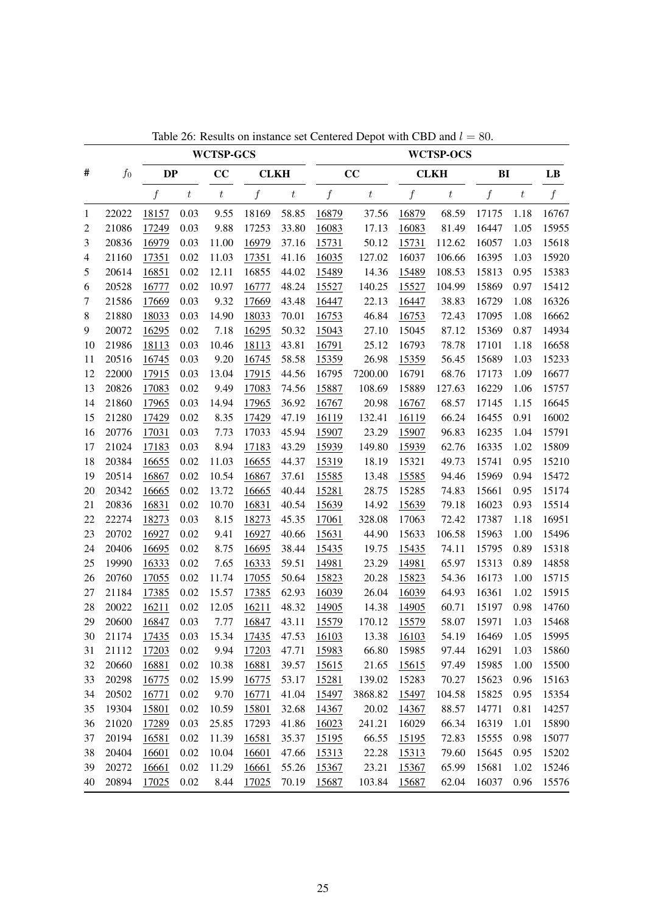|        |       |              |                  | <b>WCTSP-GCS</b> |              |                  |                  |                  |       | <b>WCTSP-OCS</b> |       |         |       |
|--------|-------|--------------|------------------|------------------|--------------|------------------|------------------|------------------|-------|------------------|-------|---------|-------|
| #      | $f_0$ | <b>DP</b>    |                  | CC               | <b>CLKH</b>  |                  |                  | CC               |       | <b>CLKH</b>      | BI    |         | LB    |
|        |       | f            | $\boldsymbol{t}$ | $\boldsymbol{t}$ | f            | $\boldsymbol{t}$ | $\boldsymbol{f}$ | $\boldsymbol{t}$ | f     | $t\,$            | f     | $\,t\,$ | f     |
| 1      | 22022 | 18157        | 0.03             | 9.55             | 18169        | 58.85            | 16879            | 37.56            | 16879 | 68.59            | 17175 | 1.18    | 16767 |
| 2      | 21086 | 17249        | 0.03             | 9.88             | 17253        | 33.80            | 16083            | 17.13            | 16083 | 81.49            | 16447 | 1.05    | 15955 |
| 3      | 20836 | 16979        | 0.03             | 11.00            | 16979        | 37.16            | 15731            | 50.12            | 15731 | 112.62           | 16057 | 1.03    | 15618 |
| 4      | 21160 | 17351        | 0.02             | 11.03            | 17351        | 41.16            | 16035            | 127.02           | 16037 | 106.66           | 16395 | 1.03    | 15920 |
| 5      | 20614 | 16851        | 0.02             | 12.11            | 16855        | 44.02            | 15489            | 14.36            | 15489 | 108.53           | 15813 | 0.95    | 15383 |
| 6      | 20528 | 16777        | 0.02             | 10.97            | 16777        | 48.24            | 15527            | 140.25           | 15527 | 104.99           | 15869 | 0.97    | 15412 |
| 7      | 21586 | 17669        | 0.03             | 9.32             | 17669        | 43.48            | 16447            | 22.13            | 16447 | 38.83            | 16729 | 1.08    | 16326 |
| 8      | 21880 | 18033        | 0.03             | 14.90            | 18033        | 70.01            | 16753            | 46.84            | 16753 | 72.43            | 17095 | 1.08    | 16662 |
| 9      | 20072 | 16295        | 0.02             | 7.18             | 16295        | 50.32            | 15043            | 27.10            | 15045 | 87.12            | 15369 | 0.87    | 14934 |
| 10     | 21986 | 18113        | 0.03             | 10.46            | 18113        | 43.81            | 16791            | 25.12            | 16793 | 78.78            | 17101 | 1.18    | 16658 |
| 11     | 20516 | 16745        | 0.03             | 9.20             | 16745        | 58.58            | 15359            | 26.98            | 15359 | 56.45            | 15689 | 1.03    | 15233 |
| 12     | 22000 | 17915        | 0.03             | 13.04            | 17915        | 44.56            | 16795            | 7200.00          | 16791 | 68.76            | 17173 | 1.09    | 16677 |
| 13     | 20826 | 17083        | 0.02             | 9.49             | 17083        | 74.56            | 15887            | 108.69           | 15889 | 127.63           | 16229 | 1.06    | 15757 |
| 14     | 21860 | 17965        | 0.03             | 14.94            | 17965        | 36.92            | 16767            | 20.98            | 16767 | 68.57            | 17145 | 1.15    | 16645 |
| 15     | 21280 | 17429        | 0.02             | 8.35             | 17429        | 47.19            | 16119            | 132.41           | 16119 | 66.24            | 16455 | 0.91    | 16002 |
| 16     | 20776 | 17031        | 0.03             | 7.73             | 17033        | 45.94            | 15907            | 23.29            | 15907 | 96.83            | 16235 | 1.04    | 15791 |
| 17     | 21024 | 17183        | 0.03             | 8.94             | 17183        | 43.29            | 15939            | 149.80           | 15939 | 62.76            | 16335 | 1.02    | 15809 |
| 18     | 20384 | 16655        | 0.02             | 11.03            | 16655        | 44.37            | 15319            | 18.19            | 15321 | 49.73            | 15741 | 0.95    | 15210 |
| 19     | 20514 | 16867        | 0.02             | 10.54            | 16867        | 37.61            | 15585            | 13.48            | 15585 | 94.46            | 15969 | 0.94    | 15472 |
| 20     | 20342 | 16665        | 0.02             | 13.72            | 16665        | 40.44            | 15281            | 28.75            | 15285 | 74.83            | 15661 | 0.95    | 15174 |
| 21     | 20836 | 16831        | 0.02             | 10.70            | 16831        | 40.54            | 15639            | 14.92            | 15639 | 79.18            | 16023 | 0.93    | 15514 |
| 22     | 22274 | 18273        | 0.03             | 8.15             | 18273        | 45.35            | 17061            | 328.08           | 17063 | 72.42            | 17387 | 1.18    | 16951 |
| 23     | 20702 | 16927        | 0.02             | 9.41             | 16927        | 40.66            | 15631            | 44.90            | 15633 | 106.58           | 15963 | 1.00    | 15496 |
| 24     | 20406 | 16695        | 0.02             | 8.75             | 16695        | 38.44            | 15435            | 19.75            | 15435 | 74.11            | 15795 | 0.89    | 15318 |
| 25     | 19990 | 16333        | 0.02             | 7.65             | 16333        | 59.51            | 14981            | 23.29            | 14981 | 65.97            | 15313 | 0.89    | 14858 |
| 26     | 20760 | 17055        | 0.02             | 11.74            | 17055        | 50.64            | 15823            | 20.28            | 15823 | 54.36            | 16173 | 1.00    | 15715 |
| 27     | 21184 | 17385        | 0.02             | 15.57            | 17385        | 62.93            | 16039            | 26.04            | 16039 | 64.93            | 16361 | 1.02    | 15915 |
| 28     | 20022 | 16211        | 0.02             | 12.05            | 16211        | 48.32            | 14905            | 14.38            | 14905 | 60.71            | 15197 | 0.98    | 14760 |
| 29     | 20600 | 16847        | 0.03             | 7.77             | 16847        | 43.11            | 15579            | 170.12           | 15579 | 58.07            | 15971 | 1.03    | 15468 |
| 30     | 21174 | <u>17435</u> | 0.03             | 15.34            | <u>17435</u> | 47.53            | <u>16103</u>     | 13.38            | 16103 | 54.19            | 16469 | 1.05    | 15995 |
| 31     | 21112 | 17203        | 0.02             | 9.94             | 17203        | 47.71            | 15983            | 66.80            | 15985 | 97.44            | 16291 | 1.03    | 15860 |
| 32     | 20660 | 16881        | 0.02             | 10.38            | 16881        | 39.57            | 15615            | 21.65            | 15615 | 97.49            | 15985 | 1.00    | 15500 |
| 33     | 20298 | 16775        | 0.02             | 15.99            | 16775        | 53.17            | 15281            | 139.02           | 15283 | 70.27            | 15623 | 0.96    | 15163 |
| 34     | 20502 | 16771        | 0.02             | 9.70             | 16771        | 41.04            | 15497            | 3868.82          | 15497 | 104.58           | 15825 | 0.95    | 15354 |
| 35     | 19304 | 15801        | 0.02             | 10.59            | 15801        | 32.68            | 14367            | 20.02            | 14367 | 88.57            | 14771 | 0.81    | 14257 |
| 36     | 21020 | 17289        | 0.03             | 25.85            | 17293        | 41.86            | 16023            | 241.21           | 16029 | 66.34            | 16319 | 1.01    | 15890 |
| 37     | 20194 | 16581        | 0.02             | 11.39            | 16581        | 35.37            | 15195            | 66.55            | 15195 | 72.83            | 15555 | 0.98    | 15077 |
| 38     | 20404 | 16601        | 0.02             | 10.04            | 16601        | 47.66            | 15313            | 22.28            | 15313 | 79.60            | 15645 | 0.95    | 15202 |
| 39     | 20272 | 16661        | 0.02             | 11.29            | 16661        | 55.26            | 15367            | 23.21            | 15367 | 65.99            | 15681 | 1.02    | 15246 |
| $40\,$ | 20894 | 17025        | 0.02             | 8.44             | 17025        | 70.19            | 15687            | 103.84           | 15687 | 62.04            | 16037 | 0.96    | 15576 |

Table 26: Results on instance set Centered Depot with CBD and  $l = 80$ .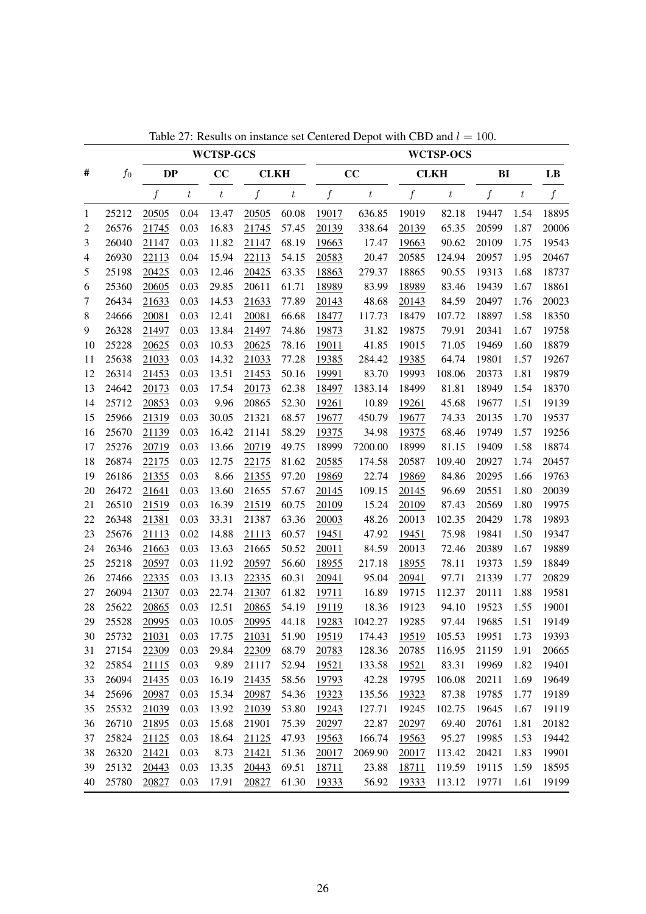|                |       |           |                  | <b>WCTSP-GCS</b> |                  |                  |                  |                  |                  | <b>WCTSP-OCS</b> |                  |                  |                  |
|----------------|-------|-----------|------------------|------------------|------------------|------------------|------------------|------------------|------------------|------------------|------------------|------------------|------------------|
| #              | $f_0$ | <b>DP</b> |                  | CC               | <b>CLKH</b>      |                  |                  | CC               |                  | <b>CLKH</b>      | BI               |                  | LB               |
|                |       | f         | $\boldsymbol{t}$ | $\boldsymbol{t}$ | $\boldsymbol{f}$ | $\boldsymbol{t}$ | $\boldsymbol{f}$ | $\boldsymbol{t}$ | $\boldsymbol{f}$ | $\it t$          | $\boldsymbol{f}$ | $\boldsymbol{t}$ | $\boldsymbol{f}$ |
| 1              | 25212 | 20505     | 0.04             | 13.47            | 20505            | 60.08            | 19017            | 636.85           | 19019            | 82.18            | 19447            | 1.54             | 18895            |
| $\mathfrak{2}$ | 26576 | 21745     | 0.03             | 16.83            | 21745            | 57.45            | 20139            | 338.64           | 20139            | 65.35            | 20599            | 1.87             | 20006            |
| 3              | 26040 | 21147     | 0.03             | 11.82            | 21147            | 68.19            | 19663            | 17.47            | 19663            | 90.62            | 20109            | 1.75             | 19543            |
| 4              | 26930 | 22113     | 0.04             | 15.94            | 22113            | 54.15            | 20583            | 20.47            | 20585            | 124.94           | 20957            | 1.95             | 20467            |
| 5              | 25198 | 20425     | 0.03             | 12.46            | 20425            | 63.35            | 18863            | 279.37           | 18865            | 90.55            | 19313            | 1.68             | 18737            |
| 6              | 25360 | 20605     | 0.03             | 29.85            | 20611            | 61.71            | 18989            | 83.99            | 18989            | 83.46            | 19439            | 1.67             | 18861            |
| 7              | 26434 | 21633     | 0.03             | 14.53            | 21633            | 77.89            | 20143            | 48.68            | 20143            | 84.59            | 20497            | 1.76             | 20023            |
| 8              | 24666 | 20081     | 0.03             | 12.41            | 20081            | 66.68            | 18477            | 117.73           | 18479            | 107.72           | 18897            | 1.58             | 18350            |
| 9              | 26328 | 21497     | 0.03             | 13.84            | 21497            | 74.86            | 19873            | 31.82            | 19875            | 79.91            | 20341            | 1.67             | 19758            |
| 10             | 25228 | 20625     | 0.03             | 10.53            | 20625            | 78.16            | 19011            | 41.85            | 19015            | 71.05            | 19469            | 1.60             | 18879            |
| 11             | 25638 | 21033     | 0.03             | 14.32            | 21033            | 77.28            | 19385            | 284.42           | 19385            | 64.74            | 19801            | 1.57             | 19267            |
| 12             | 26314 | 21453     | 0.03             | 13.51            | 21453            | 50.16            | 19991            | 83.70            | 19993            | 108.06           | 20373            | 1.81             | 19879            |
| 13             | 24642 | 20173     | 0.03             | 17.54            | 20173            | 62.38            | 18497            | 1383.14          | 18499            | 81.81            | 18949            | 1.54             | 18370            |
| 14             | 25712 | 20853     | 0.03             | 9.96             | 20865            | 52.30            | 19261            | 10.89            | 19261            | 45.68            | 19677            | 1.51             | 19139            |
| 15             | 25966 | 21319     | 0.03             | 30.05            | 21321            | 68.57            | 19677            | 450.79           | 19677            | 74.33            | 20135            | 1.70             | 19537            |
| 16             | 25670 | 21139     | 0.03             | 16.42            | 21141            | 58.29            | 19375            | 34.98            | 19375            | 68.46            | 19749            | 1.57             | 19256            |
| 17             | 25276 | 20719     | 0.03             | 13.66            | 20719            | 49.75            | 18999            | 7200.00          | 18999            | 81.15            | 19409            | 1.58             | 18874            |
| 18             | 26874 | 22175     | 0.03             | 12.75            | 22175            | 81.62            | 20585            | 174.58           | 20587            | 109.40           | 20927            | 1.74             | 20457            |
| 19             | 26186 | 21355     | 0.03             | 8.66             | 21355            | 97.20            | 19869            | 22.74            | 19869            | 84.86            | 20295            | 1.66             | 19763            |
| 20             | 26472 | 21641     | 0.03             | 13.60            | 21655            | 57.67            | 20145            | 109.15           | 20145            | 96.69            | 20551            | 1.80             | 20039            |
| 21             | 26510 | 21519     | 0.03             | 16.39            | 21519            | 60.75            | 20109            | 15.24            | 20109            | 87.43            | 20569            | 1.80             | 19975            |
| 22             | 26348 | 21381     | 0.03             | 33.31            | 21387            | 63.36            | 20003            | 48.26            | 20013            | 102.35           | 20429            | 1.78             | 19893            |
| 23             | 25676 | 21113     | 0.02             | 14.88            | 21113            | 60.57            | 19451            | 47.92            | 19451            | 75.98            | 19841            | 1.50             | 19347            |
| 24             | 26346 | 21663     | 0.03             | 13.63            | 21665            | 50.52            | 20011            | 84.59            | 20013            | 72.46            | 20389            | 1.67             | 19889            |
| 25             | 25218 | 20597     | 0.03             | 11.92            | 20597            | 56.60            | 18955            | 217.18           | 18955            | 78.11            | 19373            | 1.59             | 18849            |
| 26             | 27466 | 22335     | 0.03             | 13.13            | 22335            | 60.31            | 20941            | 95.04            | 20941            | 97.71            | 21339            | 1.77             | 20829            |
| 27             | 26094 | 21307     | 0.03             | 22.74            | 21307            | 61.82            | 19711            | 16.89            | 19715            | 112.37           | 20111            | 1.88             | 19581            |
| 28             | 25622 | 20865     | 0.03             | 12.51            | 20865            | 54.19            | 19119            | 18.36            | 19123            | 94.10            | 19523            | 1.55             | 19001            |
| 29             | 25528 | 20995     | 0.03             | 10.05            | 20995            | 44.18            | 19283            | 1042.27          | 19285            | 97.44            | 19685            | 1.51             | 19149            |
| 30             | 25732 | 21031     | 0.03             | 17.75            | 21031            | 51.90            | 19519            | 174.43           | 19519            | 105.53           | 19951            | 1.73             | 19393            |
| 31             | 27154 | 22309     | 0.03             | 29.84            | 22309            | 68.79            | 20783            | 128.36           | 20785            | 116.95           | 21159            | 1.91             | 20665            |
| 32             | 25854 | 21115     | 0.03             | 9.89             | 21117            | 52.94            | 19521            | 133.58           | 19521            | 83.31            | 19969            | 1.82             | 19401            |
| 33             | 26094 | 21435     | 0.03             | 16.19            | 21435            | 58.56            | 19793            | 42.28            | 19795            | 106.08           | 20211            | 1.69             | 19649            |
| 34             | 25696 | 20987     | 0.03             | 15.34            | 20987            | 54.36            | 19323            | 135.56           | 19323            | 87.38            | 19785            | 1.77             | 19189            |
| 35             | 25532 | 21039     | 0.03             | 13.92            | 21039            | 53.80            | 19243            | 127.71           | 19245            | 102.75           | 19645            | 1.67             | 19119            |
| 36             | 26710 | 21895     | 0.03             | 15.68            | 21901            | 75.39            | 20297            | 22.87            | 20297            | 69.40            | 20761            | 1.81             | 20182            |
| 37             | 25824 | 21125     | 0.03             | 18.64            | 21125            | 47.93            | 19563            | 166.74           | 19563            | 95.27            | 19985            | 1.53             | 19442            |
| 38             | 26320 | 21421     | 0.03             | 8.73             | 21421            | 51.36            | 20017            | 2069.90          | 20017            | 113.42           | 20421            | 1.83             | 19901            |
| 39             | 25132 | 20443     | 0.03             | 13.35            | 20443            | 69.51            | 18711            | 23.88            | 18711            | 119.59           | 19115            | 1.59             | 18595            |
| 40             | 25780 | 20827     | 0.03             | 17.91            | 20827            | 61.30            | 19333            | 56.92            | 19333            | 113.12           | 19771            | 1.61             | 19199            |

Table 27: Results on instance set Centered Depot with CBD and  $l = 100$ .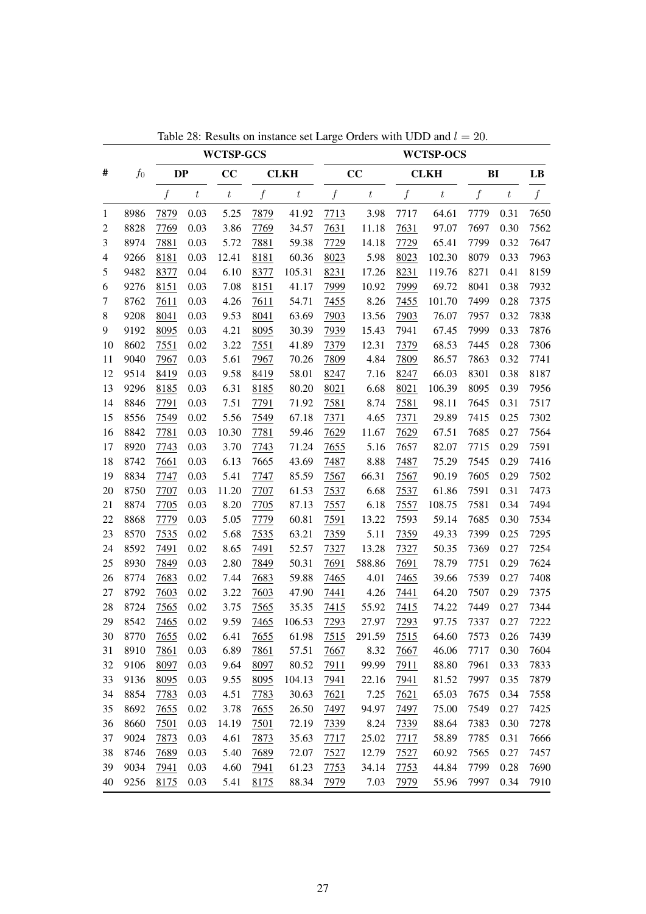|                |       |                  |                  | <b>WCTSP-GCS</b> |                  |                  |                  |                  |                  | <b>WCTSP-OCS</b> |                  |                  |                        |
|----------------|-------|------------------|------------------|------------------|------------------|------------------|------------------|------------------|------------------|------------------|------------------|------------------|------------------------|
| #              | $f_0$ | DP               |                  | CC               |                  | <b>CLKH</b>      |                  | CC               |                  | <b>CLKH</b>      | BI               |                  | $\mathbf{L}\mathbf{B}$ |
|                |       | $\boldsymbol{f}$ | $\boldsymbol{t}$ | $\boldsymbol{t}$ | $\boldsymbol{f}$ | $\boldsymbol{t}$ | $\boldsymbol{f}$ | $\boldsymbol{t}$ | $\boldsymbol{f}$ | $\boldsymbol{t}$ | $\boldsymbol{f}$ | $\boldsymbol{t}$ | $f_{\rm}$              |
| $\mathbf{1}$   | 8986  | 7879             | 0.03             | 5.25             | 7879             | 41.92            | 7713             | 3.98             | 7717             | 64.61            | 7779             | 0.31             | 7650                   |
| $\overline{c}$ | 8828  | 7769             | 0.03             | 3.86             | 7769             | 34.57            | 7631             | 11.18            | 7631             | 97.07            | 7697             | 0.30             | 7562                   |
| 3              | 8974  | 7881             | 0.03             | 5.72             | 7881             | 59.38            | 7729             | 14.18            | 7729             | 65.41            | 7799             | 0.32             | 7647                   |
| $\overline{4}$ | 9266  | 8181             | 0.03             | 12.41            | 8181             | 60.36            | 8023             | 5.98             | 8023             | 102.30           | 8079             | 0.33             | 7963                   |
| 5              | 9482  | 8377             | 0.04             | 6.10             | 8377             | 105.31           | 8231             | 17.26            | 8231             | 119.76           | 8271             | 0.41             | 8159                   |
| 6              | 9276  | 8151             | 0.03             | 7.08             | 8151             | 41.17            | 7999             | 10.92            | 7999             | 69.72            | 8041             | 0.38             | 7932                   |
| 7              | 8762  | 7611             | 0.03             | 4.26             | 7611             | 54.71            | 7455             | 8.26             | 7455             | 101.70           | 7499             | 0.28             | 7375                   |
| 8              | 9208  | 8041             | 0.03             | 9.53             | 8041             | 63.69            | 7903             | 13.56            | 7903             | 76.07            | 7957             | 0.32             | 7838                   |
| 9              | 9192  | 8095             | 0.03             | 4.21             | 8095             | 30.39            | 7939             | 15.43            | 7941             | 67.45            | 7999             | 0.33             | 7876                   |
| 10             | 8602  | 7551             | 0.02             | 3.22             | 7551             | 41.89            | 7379             | 12.31            | 7379             | 68.53            | 7445             | 0.28             | 7306                   |
| 11             | 9040  | 7967             | 0.03             | 5.61             | 7967             | 70.26            | 7809             | 4.84             | 7809             | 86.57            | 7863             | 0.32             | 7741                   |
| 12             | 9514  | 8419             | 0.03             | 9.58             | 8419             | 58.01            | 8247             | 7.16             | 8247             | 66.03            | 8301             | 0.38             | 8187                   |
| 13             | 9296  | 8185             | 0.03             | 6.31             | 8185             | 80.20            | 8021             | 6.68             | 8021             | 106.39           | 8095             | 0.39             | 7956                   |
| 14             | 8846  | 7791             | 0.03             | 7.51             | 7791             | 71.92            | 7581             | 8.74             | 7581             | 98.11            | 7645             | 0.31             | 7517                   |
| 15             | 8556  | 7549             | 0.02             | 5.56             | 7549             | 67.18            | 7371             | 4.65             | 7371             | 29.89            | 7415             | 0.25             | 7302                   |
| 16             | 8842  | 7781             | 0.03             | 10.30            | 7781             | 59.46            | 7629             | 11.67            | 7629             | 67.51            | 7685             | 0.27             | 7564                   |
| 17             | 8920  | 7743             | 0.03             | 3.70             | 7743             | 71.24            | 7655             | 5.16             | 7657             | 82.07            | 7715             | 0.29             | 7591                   |
| 18             | 8742  | 7661             | 0.03             | 6.13             | 7665             | 43.69            | 7487             | 8.88             | 7487             | 75.29            | 7545             | 0.29             | 7416                   |
| 19             | 8834  | 7747             | 0.03             | 5.41             | 7747             | 85.59            | 7567             | 66.31            | 7567             | 90.19            | 7605             | 0.29             | 7502                   |
| 20             | 8750  | 7707             | 0.03             | 11.20            | 7707             | 61.53            | 7537             | 6.68             | 7537             | 61.86            | 7591             | 0.31             | 7473                   |
| 21             | 8874  | 7705             | 0.03             | 8.20             | 7705             | 87.13            | 7557             | 6.18             | 7557             | 108.75           | 7581             | 0.34             | 7494                   |
| 22             | 8868  | 7779             | 0.03             | 5.05             | 7779             | 60.81            | 7591             | 13.22            | 7593             | 59.14            | 7685             | 0.30             | 7534                   |
| 23             | 8570  | 7535             | 0.02             | 5.68             | 7535             | 63.21            | 7359             | 5.11             | 7359             | 49.33            | 7399             | 0.25             | 7295                   |
| 24             | 8592  | 7491             | $0.02\,$         | 8.65             | 7491             | 52.57            | 7327             | 13.28            | 7327             | 50.35            | 7369             | 0.27             | 7254                   |
| 25             | 8930  | 7849             | 0.03             | 2.80             | 7849             | 50.31            | 7691             | 588.86           | 7691             | 78.79            | 7751             | 0.29             | 7624                   |
| 26             | 8774  | 7683             | 0.02             | 7.44             | 7683             | 59.88            | 7465             | 4.01             | 7465             | 39.66            | 7539             | 0.27             | 7408                   |
| 27             | 8792  | 7603             | 0.02             | 3.22             | 7603             | 47.90            | 7441             | 4.26             | 7441             | 64.20            | 7507             | 0.29             | 7375                   |
| 28             | 8724  | 7565             | 0.02             | 3.75             | 7565             | 35.35            | 7415             | 55.92            | 7415             | 74.22            | 7449             | 0.27             | 7344                   |
| 29             | 8542  | 7465             | 0.02             | 9.59             | 7465             | 106.53           | 7293             | 27.97            | 7293             | 97.75            | 7337             | 0.27             | 7222                   |
| 30             | 8770  | 7655             | $0.02\,$         | 6.41             | 7655             | 61.98            | 7515             | 291.59           | 7515             | 64.60            | 7573             | 0.26             | 7439                   |
| 31             | 8910  | 7861             | 0.03             | 6.89             | 7861             | 57.51            | 7667             | 8.32             | 7667             | 46.06            | 7717             | 0.30             | 7604                   |
| 32             | 9106  | 8097             | 0.03             | 9.64             | 8097             | 80.52            | 7911             | 99.99            | 7911             | 88.80            | 7961             | 0.33             | 7833                   |
| 33             | 9136  | 8095             | 0.03             | 9.55             | 8095             | 104.13           | 7941             | 22.16            | 7941             | 81.52            | 7997             | 0.35             | 7879                   |
| 34             | 8854  | 7783             | 0.03             | 4.51             | 7783             | 30.63            | 7621             | 7.25             | 7621             | 65.03            | 7675             | 0.34             | 7558                   |
| 35             | 8692  | 7655             | 0.02             | 3.78             | 7655             | 26.50            | 7497             | 94.97            | 7497             | 75.00            | 7549             | 0.27             | 7425                   |
| 36             | 8660  | 7501             | 0.03             | 14.19            | 7501             | 72.19            | 7339             | 8.24             | 7339             | 88.64            | 7383             | 0.30             | 7278                   |
| 37             | 9024  | 7873             | 0.03             | 4.61             | 7873             | 35.63            | 7717             | 25.02            | 7717             | 58.89            | 7785             | 0.31             | 7666                   |
| 38             | 8746  | 7689             | 0.03             | 5.40             | 7689             | 72.07            | 7527             | 12.79            | 7527             | 60.92            | 7565             | 0.27             | 7457                   |
| 39             | 9034  | 7941             | 0.03             | 4.60             | 7941             | 61.23            | 7753             | 34.14            | 7753             | 44.84            | 7799             | 0.28             | 7690                   |
| 40             | 9256  | 8175             | 0.03             | 5.41             | 8175             | 88.34            | 7979             | 7.03             | 7979             | 55.96            | 7997             | 0.34             | 7910                   |

Table 28: Results on instance set Large Orders with UDD and  $l = 20$ .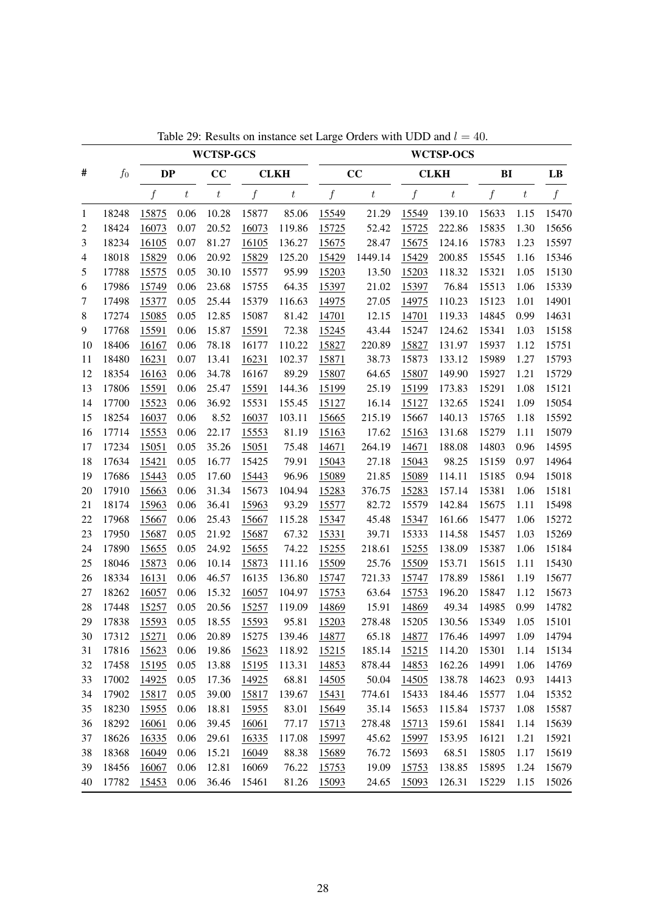|                |       |           |         | <b>WCTSP-GCS</b> |              |                  |       |                  |       | <b>WCTSP-OCS</b> |                  |                  |       |
|----------------|-------|-----------|---------|------------------|--------------|------------------|-------|------------------|-------|------------------|------------------|------------------|-------|
| #              | $f_0$ | <b>DP</b> |         | CC               |              | <b>CLKH</b>      |       | CC               |       | <b>CLKH</b>      | BI               |                  | LB    |
|                |       | f         | $\,t\,$ | $\boldsymbol{t}$ | f            | $\boldsymbol{t}$ | f     | $\boldsymbol{t}$ | f     | $\boldsymbol{t}$ | $\boldsymbol{f}$ | $\boldsymbol{t}$ | f     |
| 1              | 18248 | 15875     | 0.06    | 10.28            | 15877        | 85.06            | 15549 | 21.29            | 15549 | 139.10           | 15633            | 1.15             | 15470 |
| 2              | 18424 | 16073     | 0.07    | 20.52            | 16073        | 119.86           | 15725 | 52.42            | 15725 | 222.86           | 15835            | 1.30             | 15656 |
| 3              | 18234 | 16105     | 0.07    | 81.27            | 16105        | 136.27           | 15675 | 28.47            | 15675 | 124.16           | 15783            | 1.23             | 15597 |
| $\overline{4}$ | 18018 | 15829     | 0.06    | 20.92            | 15829        | 125.20           | 15429 | 1449.14          | 15429 | 200.85           | 15545            | 1.16             | 15346 |
| 5              | 17788 | 15575     | 0.05    | 30.10            | 15577        | 95.99            | 15203 | 13.50            | 15203 | 118.32           | 15321            | 1.05             | 15130 |
| 6              | 17986 | 15749     | 0.06    | 23.68            | 15755        | 64.35            | 15397 | 21.02            | 15397 | 76.84            | 15513            | 1.06             | 15339 |
| 7              | 17498 | 15377     | 0.05    | 25.44            | 15379        | 116.63           | 14975 | 27.05            | 14975 | 110.23           | 15123            | 1.01             | 14901 |
| $\,8\,$        | 17274 | 15085     | 0.05    | 12.85            | 15087        | 81.42            | 14701 | 12.15            | 14701 | 119.33           | 14845            | 0.99             | 14631 |
| 9              | 17768 | 15591     | 0.06    | 15.87            | 15591        | 72.38            | 15245 | 43.44            | 15247 | 124.62           | 15341            | 1.03             | 15158 |
| 10             | 18406 | 16167     | 0.06    | 78.18            | 16177        | 110.22           | 15827 | 220.89           | 15827 | 131.97           | 15937            | 1.12             | 15751 |
| 11             | 18480 | 16231     | 0.07    | 13.41            | 16231        | 102.37           | 15871 | 38.73            | 15873 | 133.12           | 15989            | 1.27             | 15793 |
| 12             | 18354 | 16163     | 0.06    | 34.78            | 16167        | 89.29            | 15807 | 64.65            | 15807 | 149.90           | 15927            | 1.21             | 15729 |
| 13             | 17806 | 15591     | 0.06    | 25.47            | 15591        | 144.36           | 15199 | 25.19            | 15199 | 173.83           | 15291            | 1.08             | 15121 |
| 14             | 17700 | 15523     | 0.06    | 36.92            | 15531        | 155.45           | 15127 | 16.14            | 15127 | 132.65           | 15241            | 1.09             | 15054 |
| 15             | 18254 | 16037     | 0.06    | 8.52             | 16037        | 103.11           | 15665 | 215.19           | 15667 | 140.13           | 15765            | 1.18             | 15592 |
| 16             | 17714 | 15553     | 0.06    | 22.17            | 15553        | 81.19            | 15163 | 17.62            | 15163 | 131.68           | 15279            | 1.11             | 15079 |
| 17             | 17234 | 15051     | 0.05    | 35.26            | 15051        | 75.48            | 14671 | 264.19           | 14671 | 188.08           | 14803            | 0.96             | 14595 |
| 18             | 17634 | 15421     | 0.05    | 16.77            | 15425        | 79.91            | 15043 | 27.18            | 15043 | 98.25            | 15159            | 0.97             | 14964 |
| 19             | 17686 | 15443     | 0.05    | 17.60            | 15443        | 96.96            | 15089 | 21.85            | 15089 | 114.11           | 15185            | 0.94             | 15018 |
| 20             | 17910 | 15663     | 0.06    | 31.34            | 15673        | 104.94           | 15283 | 376.75           | 15283 | 157.14           | 15381            | 1.06             | 15181 |
| 21             | 18174 | 15963     | 0.06    | 36.41            | 15963        | 93.29            | 15577 | 82.72            | 15579 | 142.84           | 15675            | 1.11             | 15498 |
| 22             | 17968 | 15667     | 0.06    | 25.43            | 15667        | 115.28           | 15347 | 45.48            | 15347 | 161.66           | 15477            | 1.06             | 15272 |
| 23             | 17950 | 15687     | 0.05    | 21.92            | 15687        | 67.32            | 15331 | 39.71            | 15333 | 114.58           | 15457            | 1.03             | 15269 |
| 24             | 17890 | 15655     | 0.05    | 24.92            | 15655        | 74.22            | 15255 | 218.61           | 15255 | 138.09           | 15387            | 1.06             | 15184 |
| 25             | 18046 | 15873     | 0.06    | 10.14            | 15873        | 111.16           | 15509 | 25.76            | 15509 | 153.71           | 15615            | 1.11             | 15430 |
| 26             | 18334 | 16131     | 0.06    | 46.57            | 16135        | 136.80           | 15747 | 721.33           | 15747 | 178.89           | 15861            | 1.19             | 15677 |
| 27             | 18262 | 16057     | 0.06    | 15.32            | 16057        | 104.97           | 15753 | 63.64            | 15753 | 196.20           | 15847            | 1.12             | 15673 |
| 28             | 17448 | 15257     | 0.05    | 20.56            | 15257        | 119.09           | 14869 | 15.91            | 14869 | 49.34            | 14985            | 0.99             | 14782 |
| 29             | 17838 | 15593     | 0.05    | 18.55            | 15593        | 95.81            | 15203 | 278.48           | 15205 | 130.56           | 15349            | 1.05             | 15101 |
| 30             | 17312 | 15271     | 0.06    | 20.89            | 15275        | 139.46           | 14877 | 65.18            | 14877 | 176.46           | 14997            | 1.09             | 14794 |
| 31             | 17816 | 15623     | 0.06    | 19.86            | 15623        | 118.92           | 15215 | 185.14           | 15215 | 114.20           | 15301            | 1.14             | 15134 |
| 32             | 17458 | 15195     | 0.05    | 13.88            | 15195        | 113.31           | 14853 | 878.44           | 14853 | 162.26           | 14991            | 1.06             | 14769 |
| 33             | 17002 | 14925     | 0.05    | 17.36            | 14925        | 68.81            | 14505 | 50.04            | 14505 | 138.78           | 14623            | 0.93             | 14413 |
| 34             | 17902 | 15817     | 0.05    | 39.00            | 15817        | 139.67           | 15431 | 774.61           | 15433 | 184.46           | 15577            | 1.04             | 15352 |
| 35             | 18230 | 15955     | 0.06    | 18.81            | 15955        | 83.01            | 15649 | 35.14            | 15653 | 115.84           | 15737            | 1.08             | 15587 |
| 36             | 18292 | 16061     | 0.06    | 39.45            | <u>16061</u> | 77.17            | 15713 | 278.48           | 15713 | 159.61           | 15841            | 1.14             | 15639 |
| 37             | 18626 | 16335     | 0.06    | 29.61            | 16335        | 117.08           | 15997 | 45.62            | 15997 | 153.95           | 16121            | 1.21             | 15921 |
| 38             | 18368 | 16049     | 0.06    | 15.21            | 16049        | 88.38            | 15689 | 76.72            | 15693 | 68.51            | 15805            | 1.17             | 15619 |
| 39             | 18456 | 16067     | 0.06    | 12.81            | 16069        | 76.22            | 15753 | 19.09            | 15753 | 138.85           | 15895            | 1.24             | 15679 |
| 40             | 17782 | 15453     | 0.06    | 36.46            | 15461        | 81.26            | 15093 | 24.65            | 15093 | 126.31           | 15229            | 1.15             | 15026 |

Table 29: Results on instance set Large Orders with UDD and  $l = 40$ .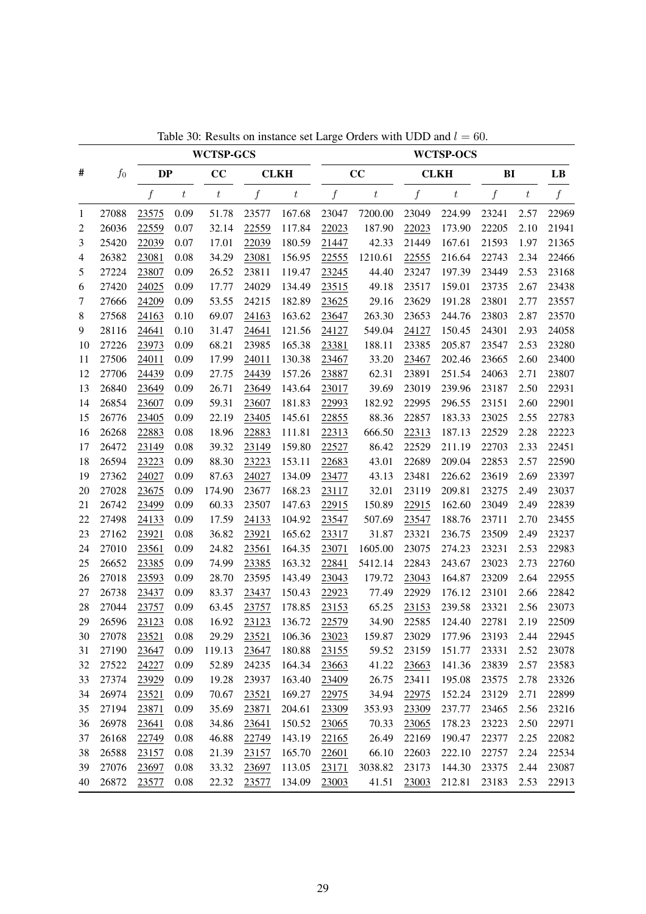|    |       |                  |                  | <b>WCTSP-GCS</b> |       |                  |                  |                  |                  | <b>WCTSP-OCS</b> |                  |       |                |
|----|-------|------------------|------------------|------------------|-------|------------------|------------------|------------------|------------------|------------------|------------------|-------|----------------|
| #  | $f_0$ | <b>DP</b>        |                  | CC               |       | <b>CLKH</b>      |                  | CC               |                  | <b>CLKH</b>      | B <sub>I</sub>   |       | LB             |
|    |       | $\boldsymbol{f}$ | $\boldsymbol{t}$ | $\boldsymbol{t}$ | f     | $\boldsymbol{t}$ | $\boldsymbol{f}$ | $\boldsymbol{t}$ | $\boldsymbol{f}$ | $\boldsymbol{t}$ | $\boldsymbol{f}$ | $t\,$ | $\overline{f}$ |
| 1  | 27088 | 23575            | 0.09             | 51.78            | 23577 | 167.68           | 23047            | 7200.00          | 23049            | 224.99           | 23241            | 2.57  | 22969          |
| 2  | 26036 | 22559            | 0.07             | 32.14            | 22559 | 117.84           | 22023            | 187.90           | 22023            | 173.90           | 22205            | 2.10  | 21941          |
| 3  | 25420 | 22039            | 0.07             | 17.01            | 22039 | 180.59           | 21447            | 42.33            | 21449            | 167.61           | 21593            | 1.97  | 21365          |
| 4  | 26382 | 23081            | 0.08             | 34.29            | 23081 | 156.95           | 22555            | 1210.61          | 22555            | 216.64           | 22743            | 2.34  | 22466          |
| 5  | 27224 | 23807            | 0.09             | 26.52            | 23811 | 119.47           | 23245            | 44.40            | 23247            | 197.39           | 23449            | 2.53  | 23168          |
| 6  | 27420 | 24025            | 0.09             | 17.77            | 24029 | 134.49           | 23515            | 49.18            | 23517            | 159.01           | 23735            | 2.67  | 23438          |
| 7  | 27666 | 24209            | 0.09             | 53.55            | 24215 | 182.89           | 23625            | 29.16            | 23629            | 191.28           | 23801            | 2.77  | 23557          |
| 8  | 27568 | 24163            | 0.10             | 69.07            | 24163 | 163.62           | 23647            | 263.30           | 23653            | 244.76           | 23803            | 2.87  | 23570          |
| 9  | 28116 | 24641            | 0.10             | 31.47            | 24641 | 121.56           | 24127            | 549.04           | 24127            | 150.45           | 24301            | 2.93  | 24058          |
| 10 | 27226 | 23973            | 0.09             | 68.21            | 23985 | 165.38           | 23381            | 188.11           | 23385            | 205.87           | 23547            | 2.53  | 23280          |
| 11 | 27506 | 24011            | 0.09             | 17.99            | 24011 | 130.38           | 23467            | 33.20            | 23467            | 202.46           | 23665            | 2.60  | 23400          |
| 12 | 27706 | 24439            | 0.09             | 27.75            | 24439 | 157.26           | 23887            | 62.31            | 23891            | 251.54           | 24063            | 2.71  | 23807          |
| 13 | 26840 | 23649            | 0.09             | 26.71            | 23649 | 143.64           | 23017            | 39.69            | 23019            | 239.96           | 23187            | 2.50  | 22931          |
| 14 | 26854 | 23607            | 0.09             | 59.31            | 23607 | 181.83           | 22993            | 182.92           | 22995            | 296.55           | 23151            | 2.60  | 22901          |
| 15 | 26776 | 23405            | 0.09             | 22.19            | 23405 | 145.61           | 22855            | 88.36            | 22857            | 183.33           | 23025            | 2.55  | 22783          |
| 16 | 26268 | 22883            | 0.08             | 18.96            | 22883 | 111.81           | 22313            | 666.50           | 22313            | 187.13           | 22529            | 2.28  | 22223          |
| 17 | 26472 | 23149            | 0.08             | 39.32            | 23149 | 159.80           | 22527            | 86.42            | 22529            | 211.19           | 22703            | 2.33  | 22451          |
| 18 | 26594 | 23223            | 0.09             | 88.30            | 23223 | 153.11           | 22683            | 43.01            | 22689            | 209.04           | 22853            | 2.57  | 22590          |
| 19 | 27362 | 24027            | 0.09             | 87.63            | 24027 | 134.09           | 23477            | 43.13            | 23481            | 226.62           | 23619            | 2.69  | 23397          |
| 20 | 27028 | 23675            | 0.09             | 174.90           | 23677 | 168.23           | 23117            | 32.01            | 23119            | 209.81           | 23275            | 2.49  | 23037          |
| 21 | 26742 | 23499            | 0.09             | 60.33            | 23507 | 147.63           | 22915            | 150.89           | 22915            | 162.60           | 23049            | 2.49  | 22839          |
| 22 | 27498 | 24133            | 0.09             | 17.59            | 24133 | 104.92           | 23547            | 507.69           | 23547            | 188.76           | 23711            | 2.70  | 23455          |
| 23 | 27162 | 23921            | 0.08             | 36.82            | 23921 | 165.62           | 23317            | 31.87            | 23321            | 236.75           | 23509            | 2.49  | 23237          |
| 24 | 27010 | 23561            | 0.09             | 24.82            | 23561 | 164.35           | 23071            | 1605.00          | 23075            | 274.23           | 23231            | 2.53  | 22983          |
| 25 | 26652 | 23385            | 0.09             | 74.99            | 23385 | 163.32           | 22841            | 5412.14          | 22843            | 243.67           | 23023            | 2.73  | 22760          |
| 26 | 27018 | 23593            | 0.09             | 28.70            | 23595 | 143.49           | 23043            | 179.72           | 23043            | 164.87           | 23209            | 2.64  | 22955          |
| 27 | 26738 | 23437            | 0.09             | 83.37            | 23437 | 150.43           | 22923            | 77.49            | 22929            | 176.12           | 23101            | 2.66  | 22842          |
| 28 | 27044 | 23757            | 0.09             | 63.45            | 23757 | 178.85           | 23153            | 65.25            | 23153            | 239.58           | 23321            | 2.56  | 23073          |
| 29 | 26596 | 23123            | 0.08             | 16.92            | 23123 | 136.72           | 22579            | 34.90            | 22585            | 124.40           | 22781            | 2.19  | 22509          |
| 30 | 27078 | 23521            | 0.08             | 29.29            | 23521 | 106.36           | 23023            | 159.87           | 23029            | 177.96           | 23193            | 2.44  | 22945          |
| 31 | 27190 | 23647            | 0.09             | 119.13           | 23647 | 180.88           | 23155            | 59.52            | 23159            | 151.77           | 23331            | 2.52  | 23078          |
| 32 | 27522 | 24227            | 0.09             | 52.89            | 24235 | 164.34           | 23663            | 41.22            | 23663            | 141.36           | 23839            | 2.57  | 23583          |
| 33 | 27374 | 23929            | 0.09             | 19.28            | 23937 | 163.40           | 23409            | 26.75            | 23411            | 195.08           | 23575            | 2.78  | 23326          |
| 34 | 26974 | 23521            | 0.09             | 70.67            | 23521 | 169.27           | 22975            | 34.94            | 22975            | 152.24           | 23129            | 2.71  | 22899          |
| 35 | 27194 | 23871            | 0.09             | 35.69            | 23871 | 204.61           | 23309            | 353.93           | 23309            | 237.77           | 23465            | 2.56  | 23216          |
| 36 | 26978 | 23641            | 0.08             | 34.86            | 23641 | 150.52           | 23065            | 70.33            | 23065            | 178.23           | 23223            | 2.50  | 22971          |
| 37 | 26168 | 22749            | 0.08             | 46.88            | 22749 | 143.19           | 22165            | 26.49            | 22169            | 190.47           | 22377            | 2.25  | 22082          |
| 38 | 26588 | 23157            | 0.08             | 21.39            | 23157 | 165.70           | 22601            | 66.10            | 22603            | 222.10           | 22757            | 2.24  | 22534          |
| 39 | 27076 | 23697            | 0.08             | 33.32            | 23697 | 113.05           | 23171            | 3038.82          | 23173            | 144.30           | 23375            | 2.44  | 23087          |
| 40 | 26872 | 23577            | 0.08             | 22.32            | 23577 | 134.09           | 23003            | 41.51            | 23003            | 212.81           | 23183            | 2.53  | 22913          |

Table 30: Results on instance set Large Orders with UDD and  $l = 60$ .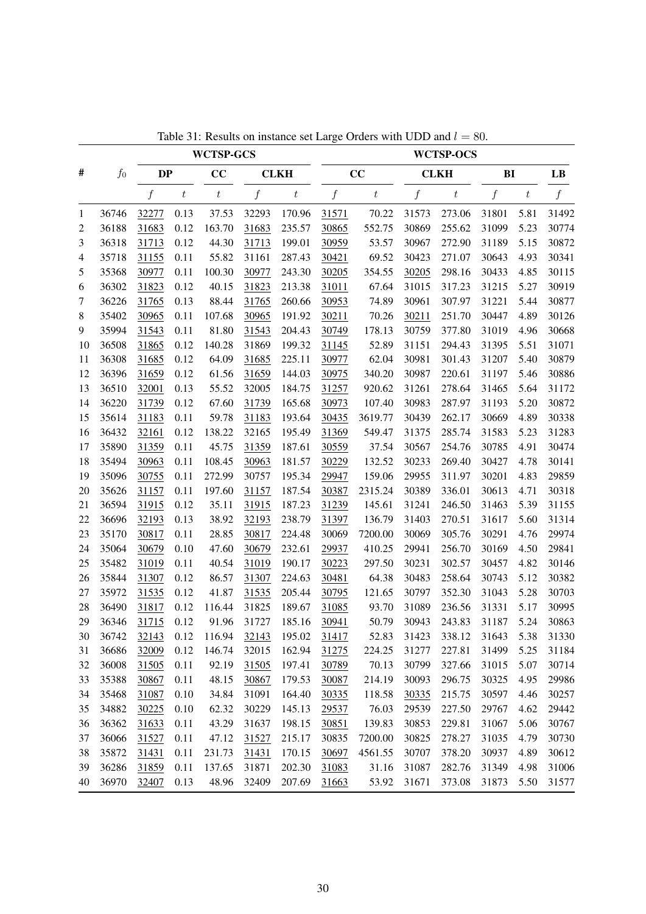|    |         |                  |                  | <b>WCTSP-GCS</b> |                  |                  |                  |                  |                  | <b>WCTSP-OCS</b> |                  |       |                |
|----|---------|------------------|------------------|------------------|------------------|------------------|------------------|------------------|------------------|------------------|------------------|-------|----------------|
| #  | $f_{0}$ | <b>DP</b>        |                  | CC               |                  | <b>CLKH</b>      |                  | CC               |                  | <b>CLKH</b>      | B <sub>I</sub>   |       | LB             |
|    |         | $\boldsymbol{f}$ | $\boldsymbol{t}$ | $\boldsymbol{t}$ | $\boldsymbol{f}$ | $\boldsymbol{t}$ | $\boldsymbol{f}$ | $\boldsymbol{t}$ | $\boldsymbol{f}$ | $\boldsymbol{t}$ | $\boldsymbol{f}$ | $t\,$ | $\overline{f}$ |
| 1  | 36746   | 32277            | 0.13             | 37.53            | 32293            | 170.96           | 31571            | 70.22            | 31573            | 273.06           | 31801            | 5.81  | 31492          |
| 2  | 36188   | 31683            | 0.12             | 163.70           | 31683            | 235.57           | 30865            | 552.75           | 30869            | 255.62           | 31099            | 5.23  | 30774          |
| 3  | 36318   | 31713            | 0.12             | 44.30            | 31713            | 199.01           | 30959            | 53.57            | 30967            | 272.90           | 31189            | 5.15  | 30872          |
| 4  | 35718   | 31155            | 0.11             | 55.82            | 31161            | 287.43           | 30421            | 69.52            | 30423            | 271.07           | 30643            | 4.93  | 30341          |
| 5  | 35368   | 30977            | 0.11             | 100.30           | 30977            | 243.30           | 30205            | 354.55           | 30205            | 298.16           | 30433            | 4.85  | 30115          |
| 6  | 36302   | 31823            | 0.12             | 40.15            | 31823            | 213.38           | 31011            | 67.64            | 31015            | 317.23           | 31215            | 5.27  | 30919          |
| 7  | 36226   | 31765            | 0.13             | 88.44            | 31765            | 260.66           | 30953            | 74.89            | 30961            | 307.97           | 31221            | 5.44  | 30877          |
| 8  | 35402   | 30965            | 0.11             | 107.68           | 30965            | 191.92           | 30211            | 70.26            | 30211            | 251.70           | 30447            | 4.89  | 30126          |
| 9  | 35994   | 31543            | 0.11             | 81.80            | 31543            | 204.43           | 30749            | 178.13           | 30759            | 377.80           | 31019            | 4.96  | 30668          |
| 10 | 36508   | 31865            | 0.12             | 140.28           | 31869            | 199.32           | 31145            | 52.89            | 31151            | 294.43           | 31395            | 5.51  | 31071          |
| 11 | 36308   | 31685            | 0.12             | 64.09            | 31685            | 225.11           | 30977            | 62.04            | 30981            | 301.43           | 31207            | 5.40  | 30879          |
| 12 | 36396   | 31659            | 0.12             | 61.56            | 31659            | 144.03           | 30975            | 340.20           | 30987            | 220.61           | 31197            | 5.46  | 30886          |
| 13 | 36510   | 32001            | 0.13             | 55.52            | 32005            | 184.75           | 31257            | 920.62           | 31261            | 278.64           | 31465            | 5.64  | 31172          |
| 14 | 36220   | 31739            | 0.12             | 67.60            | 31739            | 165.68           | 30973            | 107.40           | 30983            | 287.97           | 31193            | 5.20  | 30872          |
| 15 | 35614   | 31183            | 0.11             | 59.78            | 31183            | 193.64           | 30435            | 3619.77          | 30439            | 262.17           | 30669            | 4.89  | 30338          |
| 16 | 36432   | 32161            | 0.12             | 138.22           | 32165            | 195.49           | 31369            | 549.47           | 31375            | 285.74           | 31583            | 5.23  | 31283          |
| 17 | 35890   | 31359            | 0.11             | 45.75            | 31359            | 187.61           | 30559            | 37.54            | 30567            | 254.76           | 30785            | 4.91  | 30474          |
| 18 | 35494   | 30963            | 0.11             | 108.45           | 30963            | 181.57           | 30229            | 132.52           | 30233            | 269.40           | 30427            | 4.78  | 30141          |
| 19 | 35096   | 30755            | 0.11             | 272.99           | 30757            | 195.34           | 29947            | 159.06           | 29955            | 311.97           | 30201            | 4.83  | 29859          |
| 20 | 35626   | 31157            | 0.11             | 197.60           | 31157            | 187.54           | 30387            | 2315.24          | 30389            | 336.01           | 30613            | 4.71  | 30318          |
| 21 | 36594   | 31915            | 0.12             | 35.11            | 31915            | 187.23           | 31239            | 145.61           | 31241            | 246.50           | 31463            | 5.39  | 31155          |
| 22 | 36696   | 32193            | 0.13             | 38.92            | 32193            | 238.79           | 31397            | 136.79           | 31403            | 270.51           | 31617            | 5.60  | 31314          |
| 23 | 35170   | 30817            | 0.11             | 28.85            | 30817            | 224.48           | 30069            | 7200.00          | 30069            | 305.76           | 30291            | 4.76  | 29974          |
| 24 | 35064   | 30679            | 0.10             | 47.60            | 30679            | 232.61           | 29937            | 410.25           | 29941            | 256.70           | 30169            | 4.50  | 29841          |
| 25 | 35482   | 31019            | 0.11             | 40.54            | 31019            | 190.17           | 30223            | 297.50           | 30231            | 302.57           | 30457            | 4.82  | 30146          |
| 26 | 35844   | 31307            | 0.12             | 86.57            | 31307            | 224.63           | 30481            | 64.38            | 30483            | 258.64           | 30743            | 5.12  | 30382          |
| 27 | 35972   | 31535            | 0.12             | 41.87            | 31535            | 205.44           | 30795            | 121.65           | 30797            | 352.30           | 31043            | 5.28  | 30703          |
| 28 | 36490   | 31817            | 0.12             | 116.44           | 31825            | 189.67           | 31085            | 93.70            | 31089            | 236.56           | 31331            | 5.17  | 30995          |
| 29 | 36346   | 31715            | 0.12             | 91.96            | 31727            | 185.16           | 30941            | 50.79            | 30943            | 243.83           | 31187            | 5.24  | 30863          |
| 30 | 36742   | 32143            | 0.12             | 116.94           | 32143            | 195.02           | 31417            | 52.83            | 31423            | 338.12           | 31643            | 5.38  | 31330          |
| 31 | 36686   | 32009            | 0.12             | 146.74           | 32015            | 162.94           | 31275            | 224.25           | 31277            | 227.81           | 31499            | 5.25  | 31184          |
| 32 | 36008   | 31505            | 0.11             | 92.19            | 31505            | 197.41           | 30789            | 70.13            | 30799            | 327.66           | 31015            | 5.07  | 30714          |
| 33 | 35388   | 30867            | 0.11             | 48.15            | 30867            | 179.53           | 30087            | 214.19           | 30093            | 296.75           | 30325            | 4.95  | 29986          |
| 34 | 35468   | 31087            | 0.10             | 34.84            | 31091            | 164.40           | 30335            | 118.58           | 30335            | 215.75           | 30597            | 4.46  | 30257          |
| 35 | 34882   | 30225            | 0.10             | 62.32            | 30229            | 145.13           | 29537            | 76.03            | 29539            | 227.50           | 29767            | 4.62  | 29442          |
| 36 | 36362   | 31633            | 0.11             | 43.29            | 31637            | 198.15           | 30851            | 139.83           | 30853            | 229.81           | 31067            | 5.06  | 30767          |
| 37 | 36066   | 31527            | 0.11             | 47.12            | 31527            | 215.17           | 30835            | 7200.00          | 30825            | 278.27           | 31035            | 4.79  | 30730          |
| 38 | 35872   | 31431            | 0.11             | 231.73           | 31431            | 170.15           | 30697            | 4561.55          | 30707            | 378.20           | 30937            | 4.89  | 30612          |
| 39 | 36286   | 31859            | 0.11             | 137.65           | 31871            | 202.30           | 31083            | 31.16            | 31087            | 282.76           | 31349            | 4.98  | 31006          |
| 40 | 36970   | 32407            | 0.13             | 48.96            | 32409            | 207.69           | 31663            | 53.92            | 31671            | 373.08           | 31873            | 5.50  | 31577          |

Table 31: Results on instance set Large Orders with UDD and  $l = 80$ .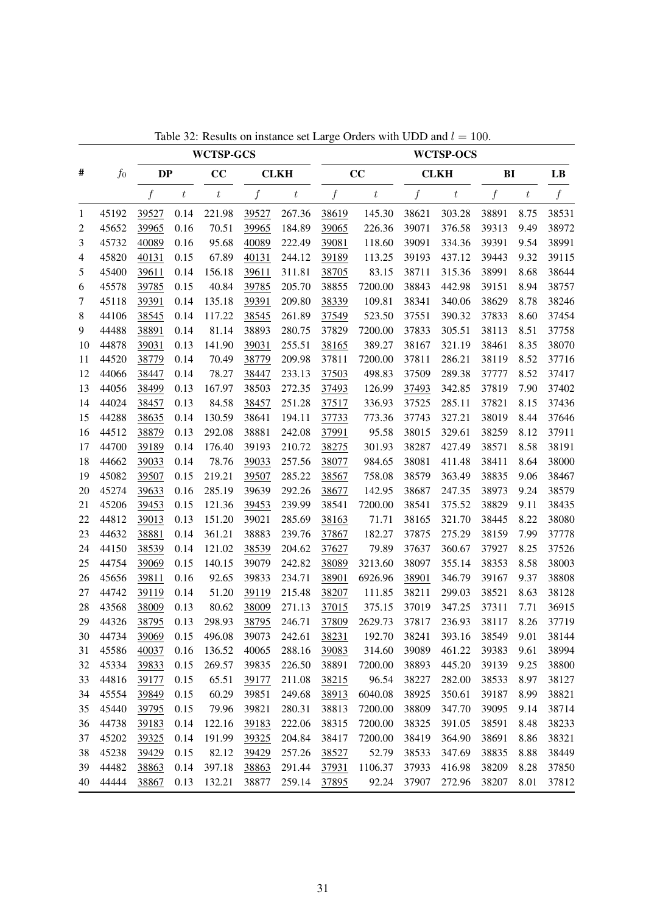|    |         |                  |                  | <b>WCTSP-GCS</b> |       |                  |                  |                  |                  | <b>WCTSP-OCS</b> |                  |       |                |
|----|---------|------------------|------------------|------------------|-------|------------------|------------------|------------------|------------------|------------------|------------------|-------|----------------|
| #  | $f_{0}$ | <b>DP</b>        |                  | CC               |       | <b>CLKH</b>      |                  | CC               |                  | <b>CLKH</b>      | B <sub>I</sub>   |       | LB             |
|    |         | $\boldsymbol{f}$ | $\boldsymbol{t}$ | $\boldsymbol{t}$ | f     | $\boldsymbol{t}$ | $\boldsymbol{f}$ | $\boldsymbol{t}$ | $\boldsymbol{f}$ | $\boldsymbol{t}$ | $\boldsymbol{f}$ | $t\,$ | $\overline{f}$ |
| 1  | 45192   | 39527            | 0.14             | 221.98           | 39527 | 267.36           | 38619            | 145.30           | 38621            | 303.28           | 38891            | 8.75  | 38531          |
| 2  | 45652   | 39965            | 0.16             | 70.51            | 39965 | 184.89           | 39065            | 226.36           | 39071            | 376.58           | 39313            | 9.49  | 38972          |
| 3  | 45732   | 40089            | 0.16             | 95.68            | 40089 | 222.49           | 39081            | 118.60           | 39091            | 334.36           | 39391            | 9.54  | 38991          |
| 4  | 45820   | 40131            | 0.15             | 67.89            | 40131 | 244.12           | 39189            | 113.25           | 39193            | 437.12           | 39443            | 9.32  | 39115          |
| 5  | 45400   | 39611            | 0.14             | 156.18           | 39611 | 311.81           | 38705            | 83.15            | 38711            | 315.36           | 38991            | 8.68  | 38644          |
| 6  | 45578   | 39785            | 0.15             | 40.84            | 39785 | 205.70           | 38855            | 7200.00          | 38843            | 442.98           | 39151            | 8.94  | 38757          |
| 7  | 45118   | 39391            | 0.14             | 135.18           | 39391 | 209.80           | 38339            | 109.81           | 38341            | 340.06           | 38629            | 8.78  | 38246          |
| 8  | 44106   | 38545            | 0.14             | 117.22           | 38545 | 261.89           | 37549            | 523.50           | 37551            | 390.32           | 37833            | 8.60  | 37454          |
| 9  | 44488   | 38891            | 0.14             | 81.14            | 38893 | 280.75           | 37829            | 7200.00          | 37833            | 305.51           | 38113            | 8.51  | 37758          |
| 10 | 44878   | 39031            | 0.13             | 141.90           | 39031 | 255.51           | 38165            | 389.27           | 38167            | 321.19           | 38461            | 8.35  | 38070          |
| 11 | 44520   | 38779            | 0.14             | 70.49            | 38779 | 209.98           | 37811            | 7200.00          | 37811            | 286.21           | 38119            | 8.52  | 37716          |
| 12 | 44066   | 38447            | 0.14             | 78.27            | 38447 | 233.13           | 37503            | 498.83           | 37509            | 289.38           | 37777            | 8.52  | 37417          |
| 13 | 44056   | 38499            | 0.13             | 167.97           | 38503 | 272.35           | 37493            | 126.99           | 37493            | 342.85           | 37819            | 7.90  | 37402          |
| 14 | 44024   | 38457            | 0.13             | 84.58            | 38457 | 251.28           | 37517            | 336.93           | 37525            | 285.11           | 37821            | 8.15  | 37436          |
| 15 | 44288   | 38635            | 0.14             | 130.59           | 38641 | 194.11           | 37733            | 773.36           | 37743            | 327.21           | 38019            | 8.44  | 37646          |
| 16 | 44512   | 38879            | 0.13             | 292.08           | 38881 | 242.08           | 37991            | 95.58            | 38015            | 329.61           | 38259            | 8.12  | 37911          |
| 17 | 44700   | 39189            | 0.14             | 176.40           | 39193 | 210.72           | 38275            | 301.93           | 38287            | 427.49           | 38571            | 8.58  | 38191          |
| 18 | 44662   | 39033            | 0.14             | 78.76            | 39033 | 257.56           | 38077            | 984.65           | 38081            | 411.48           | 38411            | 8.64  | 38000          |
| 19 | 45082   | 39507            | 0.15             | 219.21           | 39507 | 285.22           | 38567            | 758.08           | 38579            | 363.49           | 38835            | 9.06  | 38467          |
| 20 | 45274   | 39633            | 0.16             | 285.19           | 39639 | 292.26           | 38677            | 142.95           | 38687            | 247.35           | 38973            | 9.24  | 38579          |
| 21 | 45206   | 39453            | 0.15             | 121.36           | 39453 | 239.99           | 38541            | 7200.00          | 38541            | 375.52           | 38829            | 9.11  | 38435          |
| 22 | 44812   | 39013            | 0.13             | 151.20           | 39021 | 285.69           | 38163            | 71.71            | 38165            | 321.70           | 38445            | 8.22  | 38080          |
| 23 | 44632   | 38881            | 0.14             | 361.21           | 38883 | 239.76           | 37867            | 182.27           | 37875            | 275.29           | 38159            | 7.99  | 37778          |
| 24 | 44150   | 38539            | 0.14             | 121.02           | 38539 | 204.62           | 37627            | 79.89            | 37637            | 360.67           | 37927            | 8.25  | 37526          |
| 25 | 44754   | 39069            | 0.15             | 140.15           | 39079 | 242.82           | 38089            | 3213.60          | 38097            | 355.14           | 38353            | 8.58  | 38003          |
| 26 | 45656   | 39811            | 0.16             | 92.65            | 39833 | 234.71           | 38901            | 6926.96          | 38901            | 346.79           | 39167            | 9.37  | 38808          |
| 27 | 44742   | 39119            | 0.14             | 51.20            | 39119 | 215.48           | 38207            | 111.85           | 38211            | 299.03           | 38521            | 8.63  | 38128          |
| 28 | 43568   | 38009            | 0.13             | 80.62            | 38009 | 271.13           | 37015            | 375.15           | 37019            | 347.25           | 37311            | 7.71  | 36915          |
| 29 | 44326   | 38795            | 0.13             | 298.93           | 38795 | 246.71           | 37809            | 2629.73          | 37817            | 236.93           | 38117            | 8.26  | 37719          |
| 30 | 44734   | 39069            | 0.15             | 496.08           | 39073 | 242.61           | 38231            | 192.70           | 38241            | 393.16           | 38549            | 9.01  | 38144          |
| 31 | 45586   | 40037            | 0.16             | 136.52           | 40065 | 288.16           | 39083            | 314.60           | 39089            | 461.22           | 39383            | 9.61  | 38994          |
| 32 | 45334   | 39833            | 0.15             | 269.57           | 39835 | 226.50           | 38891            | 7200.00          | 38893            | 445.20           | 39139            | 9.25  | 38800          |
| 33 | 44816   | 39177            | 0.15             | 65.51            | 39177 | 211.08           | 38215            | 96.54            | 38227            | 282.00           | 38533            | 8.97  | 38127          |
| 34 | 45554   | 39849            | 0.15             | 60.29            | 39851 | 249.68           | 38913            | 6040.08          | 38925            | 350.61           | 39187            | 8.99  | 38821          |
| 35 | 45440   | 39795            | 0.15             | 79.96            | 39821 | 280.31           | 38813            | 7200.00          | 38809            | 347.70           | 39095            | 9.14  | 38714          |
| 36 | 44738   | 39183            | 0.14             | 122.16           | 39183 | 222.06           | 38315            | 7200.00          | 38325            | 391.05           | 38591            | 8.48  | 38233          |
| 37 | 45202   | 39325            | 0.14             | 191.99           | 39325 | 204.84           | 38417            | 7200.00          | 38419            | 364.90           | 38691            | 8.86  | 38321          |
| 38 | 45238   | 39429            | 0.15             | 82.12            | 39429 | 257.26           | 38527            | 52.79            | 38533            | 347.69           | 38835            | 8.88  | 38449          |
| 39 | 44482   | 38863            | 0.14             | 397.18           | 38863 | 291.44           | 37931            | 1106.37          | 37933            | 416.98           | 38209            | 8.28  | 37850          |
| 40 | 44444   | 38867            | 0.13             | 132.21           | 38877 | 259.14           | 37895            | 92.24            | 37907            | 272.96           | 38207            | 8.01  | 37812          |

Table 32: Results on instance set Large Orders with UDD and  $l = 100$ .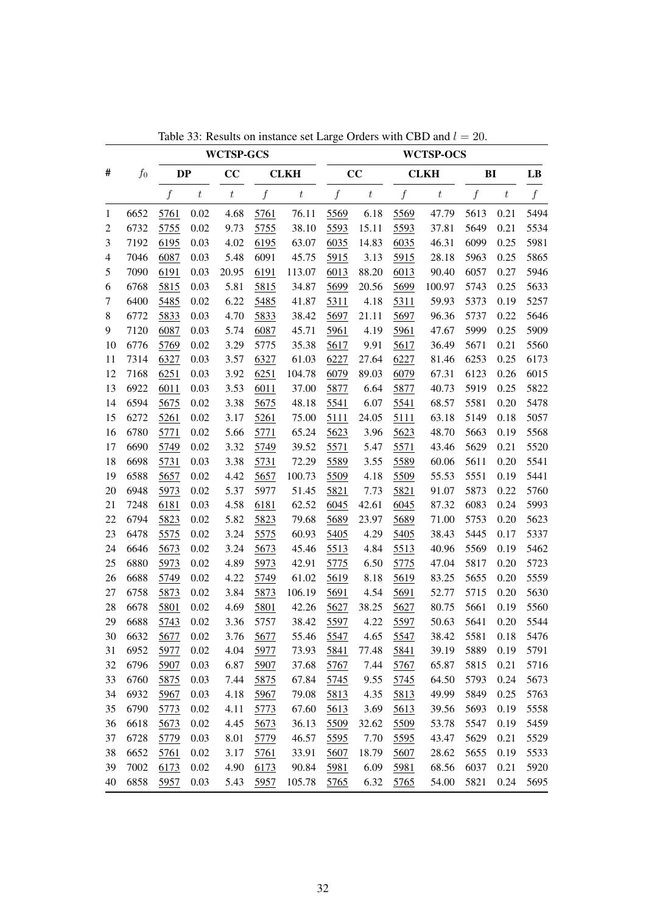|                          |       |                  |                  | <b>WCTSP-GCS</b> |                  |                  |                  |                  |                  | <b>WCTSP-OCS</b> |                  |       |                  |
|--------------------------|-------|------------------|------------------|------------------|------------------|------------------|------------------|------------------|------------------|------------------|------------------|-------|------------------|
| #                        | $f_0$ | <b>DP</b>        |                  | CC               |                  | <b>CLKH</b>      |                  | CC               |                  | <b>CLKH</b>      | BI               |       | LB               |
|                          |       | $\boldsymbol{f}$ | $\boldsymbol{t}$ | $\boldsymbol{t}$ | $\boldsymbol{f}$ | $\boldsymbol{t}$ | $\boldsymbol{f}$ | $\boldsymbol{t}$ | $\boldsymbol{f}$ | $\boldsymbol{t}$ | $\boldsymbol{f}$ | $t\,$ | $\boldsymbol{f}$ |
| $\mathbf{1}$             | 6652  | 5761             | 0.02             | 4.68             | 5761             | 76.11            | 5569             | 6.18             | 5569             | 47.79            | 5613             | 0.21  | 5494             |
| $\overline{c}$           | 6732  | 5755             | 0.02             | 9.73             | 5755             | 38.10            | 5593             | 15.11            | 5593             | 37.81            | 5649             | 0.21  | 5534             |
| 3                        | 7192  | 6195             | 0.03             | 4.02             | 6195             | 63.07            | 6035             | 14.83            | 6035             | 46.31            | 6099             | 0.25  | 5981             |
| $\overline{\mathcal{A}}$ | 7046  | 6087             | 0.03             | 5.48             | 6091             | 45.75            | 5915             | 3.13             | 5915             | 28.18            | 5963             | 0.25  | 5865             |
| 5                        | 7090  | 6191             | 0.03             | 20.95            | 6191             | 113.07           | 6013             | 88.20            | 6013             | 90.40            | 6057             | 0.27  | 5946             |
| 6                        | 6768  | 5815             | 0.03             | 5.81             | 5815             | 34.87            | 5699             | 20.56            | 5699             | 100.97           | 5743             | 0.25  | 5633             |
| 7                        | 6400  | 5485             | 0.02             | 6.22             | 5485             | 41.87            | 5311             | 4.18             | 5311             | 59.93            | 5373             | 0.19  | 5257             |
| $\,8\,$                  | 6772  | 5833             | 0.03             | 4.70             | 5833             | 38.42            | 5697             | 21.11            | 5697             | 96.36            | 5737             | 0.22  | 5646             |
| 9                        | 7120  | 6087             | 0.03             | 5.74             | 6087             | 45.71            | 5961             | 4.19             | 5961             | 47.67            | 5999             | 0.25  | 5909             |
| 10                       | 6776  | 5769             | 0.02             | 3.29             | 5775             | 35.38            | 5617             | 9.91             | 5617             | 36.49            | 5671             | 0.21  | 5560             |
| 11                       | 7314  | 6327             | 0.03             | 3.57             | 6327             | 61.03            | 6227             | 27.64            | 6227             | 81.46            | 6253             | 0.25  | 6173             |
| 12                       | 7168  | 6251             | 0.03             | 3.92             | 6251             | 104.78           | 6079             | 89.03            | 6079             | 67.31            | 6123             | 0.26  | 6015             |
| 13                       | 6922  | 6011             | 0.03             | 3.53             | 6011             | 37.00            | 5877             | 6.64             | 5877             | 40.73            | 5919             | 0.25  | 5822             |
| 14                       | 6594  | 5675             | 0.02             | 3.38             | 5675             | 48.18            | 5541             | 6.07             | 5541             | 68.57            | 5581             | 0.20  | 5478             |
| 15                       | 6272  | 5261             | 0.02             | 3.17             | 5261             | 75.00            | 5111             | 24.05            | 5111             | 63.18            | 5149             | 0.18  | 5057             |
| 16                       | 6780  | 5771             | 0.02             | 5.66             | 5771             | 65.24            | 5623             | 3.96             | 5623             | 48.70            | 5663             | 0.19  | 5568             |
| 17                       | 6690  | 5749             | 0.02             | 3.32             | 5749             | 39.52            | 5571             | 5.47             | 5571             | 43.46            | 5629             | 0.21  | 5520             |
| 18                       | 6698  | 5731             | 0.03             | 3.38             | 5731             | 72.29            | 5589             | 3.55             | 5589             | 60.06            | 5611             | 0.20  | 5541             |
| 19                       | 6588  | 5657             | 0.02             | 4.42             | 5657             | 100.73           | 5509             | 4.18             | 5509             | 55.53            | 5551             | 0.19  | 5441             |
| 20                       | 6948  | 5973             | 0.02             | 5.37             | 5977             | 51.45            | 5821             | 7.73             | 5821             | 91.07            | 5873             | 0.22  | 5760             |
| 21                       | 7248  | 6181             | 0.03             | 4.58             | 6181             | 62.52            | 6045             | 42.61            | 6045             | 87.32            | 6083             | 0.24  | 5993             |
| 22                       | 6794  | 5823             | 0.02             | 5.82             | 5823             | 79.68            | 5689             | 23.97            | 5689             | 71.00            | 5753             | 0.20  | 5623             |
| 23                       | 6478  | 5575             | 0.02             | 3.24             | 5575             | 60.93            | 5405             | 4.29             | 5405             | 38.43            | 5445             | 0.17  | 5337             |
| 24                       | 6646  | 5673             | 0.02             | 3.24             | 5673             | 45.46            | 5513             | 4.84             | 5513             | 40.96            | 5569             | 0.19  | 5462             |
| 25                       | 6880  | 5973             | 0.02             | 4.89             | 5973             | 42.91            | 5775             | 6.50             | 5775             | 47.04            | 5817             | 0.20  | 5723             |
| 26                       | 6688  | 5749             | 0.02             | 4.22             | 5749             | 61.02            | 5619             | 8.18             | 5619             | 83.25            | 5655             | 0.20  | 5559             |
| 27                       | 6758  | 5873             | 0.02             | 3.84             | 5873             | 106.19           | 5691             | 4.54             | 5691             | 52.77            | 5715             | 0.20  | 5630             |
| 28                       | 6678  | 5801             | 0.02             | 4.69             | 5801             | 42.26            | 5627             | 38.25            | 5627             | 80.75            | 5661             | 0.19  | 5560             |
| 29                       | 6688  | 5743             | 0.02             | 3.36             | 5757             | 38.42            | 5597             | 4.22             | 5597             | 50.63            | 5641             | 0.20  | 5544             |
| 30                       | 6632  | 5677             | 0.02             | 3.76             | 5677             | 55.46            | 5547             | 4.65             | 5547             | 38.42            | 5581             | 0.18  | 5476             |
| 31                       | 6952  | 5977             | 0.02             | 4.04             | 5977             | 73.93            | 5841             | 77.48            | 5841             | 39.19            | 5889             | 0.19  | 5791             |
| 32                       | 6796  | 5907             | 0.03             | 6.87             | 5907             | 37.68            | 5767             | 7.44             | 5767             | 65.87            | 5815             | 0.21  | 5716             |
| 33                       | 6760  | 5875             | 0.03             | 7.44             | 5875             | 67.84            | 5745             | 9.55             | 5745             | 64.50            | 5793             | 0.24  | 5673             |
| 34                       | 6932  | 5967             | 0.03             | 4.18             | 5967             | 79.08            | 5813             | 4.35             | 5813             | 49.99            | 5849             | 0.25  | 5763             |
| 35                       | 6790  | 5773             | 0.02             | 4.11             | 5773             | 67.60            | 5613             | 3.69             | 5613             | 39.56            | 5693             | 0.19  | 5558             |
| 36                       | 6618  | 5673             | 0.02             | 4.45             | 5673             | 36.13            | 5509             | 32.62            | 5509             | 53.78            | 5547             | 0.19  | 5459             |
| 37                       | 6728  | 5779             | 0.03             | 8.01             | 5779             | 46.57            | 5595             | 7.70             | 5595             | 43.47            | 5629             | 0.21  | 5529             |
| 38                       | 6652  | 5761             | 0.02             | 3.17             | 5761             | 33.91            | 5607             | 18.79            | 5607             | 28.62            | 5655             | 0.19  | 5533             |
| 39                       | 7002  | 6173             | 0.02             | 4.90             | 6173             | 90.84            | 5981             | 6.09             | 5981             | 68.56            | 6037             | 0.21  | 5920             |
| 40                       | 6858  | 5957             | 0.03             | 5.43             | 5957             | 105.78           | 5765             | 6.32             | 5765             | 54.00            | 5821             | 0.24  | 5695             |

Table 33: Results on instance set Large Orders with CBD and  $l = 20$ .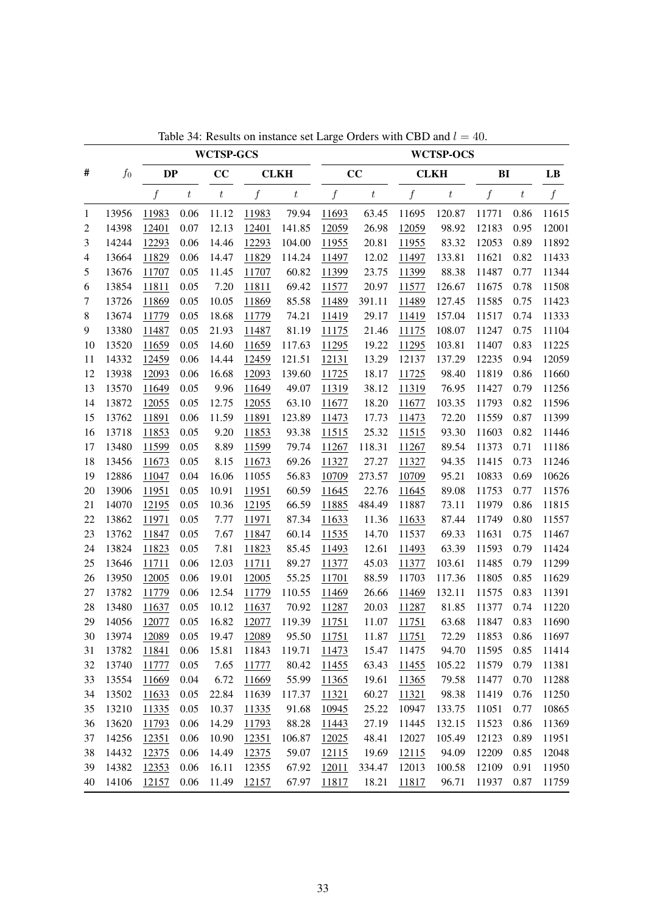|    |       |              |                  | <b>WCTSP-GCS</b> |                  |                  |                  |         |                  | <b>WCTSP-OCS</b> |                  |       |                        |
|----|-------|--------------|------------------|------------------|------------------|------------------|------------------|---------|------------------|------------------|------------------|-------|------------------------|
| #  | $f_0$ | <b>DP</b>    |                  | CC               |                  | <b>CLKH</b>      |                  | CC      |                  | <b>CLKH</b>      | BI               |       | $\mathbf{L}\mathbf{B}$ |
|    |       | f            | $\boldsymbol{t}$ | $\boldsymbol{t}$ | $\boldsymbol{f}$ | $\boldsymbol{t}$ | $\boldsymbol{f}$ | $\,t\,$ | $\boldsymbol{f}$ | $\boldsymbol{t}$ | $\boldsymbol{f}$ | $\,t$ | f                      |
| 1  | 13956 | 11983        | 0.06             | 11.12            | 11983            | 79.94            | 11693            | 63.45   | 11695            | 120.87           | 11771            | 0.86  | 11615                  |
| 2  | 14398 | 12401        | 0.07             | 12.13            | 12401            | 141.85           | 12059            | 26.98   | 12059            | 98.92            | 12183            | 0.95  | 12001                  |
| 3  | 14244 | 12293        | 0.06             | 14.46            | 12293            | 104.00           | 11955            | 20.81   | 11955            | 83.32            | 12053            | 0.89  | 11892                  |
| 4  | 13664 | 11829        | 0.06             | 14.47            | 11829            | 114.24           | 11497            | 12.02   | 11497            | 133.81           | 11621            | 0.82  | 11433                  |
| 5  | 13676 | 11707        | 0.05             | 11.45            | 11707            | 60.82            | 11399            | 23.75   | 11399            | 88.38            | 11487            | 0.77  | 11344                  |
| 6  | 13854 | 11811        | 0.05             | 7.20             | 11811            | 69.42            | 11577            | 20.97   | 11577            | 126.67           | 11675            | 0.78  | 11508                  |
| 7  | 13726 | 11869        | 0.05             | 10.05            | 11869            | 85.58            | 11489            | 391.11  | 11489            | 127.45           | 11585            | 0.75  | 11423                  |
| 8  | 13674 | 11779        | 0.05             | 18.68            | 11779            | 74.21            | 11419            | 29.17   | 11419            | 157.04           | 11517            | 0.74  | 11333                  |
| 9  | 13380 | 11487        | 0.05             | 21.93            | 11487            | 81.19            | 11175            | 21.46   | 11175            | 108.07           | 11247            | 0.75  | 11104                  |
| 10 | 13520 | 11659        | 0.05             | 14.60            | 11659            | 117.63           | 11295            | 19.22   | 11295            | 103.81           | 11407            | 0.83  | 11225                  |
| 11 | 14332 | 12459        | 0.06             | 14.44            | 12459            | 121.51           | 12131            | 13.29   | 12137            | 137.29           | 12235            | 0.94  | 12059                  |
| 12 | 13938 | 12093        | 0.06             | 16.68            | 12093            | 139.60           | 11725            | 18.17   | 11725            | 98.40            | 11819            | 0.86  | 11660                  |
| 13 | 13570 | 11649        | 0.05             | 9.96             | 11649            | 49.07            | 11319            | 38.12   | 11319            | 76.95            | 11427            | 0.79  | 11256                  |
| 14 | 13872 | 12055        | 0.05             | 12.75            | 12055            | 63.10            | 11677            | 18.20   | 11677            | 103.35           | 11793            | 0.82  | 11596                  |
| 15 | 13762 | 11891        | 0.06             | 11.59            | 11891            | 123.89           | 11473            | 17.73   | 11473            | 72.20            | 11559            | 0.87  | 11399                  |
| 16 | 13718 | 11853        | 0.05             | 9.20             | 11853            | 93.38            | 11515            | 25.32   | 11515            | 93.30            | 11603            | 0.82  | 11446                  |
| 17 | 13480 | 11599        | 0.05             | 8.89             | 11599            | 79.74            | 11267            | 118.31  | 11267            | 89.54            | 11373            | 0.71  | 11186                  |
| 18 | 13456 | 11673        | 0.05             | 8.15             | 11673            | 69.26            | 11327            | 27.27   | 11327            | 94.35            | 11415            | 0.73  | 11246                  |
| 19 | 12886 | 11047        | 0.04             | 16.06            | 11055            | 56.83            | 10709            | 273.57  | 10709            | 95.21            | 10833            | 0.69  | 10626                  |
| 20 | 13906 | 11951        | 0.05             | 10.91            | 11951            | 60.59            | 11645            | 22.76   | 11645            | 89.08            | 11753            | 0.77  | 11576                  |
| 21 | 14070 | 12195        | 0.05             | 10.36            | 12195            | 66.59            | 11885            | 484.49  | 11887            | 73.11            | 11979            | 0.86  | 11815                  |
| 22 | 13862 | 11971        | 0.05             | 7.77             | 11971            | 87.34            | 11633            | 11.36   | 11633            | 87.44            | 11749            | 0.80  | 11557                  |
| 23 | 13762 | 11847        | 0.05             | 7.67             | 11847            | 60.14            | 11535            | 14.70   | 11537            | 69.33            | 11631            | 0.75  | 11467                  |
| 24 | 13824 | 11823        | 0.05             | 7.81             | 11823            | 85.45            | 11493            | 12.61   | 11493            | 63.39            | 11593            | 0.79  | 11424                  |
| 25 | 13646 | 11711        | 0.06             | 12.03            | 11711            | 89.27            | 11377            | 45.03   | 11377            | 103.61           | 11485            | 0.79  | 11299                  |
| 26 | 13950 | 12005        | 0.06             | 19.01            | 12005            | 55.25            | 11701            | 88.59   | 11703            | 117.36           | 11805            | 0.85  | 11629                  |
| 27 | 13782 | 11779        | 0.06             | 12.54            | 11779            | 110.55           | 11469            | 26.66   | 11469            | 132.11           | 11575            | 0.83  | 11391                  |
| 28 | 13480 | 11637        | 0.05             | 10.12            | 11637            | 70.92            | 11287            | 20.03   | 11287            | 81.85            | 11377            | 0.74  | 11220                  |
| 29 | 14056 | 12077        | 0.05             | 16.82            | 12077            | 119.39           | 11751            | 11.07   | 11751            | 63.68            | 11847            | 0.83  | 11690                  |
| 30 | 13974 | <u>12089</u> | 0.05             | 19.47            | <u>12089</u>     | 95.50            | <u>11751</u>     | 11.87   | <u>11751</u>     | 72.29            | 11853            | 0.86  | 11697                  |
| 31 | 13782 | 11841        | 0.06             | 15.81            | 11843            | 119.71           | 11473            | 15.47   | 11475            | 94.70            | 11595            | 0.85  | 11414                  |
| 32 | 13740 | 11777        | 0.05             | 7.65             | 11777            | 80.42            | 11455            | 63.43   | 11455            | 105.22           | 11579            | 0.79  | 11381                  |
| 33 | 13554 | 11669        | 0.04             | 6.72             | 11669            | 55.99            | 11365            | 19.61   | 11365            | 79.58            | 11477            | 0.70  | 11288                  |
| 34 | 13502 | 11633        | 0.05             | 22.84            | 11639            | 117.37           | 11321            | 60.27   | 11321            | 98.38            | 11419            | 0.76  | 11250                  |
| 35 | 13210 | 11335        | 0.05             | 10.37            | 11335            | 91.68            | 10945            | 25.22   | 10947            | 133.75           | 11051            | 0.77  | 10865                  |
| 36 | 13620 | 11793        | 0.06             | 14.29            | 11793            | 88.28            | 11443            | 27.19   | 11445            | 132.15           | 11523            | 0.86  | 11369                  |
| 37 | 14256 | 12351        | 0.06             | 10.90            | 12351            | 106.87           | 12025            | 48.41   | 12027            | 105.49           | 12123            | 0.89  | 11951                  |
| 38 | 14432 | 12375        | 0.06             | 14.49            | 12375            | 59.07            | 12115            | 19.69   | 12115            | 94.09            | 12209            | 0.85  | 12048                  |
| 39 | 14382 | 12353        | 0.06             | 16.11            | 12355            | 67.92            | 12011            | 334.47  | 12013            | 100.58           | 12109            | 0.91  | 11950                  |
| 40 | 14106 | 12157        | 0.06             | 11.49            | 12157            | 67.97            | 11817            | 18.21   | 11817            | 96.71            | 11937            | 0.87  | 11759                  |

Table 34: Results on instance set Large Orders with CBD and  $l = 40$ .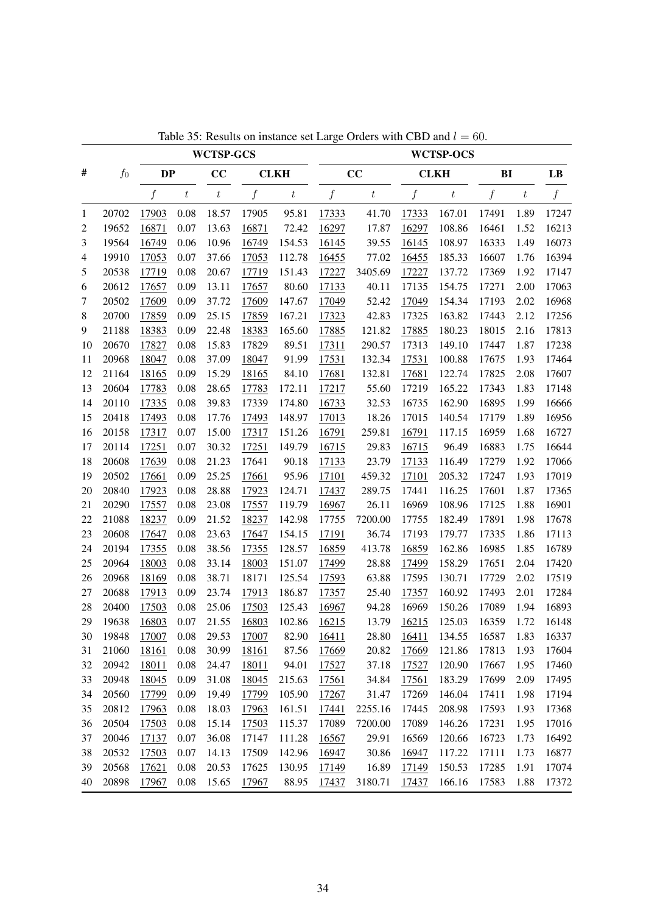|                | $f_0$ | <b>WCTSP-GCS</b> |         |                   |                  |                  | <b>WCTSP-OCS</b> |                  |       |                  |                  |                  |       |
|----------------|-------|------------------|---------|-------------------|------------------|------------------|------------------|------------------|-------|------------------|------------------|------------------|-------|
| #              |       | <b>DP</b>        |         | CC<br><b>CLKH</b> |                  | CC               |                  | <b>CLKH</b>      |       | BI               |                  | LB               |       |
|                |       | f                | $\,t\,$ | $\boldsymbol{t}$  | $\boldsymbol{f}$ | $\boldsymbol{t}$ | $\boldsymbol{f}$ | $\boldsymbol{t}$ | f     | $\boldsymbol{t}$ | $\boldsymbol{f}$ | $\boldsymbol{t}$ | f     |
| 1              | 20702 | 17903            | 0.08    | 18.57             | 17905            | 95.81            | 17333            | 41.70            | 17333 | 167.01           | 17491            | 1.89             | 17247 |
| $\overline{c}$ | 19652 | 16871            | 0.07    | 13.63             | 16871            | 72.42            | 16297            | 17.87            | 16297 | 108.86           | 16461            | 1.52             | 16213 |
| 3              | 19564 | 16749            | 0.06    | 10.96             | 16749            | 154.53           | 16145            | 39.55            | 16145 | 108.97           | 16333            | 1.49             | 16073 |
| 4              | 19910 | 17053            | 0.07    | 37.66             | 17053            | 112.78           | 16455            | 77.02            | 16455 | 185.33           | 16607            | 1.76             | 16394 |
| 5              | 20538 | 17719            | 0.08    | 20.67             | 17719            | 151.43           | 17227            | 3405.69          | 17227 | 137.72           | 17369            | 1.92             | 17147 |
| 6              | 20612 | 17657            | 0.09    | 13.11             | 17657            | 80.60            | 17133            | 40.11            | 17135 | 154.75           | 17271            | 2.00             | 17063 |
| 7              | 20502 | 17609            | 0.09    | 37.72             | 17609            | 147.67           | 17049            | 52.42            | 17049 | 154.34           | 17193            | 2.02             | 16968 |
| 8              | 20700 | 17859            | 0.09    | 25.15             | 17859            | 167.21           | 17323            | 42.83            | 17325 | 163.82           | 17443            | 2.12             | 17256 |
| 9              | 21188 | 18383            | 0.09    | 22.48             | 18383            | 165.60           | 17885            | 121.82           | 17885 | 180.23           | 18015            | 2.16             | 17813 |
| 10             | 20670 | 17827            | 0.08    | 15.83             | 17829            | 89.51            | 17311            | 290.57           | 17313 | 149.10           | 17447            | 1.87             | 17238 |
| 11             | 20968 | 18047            | 0.08    | 37.09             | 18047            | 91.99            | 17531            | 132.34           | 17531 | 100.88           | 17675            | 1.93             | 17464 |
| 12             | 21164 | 18165            | 0.09    | 15.29             | 18165            | 84.10            | 17681            | 132.81           | 17681 | 122.74           | 17825            | 2.08             | 17607 |
| 13             | 20604 | 17783            | 0.08    | 28.65             | 17783            | 172.11           | 17217            | 55.60            | 17219 | 165.22           | 17343            | 1.83             | 17148 |
| 14             | 20110 | 17335            | 0.08    | 39.83             | 17339            | 174.80           | 16733            | 32.53            | 16735 | 162.90           | 16895            | 1.99             | 16666 |
| 15             | 20418 | 17493            | 0.08    | 17.76             | 17493            | 148.97           | 17013            | 18.26            | 17015 | 140.54           | 17179            | 1.89             | 16956 |
| 16             | 20158 | 17317            | 0.07    | 15.00             | 17317            | 151.26           | 16791            | 259.81           | 16791 | 117.15           | 16959            | 1.68             | 16727 |
| 17             | 20114 | 17251            | 0.07    | 30.32             | 17251            | 149.79           | 16715            | 29.83            | 16715 | 96.49            | 16883            | 1.75             | 16644 |
| 18             | 20608 | 17639            | 0.08    | 21.23             | 17641            | 90.18            | 17133            | 23.79            | 17133 | 116.49           | 17279            | 1.92             | 17066 |
| 19             | 20502 | 17661            | 0.09    | 25.25             | 17661            | 95.96            | 17101            | 459.32           | 17101 | 205.32           | 17247            | 1.93             | 17019 |
| 20             | 20840 | 17923            | 0.08    | 28.88             | 17923            | 124.71           | 17437            | 289.75           | 17441 | 116.25           | 17601            | 1.87             | 17365 |
| 21             | 20290 | 17557            | 0.08    | 23.08             | 17557            | 119.79           | 16967            | 26.11            | 16969 | 108.96           | 17125            | 1.88             | 16901 |
| 22             | 21088 | 18237            | 0.09    | 21.52             | 18237            | 142.98           | 17755            | 7200.00          | 17755 | 182.49           | 17891            | 1.98             | 17678 |
| 23             | 20608 | 17647            | 0.08    | 23.63             | 17647            | 154.15           | 17191            | 36.74            | 17193 | 179.77           | 17335            | 1.86             | 17113 |
| 24             | 20194 | 17355            | 0.08    | 38.56             | 17355            | 128.57           | 16859            | 413.78           | 16859 | 162.86           | 16985            | 1.85             | 16789 |
| 25             | 20964 | 18003            | 0.08    | 33.14             | 18003            | 151.07           | 17499            | 28.88            | 17499 | 158.29           | 17651            | 2.04             | 17420 |
| 26             | 20968 | 18169            | 0.08    | 38.71             | 18171            | 125.54           | 17593            | 63.88            | 17595 | 130.71           | 17729            | 2.02             | 17519 |
| 27             | 20688 | 17913            | 0.09    | 23.74             | 17913            | 186.87           | 17357            | 25.40            | 17357 | 160.92           | 17493            | 2.01             | 17284 |
| 28             | 20400 | 17503            | 0.08    | 25.06             | 17503            | 125.43           | 16967            | 94.28            | 16969 | 150.26           | 17089            | 1.94             | 16893 |
| 29             | 19638 | 16803            | 0.07    | 21.55             | 16803            | 102.86           | 16215            | 13.79            | 16215 | 125.03           | 16359            | 1.72             | 16148 |
| 30             | 19848 | 17007            | 0.08    | 29.53             | 17007            | 82.90            | 16411            | 28.80            | 16411 | 134.55           | 16587            | 1.83             | 16337 |
| 31             | 21060 | 18161            | 0.08    | 30.99             | 18161            | 87.56            | 17669            | 20.82            | 17669 | 121.86           | 17813            | 1.93             | 17604 |
| 32             | 20942 | 18011            | 0.08    | 24.47             | 18011            | 94.01            | 17527            | 37.18            | 17527 | 120.90           | 17667            | 1.95             | 17460 |
| 33             | 20948 | 18045            | 0.09    | 31.08             | 18045            | 215.63           | 17561            | 34.84            | 17561 | 183.29           | 17699            | 2.09             | 17495 |
| 34             | 20560 | 17799            | 0.09    | 19.49             | 17799            | 105.90           | 17267            | 31.47            | 17269 | 146.04           | 17411            | 1.98             | 17194 |
| 35             | 20812 | 17963            | 0.08    | 18.03             | 17963            | 161.51           | 17441            | 2255.16          | 17445 | 208.98           | 17593            | 1.93             | 17368 |
| 36             | 20504 | 17503            | 0.08    | 15.14             | 17503            | 115.37           | 17089            | 7200.00          | 17089 | 146.26           | 17231            | 1.95             | 17016 |
| 37             | 20046 | 17137            | 0.07    | 36.08             | 17147            | 111.28           | 16567            | 29.91            | 16569 | 120.66           | 16723            | 1.73             | 16492 |
| 38             | 20532 | 17503            | 0.07    | 14.13             | 17509            | 142.96           | 16947            | 30.86            | 16947 | 117.22           | 17111            | 1.73             | 16877 |
| 39             | 20568 | 17621            | 0.08    | 20.53             | 17625            | 130.95           | 17149            | 16.89            | 17149 | 150.53           | 17285            | 1.91             | 17074 |
| 40             | 20898 | 17967            | 0.08    | 15.65             | 17967            | 88.95            | 17437            | 3180.71          | 17437 | 166.16           | 17583            | 1.88             | 17372 |

Table 35: Results on instance set Large Orders with CBD and  $l = 60$ .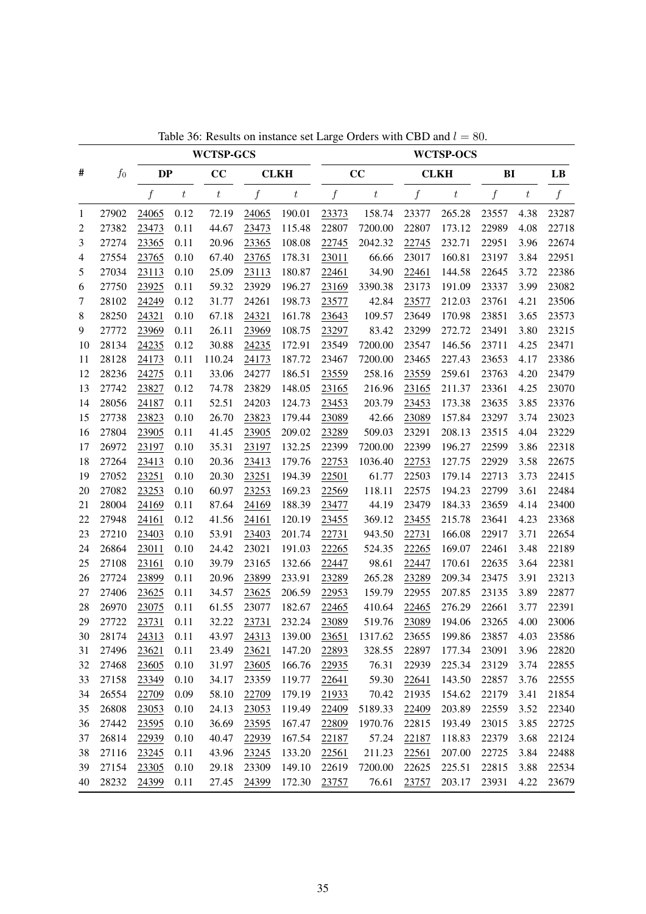|              | $f_0$ | <b>WCTSP-GCS</b> |                  |                   |                  |         | <b>WCTSP-OCS</b> |                  |                  |                  |                  |       |                |
|--------------|-------|------------------|------------------|-------------------|------------------|---------|------------------|------------------|------------------|------------------|------------------|-------|----------------|
| #            |       | <b>DP</b>        |                  | CC<br><b>CLKH</b> |                  | CC      |                  | <b>CLKH</b>      |                  | B <sub>I</sub>   |                  | LB    |                |
|              |       | $\boldsymbol{f}$ | $\boldsymbol{t}$ | $\boldsymbol{t}$  | $\boldsymbol{f}$ | $\,t\,$ | $\boldsymbol{f}$ | $\boldsymbol{t}$ | $\boldsymbol{f}$ | $\boldsymbol{t}$ | $\boldsymbol{f}$ | $t\,$ | $\overline{f}$ |
| $\mathbf{1}$ | 27902 | 24065            | 0.12             | 72.19             | 24065            | 190.01  | 23373            | 158.74           | 23377            | 265.28           | 23557            | 4.38  | 23287          |
| 2            | 27382 | 23473            | 0.11             | 44.67             | 23473            | 115.48  | 22807            | 7200.00          | 22807            | 173.12           | 22989            | 4.08  | 22718          |
| 3            | 27274 | 23365            | 0.11             | 20.96             | 23365            | 108.08  | 22745            | 2042.32          | 22745            | 232.71           | 22951            | 3.96  | 22674          |
| 4            | 27554 | 23765            | 0.10             | 67.40             | 23765            | 178.31  | 23011            | 66.66            | 23017            | 160.81           | 23197            | 3.84  | 22951          |
| 5            | 27034 | 23113            | 0.10             | 25.09             | 23113            | 180.87  | 22461            | 34.90            | 22461            | 144.58           | 22645            | 3.72  | 22386          |
| 6            | 27750 | 23925            | 0.11             | 59.32             | 23929            | 196.27  | 23169            | 3390.38          | 23173            | 191.09           | 23337            | 3.99  | 23082          |
| 7            | 28102 | 24249            | 0.12             | 31.77             | 24261            | 198.73  | 23577            | 42.84            | 23577            | 212.03           | 23761            | 4.21  | 23506          |
| $8\,$        | 28250 | 24321            | 0.10             | 67.18             | 24321            | 161.78  | 23643            | 109.57           | 23649            | 170.98           | 23851            | 3.65  | 23573          |
| 9            | 27772 | 23969            | 0.11             | 26.11             | 23969            | 108.75  | 23297            | 83.42            | 23299            | 272.72           | 23491            | 3.80  | 23215          |
| 10           | 28134 | 24235            | 0.12             | 30.88             | 24235            | 172.91  | 23549            | 7200.00          | 23547            | 146.56           | 23711            | 4.25  | 23471          |
| 11           | 28128 | 24173            | 0.11             | 110.24            | 24173            | 187.72  | 23467            | 7200.00          | 23465            | 227.43           | 23653            | 4.17  | 23386          |
| 12           | 28236 | 24275            | 0.11             | 33.06             | 24277            | 186.51  | 23559            | 258.16           | 23559            | 259.61           | 23763            | 4.20  | 23479          |
| 13           | 27742 | 23827            | 0.12             | 74.78             | 23829            | 148.05  | 23165            | 216.96           | 23165            | 211.37           | 23361            | 4.25  | 23070          |
| 14           | 28056 | 24187            | 0.11             | 52.51             | 24203            | 124.73  | 23453            | 203.79           | 23453            | 173.38           | 23635            | 3.85  | 23376          |
| 15           | 27738 | 23823            | 0.10             | 26.70             | 23823            | 179.44  | 23089            | 42.66            | 23089            | 157.84           | 23297            | 3.74  | 23023          |
| 16           | 27804 | 23905            | 0.11             | 41.45             | 23905            | 209.02  | 23289            | 509.03           | 23291            | 208.13           | 23515            | 4.04  | 23229          |
| 17           | 26972 | 23197            | 0.10             | 35.31             | 23197            | 132.25  | 22399            | 7200.00          | 22399            | 196.27           | 22599            | 3.86  | 22318          |
| 18           | 27264 | 23413            | 0.10             | 20.36             | 23413            | 179.76  | 22753            | 1036.40          | 22753            | 127.75           | 22929            | 3.58  | 22675          |
| 19           | 27052 | 23251            | 0.10             | 20.30             | 23251            | 194.39  | 22501            | 61.77            | 22503            | 179.14           | 22713            | 3.73  | 22415          |
| 20           | 27082 | 23253            | 0.10             | 60.97             | 23253            | 169.23  | 22569            | 118.11           | 22575            | 194.23           | 22799            | 3.61  | 22484          |
| 21           | 28004 | 24169            | 0.11             | 87.64             | 24169            | 188.39  | 23477            | 44.19            | 23479            | 184.33           | 23659            | 4.14  | 23400          |
| 22           | 27948 | 24161            | 0.12             | 41.56             | 24161            | 120.19  | 23455            | 369.12           | 23455            | 215.78           | 23641            | 4.23  | 23368          |
| 23           | 27210 | 23403            | 0.10             | 53.91             | 23403            | 201.74  | 22731            | 943.50           | 22731            | 166.08           | 22917            | 3.71  | 22654          |
| 24           | 26864 | 23011            | 0.10             | 24.42             | 23021            | 191.03  | 22265            | 524.35           | 22265            | 169.07           | 22461            | 3.48  | 22189          |
| 25           | 27108 | 23161            | 0.10             | 39.79             | 23165            | 132.66  | 22447            | 98.61            | 22447            | 170.61           | 22635            | 3.64  | 22381          |
| 26           | 27724 | 23899            | 0.11             | 20.96             | 23899            | 233.91  | 23289            | 265.28           | 23289            | 209.34           | 23475            | 3.91  | 23213          |
| 27           | 27406 | 23625            | 0.11             | 34.57             | 23625            | 206.59  | 22953            | 159.79           | 22955            | 207.85           | 23135            | 3.89  | 22877          |
| 28           | 26970 | 23075            | 0.11             | 61.55             | 23077            | 182.67  | 22465            | 410.64           | 22465            | 276.29           | 22661            | 3.77  | 22391          |
| 29           | 27722 | 23731            | 0.11             | 32.22             | 23731            | 232.24  | 23089            | 519.76           | 23089            | 194.06           | 23265            | 4.00  | 23006          |
| 30           | 28174 | 24313            | 0.11             | 43.97             | 24313            | 139.00  | 23651            | 1317.62          | 23655            | 199.86           | 23857            | 4.03  | 23586          |
| 31           | 27496 | 23621            | 0.11             | 23.49             | 23621            | 147.20  | 22893            | 328.55           | 22897            | 177.34           | 23091            | 3.96  | 22820          |
| 32           | 27468 | 23605            | 0.10             | 31.97             | 23605            | 166.76  | 22935            | 76.31            | 22939            | 225.34           | 23129            | 3.74  | 22855          |
| 33           | 27158 | 23349            | 0.10             | 34.17             | 23359            | 119.77  | 22641            | 59.30            | 22641            | 143.50           | 22857            | 3.76  | 22555          |
| 34           | 26554 | 22709            | 0.09             | 58.10             | 22709            | 179.19  | 21933            | 70.42            | 21935            | 154.62           | 22179            | 3.41  | 21854          |
| 35           | 26808 | 23053            | 0.10             | 24.13             | 23053            | 119.49  | 22409            | 5189.33          | 22409            | 203.89           | 22559            | 3.52  | 22340          |
| 36           | 27442 | 23595            | 0.10             | 36.69             | 23595            | 167.47  | 22809            | 1970.76          | 22815            | 193.49           | 23015            | 3.85  | 22725          |
| 37           | 26814 | 22939            | 0.10             | 40.47             | 22939            | 167.54  | 22187            | 57.24            | 22187            | 118.83           | 22379            | 3.68  | 22124          |
| 38           | 27116 | 23245            | 0.11             | 43.96             | 23245            | 133.20  | 22561            | 211.23           | 22561            | 207.00           | 22725            | 3.84  | 22488          |
| 39           | 27154 | 23305            | 0.10             | 29.18             | 23309            | 149.10  | 22619            | 7200.00          | 22625            | 225.51           | 22815            | 3.88  | 22534          |
| 40           | 28232 | 24399            | 0.11             | 27.45             | 24399            | 172.30  | 23757            | 76.61            | 23757            | 203.17           | 23931            | 4.22  | 23679          |

Table 36: Results on instance set Large Orders with CBD and  $l = 80$ .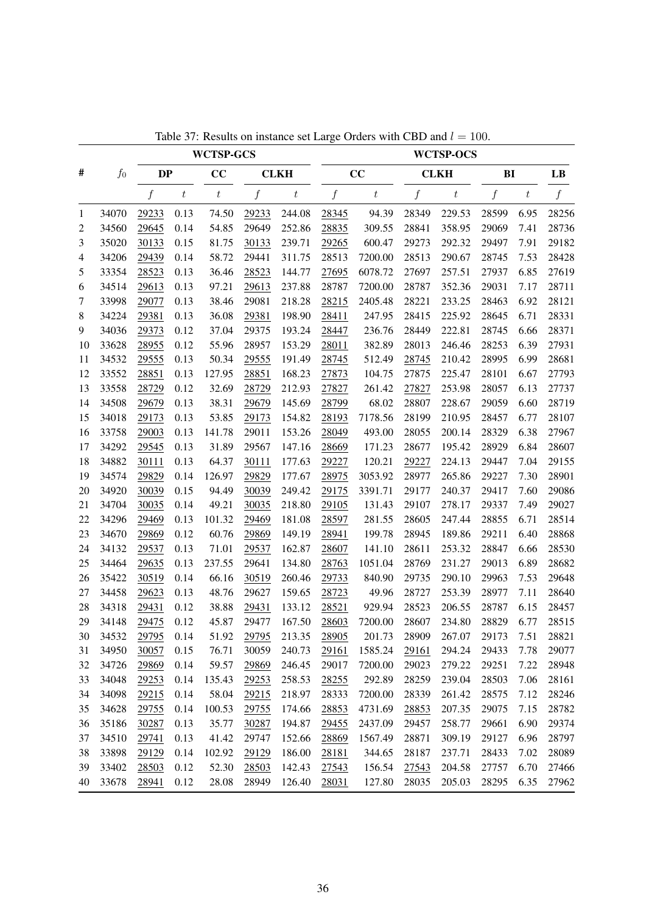<span id="page-67-0"></span>

|    | $f_{0}$ | <b>WCTSP-GCS</b> |                  |                   |                  |                  | <b>WCTSP-OCS</b> |                  |                  |                  |                  |       |                  |
|----|---------|------------------|------------------|-------------------|------------------|------------------|------------------|------------------|------------------|------------------|------------------|-------|------------------|
| #  |         | <b>DP</b>        |                  | CC<br><b>CLKH</b> |                  |                  | CC               |                  | <b>CLKH</b>      |                  | B <sub>I</sub>   |       | LB               |
|    |         | $\boldsymbol{f}$ | $\boldsymbol{t}$ | $\boldsymbol{t}$  | $\boldsymbol{f}$ | $\boldsymbol{t}$ | $\boldsymbol{f}$ | $\boldsymbol{t}$ | $\boldsymbol{f}$ | $\boldsymbol{t}$ | $\boldsymbol{f}$ | $t\,$ | $\boldsymbol{f}$ |
| 1  | 34070   | 29233            | 0.13             | 74.50             | 29233            | 244.08           | 28345            | 94.39            | 28349            | 229.53           | 28599            | 6.95  | 28256            |
| 2  | 34560   | 29645            | 0.14             | 54.85             | 29649            | 252.86           | 28835            | 309.55           | 28841            | 358.95           | 29069            | 7.41  | 28736            |
| 3  | 35020   | 30133            | 0.15             | 81.75             | 30133            | 239.71           | 29265            | 600.47           | 29273            | 292.32           | 29497            | 7.91  | 29182            |
| 4  | 34206   | 29439            | 0.14             | 58.72             | 29441            | 311.75           | 28513            | 7200.00          | 28513            | 290.67           | 28745            | 7.53  | 28428            |
| 5  | 33354   | 28523            | 0.13             | 36.46             | 28523            | 144.77           | 27695            | 6078.72          | 27697            | 257.51           | 27937            | 6.85  | 27619            |
| 6  | 34514   | 29613            | 0.13             | 97.21             | 29613            | 237.88           | 28787            | 7200.00          | 28787            | 352.36           | 29031            | 7.17  | 28711            |
| 7  | 33998   | 29077            | 0.13             | 38.46             | 29081            | 218.28           | 28215            | 2405.48          | 28221            | 233.25           | 28463            | 6.92  | 28121            |
| 8  | 34224   | 29381            | 0.13             | 36.08             | 29381            | 198.90           | 28411            | 247.95           | 28415            | 225.92           | 28645            | 6.71  | 28331            |
| 9  | 34036   | 29373            | 0.12             | 37.04             | 29375            | 193.24           | 28447            | 236.76           | 28449            | 222.81           | 28745            | 6.66  | 28371            |
| 10 | 33628   | 28955            | 0.12             | 55.96             | 28957            | 153.29           | 28011            | 382.89           | 28013            | 246.46           | 28253            | 6.39  | 27931            |
| 11 | 34532   | 29555            | 0.13             | 50.34             | 29555            | 191.49           | 28745            | 512.49           | 28745            | 210.42           | 28995            | 6.99  | 28681            |
| 12 | 33552   | 28851            | 0.13             | 127.95            | 28851            | 168.23           | 27873            | 104.75           | 27875            | 225.47           | 28101            | 6.67  | 27793            |
| 13 | 33558   | 28729            | 0.12             | 32.69             | 28729            | 212.93           | 27827            | 261.42           | 27827            | 253.98           | 28057            | 6.13  | 27737            |
| 14 | 34508   | 29679            | 0.13             | 38.31             | 29679            | 145.69           | 28799            | 68.02            | 28807            | 228.67           | 29059            | 6.60  | 28719            |
| 15 | 34018   | 29173            | 0.13             | 53.85             | 29173            | 154.82           | 28193            | 7178.56          | 28199            | 210.95           | 28457            | 6.77  | 28107            |
| 16 | 33758   | 29003            | 0.13             | 141.78            | 29011            | 153.26           | 28049            | 493.00           | 28055            | 200.14           | 28329            | 6.38  | 27967            |
| 17 | 34292   | 29545            | 0.13             | 31.89             | 29567            | 147.16           | 28669            | 171.23           | 28677            | 195.42           | 28929            | 6.84  | 28607            |
| 18 | 34882   | 30111            | 0.13             | 64.37             | 30111            | 177.63           | 29227            | 120.21           | 29227            | 224.13           | 29447            | 7.04  | 29155            |
| 19 | 34574   | 29829            | 0.14             | 126.97            | 29829            | 177.67           | 28975            | 3053.92          | 28977            | 265.86           | 29227            | 7.30  | 28901            |
| 20 | 34920   | 30039            | 0.15             | 94.49             | 30039            | 249.42           | 29175            | 3391.71          | 29177            | 240.37           | 29417            | 7.60  | 29086            |
| 21 | 34704   | 30035            | 0.14             | 49.21             | 30035            | 218.80           | 29105            | 131.43           | 29107            | 278.17           | 29337            | 7.49  | 29027            |
| 22 | 34296   | 29469            | 0.13             | 101.32            | 29469            | 181.08           | 28597            | 281.55           | 28605            | 247.44           | 28855            | 6.71  | 28514            |
| 23 | 34670   | 29869            | 0.12             | 60.76             | 29869            | 149.19           | 28941            | 199.78           | 28945            | 189.86           | 29211            | 6.40  | 28868            |
| 24 | 34132   | 29537            | 0.13             | 71.01             | 29537            | 162.87           | 28607            | 141.10           | 28611            | 253.32           | 28847            | 6.66  | 28530            |
| 25 | 34464   | 29635            | 0.13             | 237.55            | 29641            | 134.80           | 28763            | 1051.04          | 28769            | 231.27           | 29013            | 6.89  | 28682            |
| 26 | 35422   | 30519            | 0.14             | 66.16             | 30519            | 260.46           | 29733            | 840.90           | 29735            | 290.10           | 29963            | 7.53  | 29648            |
| 27 | 34458   | 29623            | 0.13             | 48.76             | 29627            | 159.65           | 28723            | 49.96            | 28727            | 253.39           | 28977            | 7.11  | 28640            |
| 28 | 34318   | 29431            | 0.12             | 38.88             | 29431            | 133.12           | 28521            | 929.94           | 28523            | 206.55           | 28787            | 6.15  | 28457            |
| 29 | 34148   | 29475            | 0.12             | 45.87             | 29477            | 167.50           | 28603            | 7200.00          | 28607            | 234.80           | 28829            | 6.77  | 28515            |
| 30 | 34532   | 29795            | 0.14             | 51.92             | 29795            | 213.35           | 28905            | 201.73           | 28909            | 267.07           | 29173            | 7.51  | 28821            |
| 31 | 34950   | 30057            | 0.15             | 76.71             | 30059            | 240.73           | 29161            | 1585.24          | 29161            | 294.24           | 29433            | 7.78  | 29077            |
| 32 | 34726   | 29869            | 0.14             | 59.57             | 29869            | 246.45           | 29017            | 7200.00          | 29023            | 279.22           | 29251            | 7.22  | 28948            |
| 33 | 34048   | 29253            | 0.14             | 135.43            | 29253            | 258.53           | 28255            | 292.89           | 28259            | 239.04           | 28503            | 7.06  | 28161            |
| 34 | 34098   | 29215            | 0.14             | 58.04             | 29215            | 218.97           | 28333            | 7200.00          | 28339            | 261.42           | 28575            | 7.12  | 28246            |
| 35 | 34628   | 29755            | 0.14             | 100.53            | 29755            | 174.66           | 28853            | 4731.69          | 28853            | 207.35           | 29075            | 7.15  | 28782            |
| 36 | 35186   | 30287            | 0.13             | 35.77             | 30287            | 194.87           | 29455            | 2437.09          | 29457            | 258.77           | 29661            | 6.90  | 29374            |
| 37 | 34510   | 29741            | 0.13             | 41.42             | 29747            | 152.66           | 28869            | 1567.49          | 28871            | 309.19           | 29127            | 6.96  | 28797            |
| 38 | 33898   | 29129            | 0.14             | 102.92            | 29129            | 186.00           | 28181            | 344.65           | 28187            | 237.71           | 28433            | 7.02  | 28089            |
| 39 | 33402   | 28503            | 0.12             | 52.30             | 28503            | 142.43           | 27543            | 156.54           | 27543            | 204.58           | 27757            | 6.70  | 27466            |
| 40 | 33678   | 28941            | 0.12             | 28.08             | 28949            | 126.40           | 28031            | 127.80           | 28035            | 205.03           | 28295            | 6.35  | 27962            |

Table 37: Results on instance set Large Orders with CBD and  $l = 100$ .